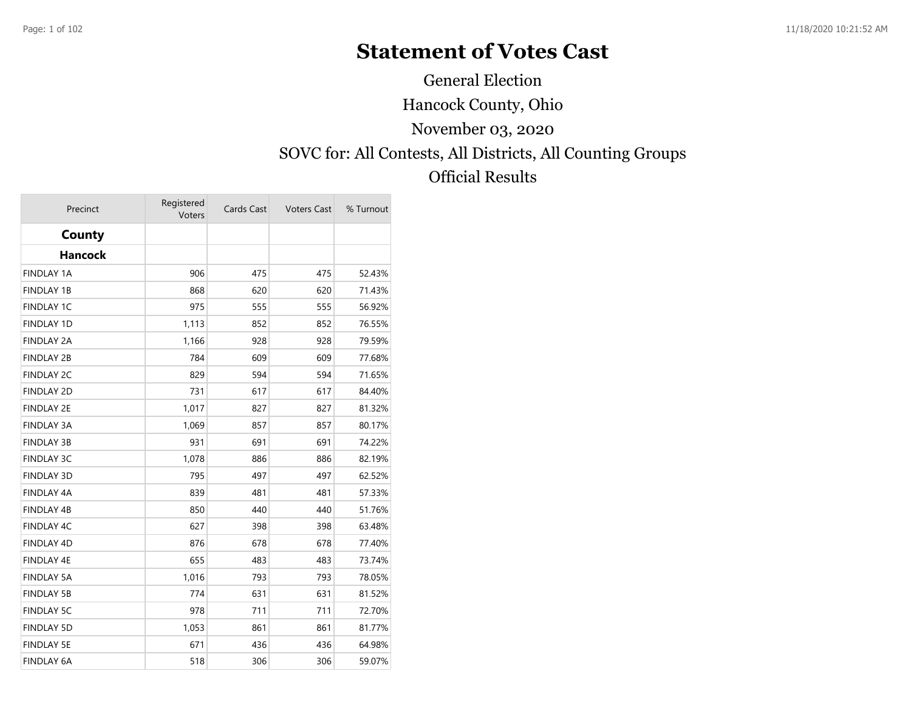# **Statement of Votes Cast**

General Election

Hancock County, Ohio

November 03, 2020

SOVC for: All Contests, All Districts, All Counting Groups

Official Results

| Precinct          | Registered<br>Voters | Cards Cast | <b>Voters Cast</b> | % Turnout |
|-------------------|----------------------|------------|--------------------|-----------|
| County            |                      |            |                    |           |
| <b>Hancock</b>    |                      |            |                    |           |
| <b>FINDLAY 1A</b> | 906                  | 475        | 475                | 52.43%    |
| <b>FINDLAY 1B</b> | 868                  | 620        | 620                | 71.43%    |
| <b>FINDLAY 1C</b> | 975                  | 555        | 555                | 56.92%    |
| <b>FINDLAY 1D</b> | 1,113                | 852        | 852                | 76.55%    |
| <b>FINDLAY 2A</b> | 1,166                | 928        | 928                | 79.59%    |
| <b>FINDLAY 2B</b> | 784                  | 609        | 609                | 77.68%    |
| <b>FINDLAY 2C</b> | 829                  | 594        | 594                | 71.65%    |
| <b>FINDLAY 2D</b> | 731                  | 617        | 617                | 84.40%    |
| <b>FINDLAY 2E</b> | 1,017                | 827        | 827                | 81.32%    |
| <b>FINDLAY 3A</b> | 1,069                | 857        | 857                | 80.17%    |
| <b>FINDLAY 3B</b> | 931                  | 691        | 691                | 74.22%    |
| <b>FINDLAY 3C</b> | 1,078                | 886        | 886                | 82.19%    |
| <b>FINDLAY 3D</b> | 795                  | 497        | 497                | 62.52%    |
| <b>FINDLAY 4A</b> | 839                  | 481        | 481                | 57.33%    |
| FINDLAY 4B        | 850                  | 440        | 440                | 51.76%    |
| FINDLAY 4C        | 627                  | 398        | 398                | 63.48%    |
| <b>FINDLAY 4D</b> | 876                  | 678        | 678                | 77.40%    |
| FINDLAY 4E        | 655                  | 483        | 483                | 73.74%    |
| <b>FINDLAY 5A</b> | 1,016                | 793        | 793                | 78.05%    |
| <b>FINDLAY 5B</b> | 774                  | 631        | 631                | 81.52%    |
| <b>FINDLAY 5C</b> | 978                  | 711        | 711                | 72.70%    |
| <b>FINDLAY 5D</b> | 1,053                | 861        | 861                | 81.77%    |
| <b>FINDLAY 5E</b> | 671                  | 436        | 436                | 64.98%    |
| <b>FINDLAY 6A</b> | 518                  | 306        | 306                | 59.07%    |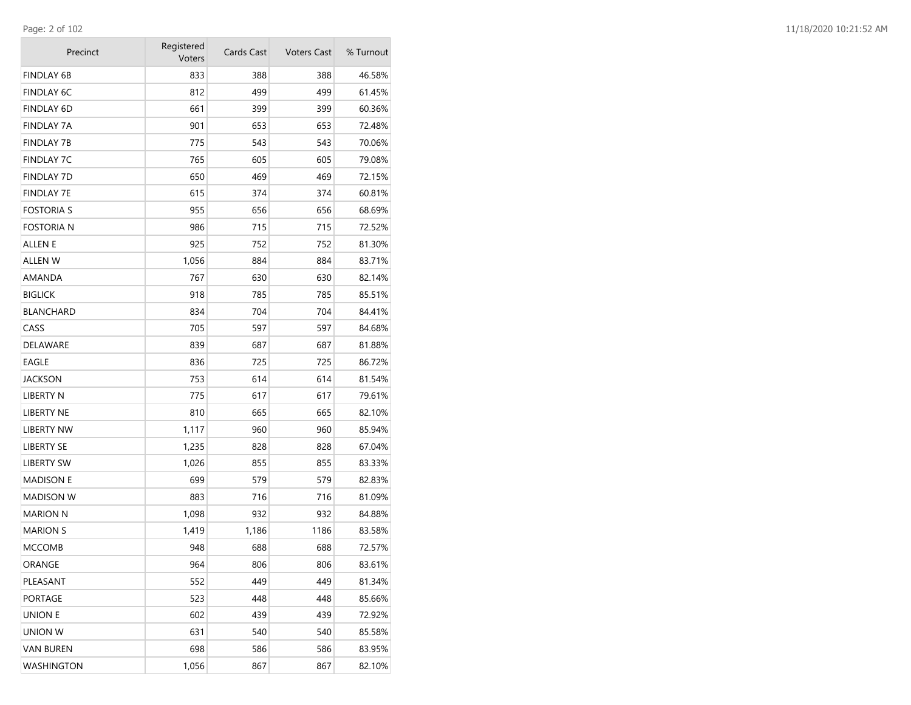| Precinct          | Registered<br>Voters | Cards Cast | <b>Voters Cast</b> | % Turnout |
|-------------------|----------------------|------------|--------------------|-----------|
| FINDLAY 6B        | 833                  | 388        | 388                | 46.58%    |
| <b>FINDLAY 6C</b> | 812                  | 499        | 499                | 61.45%    |
| <b>FINDLAY 6D</b> | 661                  | 399        | 399                | 60.36%    |
| <b>FINDLAY 7A</b> | 901                  | 653        | 653                | 72.48%    |
| <b>FINDLAY 7B</b> | 775                  | 543        | 543                | 70.06%    |
| FINDLAY 7C        | 765                  | 605        | 605                | 79.08%    |
| FINDLAY 7D        | 650                  | 469        | 469                | 72.15%    |
| FINDLAY 7E        | 615                  | 374        | 374                | 60.81%    |
| FOSTORIA S        | 955                  | 656        | 656                | 68.69%    |
| fostoria n        | 986                  | 715        | 715                | 72.52%    |
| ALLEN E           | 925                  | 752        | 752                | 81.30%    |
| ALLEN W           | 1,056                | 884        | 884                | 83.71%    |
| AMANDA            | 767                  | 630        | 630                | 82.14%    |
| <b>BIGLICK</b>    | 918                  | 785        | 785                | 85.51%    |
| BLANCHARD         | 834                  | 704        | 704                | 84.41%    |
| CASS              | 705                  | 597        | 597                | 84.68%    |
| DELAWARE          | 839                  | 687        | 687                | 81.88%    |
| EAGLE             | 836                  | 725        | 725                | 86.72%    |
| JACKSON           | 753                  | 614        | 614                | 81.54%    |
| LIBERTY N         | 775                  | 617        | 617                | 79.61%    |
| LIBERTY NE        | 810                  | 665        | 665                | 82.10%    |
| LIBERTY NW        | 1,117                | 960        | 960                | 85.94%    |
| LIBERTY SE        | 1,235                | 828        | 828                | 67.04%    |
| LIBERTY SW        | 1,026                | 855        | 855                | 83.33%    |
| <b>MADISON E</b>  | 699                  | 579        | 579                | 82.83%    |
| MADISON W         | 883                  | 716        | 716                | 81.09%    |
| MARION N          | 1,098                | 932        | 932                | 84.88%    |
| <b>MARION S</b>   | 1,419                | 1,186      | 1186               | 83.58%    |
| MCCOMB            | 948                  | 688        | 688                | 72.57%    |
| ORANGE            | 964                  | 806        | 806                | 83.61%    |
| PLEASANT          | 552                  | 449        | 449                | 81.34%    |
| PORTAGE           | 523                  | 448        | 448                | 85.66%    |
| union e           | 602                  | 439        | 439                | 72.92%    |
| UNION W           | 631                  | 540        | 540                | 85.58%    |
| VAN BUREN         | 698                  | 586        | 586                | 83.95%    |
| WASHINGTON        | 1,056                | 867        | 867                | 82.10%    |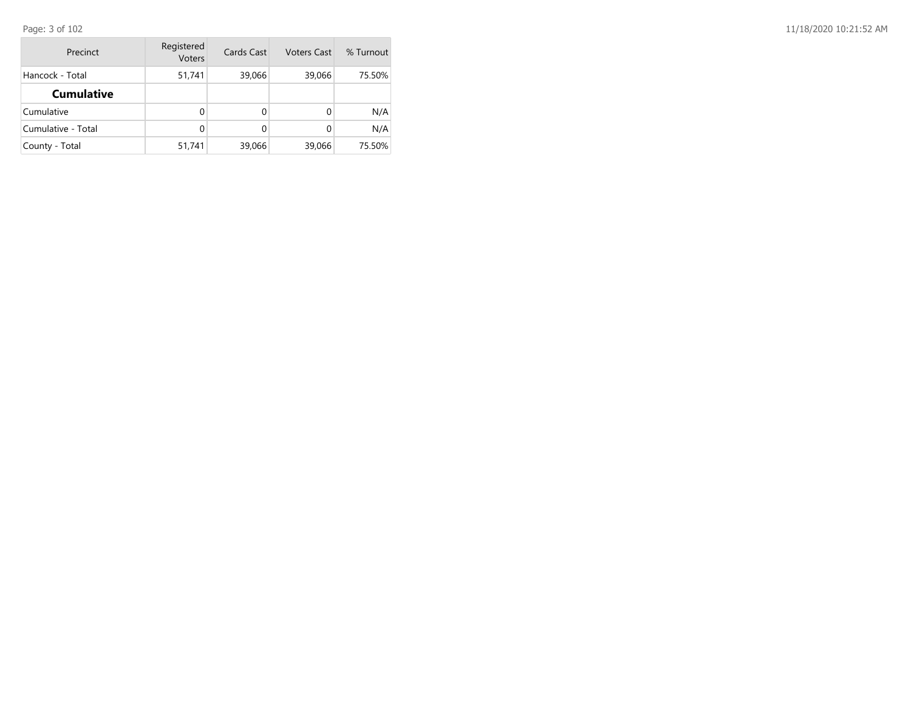Page: 3 of 102

| Precinct           | Registered<br>Voters | Cards Cast | <b>Voters Cast</b> | % Turnout |
|--------------------|----------------------|------------|--------------------|-----------|
| Hancock - Total    | 51,741               | 39,066     | 39,066             | 75.50%    |
| <b>Cumulative</b>  |                      |            |                    |           |
| Cumulative         | 0                    | 0          |                    | N/A       |
| Cumulative - Total | $\Omega$             | 0          |                    | N/A       |
| County - Total     | 51,741               | 39,066     | 39,066             | 75.50%    |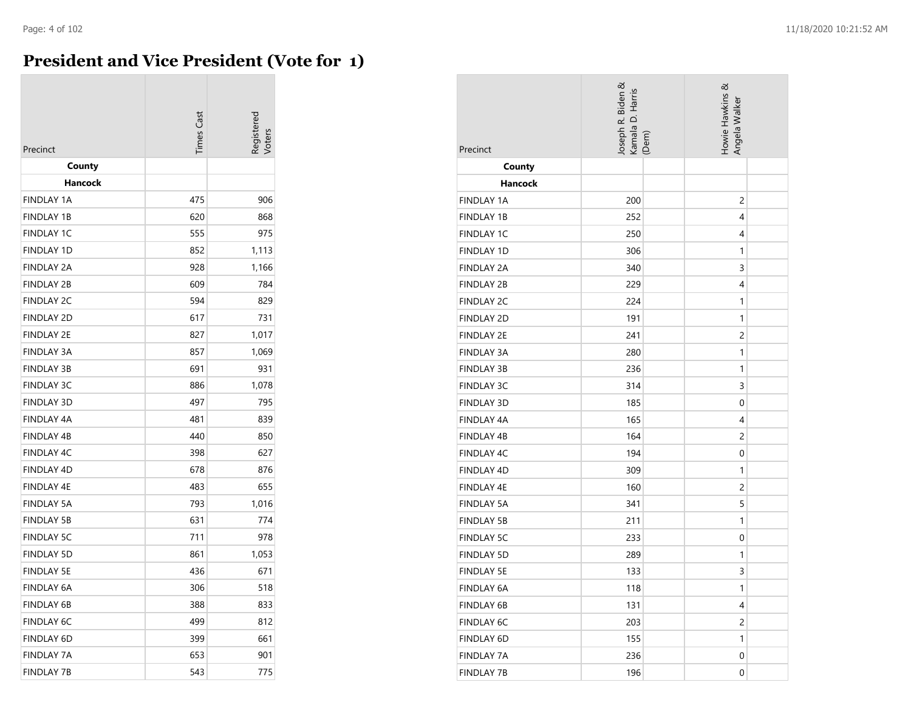## **President and Vice President (Vote for 1)**

| Precinct          | <b>Times Cast</b> | egistered |
|-------------------|-------------------|-----------|
| County            |                   |           |
| Hancock           |                   |           |
| <b>FINDLAY 1A</b> | 475               | 906       |
| <b>FINDLAY 1B</b> | 620               | 868       |
| <b>FINDLAY 1C</b> | 555               | 975       |
| <b>FINDLAY 1D</b> | 852               | 1,113     |
| <b>FINDLAY 2A</b> | 928               | 1,166     |
| <b>FINDLAY 2B</b> | 609               | 784       |
| <b>FINDLAY 2C</b> | 594               | 829       |
| <b>FINDLAY 2D</b> | 617               | 731       |
| <b>FINDLAY 2E</b> | 827               | 1,017     |
| <b>FINDLAY 3A</b> | 857               | 1,069     |
| <b>FINDLAY 3B</b> | 691               | 931       |
| <b>FINDLAY 3C</b> | 886               | 1,078     |
| <b>FINDLAY 3D</b> | 497               | 795       |
| <b>FINDLAY 4A</b> | 481               | 839       |
| <b>FINDLAY 4B</b> | 440               | 850       |
| <b>FINDLAY 4C</b> | 398               | 627       |
| <b>FINDLAY 4D</b> | 678               | 876       |
| <b>FINDLAY 4E</b> | 483               | 655       |
| <b>FINDLAY 5A</b> | 793               | 1,016     |
| <b>FINDLAY 5B</b> | 631               | 774       |
| <b>FINDLAY 5C</b> | 711               | 978       |
| <b>FINDLAY 5D</b> | 861               | 1,053     |
| <b>FINDLAY 5E</b> | 436               | 671       |
| <b>FINDLAY 6A</b> | 306               | 518       |
| <b>FINDLAY 6B</b> | 388               | 833       |
| <b>FINDLAY 6C</b> | 499               | 812       |
| <b>FINDLAY 6D</b> | 399               | 661       |
| <b>FINDLAY 7A</b> | 653               | 901       |
| <b>FINDLAY 7B</b> | 543               | 775       |

| Precinct          | Joseph R. Biden &<br>Kamala D. Harris<br>(Dem) | Howie Hawkins &<br>Angela Walker |
|-------------------|------------------------------------------------|----------------------------------|
| County            |                                                |                                  |
| <b>Hancock</b>    |                                                |                                  |
| <b>FINDLAY 1A</b> | 200                                            | $\overline{c}$                   |
| <b>FINDLAY 1B</b> | 252                                            | 4                                |
| <b>FINDLAY 1C</b> | 250                                            | 4                                |
| <b>FINDLAY 1D</b> | 306                                            | 1                                |
| <b>FINDLAY 2A</b> | 340                                            | 3                                |
| <b>FINDLAY 2B</b> | 229                                            | 4                                |
| <b>FINDLAY 2C</b> | 224                                            | 1                                |
| <b>FINDLAY 2D</b> | 191                                            | 1                                |
| <b>FINDLAY 2E</b> | 241                                            | $\overline{c}$                   |
| <b>FINDLAY 3A</b> | 280                                            | 1                                |
| <b>FINDLAY 3B</b> | 236                                            | 1                                |
| <b>FINDLAY 3C</b> | 314                                            | 3                                |
| <b>FINDLAY 3D</b> | 185                                            | 0                                |
| FINDLAY 4A        | 165                                            | 4                                |
| <b>FINDLAY 4B</b> | 164                                            | $\overline{2}$                   |
| FINDLAY 4C        | 194                                            | $\mathbf 0$                      |
| FINDLAY 4D        | 309                                            | 1                                |
| <b>FINDLAY 4E</b> | 160                                            | $\overline{c}$                   |
| <b>FINDLAY 5A</b> | 341                                            | 5                                |
| <b>FINDLAY 5B</b> | 211                                            | 1                                |
| <b>FINDLAY 5C</b> | 233                                            | 0                                |
| <b>FINDLAY 5D</b> | 289                                            | 1                                |
| <b>FINDLAY 5E</b> | 133                                            | 3                                |
| FINDLAY 6A        | 118                                            | 1                                |
| <b>FINDLAY 6B</b> | 131                                            | 4                                |
| <b>FINDLAY 6C</b> | 203                                            | $\overline{c}$                   |
| FINDLAY 6D        | 155                                            | $\mathbf{1}$                     |
| <b>FINDLAY 7A</b> | 236                                            | $\mathbf{0}$                     |
| <b>FINDLAY 7B</b> | 196                                            | 0                                |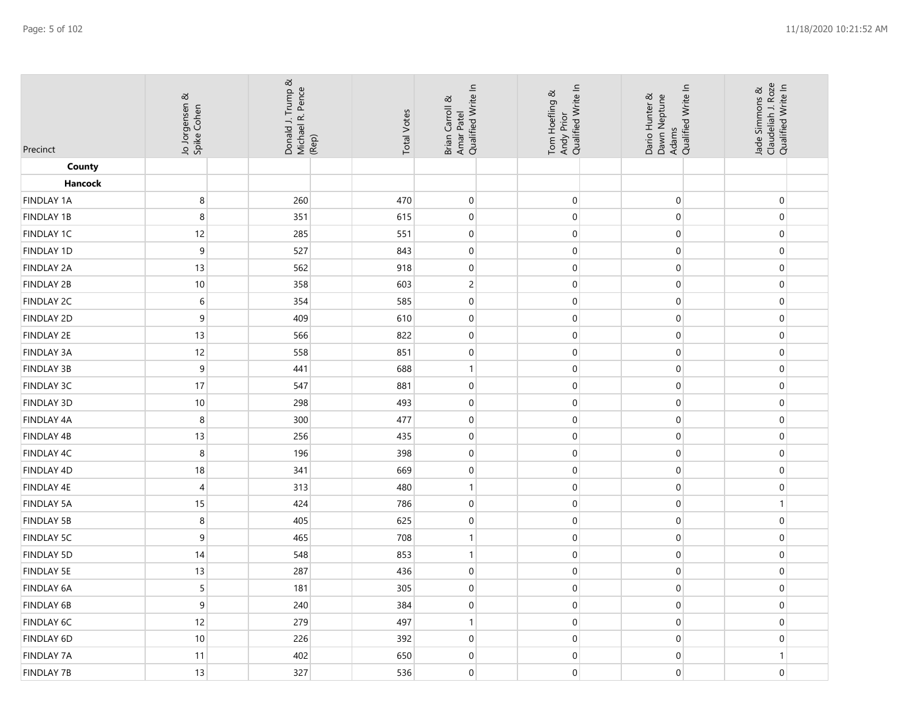| Precinct          | Jo Jorgensen &<br>Spike Cohen | Donald J. Trump &<br>Michael R. Pence<br>(Rep) | <b>Total Votes</b> | Amar Patel<br>Qualified Write In<br>Brian Carroll & | Tom Hoefling &<br>Andy Prior<br>Qualified Write In | Dario Hunter &<br>Dawn Neptune<br>Adams<br>Qualified Write In | Jade Simmons &<br>Claudeliah J. Roze<br>Qualified Write In |
|-------------------|-------------------------------|------------------------------------------------|--------------------|-----------------------------------------------------|----------------------------------------------------|---------------------------------------------------------------|------------------------------------------------------------|
| County            |                               |                                                |                    |                                                     |                                                    |                                                               |                                                            |
| Hancock           |                               |                                                |                    |                                                     |                                                    |                                                               |                                                            |
| <b>FINDLAY 1A</b> | $\,8\,$                       | 260                                            | 470                | $\pmb{0}$                                           | $\boldsymbol{0}$                                   | $\mathbf 0$                                                   | $\mathbf 0$                                                |
| FINDLAY 1B        | 8                             | 351                                            | 615                | $\mathbf 0$                                         | $\mathbf 0$                                        | $\mathbf 0$                                                   | $\pmb{0}$                                                  |
| FINDLAY 1C        | 12                            | 285                                            | 551                | $\pmb{0}$                                           | $\boldsymbol{0}$                                   | $\mathbf 0$                                                   | $\mathbf 0$                                                |
| FINDLAY 1D        | $\boldsymbol{9}$              | 527                                            | 843                | $\pmb{0}$                                           | $\pmb{0}$                                          | 0                                                             | $\overline{0}$                                             |
| <b>FINDLAY 2A</b> | 13                            | 562                                            | 918                | $\pmb{0}$                                           | $\boldsymbol{0}$                                   | $\mathbf 0$                                                   | $\mathbf 0$                                                |
| <b>FINDLAY 2B</b> | 10                            | 358                                            | 603                | $\overline{c}$                                      | $\boldsymbol{0}$                                   | $\boldsymbol{0}$                                              | $\mathbf 0$                                                |
| FINDLAY 2C        | $\,$ 6 $\,$                   | 354                                            | 585                | $\pmb{0}$                                           | $\boldsymbol{0}$                                   | $\mathbf 0$                                                   | $\mathbf 0$                                                |
| <b>FINDLAY 2D</b> | 9                             | 409                                            | 610                | $\pmb{0}$                                           | $\boldsymbol{0}$                                   | $\mathbf 0$                                                   | $\mathbf 0$                                                |
| FINDLAY 2E        | 13                            | 566                                            | 822                | $\boldsymbol{0}$                                    | $\boldsymbol{0}$                                   | $\boldsymbol{0}$                                              | $\boldsymbol{0}$                                           |
| FINDLAY 3A        | 12                            | 558                                            | 851                | $\pmb{0}$                                           | $\boldsymbol{0}$                                   | $\mathbf 0$                                                   | $\boldsymbol{0}$                                           |
| FINDLAY 3B        | 9                             | 441                                            | 688                | 1                                                   | $\boldsymbol{0}$                                   | $\boldsymbol{0}$                                              | $\boldsymbol{0}$                                           |
| FINDLAY 3C        | 17                            | 547                                            | 881                | $\pmb{0}$                                           | $\boldsymbol{0}$                                   | $\mathbf 0$                                                   | $\mathbf 0$                                                |
| FINDLAY 3D        | $10$                          | 298                                            | 493                | $\pmb{0}$                                           | $\pmb{0}$                                          | 0                                                             | $\overline{0}$                                             |
| FINDLAY 4A        | 8                             | 300                                            | 477                | $\pmb{0}$                                           | $\boldsymbol{0}$                                   | $\mathbf 0$                                                   | $\mathbf 0$                                                |
| FINDLAY 4B        | 13                            | 256                                            | 435                | $\pmb{0}$                                           | $\boldsymbol{0}$                                   | $\mathbf 0$                                                   | $\mathbf 0$                                                |
| FINDLAY 4C        | $\,8\,$                       | 196                                            | 398                | $\pmb{0}$                                           | $\boldsymbol{0}$                                   | $\mathbf 0$                                                   | $\mathbf 0$                                                |
| FINDLAY 4D        | 18                            | 341                                            | 669                | $\pmb{0}$                                           | $\boldsymbol{0}$                                   | 0                                                             | $\mathbf 0$                                                |
| FINDLAY 4E        | $\overline{4}$                | 313                                            | 480                | $\mathbf{1}$                                        | $\boldsymbol{0}$                                   | $\boldsymbol{0}$                                              | $\boldsymbol{0}$                                           |
| <b>FINDLAY 5A</b> | 15                            | 424                                            | 786                | $\boldsymbol{0}$                                    | $\boldsymbol{0}$                                   | $\mathbf 0$                                                   | $\mathbf{1}$                                               |
| <b>FINDLAY 5B</b> | 8                             | 405                                            | 625                | $\mathbf 0$                                         | $\mathbf 0$                                        | $\mathbf 0$                                                   | $\mathbf 0$                                                |
| FINDLAY 5C        | 9                             | 465                                            | 708                | $\mathbf{1}$                                        | $\pmb{0}$                                          | $\mathbf 0$                                                   | $\mathbf 0$                                                |
| <b>FINDLAY 5D</b> | 14                            | 548                                            | 853                | $\mathbf{1}$                                        | $\pmb{0}$                                          | 0                                                             | $\overline{0}$                                             |
| FINDLAY 5E        | 13                            | 287                                            | 436                | $\boldsymbol{0}$                                    | $\boldsymbol{0}$                                   | $\mathbf 0$                                                   | $\mathbf 0$                                                |
| FINDLAY 6A        | $\sqrt{5}$                    | 181                                            | 305                | $\boldsymbol{0}$                                    | $\boldsymbol{0}$                                   | $\boldsymbol{0}$                                              | $\overline{0}$                                             |
| FINDLAY 6B        | 9                             | 240                                            | 384                | $\mathbf 0$                                         | $\boldsymbol{0}$                                   | $\mathbf 0$                                                   | $\overline{0}$                                             |
| FINDLAY 6C        | 12                            | 279                                            | 497                | $\mathbf{1}$                                        | $\overline{0}$                                     | $\mathbf 0$                                                   | $\overline{0}$                                             |
| FINDLAY 6D        | 10                            | 226                                            | 392                | $\boldsymbol{0}$                                    | $\boldsymbol{0}$                                   | $\mathbf 0$                                                   | $\mathbf 0$                                                |
| <b>FINDLAY 7A</b> | 11                            | 402                                            | 650                | $\boldsymbol{0}$                                    | $\overline{0}$                                     | $\mathbf 0$                                                   | $\mathbf{1}$                                               |
| <b>FINDLAY 7B</b> | 13                            | 327                                            | 536                | $\boldsymbol{0}$                                    | $\boldsymbol{0}$                                   | $\mathbf 0$                                                   | $\overline{0}$                                             |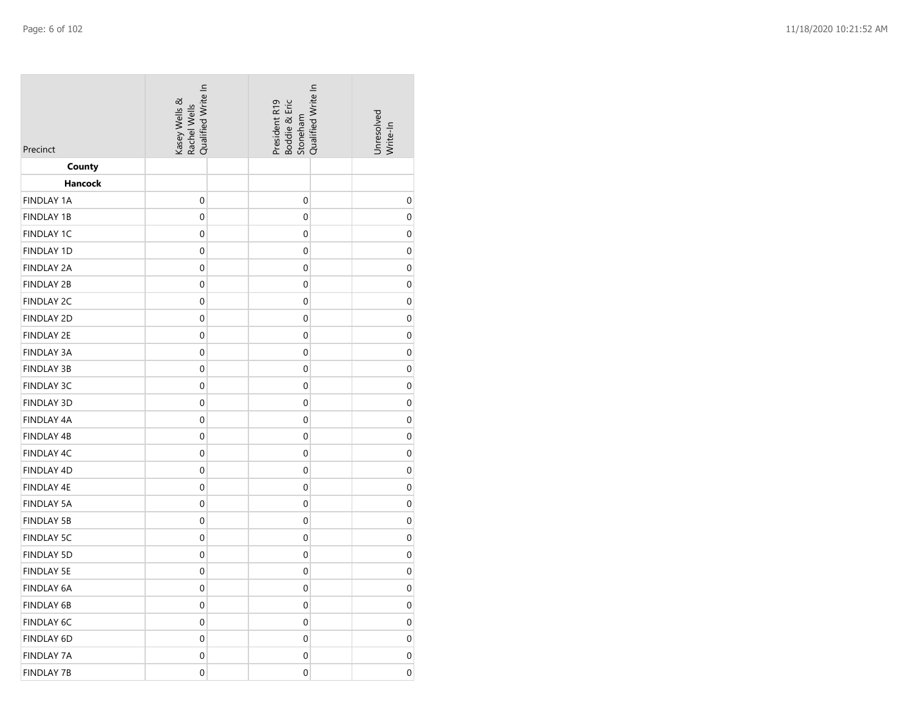| Qualified Write In<br>Kasey Wells &<br>Rachel Wells | Qualified Write In<br>President R19<br>Boddie & Eric<br>Stoneham | Unresolved<br>Write-In     |
|-----------------------------------------------------|------------------------------------------------------------------|----------------------------|
|                                                     |                                                                  |                            |
|                                                     |                                                                  |                            |
|                                                     |                                                                  | $\mathbf 0$                |
|                                                     |                                                                  | $\boldsymbol{0}$           |
| $\boldsymbol{0}$                                    | $\boldsymbol{0}$                                                 | $\mathbf 0$                |
| $\boldsymbol{0}$                                    | $\mathbf 0$                                                      | $\boldsymbol{0}$           |
| $\boldsymbol{0}$                                    | $\boldsymbol{0}$                                                 | $\pmb{0}$                  |
| $\boldsymbol{0}$                                    | $\mathbf 0$                                                      | $\boldsymbol{0}$           |
| $\boldsymbol{0}$                                    | $\boldsymbol{0}$                                                 | $\boldsymbol{0}$           |
| $\boldsymbol{0}$                                    | $\mathbf 0$                                                      | $\boldsymbol{0}$           |
| $\boldsymbol{0}$                                    | $\boldsymbol{0}$                                                 | $\boldsymbol{0}$           |
| $\boldsymbol{0}$                                    | $\boldsymbol{0}$                                                 | $\boldsymbol{0}$           |
| $\boldsymbol{0}$                                    | $\mathbf 0$                                                      | $\boldsymbol{0}$           |
| $\boldsymbol{0}$                                    | $\boldsymbol{0}$                                                 | $\mathbf 0$                |
| $\mathbf 0$                                         | $\mathbf 0$                                                      | $\boldsymbol{0}$           |
| $\boldsymbol{0}$                                    | $\boldsymbol{0}$                                                 | $\pmb{0}$                  |
| $\boldsymbol{0}$                                    | $\mathbf 0$                                                      | $\boldsymbol{0}$           |
| $\boldsymbol{0}$                                    | $\boldsymbol{0}$                                                 | $\boldsymbol{0}$           |
| $\boldsymbol{0}$                                    | $\mathbf 0$                                                      | $\mathbf 0$                |
| $\boldsymbol{0}$                                    | $\mathbf 0$                                                      | $\pmb{0}$                  |
| $\boldsymbol{0}$                                    | $\boldsymbol{0}$                                                 | $\boldsymbol{0}$           |
| $\boldsymbol{0}$                                    | $\boldsymbol{0}$                                                 | $\boldsymbol{0}$           |
| $\boldsymbol{0}$                                    | $\boldsymbol{0}$                                                 | $\mathbf 0$                |
| $\boldsymbol{0}$                                    | $\mathbf 0$                                                      | $\boldsymbol{0}$           |
| $\boldsymbol{0}$                                    | 0                                                                | $\pmb{0}$                  |
| $\mathbf 0$                                         | $\mathbf 0$                                                      | $\boldsymbol{0}$           |
| $\boldsymbol{0}$                                    | $\boldsymbol{0}$                                                 | $\boldsymbol{0}$           |
| $\boldsymbol{0}$                                    | $\mathbf 0$                                                      | 0                          |
| $\boldsymbol{0}$                                    | $\mathbf 0$                                                      | 0                          |
| $\boldsymbol{0}$                                    | $\mathbf 0$                                                      | 0                          |
| $\boldsymbol{0}$                                    | $\mathbf 0$                                                      | 0                          |
|                                                     | $\boldsymbol{0}$<br>$\boldsymbol{0}$                             | $\mathbf 0$<br>$\mathbf 0$ |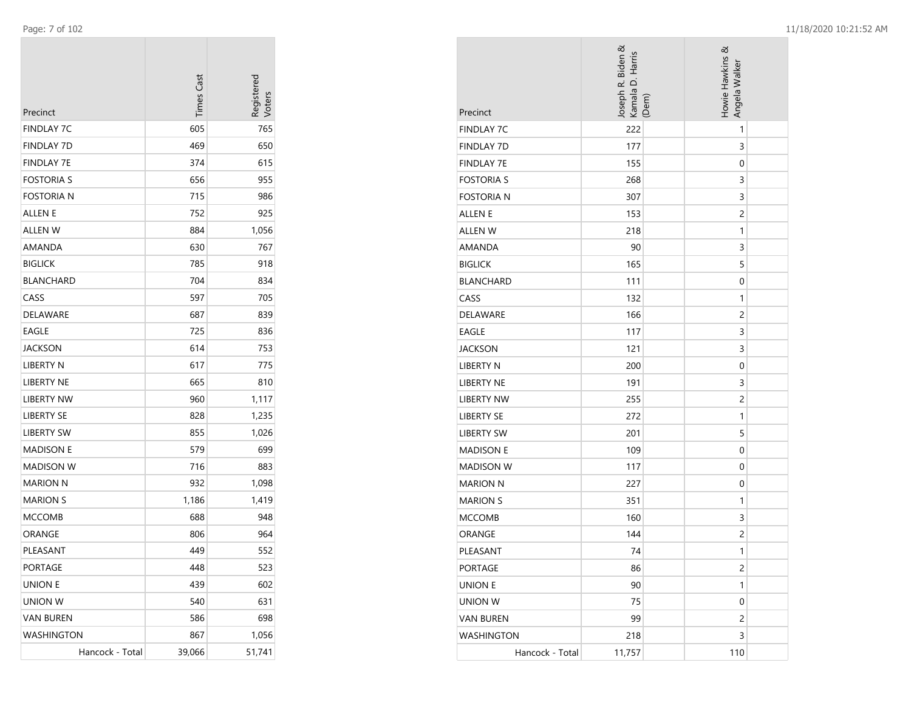| Precinct          | <b>Times Cast</b> | Registered<br>Voters |
|-------------------|-------------------|----------------------|
| <b>FINDLAY 7C</b> | 605               | 765                  |
| <b>FINDLAY 7D</b> | 469               | 650                  |
| <b>FINDLAY 7E</b> | 374               | 615                  |
| <b>FOSTORIA S</b> | 656               | 955                  |
| FOSTORIA N        | 715               | 986                  |
| ALLEN E           | 752               | 925                  |
| ALLEN W           | 884               | 1,056                |
| AMANDA            | 630               | 767                  |
| <b>BIGLICK</b>    | 785               | 918                  |
| <b>BLANCHARD</b>  | 704               | 834                  |
| CASS              | 597               | 705                  |
| DELAWARE          | 687               | 839                  |
| <b>EAGLE</b>      | 725               | 836                  |
| JACKSON           | 614               | 753                  |
| <b>LIBERTY N</b>  | 617               | 775                  |
| <b>LIBERTY NE</b> | 665               | 810                  |
| LIBERTY NW        | 960               | 1,117                |
| <b>LIBERTY SE</b> | 828               | 1,235                |
| LIBERTY SW        | 855               | 1,026                |
| <b>MADISON E</b>  | 579               | 699                  |
| <b>MADISON W</b>  | 716               | 883                  |
| <b>MARION N</b>   | 932               | 1,098                |
| <b>MARION S</b>   | 1,186             | 1,419                |
| <b>MCCOMB</b>     | 688               | 948                  |
| ORANGE            | 806               | 964                  |
| PLEASANT          | 449               | 552                  |
| PORTAGE           | 448               | 523                  |
| <b>UNION E</b>    | 439               | 602                  |
| <b>UNION W</b>    | 540               | 631                  |
| <b>VAN BUREN</b>  | 586               | 698                  |
| <b>WASHINGTON</b> | 867               | 1,056                |
| Hancock - Total   | 39,066            | 51,741               |

| Precinct          | Joseph R. Biden &<br>Kamala D. Harris<br>(Dem) | Howie Hawkins &<br>Angela Walker |
|-------------------|------------------------------------------------|----------------------------------|
| <b>FINDLAY 7C</b> | 222                                            | 1                                |
| <b>FINDLAY 7D</b> | 177                                            | 3                                |
| <b>FINDLAY 7E</b> | 155                                            | 0                                |
| <b>FOSTORIA S</b> | 268                                            | 3                                |
| <b>FOSTORIA N</b> | 307                                            | 3                                |
| ALLEN E           | 153                                            | $\overline{c}$                   |
| <b>ALLEN W</b>    | 218                                            | 1                                |
| AMANDA            | 90                                             | 3                                |
| <b>BIGLICK</b>    | 165                                            | 5                                |
| <b>BLANCHARD</b>  | 111                                            | 0                                |
| CASS              | 132                                            | 1                                |
| <b>DELAWARE</b>   | 166                                            | $\overline{c}$                   |
| EAGLE             | 117                                            | 3                                |
| <b>JACKSON</b>    | 121                                            | 3                                |
| <b>LIBERTY N</b>  | 200                                            | 0                                |
| <b>LIBERTY NE</b> | 191                                            | 3                                |
| <b>LIBERTY NW</b> | 255                                            | $\overline{c}$                   |
| <b>LIBERTY SE</b> | 272                                            | 1                                |
| <b>LIBERTY SW</b> | 201                                            | 5                                |
| <b>MADISON E</b>  | 109                                            | 0                                |
| <b>MADISON W</b>  | 117                                            | 0                                |
| <b>MARION N</b>   | 227                                            | 0                                |
| <b>MARION S</b>   | 351                                            | 1                                |
| <b>MCCOMB</b>     | 160                                            | 3                                |
| ORANGE            | 144                                            | 2                                |
| PLEASANT          | 74                                             | 1                                |
| <b>PORTAGE</b>    | 86                                             | $\overline{c}$                   |
| <b>UNION E</b>    | 90                                             | 1                                |
| UNION W           | 75                                             | 0                                |
| <b>VAN BUREN</b>  | 99                                             | 2                                |
| WASHINGTON        | 218                                            | 3                                |
| Hancock - Total   | 11,757                                         | 110                              |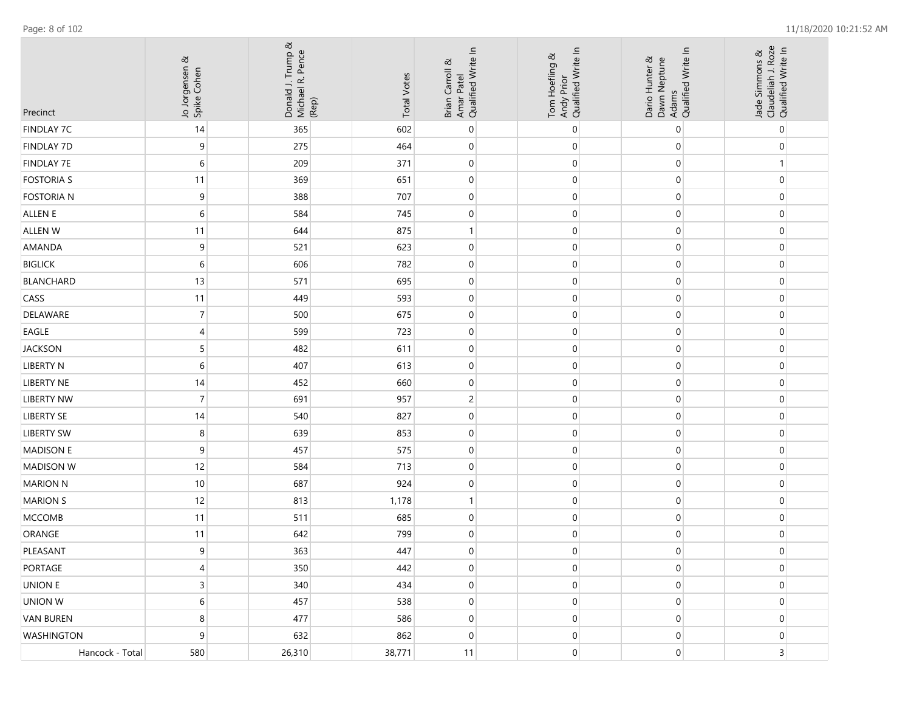| Precinct          | Jo Jorgensen &<br>Spike Cohen | Donald J. Trump &<br>Michael R. Pence<br>(Rep) | <b>Total Votes</b> | Brian Carroll &<br>Amar Patel<br>Qualified Write In | Andy Prior<br>Qualified Write In<br>Tom Hoefling & | Dawn Neptune<br>Adams<br>Qualified Write In<br>Dario Hunter & | Jade Simmons &<br>Claudeliah J. Roze<br>Qualified Write In |                  |
|-------------------|-------------------------------|------------------------------------------------|--------------------|-----------------------------------------------------|----------------------------------------------------|---------------------------------------------------------------|------------------------------------------------------------|------------------|
| <b>FINDLAY 7C</b> | 14                            | 365                                            | 602                | $\pmb{0}$                                           | 0                                                  | 0                                                             |                                                            | 0                |
| <b>FINDLAY 7D</b> | 9                             | 275                                            | 464                | $\mathbf 0$                                         | 0                                                  | $\pmb{0}$                                                     |                                                            | $\pmb{0}$        |
| <b>FINDLAY 7E</b> | $\,$ 6 $\,$                   | 209                                            | 371                | $\boldsymbol{0}$                                    | 0                                                  | $\boldsymbol{0}$                                              |                                                            | $\mathbf{1}$     |
| <b>FOSTORIA S</b> | 11                            | 369                                            | 651                | $\mathbf 0$                                         | 0                                                  | $\mathbf 0$                                                   |                                                            | $\pmb{0}$        |
| FOSTORIA N        | 9                             | 388                                            | 707                | $\boldsymbol{0}$                                    | 0                                                  | $\pmb{0}$                                                     |                                                            | 0                |
| ALLEN E           | 6                             | 584                                            | 745                | 0                                                   | 0                                                  | $\mathbf 0$                                                   |                                                            | 0                |
| ALLEN W           | 11                            | 644                                            | 875                | $\mathbf{1}$                                        | 0                                                  | $\pmb{0}$                                                     |                                                            | $\pmb{0}$        |
| AMANDA            | 9                             | 521                                            | 623                | $\mathbf 0$                                         | 0                                                  | $\mathbf 0$                                                   |                                                            | $\pmb{0}$        |
| <b>BIGLICK</b>    | $\sqrt{6}$                    | 606                                            | 782                | $\mathbf{0}$                                        | $\mathbf{0}$                                       | $\mathbf 0$                                                   |                                                            | $\boldsymbol{0}$ |
| <b>BLANCHARD</b>  | 13                            | 571                                            | 695                | $\mathbf 0$                                         | 0                                                  | $\pmb{0}$                                                     |                                                            | 0                |
| CASS              | 11                            | 449                                            | 593                | $\mathbf{0}$                                        | 0                                                  | $\pmb{0}$                                                     |                                                            | $\pmb{0}$        |
| DELAWARE          | $\overline{7}$                | 500                                            | 675                | $\boldsymbol{0}$                                    | 0                                                  | $\boldsymbol{0}$                                              |                                                            | $\boldsymbol{0}$ |
| EAGLE             | 4                             | 599                                            | 723                | $\mathbf 0$                                         | 0                                                  | $\mathbf 0$                                                   |                                                            | $\pmb{0}$        |
| <b>JACKSON</b>    | 5                             | 482                                            | 611                | $\pmb{0}$                                           | 0                                                  | $\pmb{0}$                                                     |                                                            | 0                |
| LIBERTY N         | 6                             | 407                                            | 613                | $\overline{0}$                                      | 0                                                  | $\mathbf 0$                                                   |                                                            | 0                |
| <b>LIBERTY NE</b> | 14                            | 452                                            | 660                | $\mathbf 0$                                         | 0                                                  | $\pmb{0}$                                                     |                                                            | 0                |
| <b>LIBERTY NW</b> | $\overline{7}$                | 691                                            | 957                | $\overline{c}$                                      | 0                                                  | $\boldsymbol{0}$                                              |                                                            | $\boldsymbol{0}$ |
| LIBERTY SE        | 14                            | 540                                            | 827                | $\mathbf{0}$                                        | $\boldsymbol{0}$                                   | $\mathbf 0$                                                   |                                                            | $\boldsymbol{0}$ |
| LIBERTY SW        | 8                             | 639                                            | 853                | $\boldsymbol{0}$                                    | 0                                                  | $\boldsymbol{0}$                                              |                                                            | $\boldsymbol{0}$ |
| <b>MADISON E</b>  | 9                             | 457                                            | 575                | $\mathbf{0}$                                        | 0                                                  | $\pmb{0}$                                                     |                                                            | $\pmb{0}$        |
| <b>MADISON W</b>  | 12                            | 584                                            | 713                | $\boldsymbol{0}$                                    | 0                                                  | $\boldsymbol{0}$                                              |                                                            | $\boldsymbol{0}$ |
| <b>MARION N</b>   | 10                            | 687                                            | 924                | $\mathbf 0$                                         | 0                                                  | $\boldsymbol{0}$                                              |                                                            | $\pmb{0}$        |
| <b>MARION S</b>   | 12                            | 813                                            | 1,178              | $\mathbf{1}$                                        | 0                                                  | $\mathbf 0$                                                   |                                                            | $\pmb{0}$        |
| <b>MCCOMB</b>     | 11                            | 511                                            | 685                | $\overline{0}$                                      | 0                                                  | $\pmb{0}$                                                     |                                                            | 0                |
| ORANGE            | 11                            | 642                                            | 799                | $\mathbf{0}$                                        | 0                                                  | $\mathbf 0$                                                   |                                                            | $\mathbf 0$      |
| PLEASANT          | 9                             | 363                                            | 447                | $\Omega$                                            | $\Omega$                                           | $\overline{0}$                                                |                                                            | $\mathbf{0}$     |
| PORTAGE           | 4                             | 350                                            | 442                | $\mathbf 0$                                         | $\mathbf 0$                                        | $\boldsymbol{0}$                                              |                                                            | $\boldsymbol{0}$ |
| UNION E           | $\overline{3}$                | 340                                            | 434                | $\boldsymbol{0}$                                    | $\boldsymbol{0}$                                   | $\boldsymbol{0}$                                              |                                                            | $\boldsymbol{0}$ |
| UNION W           | $\sqrt{6}$                    | 457                                            | 538                | $\boldsymbol{0}$                                    | $\boldsymbol{0}$                                   | $\pmb{0}$                                                     |                                                            | $\boldsymbol{0}$ |
| VAN BUREN         | 8                             | 477                                            | 586                | $\boldsymbol{0}$                                    | $\boldsymbol{0}$                                   | $\boldsymbol{0}$                                              |                                                            | $\boldsymbol{0}$ |
| <b>WASHINGTON</b> | 9                             | 632                                            | 862                | $\pmb{0}$                                           | $\pmb{0}$                                          | $\overline{0}$                                                |                                                            | $\pmb{0}$        |
| Hancock - Total   | 580                           | 26,310                                         | 38,771             | 11                                                  | $\mathbf{0}$                                       | $\overline{0}$                                                |                                                            | $\overline{3}$   |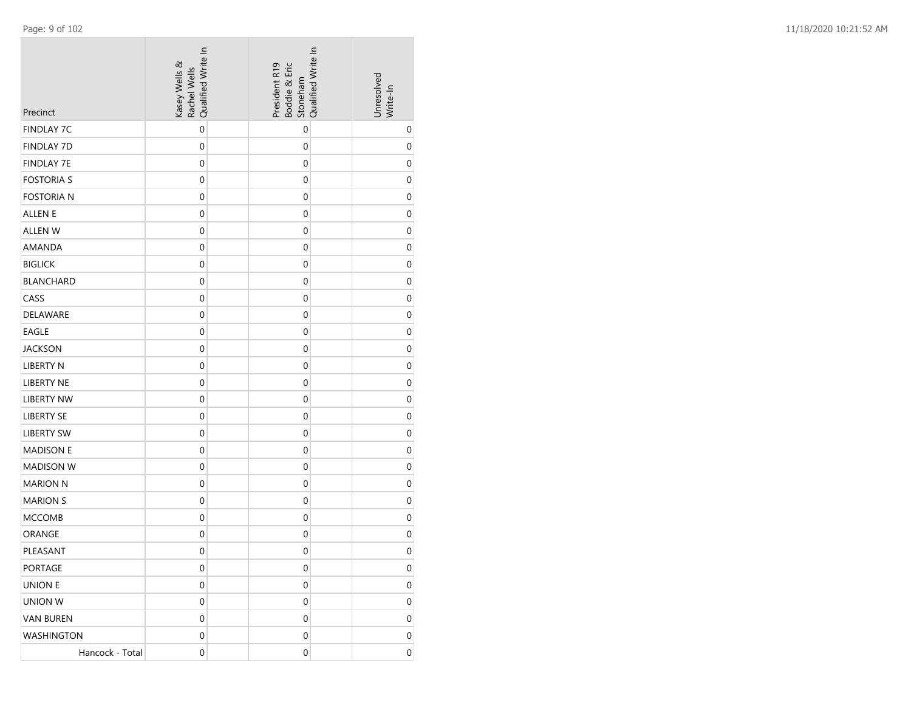| Precinct          | Qualified Write In<br>Kasey Wells &<br>Rachel Wells | President R19<br>Boddie & Eric<br>Stoneham | Qualified Write In | Unresolved<br>Write-In |
|-------------------|-----------------------------------------------------|--------------------------------------------|--------------------|------------------------|
| <b>FINDLAY 7C</b> | $\boldsymbol{0}$                                    | $\boldsymbol{0}$                           |                    | $\mathbf 0$            |
| <b>FINDLAY 7D</b> | $\mathbf 0$                                         | $\boldsymbol{0}$                           |                    | $\mathbf 0$            |
| <b>FINDLAY 7E</b> | 0                                                   | 0                                          |                    | 0                      |
| <b>FOSTORIA S</b> | $\mathbf 0$                                         | $\mathbf 0$                                |                    | 0                      |
| <b>FOSTORIA N</b> | $\boldsymbol{0}$                                    | $\boldsymbol{0}$                           |                    | $\mathbf 0$            |
| ALLEN E           | $\mathbf 0$                                         | $\mathbf 0$                                |                    | $\mathbf 0$            |
| ALLEN W           | $\mathbf 0$                                         | $\mathbf 0$                                |                    | $\mathbf 0$            |
| AMANDA            | $\mathbf 0$                                         | $\mathbf 0$                                |                    | 0                      |
| <b>BIGLICK</b>    | $\mathbf 0$                                         | $\mathbf 0$                                |                    | $\mathbf 0$            |
| <b>BLANCHARD</b>  | $\boldsymbol{0}$                                    | $\mathbf 0$                                |                    | $\mathbf 0$            |
| CASS              | $\mathbf 0$                                         | $\mathbf 0$                                |                    | $\mathbf 0$            |
| DELAWARE          | 0                                                   | 0                                          |                    | 0                      |
| <b>EAGLE</b>      | $\mathbf 0$                                         | $\mathbf 0$                                |                    | $\mathbf 0$            |
| <b>JACKSON</b>    | $\boldsymbol{0}$                                    | $\boldsymbol{0}$                           |                    | $\mathbf 0$            |
| LIBERTY N         | $\mathbf 0$                                         | $\mathbf 0$                                |                    | $\mathbf 0$            |
| <b>LIBERTY NE</b> | $\mathbf 0$                                         | $\mathbf 0$                                |                    | $\mathbf 0$            |
| <b>LIBERTY NW</b> | $\mathbf 0$                                         | $\mathbf 0$                                |                    | 0                      |
| LIBERTY SE        | $\mathbf 0$                                         | $\mathbf 0$                                |                    | $\mathbf 0$            |
| <b>LIBERTY SW</b> | $\mathbf 0$                                         | $\mathbf 0$                                |                    | 0                      |
| <b>MADISON E</b>  | 0                                                   | $\mathbf 0$                                |                    | 0                      |
| <b>MADISON W</b>  | 0                                                   | 0                                          |                    | 0                      |
| <b>MARION N</b>   | $\mathbf 0$                                         | $\mathbf 0$                                |                    | 0                      |
| <b>MARION S</b>   | $\boldsymbol{0}$                                    | $\boldsymbol{0}$                           |                    | $\mathbf 0$            |
| <b>MCCOMB</b>     | $\boldsymbol{0}$                                    | $\mathbf 0$                                |                    | $\mathbf 0$            |
| ORANGE            | $\boldsymbol{0}$                                    | $\boldsymbol{0}$                           |                    | $\mathbf 0$            |
| PLEASANT          | $\mathbf 0$                                         | $\mathbf 0$                                |                    | $\boldsymbol{0}$       |
| PORTAGE           | 0                                                   | $\mathbf 0$                                |                    | 0                      |
| UNION E           | 0                                                   | 0                                          |                    | 0                      |
| UNION W           | $\mathbf{0}$                                        | $\mathbf{0}$                               |                    | 0                      |
| VAN BUREN         | 0                                                   | 0                                          |                    | 0                      |
| WASHINGTON        | 0                                                   | 0                                          |                    | 0                      |
| Hancock - Total   | $\mathbf 0$                                         | $\boldsymbol{0}$                           |                    | 0                      |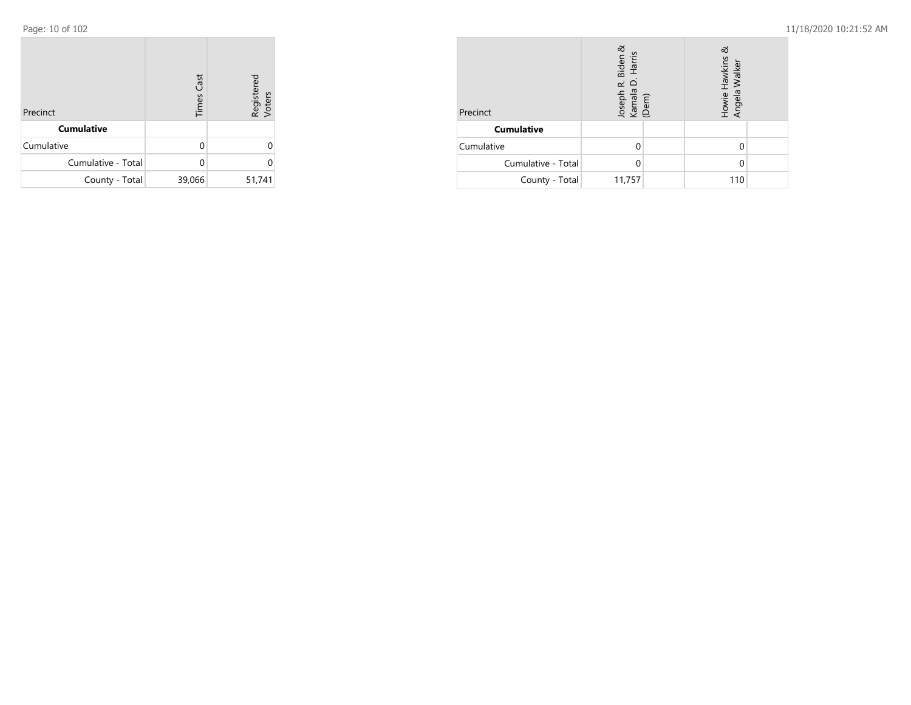| Precinct           | <b>Times Cast</b> | Registered<br>Voters |
|--------------------|-------------------|----------------------|
| <b>Cumulative</b>  |                   |                      |
| Cumulative         | O                 |                      |
| Cumulative - Total | n                 | 0                    |
| County - Total     | 39,066            | 51,741               |

| Precinct           | ಹ<br>Biden<br>Harris<br>Joseph R. I<br>Kamala D.<br>(Dem) | ಹ<br>Howie Hawkins &<br>Angela Walker |  |
|--------------------|-----------------------------------------------------------|---------------------------------------|--|
| <b>Cumulative</b>  |                                                           |                                       |  |
| Cumulative         |                                                           |                                       |  |
| Cumulative - Total |                                                           |                                       |  |
| County - Total     | 11,757                                                    | 110                                   |  |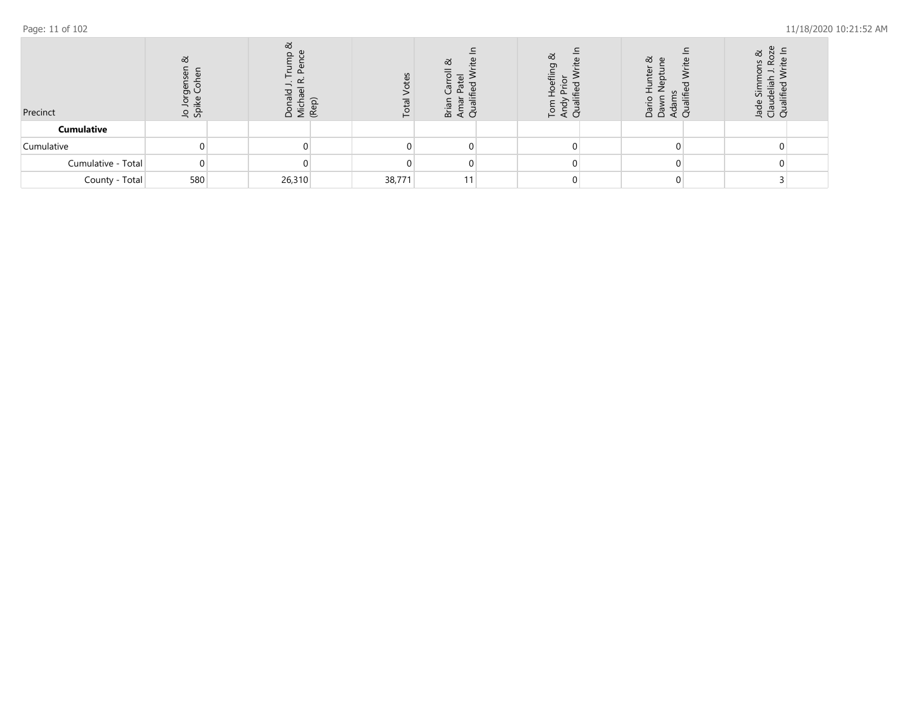| Precinct           | ವ<br>유 성 | ಹ<br><u>ب</u><br>ă ∑ | ⋐ | ΘS<br>$\vdash$ | ಹ<br>₹ō<br>๛ | ಹ<br>Ō<br>— | ವ<br>$\omega$<br>ਵੇਂ ਰੋ<br>ã ã | ळ<br>ទី <b>ី</b> ខី |  |
|--------------------|----------|----------------------|---|----------------|--------------|-------------|--------------------------------|---------------------|--|
| <b>Cumulative</b>  |          |                      |   |                |              |             |                                |                     |  |
| Cumulative         |          |                      |   |                |              |             |                                |                     |  |
| Cumulative - Total |          |                      |   |                |              |             |                                |                     |  |
| County - Total     | 580      | 26,310               |   | 38,771         |              |             |                                |                     |  |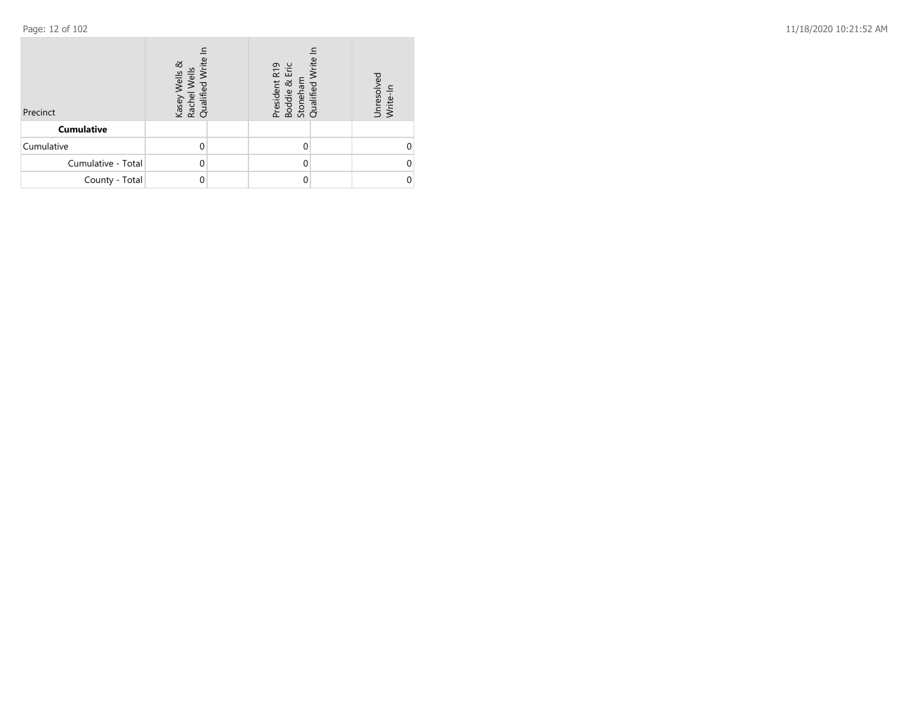| Precinct           | ಹ<br>Ξ<br>Wells<br>Kasey V<br>Rachel<br>Qualifie |  | <b>Irite</b><br>R19<br>Eric<br>President<br>Boddie &<br>Stoneham<br>Qualified \ |  | ਰੂ<br>Unresol <sup>.</sup><br>Write-In |  |
|--------------------|--------------------------------------------------|--|---------------------------------------------------------------------------------|--|----------------------------------------|--|
| <b>Cumulative</b>  |                                                  |  |                                                                                 |  |                                        |  |
| Cumulative         |                                                  |  |                                                                                 |  |                                        |  |
| Cumulative - Total |                                                  |  |                                                                                 |  |                                        |  |
| County - Total     |                                                  |  |                                                                                 |  |                                        |  |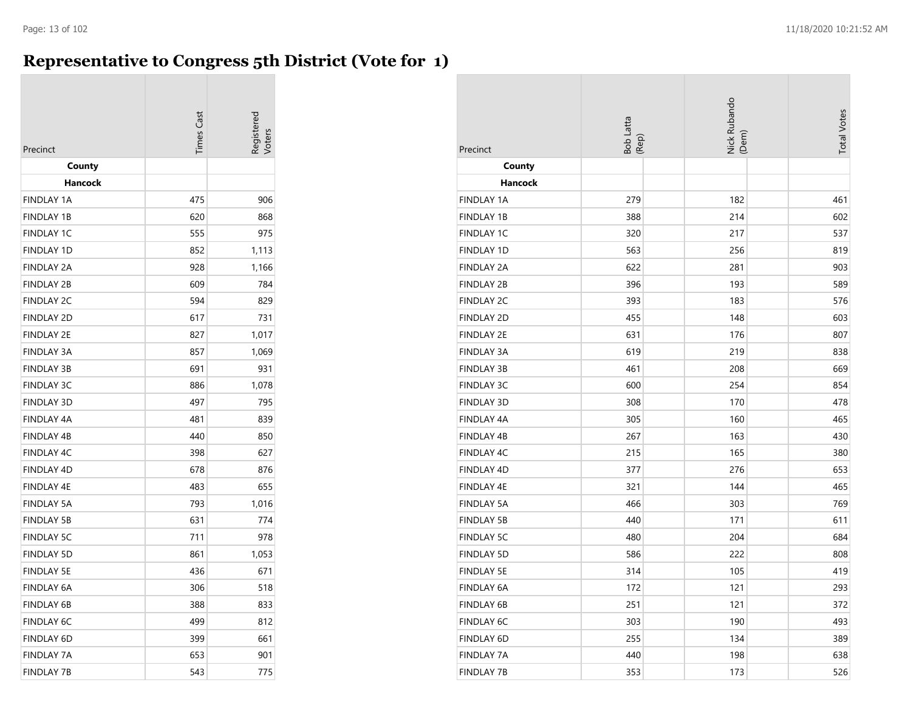## **Representative to Congress 5th District (Vote for 1)**

| Precinct          | imes Cas | egistere |
|-------------------|----------|----------|
| County            |          |          |
| Hancock           |          |          |
| <b>FINDLAY 1A</b> | 475      | 906      |
| <b>FINDLAY 1B</b> | 620      | 868      |
| <b>FINDLAY 1C</b> | 555      | 975      |
| <b>FINDLAY 1D</b> | 852      | 1,113    |
| <b>FINDLAY 2A</b> | 928      | 1,166    |
| <b>FINDLAY 2B</b> | 609      | 784      |
| <b>FINDLAY 2C</b> | 594      | 829      |
| <b>FINDLAY 2D</b> | 617      | 731      |
| <b>FINDLAY 2E</b> | 827      | 1,017    |
| <b>FINDLAY 3A</b> | 857      | 1,069    |
| <b>FINDLAY 3B</b> | 691      | 931      |
| <b>FINDLAY 3C</b> | 886      | 1,078    |
| <b>FINDLAY 3D</b> | 497      | 795      |
| <b>FINDLAY 4A</b> | 481      | 839      |
| <b>FINDLAY 4B</b> | 440      | 850      |
| <b>FINDLAY 4C</b> | 398      | 627      |
| <b>FINDLAY 4D</b> | 678      | 876      |
| <b>FINDLAY 4E</b> | 483      | 655      |
| <b>FINDLAY 5A</b> | 793      | 1,016    |
| <b>FINDLAY 5B</b> | 631      | 774      |
| <b>FINDLAY 5C</b> | 711      | 978      |
| <b>FINDLAY 5D</b> | 861      | 1,053    |
| <b>FINDLAY 5E</b> | 436      | 671      |
| FINDLAY 6A        | 306      | 518      |
| <b>FINDLAY 6B</b> | 388      | 833      |
| <b>FINDLAY 6C</b> | 499      | 812      |
| <b>FINDLAY 6D</b> | 399      | 661      |
| <b>FINDLAY 7A</b> | 653      | 901      |
| <b>FINDLAY 7B</b> | 543      | 775      |

| Precinct          | Bob Latta<br>(Rep) | Nick Rubando<br>(Dem) | <b>Total Votes</b> |
|-------------------|--------------------|-----------------------|--------------------|
| County            |                    |                       |                    |
| Hancock           |                    |                       |                    |
| <b>FINDLAY 1A</b> | 279                | 182                   | 461                |
| <b>FINDLAY 1B</b> | 388                | 214                   | 602                |
| FINDLAY 1C        | 320                | 217                   | 537                |
| FINDLAY 1D        | 563                | 256                   | 819                |
| <b>FINDLAY 2A</b> | 622                | 281                   | 903                |
| <b>FINDLAY 2B</b> | 396                | 193                   | 589                |
| <b>FINDLAY 2C</b> | 393                | 183                   | 576                |
| <b>FINDLAY 2D</b> | 455                | 148                   | 603                |
| <b>FINDLAY 2E</b> | 631                | 176                   | 807                |
| <b>FINDLAY 3A</b> | 619                | 219                   | 838                |
| <b>FINDLAY 3B</b> | 461                | 208                   | 669                |
| <b>FINDLAY 3C</b> | 600                | 254                   | 854                |
| <b>FINDLAY 3D</b> | 308                | 170                   | 478                |
| <b>FINDLAY 4A</b> | 305                | 160                   | 465                |
| FINDLAY 4B        | 267                | 163                   | 430                |
| FINDLAY 4C        | 215                | 165                   | 380                |
| FINDLAY 4D        | 377                | 276                   | 653                |
| FINDLAY 4E        | 321                | 144                   | 465                |
| <b>FINDLAY 5A</b> | 466                | 303                   | 769                |
| <b>FINDLAY 5B</b> | 440                | 171                   | 611                |
| <b>FINDLAY 5C</b> | 480                | 204                   | 684                |
| <b>FINDLAY 5D</b> | 586                | 222                   | 808                |
| <b>FINDLAY 5E</b> | 314                | 105                   | 419                |
| FINDLAY 6A        | 172                | 121                   | 293                |
| <b>FINDLAY 6B</b> | 251                | 121                   | 372                |
| FINDLAY 6C        | 303                | 190                   | 493                |
| FINDLAY 6D        | 255                | 134                   | 389                |
| <b>FINDLAY 7A</b> | 440                | 198                   | 638                |
| <b>FINDLAY 7B</b> | 353                | 173                   | 526                |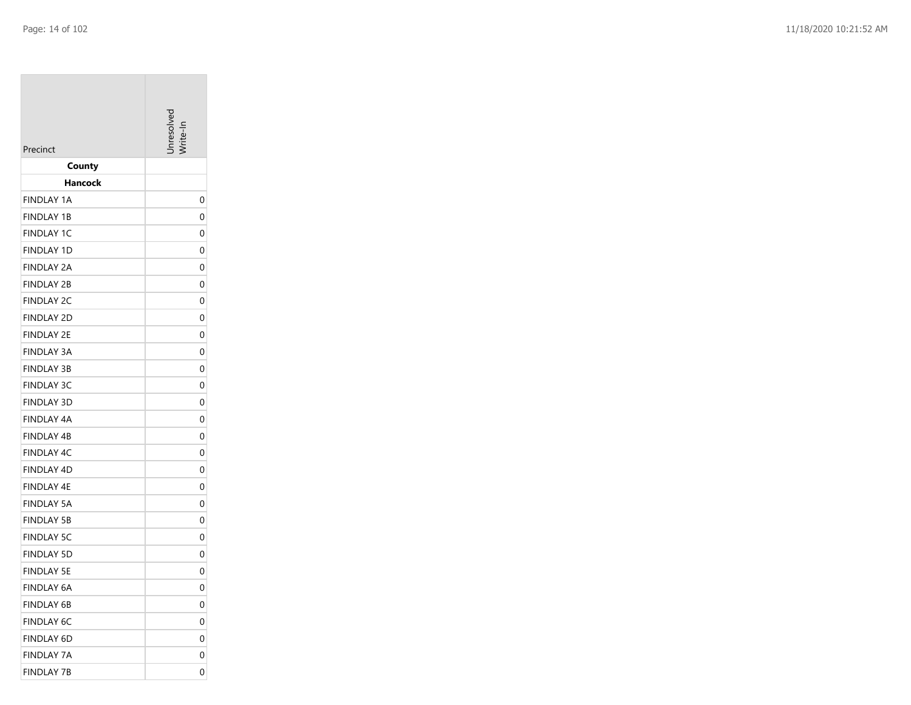| Precinct                        | Inresolver |
|---------------------------------|------------|
| County                          |            |
| Hancock                         |            |
| <b>FINDLAY 1A</b>               | 0          |
| <b>FINDLAY 1B</b>               | 0          |
| <b>FINDLAY 1C</b>               | 0          |
| <b>FINDLAY 1D</b>               | 0          |
| FINDLAY 2A                      | 0          |
| <b>FINDLAY 2B</b>               | 0          |
| <b>FINDLAY 2C</b>               | 0          |
| <b>FINDLAY 2D</b>               | 0          |
| FINDLAY 2E                      | 0          |
| <b>FINDLAY 3A</b>               | 0          |
| <b>FINDLAY 3B</b>               | 0          |
| <b>FINDLAY 3C</b>               | 0          |
| <b>FINDLAY 3D</b>               | 0          |
| FINDLAY 4A<br><b>FINDLAY 4B</b> | 0<br>0     |
| <b>FINDLAY 4C</b>               | 0          |
| <b>FINDLAY 4D</b>               | 0          |
| FINDLAY 4E                      | 0          |
| <b>FINDLAY 5A</b>               | 0          |
| <b>FINDLAY 5B</b>               | 0          |
| <b>FINDLAY 5C</b>               | 0          |
| <b>FINDLAY 5D</b>               | 0          |
| FINDLAY 5E                      | 0          |
| FINDLAY 6A                      | 0          |
| FINDLAY 6B                      | 0          |
| <b>FINDLAY 6C</b>               | 0          |
| <b>FINDLAY 6D</b>               | 0          |
| <b>FINDLAY 7A</b>               | 0          |
| <b>FINDLAY 7B</b>               | 0          |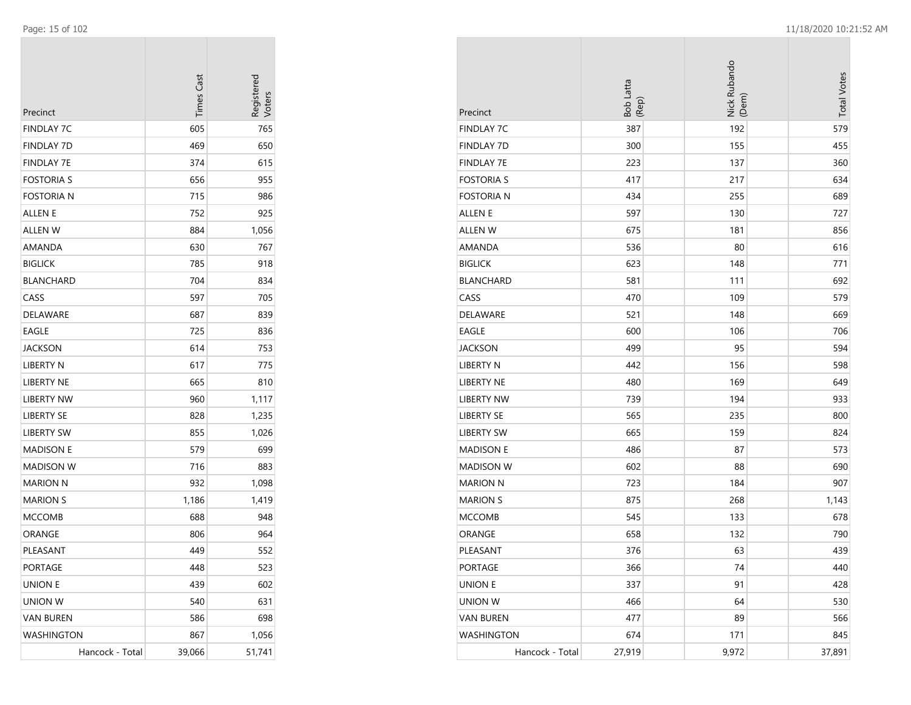| Precinct          | <b>Times Cast</b> | Registerec<br>Voters |
|-------------------|-------------------|----------------------|
| FINDLAY 7C        | 605               | 765                  |
| <b>FINDLAY 7D</b> | 469               | 650                  |
| <b>FINDLAY 7E</b> | 374               | 615                  |
| FOSTORIA S        | 656               | 955                  |
| Fostoria n        | 715               | 986                  |
| ALLEN E           | 752               | 925                  |
| ALLEN W           | 884               | 1,056                |
| AMANDA            | 630               | 767                  |
| <b>BIGLICK</b>    | 785               | 918                  |
| BLANCHARD         | 704               | 834                  |
| CASS              | 597               | 705                  |
| DELAWARE          | 687               | 839                  |
| EAGLE             | 725               | 836                  |
| JACKSON           | 614               | 753                  |
| LIBERTY N         | 617               | 775                  |
| LIBERTY NE        | 665               | 810                  |
| LIBERTY NW        | 960               | 1,117                |
| LIBERTY SE        | 828               | 1,235                |
| LIBERTY SW        | 855               | 1,026                |
| <b>MADISON E</b>  | 579               | 699                  |
| MADISON W         | 716               | 883                  |
| MARION N          | 932               | 1,098                |
| <b>MARION S</b>   | 1,186             | 1,419                |
| <b>MCCOMB</b>     | 688               | 948                  |
| ORANGE            | 806               | 964                  |
| PLEASANT          | 449               | 552                  |
| PORTAGE           | 448               | 523                  |
| UNION E           | 439               | 602                  |
| <b>UNION W</b>    | 540               | 631                  |
| <b>VAN BUREN</b>  | 586               | 698                  |
| WASHINGTON        | 867               | 1,056                |
| Hancock - Total   | 39,066            | 51,741               |

| Precinct          | Bob Latta<br>(Rep) | Nick Rubando<br>(Dem) | <b>Total Votes</b> |
|-------------------|--------------------|-----------------------|--------------------|
| <b>FINDLAY 7C</b> | 387                | 192                   | 579                |
| <b>FINDLAY 7D</b> | 300                | 155                   | 455                |
| <b>FINDLAY 7E</b> | 223                | 137                   | 360                |
| <b>FOSTORIA S</b> | 417                | 217                   | 634                |
| <b>FOSTORIA N</b> | 434                | 255                   | 689                |
| ALLEN E           | 597                | 130                   | 727                |
| <b>ALLEN W</b>    | 675                | 181                   | 856                |
| AMANDA            | 536                | 80                    | 616                |
| <b>BIGLICK</b>    | 623                | 148                   | 771                |
| <b>BLANCHARD</b>  | 581                | 111                   | 692                |
| CASS              | 470                | 109                   | 579                |
| DELAWARE          | 521                | 148                   | 669                |
| <b>EAGLE</b>      | 600                | 106                   | 706                |
| <b>JACKSON</b>    | 499                | 95                    | 594                |
| <b>LIBERTY N</b>  | 442                | 156                   | 598                |
| <b>LIBERTY NE</b> | 480                | 169                   | 649                |
| <b>LIBERTY NW</b> | 739                | 194                   | 933                |
| <b>LIBERTY SE</b> | 565                | 235                   | 800                |
| <b>LIBERTY SW</b> | 665                | 159                   | 824                |
| <b>MADISON E</b>  | 486                | 87                    | 573                |
| <b>MADISON W</b>  | 602                | 88                    | 690                |
| <b>MARION N</b>   | 723                | 184                   | 907                |
| <b>MARION S</b>   | 875                | 268                   | 1,143              |
| <b>MCCOMB</b>     | 545                | 133                   | 678                |
| ORANGE            | 658                | 132                   | 790                |
| PLEASANT          | 376                | 63                    | 439                |
| PORTAGE           | 366                | 74                    | 440                |
| <b>UNION E</b>    | 337                | 91                    | 428                |
| <b>UNION W</b>    | 466                | 64                    | 530                |
| <b>VAN BUREN</b>  | 477                | 89                    | 566                |
| WASHINGTON        | 674                | 171                   | 845                |
| Hancock - Total   | 27,919             | 9,972                 | 37,891             |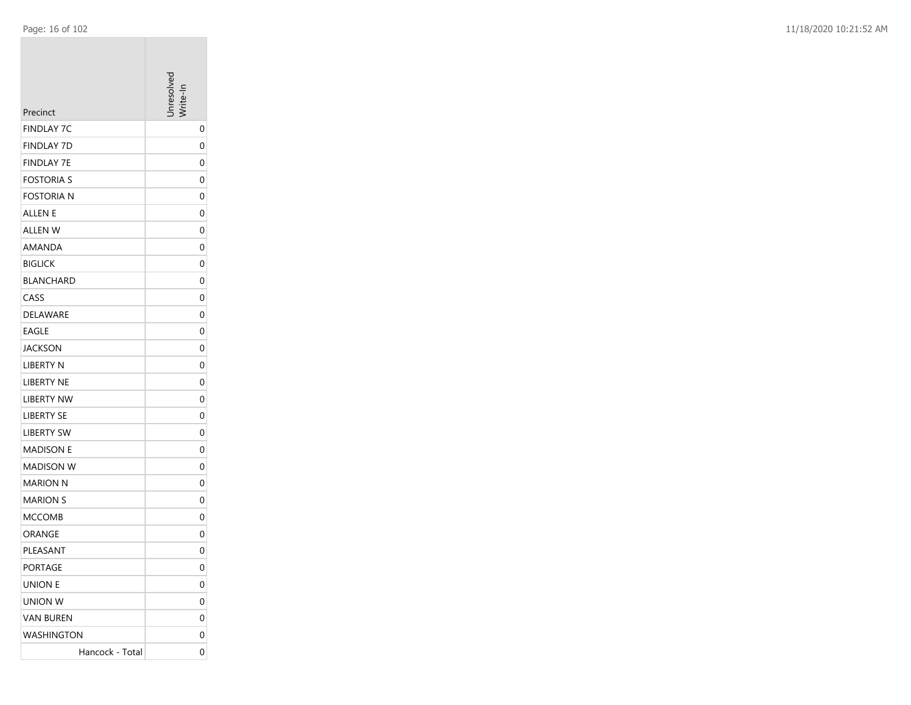| Precinct          | nresolver    |
|-------------------|--------------|
| <b>FINDLAY 7C</b> | 0            |
| <b>FINDLAY 7D</b> | 0            |
| <b>FINDLAY 7E</b> | 0            |
| <b>FOSTORIA S</b> | 0            |
| <b>FOSTORIA N</b> | 0            |
| ALLEN E           | 0            |
| ALLEN W           | 0            |
| AMANDA            | 0            |
| <b>BIGLICK</b>    | 0            |
| <b>BLANCHARD</b>  | 0            |
| CASS              | 0            |
| <b>DELAWARE</b>   | 0            |
| <b>EAGLE</b>      | 0            |
| JACKSON           | 0            |
| <b>LIBERTY N</b>  | 0            |
| <b>LIBERTY NE</b> | 0            |
| <b>LIBERTY NW</b> | 0            |
| <b>LIBERTY SE</b> | 0            |
| <b>LIBERTY SW</b> | 0            |
| MADISON E         | 0            |
| <b>MADISON W</b>  | 0            |
| MARION N          | 0            |
| <b>MARION S</b>   | 0            |
| MCCOMB            | 0            |
| ORANGE            | 0            |
| PLEASANT          | 0            |
| PORTAGE           | $\mathbf{0}$ |
| UNION E           | 0            |
| UNION W           | 0            |
| <b>VAN BUREN</b>  | 0            |
| WASHINGTON        | 0            |
| Hancock - Total   | 0            |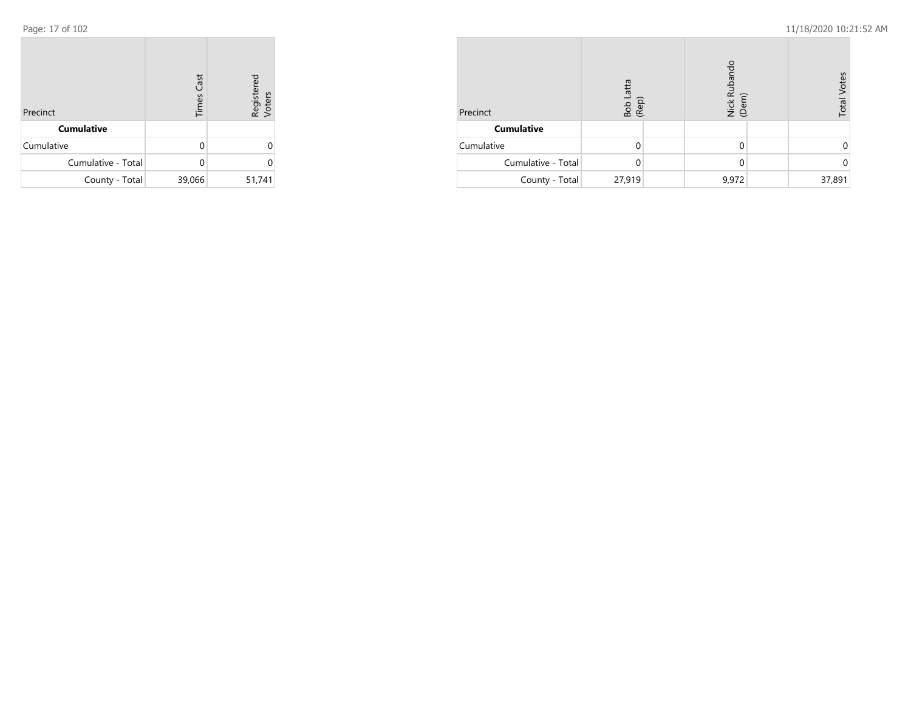| Precinct           | <b>Times Cast</b> | Registered<br>Voters |
|--------------------|-------------------|----------------------|
| <b>Cumulative</b>  |                   |                      |
| Cumulative         | O                 |                      |
| Cumulative - Total | U                 | U                    |
| County - Total     | 39,066            | 51,741               |

| Precinct           | atta<br>Bob L<br>(Rep) | Nick Rubando<br>(Dem) | <b>Total Votes</b> |
|--------------------|------------------------|-----------------------|--------------------|
| <b>Cumulative</b>  |                        |                       |                    |
| Cumulative         |                        | 0                     |                    |
| Cumulative - Total | 0                      | 0                     | $\Omega$           |
| County - Total     | 27,919                 | 9,972                 | 37,891             |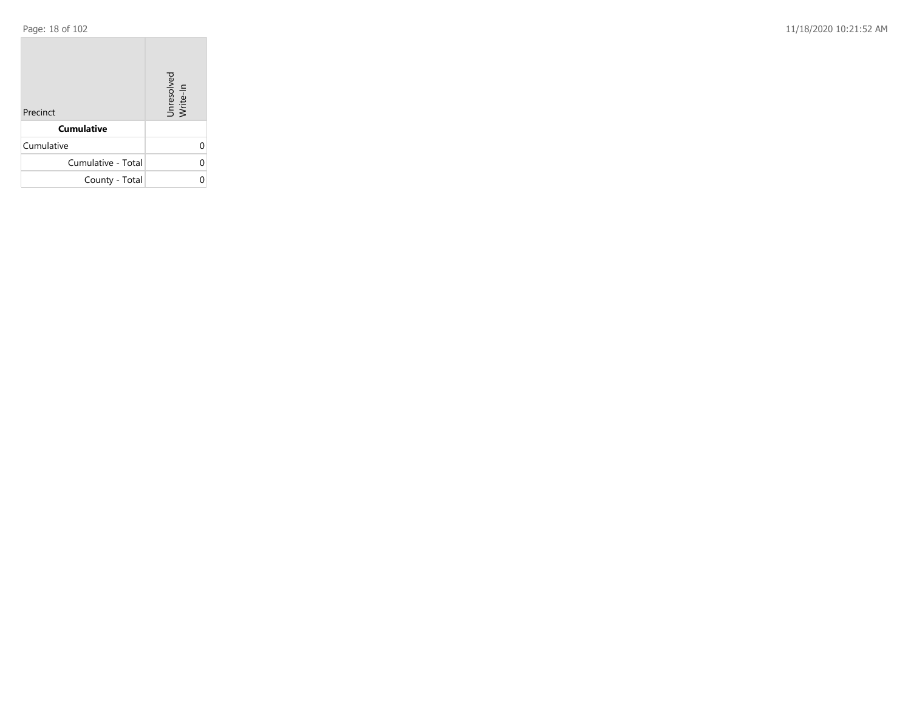Page: 18 of 102 11/18/2020 10:21:52 AM

| Precinct           | Unresolved<br>Write-In |
|--------------------|------------------------|
| <b>Cumulative</b>  |                        |
| Cumulative         |                        |
| Cumulative - Total |                        |
| County - Total     |                        |

the control of the control of the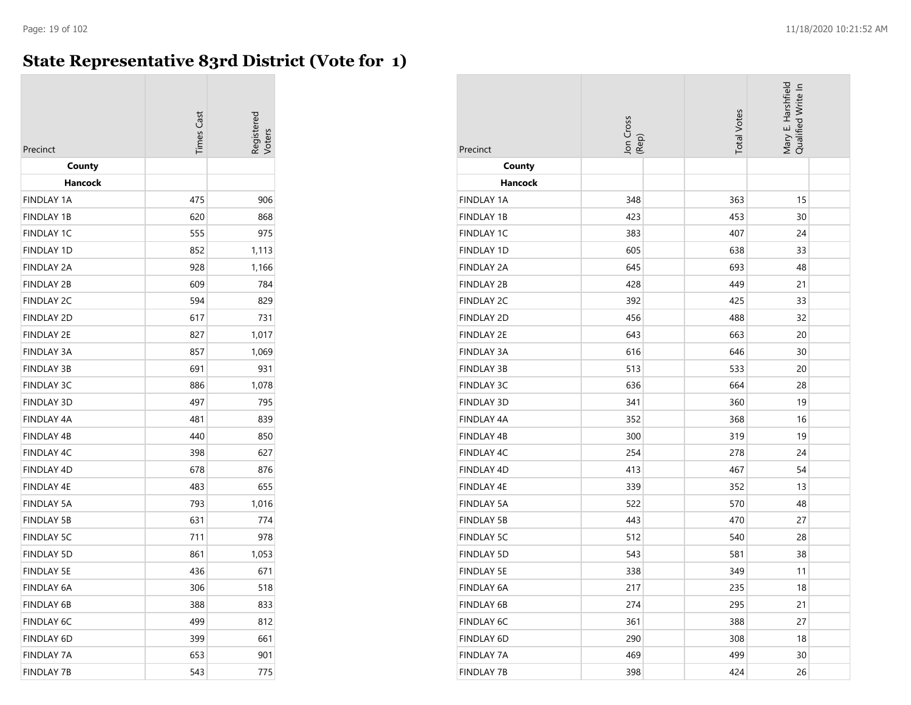## **State Representative 83rd District (Vote for 1)**

| Precinct          | <b>Times Cast</b> |       |
|-------------------|-------------------|-------|
| County<br>Hancock |                   |       |
| <b>FINDLAY 1A</b> | 475               | 906   |
| <b>FINDLAY 1B</b> | 620               | 868   |
| <b>FINDLAY 1C</b> | 555               | 975   |
| <b>FINDLAY 1D</b> | 852               | 1,113 |
| <b>FINDLAY 2A</b> | 928               | 1,166 |
| <b>FINDLAY 2B</b> | 609               | 784   |
| <b>FINDLAY 2C</b> | 594               | 829   |
| <b>FINDLAY 2D</b> | 617               | 731   |
| <b>FINDLAY 2E</b> | 827               | 1,017 |
| <b>FINDLAY 3A</b> | 857               | 1,069 |
| <b>FINDLAY 3B</b> | 691               | 931   |
| <b>FINDLAY 3C</b> | 886               | 1,078 |
| <b>FINDLAY 3D</b> | 497               | 795   |
| <b>FINDLAY 4A</b> | 481               | 839   |
| <b>FINDLAY 4B</b> | 440               | 850   |
| <b>FINDLAY 4C</b> | 398               | 627   |
| <b>FINDLAY 4D</b> | 678               | 876   |
| <b>FINDLAY 4E</b> | 483               | 655   |
| <b>FINDLAY 5A</b> | 793               | 1,016 |
| <b>FINDLAY 5B</b> | 631               | 774   |
| <b>FINDLAY 5C</b> | 711               | 978   |
| <b>FINDLAY 5D</b> | 861               | 1,053 |
| <b>FINDLAY 5E</b> | 436               | 671   |
| <b>FINDLAY 6A</b> | 306               | 518   |
| <b>FINDLAY 6B</b> | 388               | 833   |
| <b>FINDLAY 6C</b> | 499               | 812   |
| <b>FINDLAY 6D</b> | 399               | 661   |
| <b>FINDLAY 7A</b> | 653               | 901   |
| <b>FINDLAY 7B</b> | 543               | 775   |

| Precinct          | Jon Cross<br>(Rep) | <b>Total Votes</b> | Mary E. Harshfield<br>Qualified Write In |
|-------------------|--------------------|--------------------|------------------------------------------|
| County            |                    |                    |                                          |
| Hancock           |                    |                    |                                          |
| <b>FINDLAY 1A</b> | 348                | 363                | 15                                       |
| <b>FINDLAY 1B</b> | 423                | 453                | 30                                       |
| <b>FINDLAY 1C</b> | 383                | 407                | 24                                       |
| FINDLAY 1D        | 605                | 638                | 33                                       |
| <b>FINDLAY 2A</b> | 645                | 693                | 48                                       |
| <b>FINDLAY 2B</b> | 428                | 449                | 21                                       |
| <b>FINDLAY 2C</b> | 392                | 425                | 33                                       |
| FINDLAY 2D        | 456                | 488                | 32                                       |
| <b>FINDLAY 2E</b> | 643                | 663                | 20                                       |
| <b>FINDLAY 3A</b> | 616                | 646                | 30                                       |
| <b>FINDLAY 3B</b> | 513                | 533                | 20                                       |
| <b>FINDLAY 3C</b> | 636                | 664                | 28                                       |
| FINDLAY 3D        | 341                | 360                | 19                                       |
| <b>FINDLAY 4A</b> | 352                | 368                | 16                                       |
| FINDLAY 4B        | 300                | 319                | 19                                       |
| <b>FINDLAY 4C</b> | 254                | 278                | 24                                       |
| FINDLAY 4D        | 413                | 467                | 54                                       |
| FINDLAY 4E        | 339                | 352                | 13                                       |
| <b>FINDLAY 5A</b> | 522                | 570                | 48                                       |
| <b>FINDLAY 5B</b> | 443                | 470                | 27                                       |
| <b>FINDLAY 5C</b> | 512                | 540                | 28                                       |
| <b>FINDLAY 5D</b> | 543                | 581                | 38                                       |
| <b>FINDLAY 5E</b> | 338                | 349                | 11                                       |
| FINDLAY 6A        | 217                | 235                | 18                                       |
| <b>FINDLAY 6B</b> | 274                | 295                | 21                                       |
| FINDLAY 6C        | 361                | 388                | 27                                       |
| FINDLAY 6D        | 290                | 308                | 18                                       |
| <b>FINDLAY 7A</b> | 469                | 499                | 30                                       |
| <b>FINDLAY 7B</b> | 398                | 424                | 26                                       |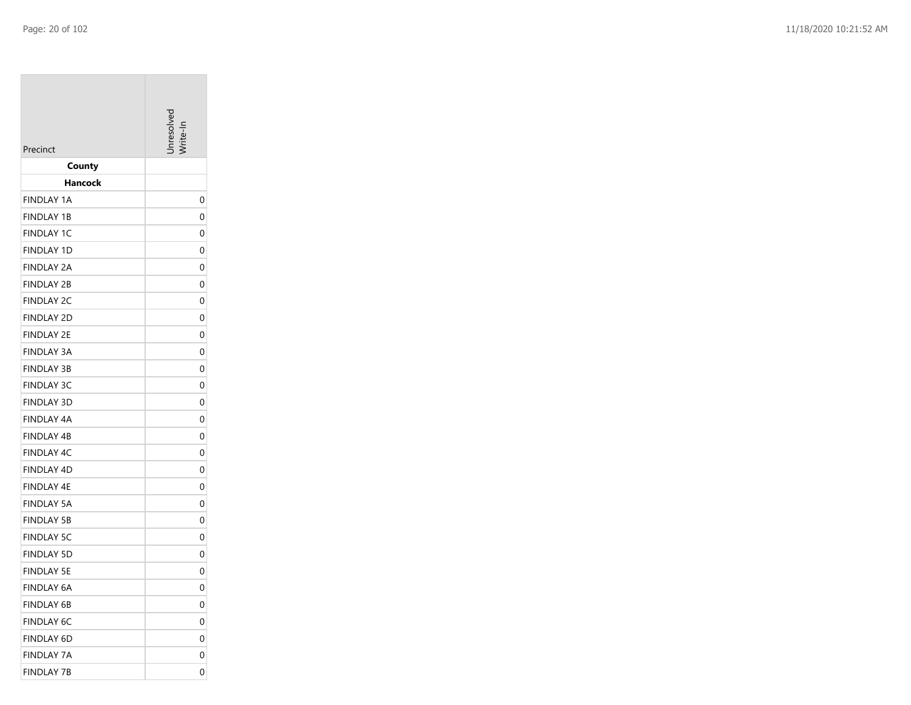| Precinct                        | Inresolver |
|---------------------------------|------------|
| County                          |            |
| Hancock                         |            |
| <b>FINDLAY 1A</b>               | 0          |
| <b>FINDLAY 1B</b>               | 0          |
| <b>FINDLAY 1C</b>               | 0          |
| <b>FINDLAY 1D</b>               | 0          |
| FINDLAY 2A                      | 0          |
| <b>FINDLAY 2B</b>               | 0          |
| <b>FINDLAY 2C</b>               | 0          |
| <b>FINDLAY 2D</b>               | 0          |
| <b>FINDLAY 2E</b>               | 0          |
| <b>FINDLAY 3A</b>               | 0          |
| <b>FINDLAY 3B</b>               | 0          |
| <b>FINDLAY 3C</b>               | 0          |
| <b>FINDLAY 3D</b>               | 0          |
| FINDLAY 4A                      | 0          |
| <b>FINDLAY 4B</b>               | 0          |
| <b>FINDLAY 4C</b>               | 0          |
| <b>FINDLAY 4D</b>               | 0          |
| FINDLAY 4E<br><b>FINDLAY 5A</b> | 0<br>0     |
| <b>FINDLAY 5B</b>               | 0          |
| <b>FINDLAY 5C</b>               | 0          |
| <b>FINDLAY 5D</b>               | 0          |
| FINDLAY 5E                      | 0          |
| FINDLAY 6A                      | 0          |
| <b>FINDLAY 6B</b>               | 0          |
| <b>FINDLAY 6C</b>               | 0          |
| <b>FINDLAY 6D</b>               | 0          |
| <b>FINDLAY 7A</b>               | 0          |
| <b>FINDLAY 7B</b>               | 0          |
|                                 |            |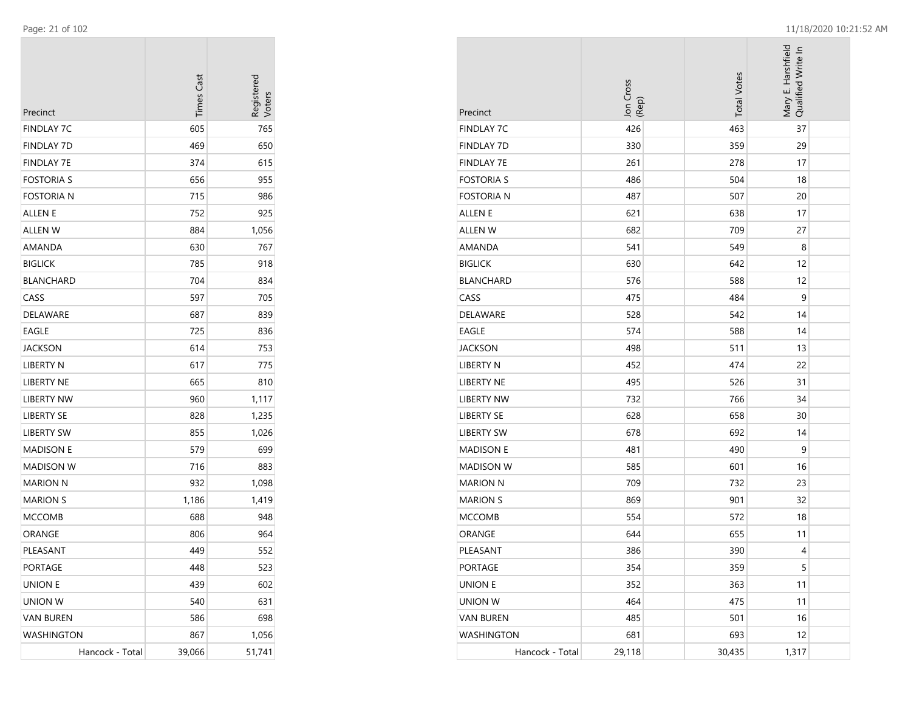$\overline{\phantom{a}}$ 

| Precinct          | <b>Times Cast</b> | Registerec |
|-------------------|-------------------|------------|
| <b>FINDLAY 7C</b> | 605               | 765        |
| <b>FINDLAY 7D</b> | 469               | 650        |
| <b>FINDLAY 7E</b> | 374               | 615        |
| <b>FOSTORIA S</b> | 656               | 955        |
| <b>FOSTORIA N</b> | 715               | 986        |
| <b>ALLEN E</b>    | 752               | 925        |
| <b>ALLEN W</b>    | 884               | 1,056      |
| AMANDA            | 630               | 767        |
| <b>BIGLICK</b>    | 785               | 918        |
| <b>BLANCHARD</b>  | 704               | 834        |
| CASS              | 597               | 705        |
| <b>DELAWARE</b>   | 687               | 839        |
| EAGLE             | 725               | 836        |
| JACKSON           | 614               | 753        |
| LIBERTY N         | 617               | 775        |
| <b>LIBERTY NE</b> | 665               | 810        |
| <b>LIBERTY NW</b> | 960               | 1,117      |
| <b>LIBERTY SE</b> | 828               | 1,235      |
| <b>LIBERTY SW</b> | 855               | 1,026      |
| <b>MADISON E</b>  | 579               | 699        |
| <b>MADISON W</b>  | 716               | 883        |
| <b>MARION N</b>   | 932               | 1,098      |
| <b>MARION S</b>   | 1,186             | 1,419      |
| <b>MCCOMB</b>     | 688               | 948        |
| ORANGE            | 806               | 964        |
| PLEASANT          | 449               | 552        |
| PORTAGE           | 448               | 523        |
| <b>UNION E</b>    | 439               | 602        |
| <b>UNION W</b>    | 540               | 631        |
| <b>VAN BUREN</b>  | 586               | 698        |
| WASHINGTON        | 867               | 1,056      |
| Hancock - Total   | 39,066            | 51,741     |

| Precinct          | Jon Cross<br>(Rep) | <b>Total Votes</b> | Mary E. Harshfield<br>Qualified Write In |  |
|-------------------|--------------------|--------------------|------------------------------------------|--|
| <b>FINDLAY 7C</b> | 426                | 463                | 37                                       |  |
| <b>FINDLAY 7D</b> | 330                | 359                | 29                                       |  |
| <b>FINDLAY 7E</b> | 261                | 278                | 17                                       |  |
| <b>FOSTORIA S</b> | 486                | 504                | 18                                       |  |
| <b>FOSTORIA N</b> | 487                | 507                | 20                                       |  |
| ALLEN E           | 621                | 638                | 17                                       |  |
| <b>ALLEN W</b>    | 682                | 709                | 27                                       |  |
| AMANDA            | 541                | 549                | 8                                        |  |
| <b>BIGLICK</b>    | 630                | 642                | 12                                       |  |
| <b>BLANCHARD</b>  | 576                | 588                | 12                                       |  |
| CASS              | 475                | 484                | 9                                        |  |
| <b>DELAWARE</b>   | 528                | 542                | 14                                       |  |
| <b>EAGLE</b>      | 574                | 588                | 14                                       |  |
| <b>JACKSON</b>    | 498                | 511                | 13                                       |  |
| LIBERTY N         | 452                | 474                | 22                                       |  |
| LIBERTY NE        | 495                | 526                | 31                                       |  |
| <b>LIBERTY NW</b> | 732                | 766                | 34                                       |  |
| <b>LIBERTY SE</b> | 628                | 658                | 30                                       |  |
| <b>LIBERTY SW</b> | 678                | 692                | 14                                       |  |
| <b>MADISON E</b>  | 481                | 490                | 9                                        |  |
| <b>MADISON W</b>  | 585                | 601                | 16                                       |  |
| <b>MARION N</b>   | 709                | 732                | 23                                       |  |
| <b>MARION S</b>   | 869                | 901                | 32                                       |  |
| <b>MCCOMB</b>     | 554                | 572                | 18                                       |  |
| ORANGE            | 644                | 655                | 11                                       |  |
| PLEASANT          | 386                | 390                | 4                                        |  |
| PORTAGE           | 354                | 359                | 5                                        |  |
| <b>UNION E</b>    | 352                | 363                | 11                                       |  |
| <b>UNION W</b>    | 464                | 475                | 11                                       |  |
| <b>VAN BUREN</b>  | 485                | 501                | 16                                       |  |
| <b>WASHINGTON</b> | 681                | 693                | 12                                       |  |
| Hancock - Total   | 29,118             | 30,435             | 1,317                                    |  |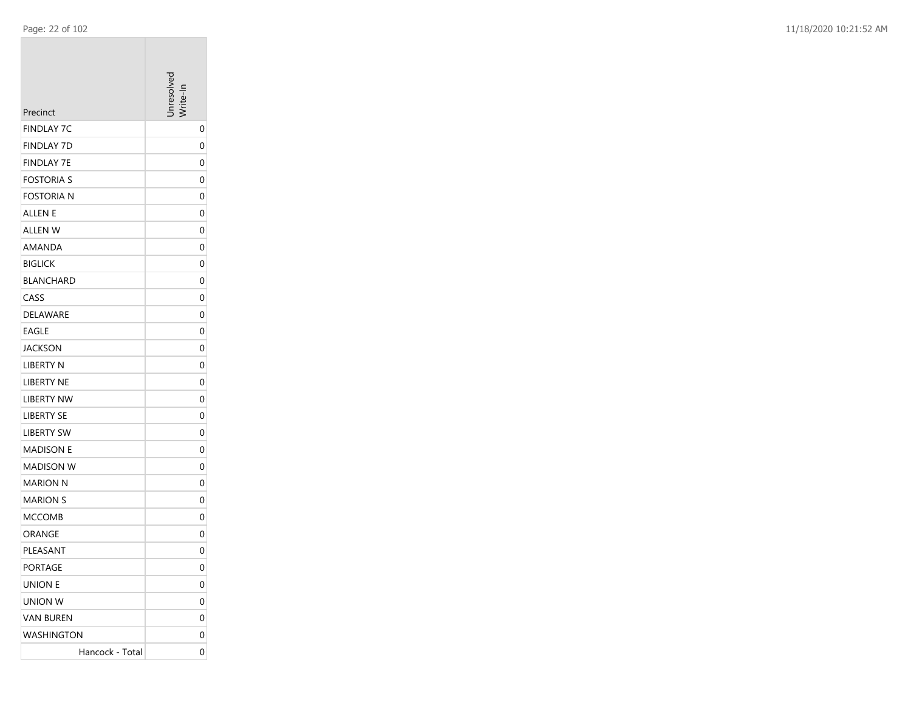| Precinct          | nresolver    |
|-------------------|--------------|
| <b>FINDLAY 7C</b> | 0            |
| <b>FINDLAY 7D</b> | 0            |
| <b>FINDLAY 7E</b> | 0            |
| <b>FOSTORIA S</b> | 0            |
| <b>FOSTORIA N</b> | 0            |
| ALLEN E           | 0            |
| ALLEN W           | 0            |
| AMANDA            | 0            |
| <b>BIGLICK</b>    | 0            |
| <b>BLANCHARD</b>  | 0            |
| CASS              | 0            |
| <b>DELAWARE</b>   | 0            |
| <b>EAGLE</b>      | 0            |
| JACKSON           | 0            |
| <b>LIBERTY N</b>  | 0            |
| <b>LIBERTY NE</b> | 0            |
| <b>LIBERTY NW</b> | 0            |
| <b>LIBERTY SE</b> | 0            |
| <b>LIBERTY SW</b> | 0            |
| MADISON E         | 0            |
| <b>MADISON W</b>  | 0            |
| MARION N          | 0            |
| <b>MARION S</b>   | 0            |
| MCCOMB            | 0            |
| ORANGE            | 0            |
| PLEASANT          | 0            |
| PORTAGE           | $\mathbf{0}$ |
| UNION E           | 0            |
| UNION W           | 0            |
| <b>VAN BUREN</b>  | 0            |
| WASHINGTON        | 0            |
| Hancock - Total   | 0            |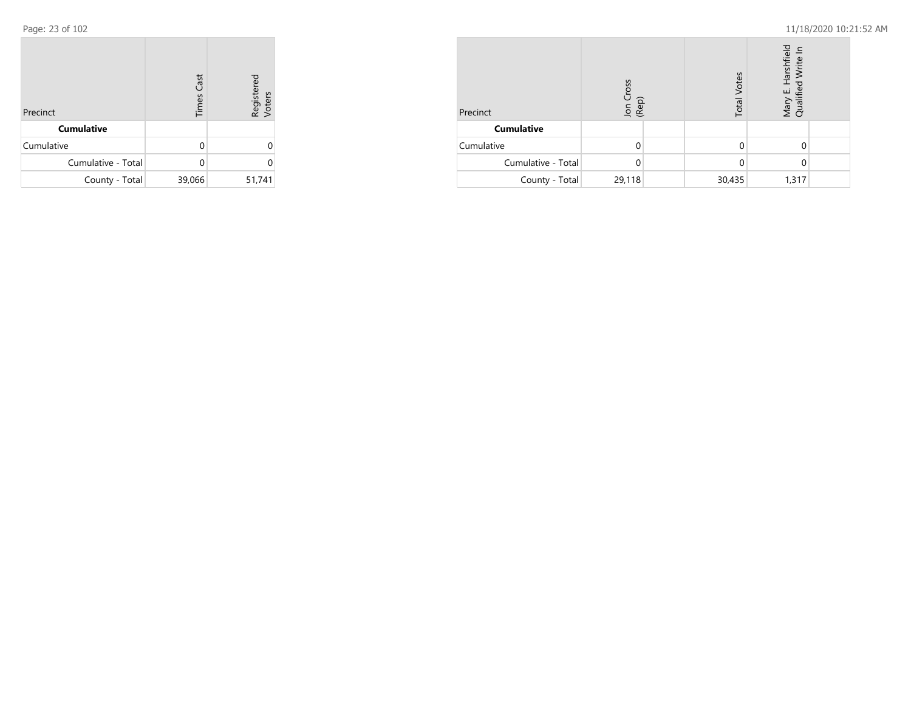| Precinct           | <b>Times Cast</b> | Registered<br>Voters |
|--------------------|-------------------|----------------------|
| <b>Cumulative</b>  |                   |                      |
| Cumulative         | O                 |                      |
| Cumulative - Total | n                 | 0                    |
| County - Total     | 39,066            | 51,741               |

| Precinct           | <b>SSO</b><br>Jon C<br>(Rep) | <b>Total Votes</b> | Harshfield<br>Write Ir<br>Mary  <br>Qualif |  |
|--------------------|------------------------------|--------------------|--------------------------------------------|--|
| <b>Cumulative</b>  |                              |                    |                                            |  |
| Cumulative         |                              |                    |                                            |  |
| Cumulative - Total |                              |                    |                                            |  |
| County - Total     | 29,118                       | 30,435             | 1,317                                      |  |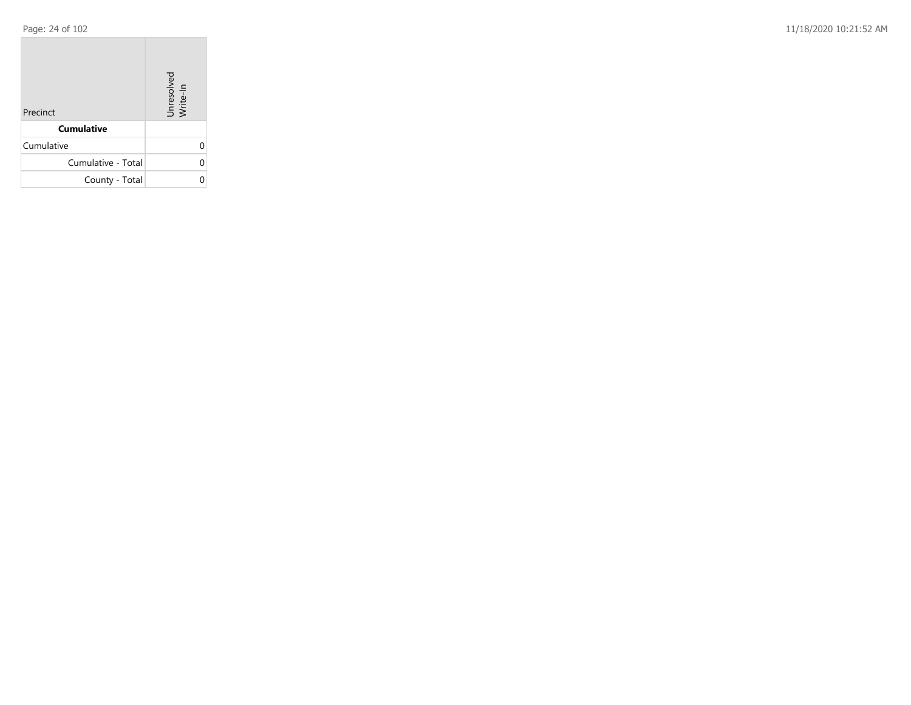Page: 24 of 102 11/18/2020 10:21:52 AM

| Precinct           | Unresolved<br>Write-In |
|--------------------|------------------------|
| <b>Cumulative</b>  |                        |
| Cumulative         |                        |
| Cumulative - Total |                        |
| County - Total     |                        |

the control of the control of the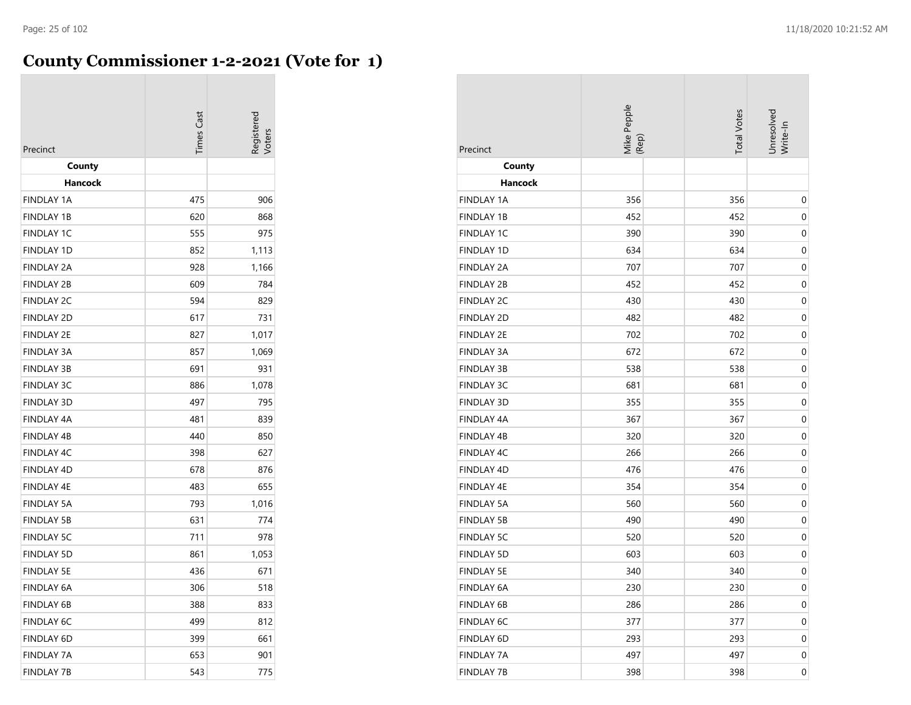## **County Commissioner 1-2-2021 (Vote for 1)**

| Precinct          | <b>Times</b> Cast | egistered |
|-------------------|-------------------|-----------|
| County<br>Hancock |                   |           |
| <b>FINDLAY 1A</b> | 475               | 906       |
| <b>FINDLAY 1B</b> | 620               | 868       |
| <b>FINDLAY 1C</b> | 555               | 975       |
| <b>FINDLAY 1D</b> | 852               | 1,113     |
| <b>FINDLAY 2A</b> | 928               | 1,166     |
| <b>FINDLAY 2B</b> | 609               | 784       |
| <b>FINDLAY 2C</b> | 594               | 829       |
| <b>FINDLAY 2D</b> | 617               | 731       |
| <b>FINDLAY 2E</b> | 827               | 1,017     |
| <b>FINDLAY 3A</b> | 857               | 1,069     |
| <b>FINDLAY 3B</b> | 691               | 931       |
| <b>FINDLAY 3C</b> | 886               | 1,078     |
| <b>FINDLAY 3D</b> | 497               | 795       |
| <b>FINDLAY 4A</b> | 481               | 839       |
| <b>FINDLAY 4B</b> | 440               | 850       |
| <b>FINDLAY 4C</b> | 398               | 627       |
| <b>FINDLAY 4D</b> | 678               | 876       |
| <b>FINDLAY 4E</b> | 483               | 655       |
| <b>FINDLAY 5A</b> | 793               | 1,016     |
| <b>FINDLAY 5B</b> | 631               | 774       |
| <b>FINDLAY 5C</b> | 711               | 978       |
| <b>FINDLAY 5D</b> | 861               | 1,053     |
| <b>FINDLAY 5E</b> | 436               | 671       |
| <b>FINDLAY 6A</b> | 306               | 518       |
| <b>FINDLAY 6B</b> | 388               | 833       |
| <b>FINDLAY 6C</b> | 499               | 812       |
| FINDLAY 6D        | 399               | 661       |
| <b>FINDLAY 7A</b> | 653               | 901       |
| <b>FINDLAY 7B</b> | 543               | 775       |

| Precinct          | Mike Pepple<br>(Rep) | <b>Total Votes</b> | Unresolved<br>Write-In |
|-------------------|----------------------|--------------------|------------------------|
| County            |                      |                    |                        |
| Hancock           |                      |                    |                        |
| <b>FINDLAY 1A</b> | 356                  | 356                | $\boldsymbol{0}$       |
| <b>FINDLAY 1B</b> | 452                  | 452                | 0                      |
| <b>FINDLAY 1C</b> | 390                  | 390                | 0                      |
| <b>FINDLAY 1D</b> | 634                  | 634                | $\mathbf 0$            |
| <b>FINDLAY 2A</b> | 707                  | 707                | $\mathbf 0$            |
| <b>FINDLAY 2B</b> | 452                  | 452                | 0                      |
| <b>FINDLAY 2C</b> | 430                  | 430                | 0                      |
| <b>FINDLAY 2D</b> | 482                  | 482                | $\boldsymbol{0}$       |
| <b>FINDLAY 2E</b> | 702                  | 702                | 0                      |
| <b>FINDLAY 3A</b> | 672                  | 672                | $\mathbf 0$            |
| <b>FINDLAY 3B</b> | 538                  | 538                | 0                      |
| <b>FINDLAY 3C</b> | 681                  | 681                | $\mathbf 0$            |
| <b>FINDLAY 3D</b> | 355                  | 355                | $\mathbf 0$            |
| FINDLAY 4A        | 367                  | 367                | $\mathbf 0$            |
| <b>FINDLAY 4B</b> | 320                  | 320                | 0                      |
| FINDLAY 4C        | 266                  | 266                | 0                      |
| FINDLAY 4D        | 476                  | 476                | $\boldsymbol{0}$       |
| FINDLAY 4E        | 354                  | 354                | 0                      |
| <b>FINDLAY 5A</b> | 560                  | 560                | 0                      |
| <b>FINDLAY 5B</b> | 490                  | 490                | 0                      |
| <b>FINDLAY 5C</b> | 520                  | 520                | $\mathbf 0$            |
| <b>FINDLAY 5D</b> | 603                  | 603                | $\mathbf 0$            |
| <b>FINDLAY 5E</b> | 340                  | 340                | $\boldsymbol{0}$       |
| FINDLAY 6A        | 230                  | 230                | 0                      |
| <b>FINDLAY 6B</b> | 286                  | 286                | 0                      |
| FINDLAY 6C        | 377                  | 377                | $\boldsymbol{0}$       |
| FINDLAY 6D        | 293                  | 293                | 0                      |
| <b>FINDLAY 7A</b> | 497                  | 497                | 0                      |
| <b>FINDLAY 7B</b> | 398                  | 398                | 0                      |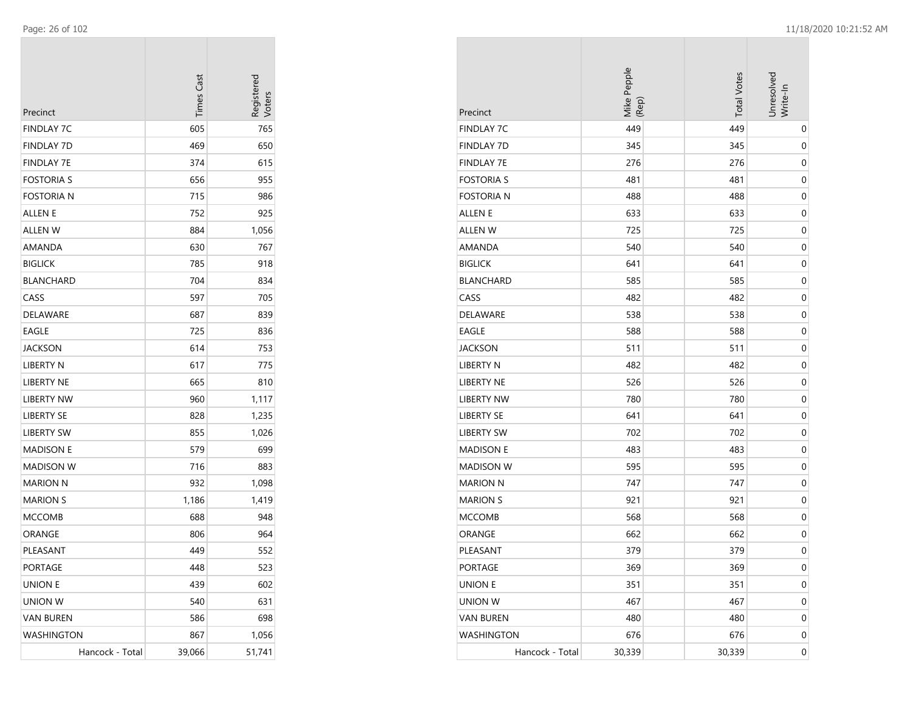| Precinct          | <b>Times Cast</b> | Registerec<br>/oters |
|-------------------|-------------------|----------------------|
| FINDLAY 7C        | 605               | 765                  |
| FINDLAY 7D        | 469               | 650                  |
| FINDLAY 7E        | 374               | 615                  |
| <b>FOSTORIA S</b> | 656               | 955                  |
| Fostoria n        | 715               | 986                  |
| ALLEN E           | 752               | 925                  |
| ALLEN W           | 884               | 1,056                |
| AMANDA            | 630               | 767                  |
| <b>BIGLICK</b>    | 785               | 918                  |
| <b>BLANCHARD</b>  | 704               | 834                  |
| CASS              | 597               | 705                  |
| DELAWARE          | 687               | 839                  |
| EAGLE             | 725               | 836                  |
| <b>JACKSON</b>    | 614               | 753                  |
| LIBERTY N         | 617               | 775                  |
| <b>LIBERTY NE</b> | 665               | 810                  |
| <b>LIBERTY NW</b> | 960               | 1,117                |
| <b>LIBERTY SE</b> | 828               | 1,235                |
| LIBERTY SW        | 855               | 1,026                |
| <b>MADISON E</b>  | 579               | 699                  |
| MADISON W         | 716               | 883                  |
| <b>MARION N</b>   | 932               | 1,098                |
| <b>MARION S</b>   | 1,186             | 1,419                |
| <b>MCCOMB</b>     | 688               | 948                  |
| ORANGE            | 806               | 964                  |
| PLEASANT          | 449               | 552                  |
| PORTAGE           | 448               | 523                  |
| <b>UNION E</b>    | 439               | 602                  |
| UNION W           | 540               | 631                  |
| <b>VAN BUREN</b>  | 586               | 698                  |
| WASHINGTON        | 867               | 1,056                |
| Hancock - Total   | 39,066            | 51,741               |

| Precinct          | Mike Pepple<br>(Rep) | <b>Total Votes</b> | Unresolved<br>Write-In |
|-------------------|----------------------|--------------------|------------------------|
| <b>FINDLAY 7C</b> | 449                  | 449                | 0                      |
| <b>FINDLAY 7D</b> | 345                  | 345                | 0                      |
| <b>FINDLAY 7E</b> | 276                  | 276                | 0                      |
| <b>FOSTORIA S</b> | 481                  | 481                | 0                      |
| <b>FOSTORIA N</b> | 488                  | 488                | 0                      |
| <b>ALLEN E</b>    | 633                  | 633                | 0                      |
| <b>ALLEN W</b>    | 725                  | 725                | 0                      |
| AMANDA            | 540                  | 540                | 0                      |
| <b>BIGLICK</b>    | 641                  | 641                | 0                      |
| <b>BLANCHARD</b>  | 585                  | 585                | 0                      |
| CASS              | 482                  | 482                | 0                      |
| DELAWARE          | 538                  | 538                | 0                      |
| EAGLE             | 588                  | 588                | 0                      |
| <b>JACKSON</b>    | 511                  | 511                | 0                      |
| LIBERTY N         | 482                  | 482                | 0                      |
| LIBERTY NE        | 526                  | 526                | 0                      |
| <b>LIBERTY NW</b> | 780                  | 780                | 0                      |
| <b>LIBERTY SE</b> | 641                  | 641                | 0                      |
| <b>LIBERTY SW</b> | 702                  | 702                | 0                      |
| <b>MADISON E</b>  | 483                  | 483                | 0                      |
| <b>MADISON W</b>  | 595                  | 595                | 0                      |
| <b>MARION N</b>   | 747                  | 747                | 0                      |
| <b>MARION S</b>   | 921                  | 921                | 0                      |
| <b>MCCOMB</b>     | 568                  | 568                | 0                      |
| ORANGE            | 662                  | 662                | 0                      |
| PLEASANT          | 379                  | 379                | 0                      |
| <b>PORTAGE</b>    | 369                  | 369                | 0                      |
| <b>UNION E</b>    | 351                  | 351                | 0                      |
| <b>UNION W</b>    | 467                  | 467                | 0                      |
| <b>VAN BUREN</b>  | 480                  | 480                | 0                      |
| <b>WASHINGTON</b> | 676                  | 676                | 0                      |
| Hancock - Total   | 30,339               | 30,339             | 0                      |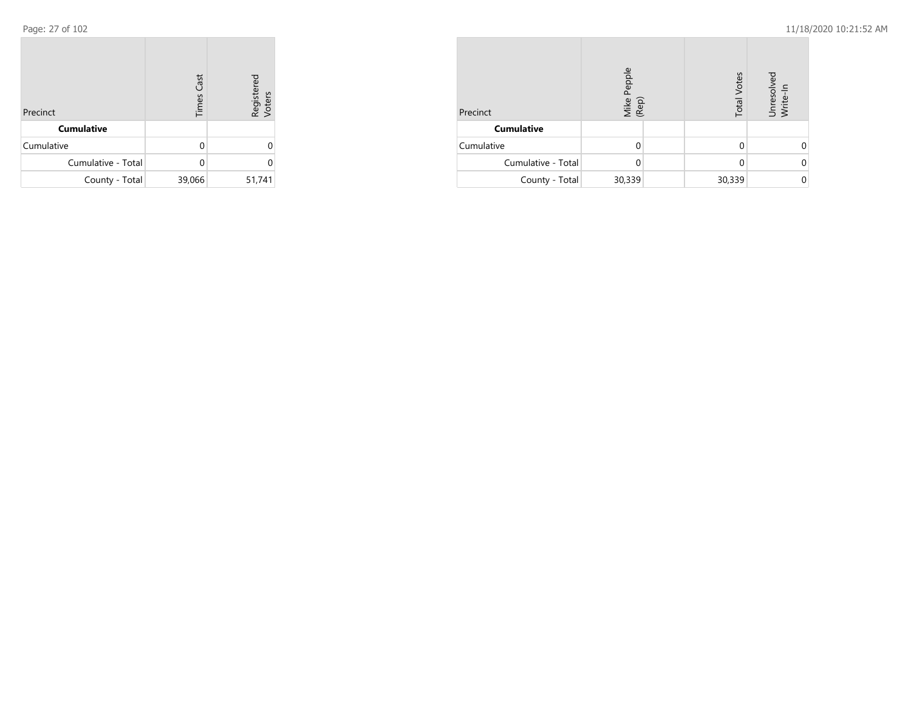| Precinct           | <b>Times Cast</b> | Registered<br>Voters |
|--------------------|-------------------|----------------------|
| <b>Cumulative</b>  |                   |                      |
| Cumulative         | U                 | U                    |
| Cumulative - Total |                   | U                    |
| County - Total     | 39,066            | 51,741               |

| Precinct           | Mike Pepple<br>(Rep) |  | <b>Total Votes</b> | Unresolved<br>Write-In |  |
|--------------------|----------------------|--|--------------------|------------------------|--|
| <b>Cumulative</b>  |                      |  |                    |                        |  |
| Cumulative         |                      |  |                    |                        |  |
| Cumulative - Total |                      |  | 0                  |                        |  |
| County - Total     | 30,339               |  | 30,339             |                        |  |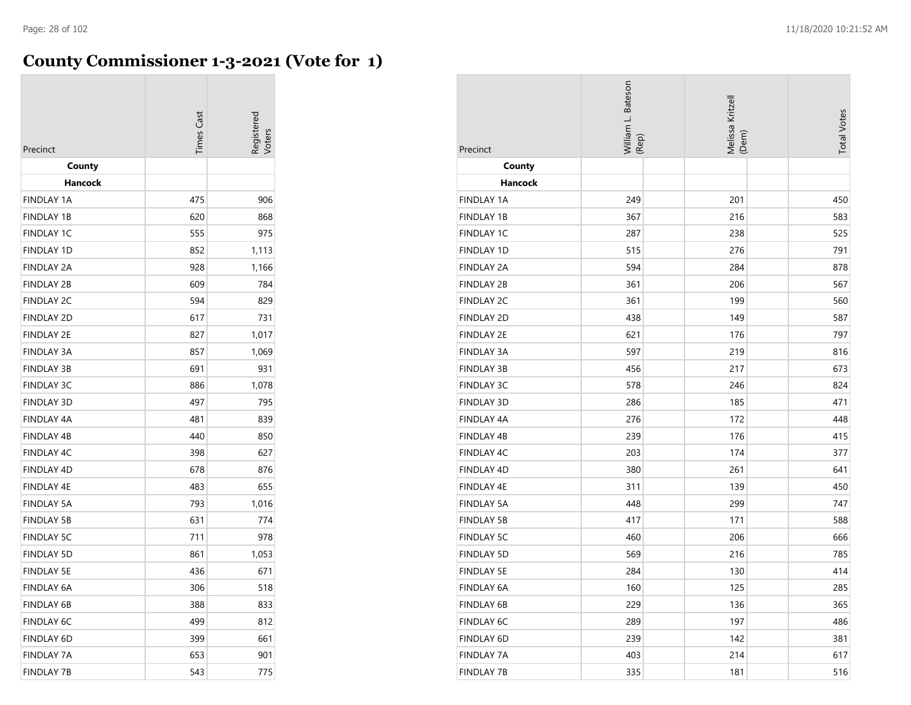## **County Commissioner 1-3-2021 (Vote for 1)**

| Precinct          | Times Cast | cegistered |
|-------------------|------------|------------|
| County<br>Hancock |            |            |
| <b>FINDLAY 1A</b> | 475        | 906        |
| <b>FINDLAY 1B</b> | 620        | 868        |
| <b>FINDLAY 1C</b> | 555        | 975        |
| <b>FINDLAY 1D</b> | 852        | 1,113      |
| <b>FINDLAY 2A</b> | 928        | 1,166      |
| <b>FINDLAY 2B</b> | 609        | 784        |
| <b>FINDLAY 2C</b> | 594        | 829        |
| <b>FINDLAY 2D</b> | 617        | 731        |
| <b>FINDLAY 2E</b> | 827        | 1,017      |
| <b>FINDLAY 3A</b> | 857        | 1,069      |
| <b>FINDLAY 3B</b> | 691        | 931        |
| <b>FINDLAY 3C</b> | 886        | 1,078      |
| <b>FINDLAY 3D</b> | 497        | 795        |
| <b>FINDLAY 4A</b> | 481        | 839        |
| <b>FINDLAY 4B</b> | 440        | 850        |
| <b>FINDLAY 4C</b> | 398        | 627        |
| <b>FINDLAY 4D</b> | 678        | 876        |
| <b>FINDLAY 4E</b> | 483        | 655        |
| <b>FINDLAY 5A</b> | 793        | 1,016      |
| <b>FINDLAY 5B</b> | 631        | 774        |
| <b>FINDLAY 5C</b> | 711        | 978        |
| <b>FINDLAY 5D</b> | 861        | 1,053      |
| <b>FINDLAY 5E</b> | 436        | 671        |
| <b>FINDLAY 6A</b> | 306        | 518        |
| <b>FINDLAY 6B</b> | 388        | 833        |
| <b>FINDLAY 6C</b> | 499        | 812        |
| FINDLAY 6D        | 399        | 661        |
| <b>FINDLAY 7A</b> | 653        | 901        |
| <b>FINDLAY 7B</b> | 543        | 775        |

| Precinct          | William L. Bateson<br>(Rep) | Melissa Kritzell<br>(Dem) | <b>Total Votes</b> |
|-------------------|-----------------------------|---------------------------|--------------------|
| County            |                             |                           |                    |
| Hancock           |                             |                           |                    |
| <b>FINDLAY 1A</b> | 249                         | 201                       | 450                |
| <b>FINDLAY 1B</b> | 367                         | 216                       | 583                |
| <b>FINDLAY 1C</b> | 287                         | 238                       | 525                |
| FINDLAY 1D        | 515                         | 276                       | 791                |
| <b>FINDLAY 2A</b> | 594                         | 284                       | 878                |
| <b>FINDLAY 2B</b> | 361                         | 206                       | 567                |
| <b>FINDLAY 2C</b> | 361                         | 199                       | 560                |
| <b>FINDLAY 2D</b> | 438                         | 149                       | 587                |
| <b>FINDLAY 2E</b> | 621                         | 176                       | 797                |
| <b>FINDLAY 3A</b> | 597                         | 219                       | 816                |
| <b>FINDLAY 3B</b> | 456                         | 217                       | 673                |
| <b>FINDLAY 3C</b> | 578                         | 246                       | 824                |
| FINDLAY 3D        | 286                         | 185                       | 471                |
| <b>FINDLAY 4A</b> | 276                         | 172                       | 448                |
| <b>FINDLAY 4B</b> | 239                         | 176                       | 415                |
| <b>FINDLAY 4C</b> | 203                         | 174                       | 377                |
| FINDLAY 4D        | 380                         | 261                       | 641                |
| FINDLAY 4E        | 311                         | 139                       | 450                |
| <b>FINDLAY 5A</b> | 448                         | 299                       | 747                |
| <b>FINDLAY 5B</b> | 417                         | 171                       | 588                |
| <b>FINDLAY 5C</b> | 460                         | 206                       | 666                |
| <b>FINDLAY 5D</b> | 569                         | 216                       | 785                |
| <b>FINDLAY 5E</b> | 284                         | 130                       | 414                |
| FINDLAY 6A        | 160                         | 125                       | 285                |
| <b>FINDLAY 6B</b> | 229                         | 136                       | 365                |
| FINDLAY 6C        | 289                         | 197                       | 486                |
| FINDLAY 6D        | 239                         | 142                       | 381                |
| <b>FINDLAY 7A</b> | 403                         | 214                       | 617                |
| <b>FINDLAY 7B</b> | 335                         | 181                       | 516                |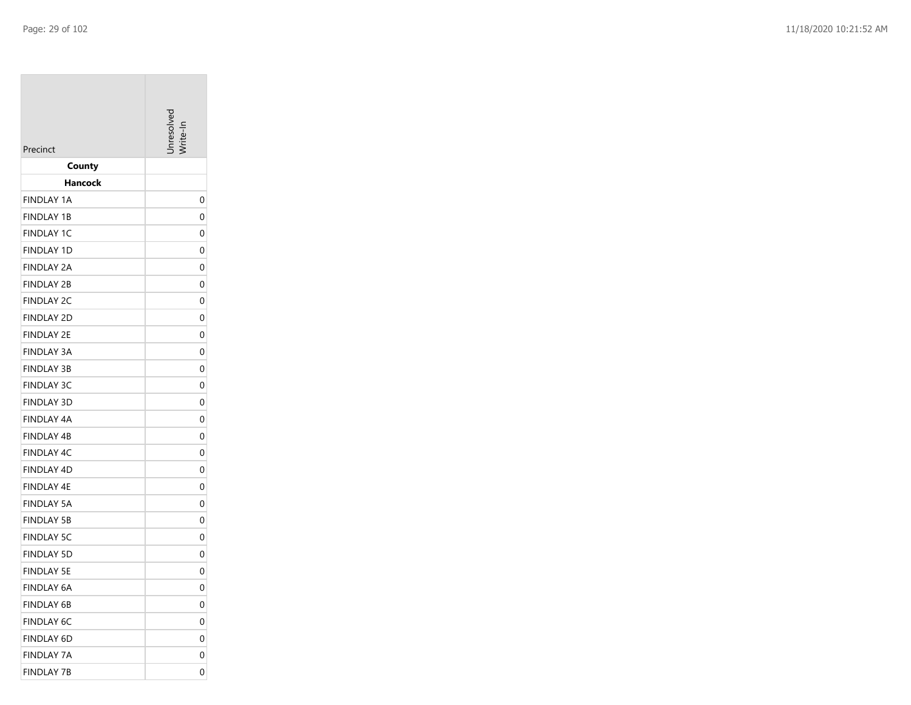| Precinct                        | Inresolver |
|---------------------------------|------------|
| County                          |            |
| Hancock                         |            |
| <b>FINDLAY 1A</b>               | 0          |
| <b>FINDLAY 1B</b>               | 0          |
| <b>FINDLAY 1C</b>               | 0          |
| <b>FINDLAY 1D</b>               | 0          |
| FINDLAY 2A                      | 0          |
| <b>FINDLAY 2B</b>               | 0          |
| <b>FINDLAY 2C</b>               | 0          |
| <b>FINDLAY 2D</b>               | 0          |
| <b>FINDLAY 2E</b>               | 0          |
| <b>FINDLAY 3A</b>               | 0          |
| <b>FINDLAY 3B</b>               | 0          |
| <b>FINDLAY 3C</b>               | 0          |
| <b>FINDLAY 3D</b>               | 0          |
| FINDLAY 4A                      | 0          |
| <b>FINDLAY 4B</b>               | 0          |
| <b>FINDLAY 4C</b>               | 0          |
| <b>FINDLAY 4D</b>               | 0          |
| FINDLAY 4E<br><b>FINDLAY 5A</b> | 0<br>0     |
| <b>FINDLAY 5B</b>               | 0          |
| <b>FINDLAY 5C</b>               | 0          |
| <b>FINDLAY 5D</b>               | 0          |
| FINDLAY 5E                      | 0          |
| FINDLAY 6A                      | 0          |
| <b>FINDLAY 6B</b>               | 0          |
| <b>FINDLAY 6C</b>               | 0          |
| <b>FINDLAY 6D</b>               | 0          |
| <b>FINDLAY 7A</b>               | 0          |
| <b>FINDLAY 7B</b>               | 0          |
|                                 |            |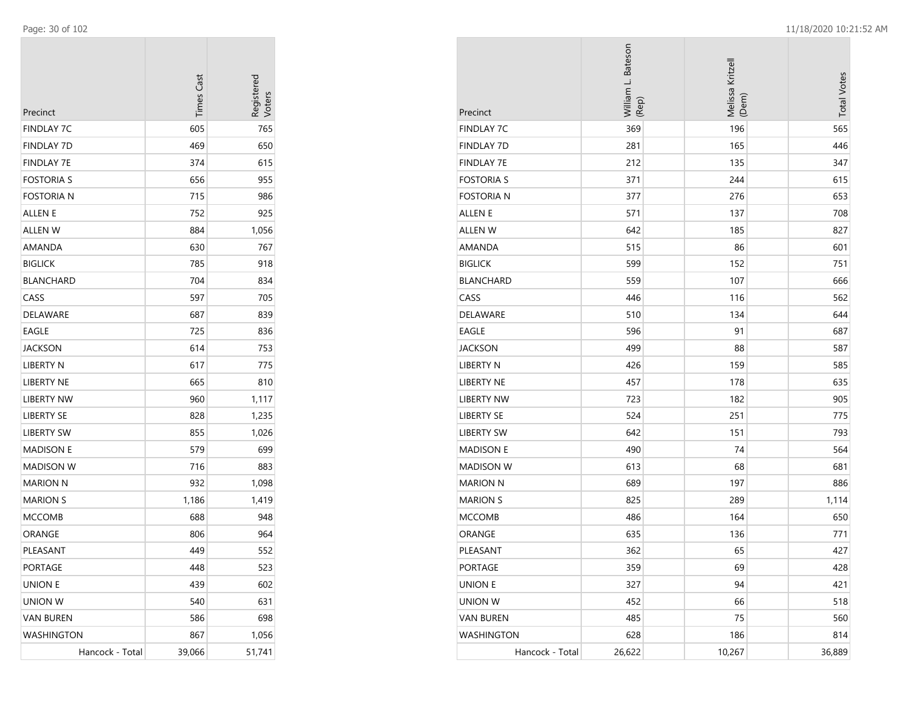| Precinct          | <b>Times Cast</b> | Registerec<br>Voters |
|-------------------|-------------------|----------------------|
| <b>FINDLAY 7C</b> | 605               | 765                  |
| <b>FINDLAY 7D</b> | 469               | 650                  |
| <b>FINDLAY 7E</b> | 374               | 615                  |
| <b>FOSTORIA S</b> | 656               | 955                  |
| <b>FOSTORIA N</b> | 715               | 986                  |
| ALLEN E           | 752               | 925                  |
| <b>ALLEN W</b>    | 884               | 1,056                |
| AMANDA            | 630               | 767                  |
| <b>BIGLICK</b>    | 785               | 918                  |
| <b>BLANCHARD</b>  | 704               | 834                  |
| CASS              | 597               | 705                  |
| <b>DELAWARE</b>   | 687               | 839                  |
| EAGLE             | 725               | 836                  |
| JACKSON           | 614               | 753                  |
| <b>LIBERTY N</b>  | 617               | 775                  |
| <b>LIBERTY NE</b> | 665               | 810                  |
| LIBERTY NW        | 960               | 1,117                |
| <b>LIBERTY SE</b> | 828               | 1,235                |
| <b>LIBERTY SW</b> | 855               | 1,026                |
| <b>MADISON E</b>  | 579               | 699                  |
| <b>MADISON W</b>  | 716               | 883                  |
| <b>MARION N</b>   | 932               | 1,098                |
| <b>MARION S</b>   | 1,186             | 1,419                |
| <b>MCCOMB</b>     | 688               | 948                  |
| ORANGE            | 806               | 964                  |
| PLEASANT          | 449               | 552                  |
| PORTAGE           | 448               | 523                  |
| <b>UNION E</b>    | 439               | 602                  |
| <b>UNION W</b>    | 540               | 631                  |
| <b>VAN BUREN</b>  | 586               | 698                  |
| WASHINGTON        | 867               | 1,056                |
| Hancock - Total   | 39,066            | 51,741               |

| Precinct          | William L. Bateson<br>(Rep) | Melissa Kritzell<br>(Dem) | <b>Total Votes</b> |
|-------------------|-----------------------------|---------------------------|--------------------|
| <b>FINDLAY 7C</b> | 369                         | 196                       | 565                |
| <b>FINDLAY 7D</b> | 281                         | 165                       | 446                |
| <b>FINDLAY 7E</b> | 212                         | 135                       | 347                |
| <b>FOSTORIA S</b> | 371                         | 244                       | 615                |
| <b>FOSTORIA N</b> | 377                         | 276                       | 653                |
| <b>ALLEN E</b>    | 571                         | 137                       | 708                |
| ALLEN W           | 642                         | 185                       | 827                |
| AMANDA            | 515                         | 86                        | 601                |
| <b>BIGLICK</b>    | 599                         | 152                       | 751                |
| <b>BLANCHARD</b>  | 559                         | 107                       | 666                |
| CASS              | 446                         | 116                       | 562                |
| DELAWARE          | 510                         | 134                       | 644                |
| <b>EAGLE</b>      | 596                         | 91                        | 687                |
| <b>JACKSON</b>    | 499                         | 88                        | 587                |
| <b>LIBERTY N</b>  | 426                         | 159                       | 585                |
| LIBERTY NE        | 457                         | 178                       | 635                |
| <b>LIBERTY NW</b> | 723                         | 182                       | 905                |
| <b>LIBERTY SE</b> | 524                         | 251                       | 775                |
| <b>LIBERTY SW</b> | 642                         | 151                       | 793                |
| <b>MADISON E</b>  | 490                         | 74                        | 564                |
| <b>MADISON W</b>  | 613                         | 68                        | 681                |
| <b>MARION N</b>   | 689                         | 197                       | 886                |
| <b>MARION S</b>   | 825                         | 289                       | 1,114              |
| <b>MCCOMB</b>     | 486                         | 164                       | 650                |
| ORANGE            | 635                         | 136                       | 771                |
| PLEASANT          | 362                         | 65                        | 427                |
| PORTAGE           | 359                         | 69                        | 428                |
| <b>UNION E</b>    | 327                         | 94                        | 421                |
| UNION W           | 452                         | 66                        | 518                |
| <b>VAN BUREN</b>  | 485                         | 75                        | 560                |
| <b>WASHINGTON</b> | 628                         | 186                       | 814                |
| Hancock - Total   | 26,622                      | 10,267                    | 36,889             |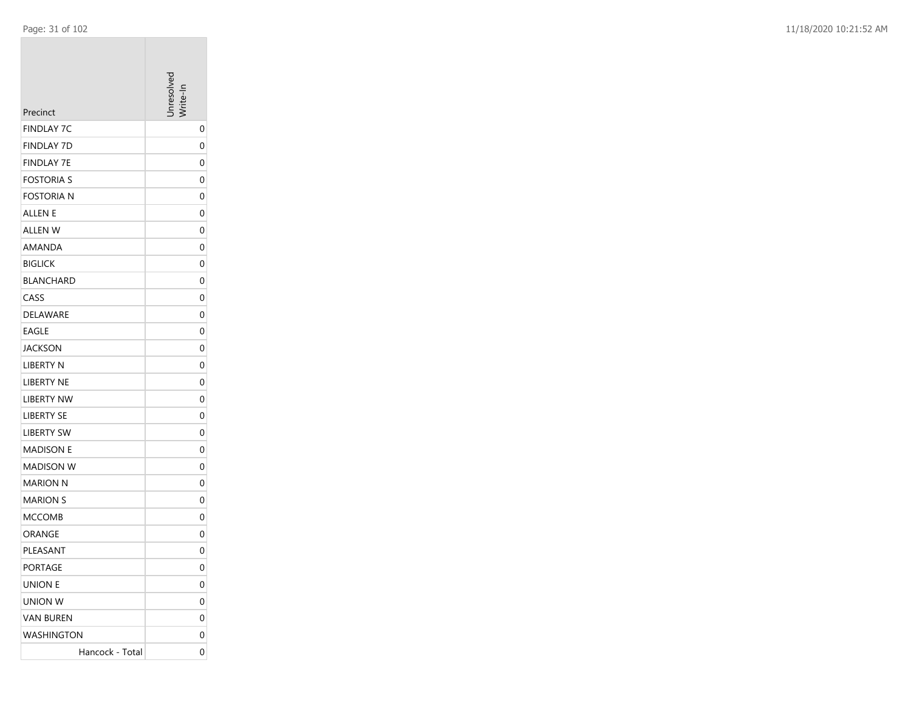|                               | nresolver    |
|-------------------------------|--------------|
| Precinct<br><b>FINDLAY 7C</b> |              |
| <b>FINDLAY 7D</b>             | 0            |
| <b>FINDLAY 7E</b>             | 0<br>0       |
| <b>FOSTORIA S</b>             | 0            |
| <b>FOSTORIA N</b>             | 0            |
| ALLEN E                       | 0            |
| ALLEN W                       | 0            |
| AMANDA                        | 0            |
| <b>BIGLICK</b>                | 0            |
| <b>BLANCHARD</b>              | 0            |
| CASS                          | 0            |
| DELAWARE                      | 0            |
| <b>EAGLE</b>                  | 0            |
| <b>JACKSON</b>                | 0            |
| <b>LIBERTY N</b>              | 0            |
| LIBERTY NE                    | 0            |
| <b>LIBERTY NW</b>             | 0            |
| <b>LIBERTY SE</b>             | 0            |
| <b>LIBERTY SW</b>             | 0            |
| <b>MADISON E</b>              | 0            |
| <b>MADISON W</b>              | 0            |
| MARION N                      | 0            |
| <b>MARION S</b>               | 0            |
| <b>MCCOMB</b>                 | 0            |
| ORANGE                        | 0            |
| PLEASANT                      | 0            |
| <b>PORTAGE</b>                | $\mathbf{0}$ |
| <b>UNION E</b>                | 0            |
| UNION W                       | 0            |
| <b>VAN BUREN</b>              | 0            |
| <b>WASHINGTON</b>             | 0            |
| Hancock - Total               | 0            |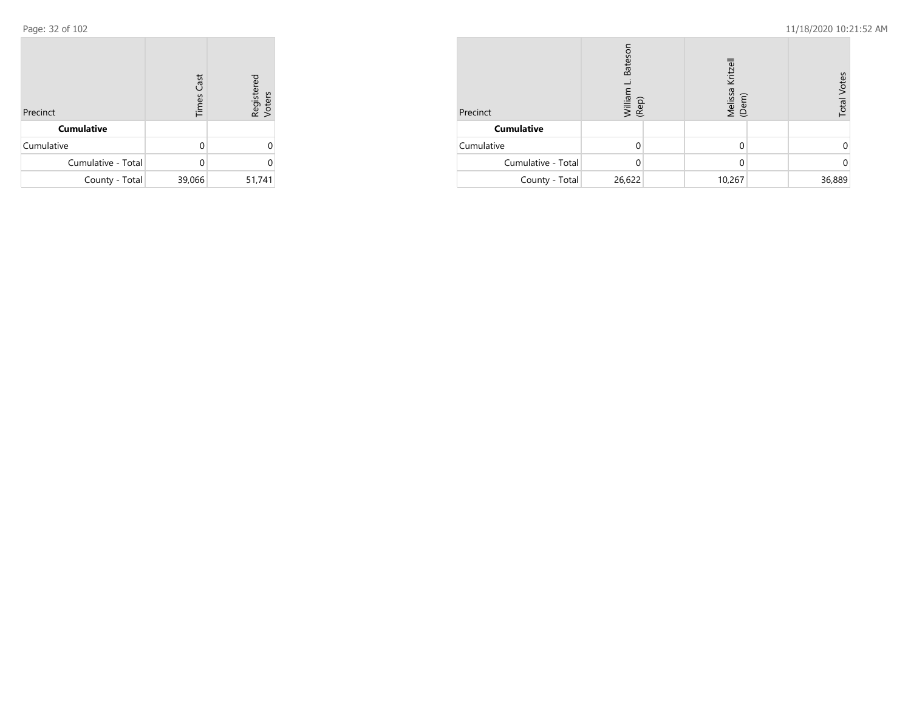| Precinct           | <b>Times Cast</b> | Registered<br>Voters |
|--------------------|-------------------|----------------------|
| <b>Cumulative</b>  |                   |                      |
| Cumulative         | U                 | U                    |
| Cumulative - Total |                   | U                    |
| County - Total     | 39,066            | 51,741               |

| Precinct           | <b>Bateso</b><br>William<br>(Rep) | Kritzell<br>Melissa <del> </del><br>(Dem) | <b>Total Votes</b> |
|--------------------|-----------------------------------|-------------------------------------------|--------------------|
| <b>Cumulative</b>  |                                   |                                           |                    |
| Cumulative         |                                   |                                           |                    |
| Cumulative - Total |                                   |                                           |                    |
| County - Total     | 26,622                            | 10,267                                    | 36,889             |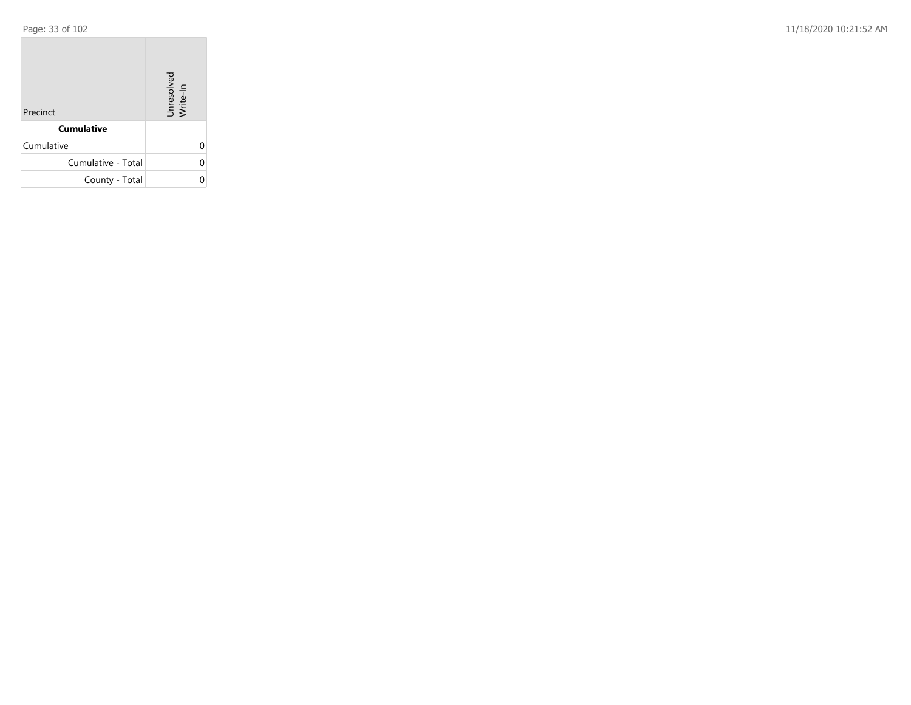Page: 33 of 102 11/18/2020 10:21:52 AM

| Precinct           | Unresolved<br>Write-In |
|--------------------|------------------------|
| <b>Cumulative</b>  |                        |
| Cumulative         |                        |
| Cumulative - Total |                        |
| County - Total     |                        |

the control of the control of the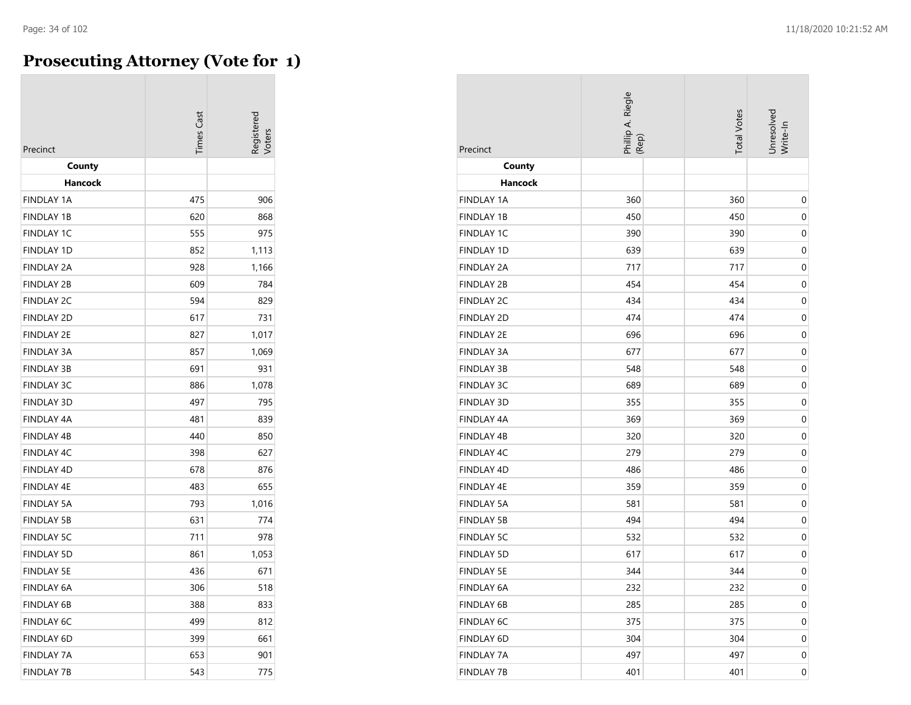## **Prosecuting Attorney (Vote for 1)**

| Precinct          | <b>imes</b> Cast | egistered |
|-------------------|------------------|-----------|
| County<br>Hancock |                  |           |
| <b>FINDLAY 1A</b> | 475              | 906       |
| <b>FINDLAY 1B</b> | 620              | 868       |
| <b>FINDLAY 1C</b> | 555              | 975       |
| <b>FINDLAY 1D</b> | 852              | 1,113     |
| <b>FINDLAY 2A</b> | 928              | 1,166     |
| <b>FINDLAY 2B</b> | 609              | 784       |
| <b>FINDLAY 2C</b> | 594              | 829       |
| <b>FINDLAY 2D</b> | 617              | 731       |
| <b>FINDLAY 2E</b> | 827              | 1,017     |
| <b>FINDLAY 3A</b> | 857              | 1,069     |
| <b>FINDLAY 3B</b> | 691              | 931       |
| <b>FINDLAY 3C</b> | 886              | 1,078     |
| <b>FINDLAY 3D</b> | 497              | 795       |
| <b>FINDLAY 4A</b> | 481              | 839       |
| <b>FINDLAY 4B</b> | 440              | 850       |
| <b>FINDLAY 4C</b> | 398              | 627       |
| <b>FINDLAY 4D</b> | 678              | 876       |
| <b>FINDLAY 4E</b> | 483              | 655       |
| <b>FINDLAY 5A</b> | 793              | 1,016     |
| <b>FINDLAY 5B</b> | 631              | 774       |
| <b>FINDLAY 5C</b> | 711              | 978       |
| <b>FINDLAY 5D</b> | 861              | 1,053     |
| <b>FINDLAY 5E</b> | 436              | 671       |
| <b>FINDLAY 6A</b> | 306              | 518       |
| <b>FINDLAY 6B</b> | 388              | 833       |
| <b>FINDLAY 6C</b> | 499              | 812       |
| <b>FINDLAY 6D</b> | 399              | 661       |
| <b>FINDLAY 7A</b> | 653              | 901       |
| <b>FINDLAY 7B</b> | 543              | 775       |

| Precinct          | Phillip A. Riegle<br>(Rep) | <b>Total Votes</b> | Unresolved<br>Write-In |
|-------------------|----------------------------|--------------------|------------------------|
| County            |                            |                    |                        |
| Hancock           |                            |                    |                        |
| <b>FINDLAY 1A</b> | 360                        | 360                | 0                      |
| <b>FINDLAY 1B</b> | 450                        | 450                | 0                      |
| <b>FINDLAY 1C</b> | 390                        | 390                | $\mathbf 0$            |
| <b>FINDLAY 1D</b> | 639                        | 639                | 0                      |
| <b>FINDLAY 2A</b> | 717                        | 717                | 0                      |
| <b>FINDLAY 2B</b> | 454                        | 454                | 0                      |
| <b>FINDLAY 2C</b> | 434                        | 434                | $\mathbf 0$            |
| <b>FINDLAY 2D</b> | 474                        | 474                | 0                      |
| <b>FINDLAY 2E</b> | 696                        | 696                | 0                      |
| <b>FINDLAY 3A</b> | 677                        | 677                | 0                      |
| <b>FINDLAY 3B</b> | 548                        | 548                | 0                      |
| <b>FINDLAY 3C</b> | 689                        | 689                | $\mathbf 0$            |
| <b>FINDLAY 3D</b> | 355                        | 355                | 0                      |
| <b>FINDLAY 4A</b> | 369                        | 369                | 0                      |
| <b>FINDLAY 4B</b> | 320                        | 320                | 0                      |
| FINDLAY 4C        | 279                        | 279                | $\mathbf 0$            |
| <b>FINDLAY 4D</b> | 486                        | 486                | 0                      |
| <b>FINDLAY 4E</b> | 359                        | 359                | 0                      |
| <b>FINDLAY 5A</b> | 581                        | 581                | 0                      |
| <b>FINDLAY 5B</b> | 494                        | 494                | 0                      |
| <b>FINDLAY 5C</b> | 532                        | 532                | $\mathbf 0$            |
| <b>FINDLAY 5D</b> | 617                        | 617                | $\mathbf 0$            |
| <b>FINDLAY 5E</b> | 344                        | 344                | 0                      |
| FINDLAY 6A        | 232                        | 232                | 0                      |
| <b>FINDLAY 6B</b> | 285                        | 285                | 0                      |
| FINDLAY 6C        | 375                        | 375                | 0                      |
| FINDLAY 6D        | 304                        | 304                | 0                      |
| <b>FINDLAY 7A</b> | 497                        | 497                | 0                      |
| <b>FINDLAY 7B</b> | 401                        | 401                | 0                      |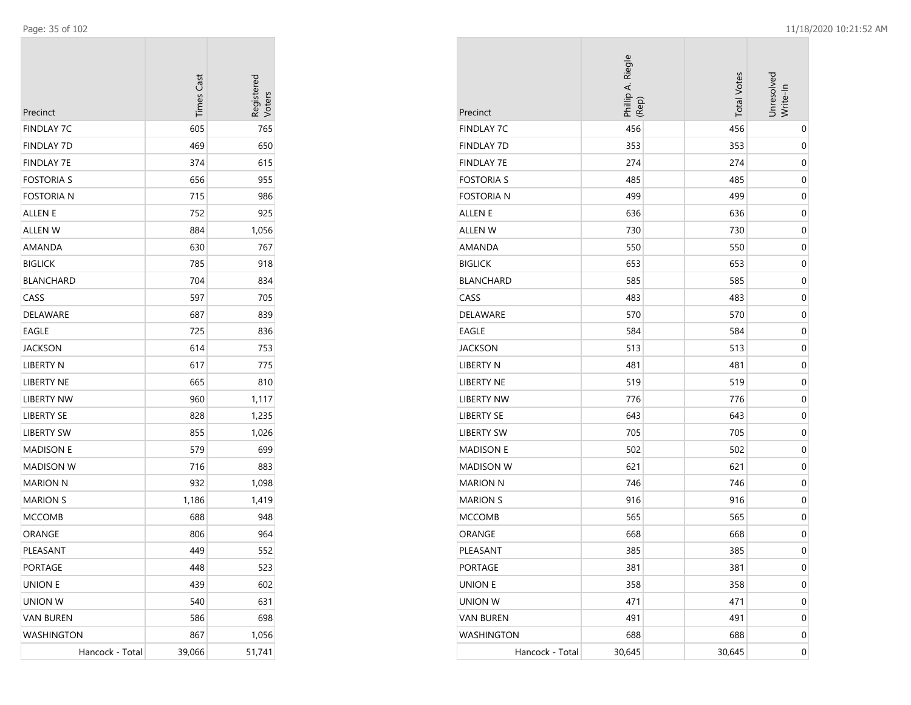| Precinct          | <b>Times Cast</b> | Registerec<br>Voters |
|-------------------|-------------------|----------------------|
| <b>FINDLAY 7C</b> | 605               | 765                  |
| FINDLAY 7D        | 469               | 650                  |
| FINDLAY 7E        | 374               | 615                  |
| <b>FOSTORIA S</b> | 656               | 955                  |
| Fostoria n        | 715               | 986                  |
| ALLEN E           | 752               | 925                  |
| ALLEN W           | 884               | 1,056                |
| AMANDA            | 630               | 767                  |
| <b>BIGLICK</b>    | 785               | 918                  |
| <b>BLANCHARD</b>  | 704               | 834                  |
| CASS              | 597               | 705                  |
| DELAWARE          | 687               | 839                  |
| EAGLE             | 725               | 836                  |
| JACKSON           | 614               | 753                  |
| LIBERTY N         | 617               | 775                  |
| LIBERTY NE        | 665               | 810                  |
| LIBERTY NW        | 960               | 1,117                |
| <b>LIBERTY SE</b> | 828               | 1,235                |
| <b>LIBERTY SW</b> | 855               | 1,026                |
| <b>MADISON E</b>  | 579               | 699                  |
| MADISON W         | 716               | 883                  |
| <b>MARION N</b>   | 932               | 1,098                |
| <b>MARION S</b>   | 1,186             | 1,419                |
| <b>MCCOMB</b>     | 688               | 948                  |
| ORANGE            | 806               | 964                  |
| PLEASANT          | 449               | 552                  |
| PORTAGE           | 448               | 523                  |
| UNION E           | 439               | 602                  |
| UNION W           | 540               | 631                  |
| <b>VAN BUREN</b>  | 586               | 698                  |
| <b>WASHINGTON</b> | 867               | 1,056                |
| Hancock - Total   | 39,066            | 51,741               |

| Precinct          | Phillip A. Riegle<br>(Rep) | <b>Total Votes</b> | Unresolved<br>Write-In |
|-------------------|----------------------------|--------------------|------------------------|
| <b>FINDLAY 7C</b> | 456                        | 456                | 0                      |
| <b>FINDLAY 7D</b> | 353                        | 353                | 0                      |
| FINDLAY 7E        | 274                        | 274                | $\mathbf 0$            |
| <b>FOSTORIA S</b> | 485                        | 485                | 0                      |
| Fostoria n        | 499                        | 499                | 0                      |
| ALLEN E           | 636                        | 636                | 0                      |
| <b>ALLEN W</b>    | 730                        | 730                | 0                      |
| AMANDA            | 550                        | 550                | $\mathbf 0$            |
| <b>BIGLICK</b>    | 653                        | 653                | $\mathbf 0$            |
| <b>BLANCHARD</b>  | 585                        | 585                | $\mathbf 0$            |
| CASS              | 483                        | 483                | 0                      |
| DELAWARE          | 570                        | 570                | $\mathbf 0$            |
| EAGLE             | 584                        | 584                | 0                      |
| JACKSON           | 513                        | 513                | 0                      |
| LIBERTY N         | 481                        | 481                | 0                      |
| LIBERTY NE        | 519                        | 519                | 0                      |
| <b>LIBERTY NW</b> | 776                        | 776                | $\mathbf 0$            |
| <b>LIBERTY SE</b> | 643                        | 643                | $\mathbf 0$            |
| <b>LIBERTY SW</b> | 705                        | 705                | $\mathbf 0$            |
| <b>MADISON E</b>  | 502                        | 502                | 0                      |
| <b>MADISON W</b>  | 621                        | 621                | 0                      |
| <b>MARION N</b>   | 746                        | 746                | 0                      |
| <b>MARION S</b>   | 916                        | 916                | 0                      |
| <b>MCCOMB</b>     | 565                        | 565                | 0                      |
| ORANGE            | 668                        | 668                | $\mathbf 0$            |
| PLEASANT          | 385                        | 385                | $\mathbf 0$            |
| PORTAGE           | 381                        | 381                | $\mathbf 0$            |
| <b>UNION E</b>    | 358                        | 358                | $\boldsymbol{0}$       |
| <b>UNION W</b>    | 471                        | 471                | $\mathbf 0$            |
| <b>VAN BUREN</b>  | 491                        | 491                | 0                      |
| WASHINGTON        | 688                        | 688                | 0                      |
| Hancock - Total   | 30,645                     | 30,645             | $\mathbf 0$            |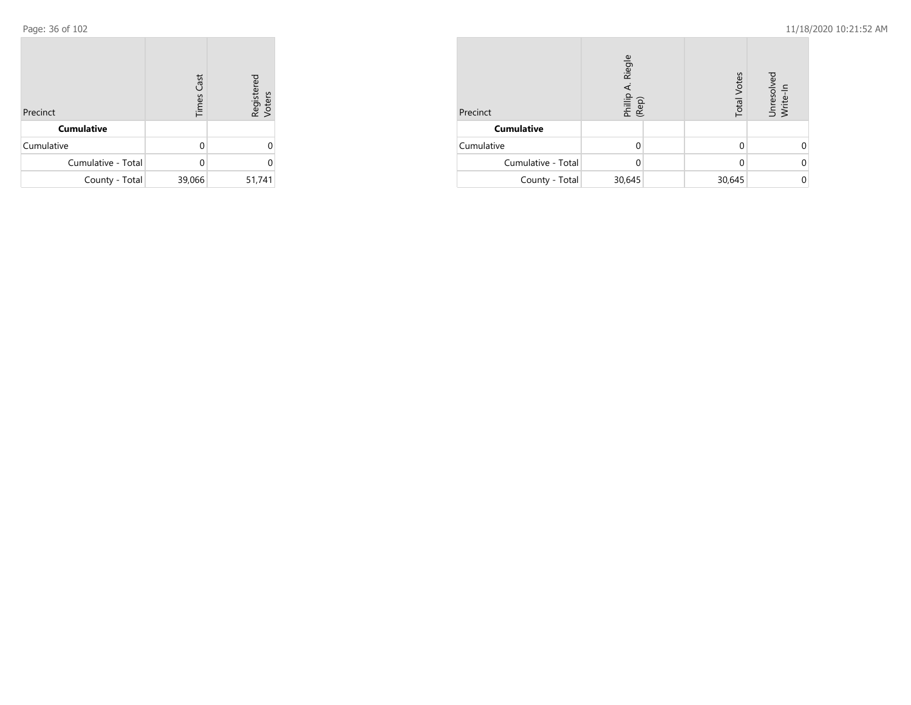| Precinct           | <b>Times Cast</b> | Registered<br>Voters |
|--------------------|-------------------|----------------------|
| <b>Cumulative</b>  |                   |                      |
| Cumulative         | O                 | ი                    |
| Cumulative - Total |                   | U                    |
| County - Total     | 39,066            | 51,741               |

| Precinct           | Riegle<br>Phillip<br>(Rep) |  | <b>Total Votes</b> | Unresolved<br>Write-In |
|--------------------|----------------------------|--|--------------------|------------------------|
| <b>Cumulative</b>  |                            |  |                    |                        |
| Cumulative         |                            |  |                    |                        |
| Cumulative - Total | O                          |  |                    |                        |
| County - Total     | 30,645                     |  | 30,645             |                        |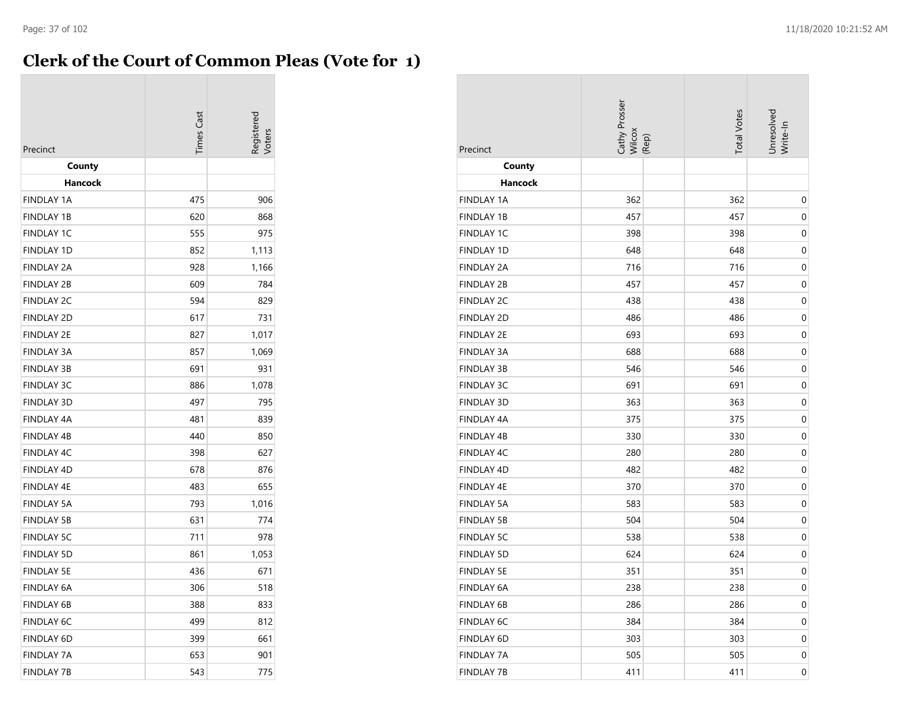## **Clerk of the Court of Common Pleas (Vote for 1)**

| Precinct          | <b>imes</b> Cast |       |
|-------------------|------------------|-------|
| County            |                  |       |
| Hancock           |                  |       |
| <b>FINDLAY 1A</b> | 475              | 906   |
| <b>FINDLAY 1B</b> | 620              | 868   |
| <b>FINDLAY 1C</b> | 555              | 975   |
| <b>FINDLAY 1D</b> | 852              | 1,113 |
| <b>FINDLAY 2A</b> | 928              | 1,166 |
| <b>FINDLAY 2B</b> | 609              | 784   |
| <b>FINDLAY 2C</b> | 594              | 829   |
| <b>FINDLAY 2D</b> | 617              | 731   |
| <b>FINDLAY 2E</b> | 827              | 1,017 |
| <b>FINDLAY 3A</b> | 857              | 1,069 |
| <b>FINDLAY 3B</b> | 691              | 931   |
| <b>FINDLAY 3C</b> | 886              | 1,078 |
| <b>FINDLAY 3D</b> | 497              | 795   |
| <b>FINDLAY 4A</b> | 481              | 839   |
| <b>FINDLAY 4B</b> | 440              | 850   |
| <b>FINDLAY 4C</b> | 398              | 627   |
| <b>FINDLAY 4D</b> | 678              | 876   |
| <b>FINDLAY 4E</b> | 483              | 655   |
| <b>FINDLAY 5A</b> | 793              | 1,016 |
| <b>FINDLAY 5B</b> | 631              | 774   |
| <b>FINDLAY 5C</b> | 711              | 978   |
| <b>FINDLAY 5D</b> | 861              | 1,053 |
| <b>FINDLAY 5E</b> | 436              | 671   |
| <b>FINDLAY 6A</b> | 306              | 518   |
| <b>FINDLAY 6B</b> | 388              | 833   |
| <b>FINDLAY 6C</b> | 499              | 812   |
| <b>FINDLAY 6D</b> | 399              | 661   |
| <b>FINDLAY 7A</b> | 653              | 901   |
| <b>FINDLAY 7B</b> | 543              | 775   |

| Precinct          | Cathy Prosser<br>Wilcox<br>(Rep) | <b>Total Votes</b> | Unresolved<br>Write-In |
|-------------------|----------------------------------|--------------------|------------------------|
| County            |                                  |                    |                        |
| <b>Hancock</b>    |                                  |                    |                        |
| <b>FINDLAY 1A</b> | 362                              | 362                | 0                      |
| <b>FINDLAY 1B</b> | 457                              | 457                | $\pmb{0}$              |
| FINDLAY 1C        | 398                              | 398                | $\mathbf 0$            |
| <b>FINDLAY 1D</b> | 648                              | 648                | $\boldsymbol{0}$       |
| <b>FINDLAY 2A</b> | 716                              | 716                | $\pmb{0}$              |
| <b>FINDLAY 2B</b> | 457                              | 457                | 0                      |
| <b>FINDLAY 2C</b> | 438                              | 438                | $\boldsymbol{0}$       |
| <b>FINDLAY 2D</b> | 486                              | 486                | 0                      |
| <b>FINDLAY 2E</b> | 693                              | 693                | $\boldsymbol{0}$       |
| <b>FINDLAY 3A</b> | 688                              | 688                | 0                      |
| <b>FINDLAY 3B</b> | 546                              | 546                | $\pmb{0}$              |
| <b>FINDLAY 3C</b> | 691                              | 691                | $\mathbf 0$            |
| <b>FINDLAY 3D</b> | 363                              | 363                | $\boldsymbol{0}$       |
| FINDLAY 4A        | 375                              | 375                | $\pmb{0}$              |
| <b>FINDLAY 4B</b> | 330                              | 330                | 0                      |
| FINDLAY 4C        | 280                              | 280                | $\boldsymbol{0}$       |
| <b>FINDLAY 4D</b> | 482                              | 482                | 0                      |
| FINDLAY 4E        | 370                              | 370                | $\pmb{0}$              |
| <b>FINDLAY 5A</b> | 583                              | 583                | 0                      |
| <b>FINDLAY 5B</b> | 504                              | 504                | $\pmb{0}$              |
| <b>FINDLAY 5C</b> | 538                              | 538                | $\pmb{0}$              |
| <b>FINDLAY 5D</b> | 624                              | 624                | $\boldsymbol{0}$       |
| <b>FINDLAY 5E</b> | 351                              | 351                | $\pmb{0}$              |
| FINDLAY 6A        | 238                              | 238                | 0                      |
| FINDLAY 6B        | 286                              | 286                | $\boldsymbol{0}$       |
| <b>FINDLAY 6C</b> | 384                              | 384                | 0                      |
| FINDLAY 6D        | 303                              | 303                | 0                      |
| FINDLAY 7A        | 505                              | 505                | 0                      |
| <b>FINDLAY 7B</b> | 411                              | 411                | 0                      |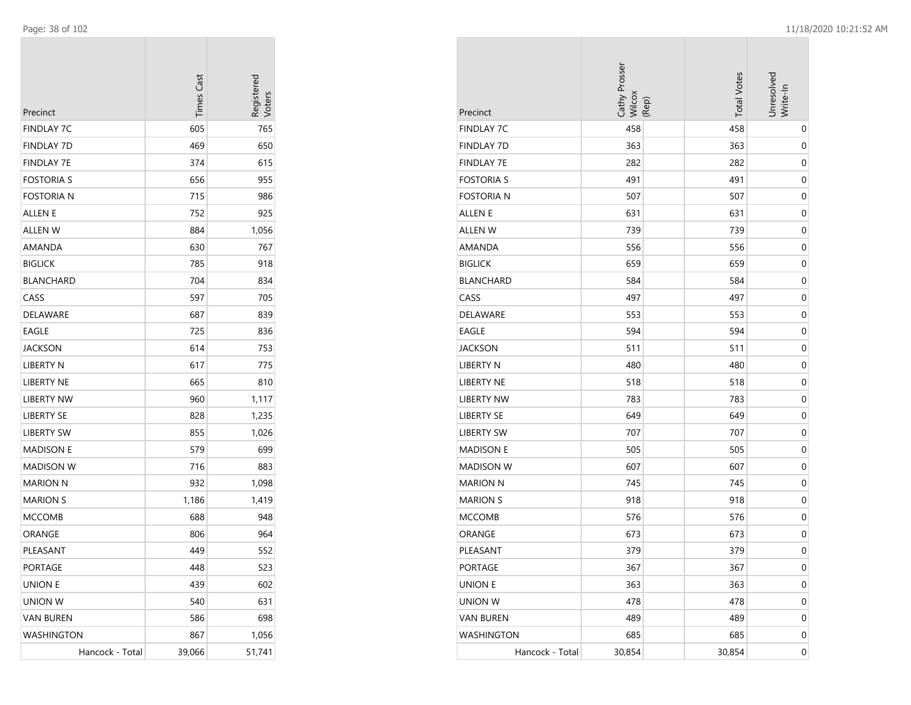| Precinct          | <b>Times Cast</b> | Registerec<br>/oters |
|-------------------|-------------------|----------------------|
| FINDLAY 7C        | 605               | 765                  |
| FINDLAY 7D        | 469               | 650                  |
| FINDLAY 7E        | 374               | 615                  |
| <b>FOSTORIA S</b> | 656               | 955                  |
| Fostoria n        | 715               | 986                  |
| ALLEN E           | 752               | 925                  |
| ALLEN W           | 884               | 1,056                |
| AMANDA            | 630               | 767                  |
| <b>BIGLICK</b>    | 785               | 918                  |
| <b>BLANCHARD</b>  | 704               | 834                  |
| CASS              | 597               | 705                  |
| DELAWARE          | 687               | 839                  |
| EAGLE             | 725               | 836                  |
| <b>JACKSON</b>    | 614               | 753                  |
| LIBERTY N         | 617               | 775                  |
| <b>LIBERTY NE</b> | 665               | 810                  |
| <b>LIBERTY NW</b> | 960               | 1,117                |
| <b>LIBERTY SE</b> | 828               | 1,235                |
| LIBERTY SW        | 855               | 1,026                |
| <b>MADISON E</b>  | 579               | 699                  |
| MADISON W         | 716               | 883                  |
| <b>MARION N</b>   | 932               | 1,098                |
| <b>MARION S</b>   | 1,186             | 1,419                |
| <b>MCCOMB</b>     | 688               | 948                  |
| ORANGE            | 806               | 964                  |
| PLEASANT          | 449               | 552                  |
| PORTAGE           | 448               | 523                  |
| <b>UNION E</b>    | 439               | 602                  |
| UNION W           | 540               | 631                  |
| <b>VAN BUREN</b>  | 586               | 698                  |
| WASHINGTON        | 867               | 1,056                |
| Hancock - Total   | 39,066            | 51,741               |

| Precinct          | Cathy Prosser<br>Wilcox<br>(Rep) | <b>Total Votes</b> | Unresolved<br>Write-In |
|-------------------|----------------------------------|--------------------|------------------------|
| <b>FINDLAY 7C</b> | 458                              | 458                | 0                      |
| <b>FINDLAY 7D</b> | 363                              | 363                | 0                      |
| <b>FINDLAY 7E</b> | 282                              | 282                | 0                      |
| <b>FOSTORIA S</b> | 491                              | 491                | 0                      |
| <b>FOSTORIA N</b> | 507                              | 507                | 0                      |
| <b>ALLEN E</b>    | 631                              | 631                | 0                      |
| ALLEN W           | 739                              | 739                | 0                      |
| AMANDA            | 556                              | 556                | $\mathbf 0$            |
| <b>BIGLICK</b>    | 659                              | 659                | 0                      |
| <b>BLANCHARD</b>  | 584                              | 584                | $\mathbf 0$            |
| CASS              | 497                              | 497                | 0                      |
| DELAWARE          | 553                              | 553                | 0                      |
| EAGLE             | 594                              | 594                | 0                      |
| JACKSON           | 511                              | 511                | 0                      |
| <b>LIBERTY N</b>  | 480                              | 480                | 0                      |
| LIBERTY NE        | 518                              | 518                | 0                      |
| <b>LIBERTY NW</b> | 783                              | 783                | $\mathbf 0$            |
| <b>LIBERTY SE</b> | 649                              | 649                | 0                      |
| <b>LIBERTY SW</b> | 707                              | 707                | $\mathbf 0$            |
| <b>MADISON E</b>  | 505                              | 505                | 0                      |
| <b>MADISON W</b>  | 607                              | 607                | 0                      |
| <b>MARION N</b>   | 745                              | 745                | 0                      |
| <b>MARION S</b>   | 918                              | 918                | 0                      |
| <b>MCCOMB</b>     | 576                              | 576                | 0                      |
| ORANGE            | 673                              | 673                | 0                      |
| PLEASANT          | 379                              | 379                | $\mathbf 0$            |
| PORTAGE           | 367                              | 367                | $\boldsymbol{0}$       |
| <b>UNION E</b>    | 363                              | 363                | $\boldsymbol{0}$       |
| UNION W           | 478                              | 478                | 0                      |
| <b>VAN BUREN</b>  | 489                              | 489                | 0                      |
| <b>WASHINGTON</b> | 685                              | 685                | 0                      |
| Hancock - Total   | 30,854                           | 30,854             | $\boldsymbol{0}$       |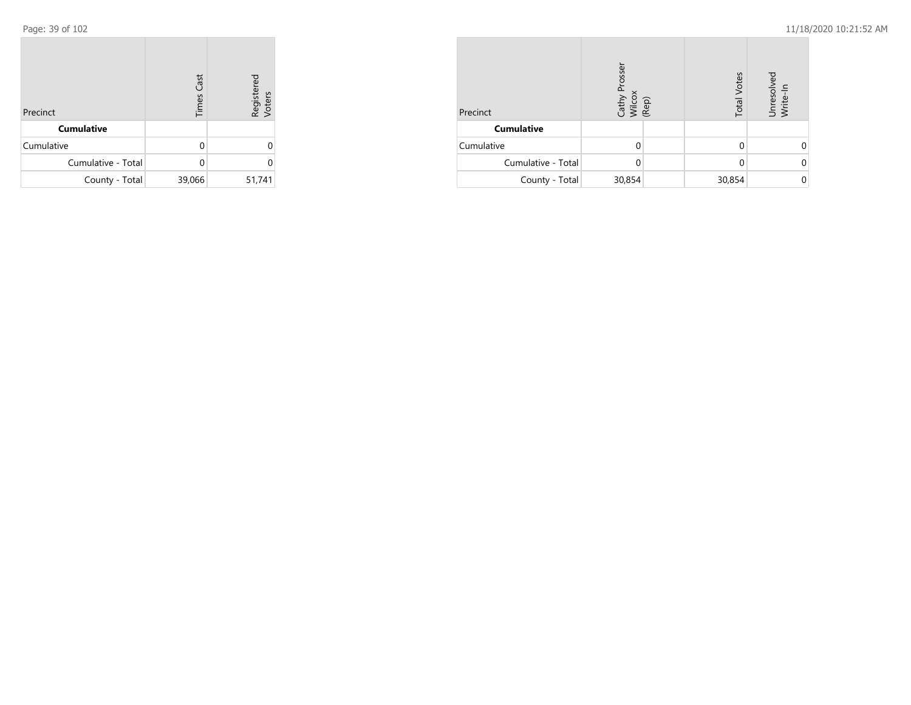| Precinct           | <b>Times Cast</b> | Registered<br>Voters |  |
|--------------------|-------------------|----------------------|--|
| <b>Cumulative</b>  |                   |                      |  |
| Cumulative         | U                 |                      |  |
| Cumulative - Total | U                 |                      |  |
| County - Total     | 39,066            | 51,741               |  |

| Precinct           | Cathy Prosser<br>Wilcox<br>(Rep) | <b>Total Votes</b> | Unresolved<br>Write-In |
|--------------------|----------------------------------|--------------------|------------------------|
| <b>Cumulative</b>  |                                  |                    |                        |
| Cumulative         | U                                |                    |                        |
| Cumulative - Total | O                                |                    |                        |
| County - Total     | 30,854                           | 30,854             |                        |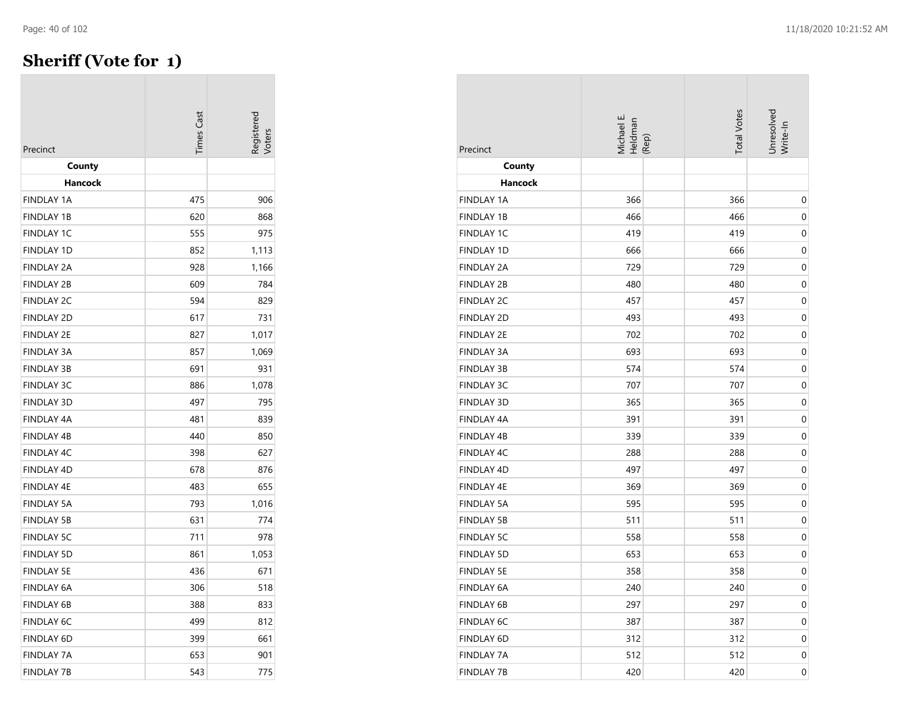## **Sheriff (Vote for 1)**

| Precinct          | <b>Times Cast</b> | <b>Registered</b><br>/oters |
|-------------------|-------------------|-----------------------------|
| County            |                   |                             |
| Hancock           |                   |                             |
| <b>FINDLAY 1A</b> | 475               | 906                         |
| <b>FINDLAY 1B</b> | 620               | 868                         |
| FINDLAY 1C        | 555               | 975                         |
| <b>FINDLAY 1D</b> | 852               | 1,113                       |
| <b>FINDLAY 2A</b> | 928               | 1,166                       |
| <b>FINDLAY 2B</b> | 609               | 784                         |
| FINDLAY 2C        | 594               | 829                         |
| <b>FINDLAY 2D</b> | 617               | 731                         |
| <b>FINDLAY 2E</b> | 827               | 1,017                       |
| <b>FINDLAY 3A</b> | 857               | 1,069                       |
| <b>FINDLAY 3B</b> | 691               | 931                         |
| <b>FINDLAY 3C</b> | 886               | 1,078                       |
| <b>FINDLAY 3D</b> | 497               | 795                         |
| <b>FINDLAY 4A</b> | 481               | 839                         |
| <b>FINDLAY 4B</b> | 440               | 850                         |
| FINDLAY 4C        | 398               | 627                         |
| <b>FINDLAY 4D</b> | 678               | 876                         |
| <b>FINDLAY 4E</b> | 483               | 655                         |
| <b>FINDLAY 5A</b> | 793               | 1,016                       |
| <b>FINDLAY 5B</b> | 631               | 774                         |
| <b>FINDLAY 5C</b> | 711               | 978                         |
| <b>FINDLAY 5D</b> | 861               | 1,053                       |
| <b>FINDLAY 5E</b> | 436               | 671                         |
| <b>FINDLAY 6A</b> | 306               | 518                         |
| <b>FINDLAY 6B</b> | 388               | 833                         |
| <b>FINDLAY 6C</b> | 499               | 812                         |
| FINDLAY 6D        | 399               | 661                         |
| <b>FINDLAY 7A</b> | 653               | 901                         |
| FINDLAY 7B        | 543               | 775                         |

| Precinct          | Michael E.<br>Heldman<br>(Rep) | <b>Total Votes</b> | Unresolved<br>Write-In |
|-------------------|--------------------------------|--------------------|------------------------|
| County            |                                |                    |                        |
| Hancock           |                                |                    |                        |
| <b>FINDLAY 1A</b> | 366                            | 366                | 0                      |
| <b>FINDLAY 1B</b> | 466                            | 466                | 0                      |
| <b>FINDLAY 1C</b> | 419                            | 419                | 0                      |
| <b>FINDLAY 1D</b> | 666                            | 666                | $\mathbf 0$            |
| <b>FINDLAY 2A</b> | 729                            | 729                | 0                      |
| <b>FINDLAY 2B</b> | 480                            | 480                | 0                      |
| <b>FINDLAY 2C</b> | 457                            | 457                | 0                      |
| <b>FINDLAY 2D</b> | 493                            | 493                | 0                      |
| <b>FINDLAY 2E</b> | 702                            | 702                | 0                      |
| <b>FINDLAY 3A</b> | 693                            | 693                | 0                      |
| <b>FINDLAY 3B</b> | 574                            | 574                | 0                      |
| <b>FINDLAY 3C</b> | 707                            | 707                | 0                      |
| <b>FINDLAY 3D</b> | 365                            | 365                | $\mathbf 0$            |
| <b>FINDLAY 4A</b> | 391                            | 391                | 0                      |
| FINDLAY 4B        | 339                            | 339                | 0                      |
| <b>FINDLAY 4C</b> | 288                            | 288                | 0                      |
| <b>FINDLAY 4D</b> | 497                            | 497                | 0                      |
| FINDLAY 4E        | 369                            | 369                | $\mathbf 0$            |
| <b>FINDLAY 5A</b> | 595                            | 595                | 0                      |
| <b>FINDLAY 5B</b> | 511                            | 511                | 0                      |
| <b>FINDLAY 5C</b> | 558                            | 558                | $\mathbf 0$            |
| <b>FINDLAY 5D</b> | 653                            | 653                | $\mathbf 0$            |
| <b>FINDLAY 5E</b> | 358                            | 358                | $\mathbf 0$            |
| FINDLAY 6A        | 240                            | 240                | $\mathbf 0$            |
| <b>FINDLAY 6B</b> | 297                            | 297                | 0                      |
| FINDLAY 6C        | 387                            | 387                | 0                      |
| FINDLAY 6D        | 312                            | 312                | 0                      |
| <b>FINDLAY 7A</b> | 512                            | 512                | 0                      |
| <b>FINDLAY 7B</b> | 420                            | 420                | $\boldsymbol{0}$       |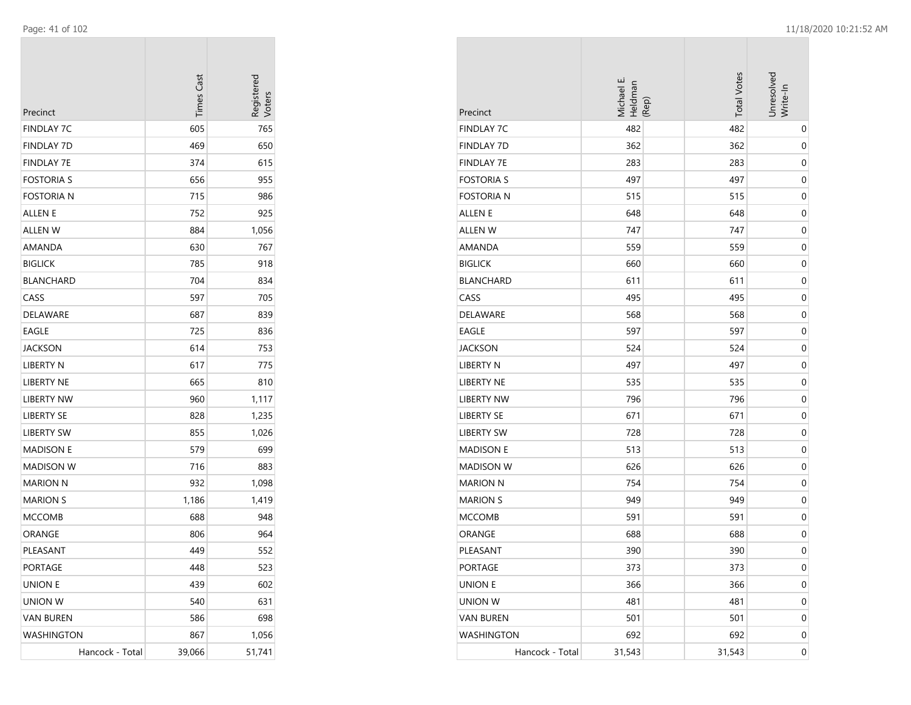| Precinct          | <b>Times Cast</b> | Registerec |
|-------------------|-------------------|------------|
| FINDLAY 7C        | 605               | 765        |
| FINDLAY 7D        | 469               | 650        |
| FINDLAY 7E        | 374               | 615        |
| <b>FOSTORIA S</b> | 656               | 955        |
| FOSTORIA N        | 715               | 986        |
| <b>ALLEN E</b>    | 752               | 925        |
| <b>ALLEN W</b>    | 884               | 1,056      |
| AMANDA            | 630               | 767        |
| <b>BIGLICK</b>    | 785               | 918        |
| <b>BLANCHARD</b>  | 704               | 834        |
| CASS              | 597               | 705        |
| DELAWARE          | 687               | 839        |
| EAGLE             | 725               | 836        |
| <b>JACKSON</b>    | 614               | 753        |
| LIBERTY N         | 617               | 775        |
| <b>LIBERTY NE</b> | 665               | 810        |
| <b>LIBERTY NW</b> | 960               | 1,117      |
| <b>LIBERTY SE</b> | 828               | 1,235      |
| LIBERTY SW        | 855               | 1,026      |
| <b>MADISON E</b>  | 579               | 699        |
| MADISON W         | 716               | 883        |
| <b>MARION N</b>   | 932               | 1,098      |
| <b>MARION S</b>   | 1,186             | 1,419      |
| <b>MCCOMB</b>     | 688               | 948        |
| ORANGE            | 806               | 964        |
| PLEASANT          | 449               | 552        |
| PORTAGE           | 448               | 523        |
| <b>UNION E</b>    | 439               | 602        |
| <b>UNION W</b>    | 540               | 631        |
| <b>VAN BUREN</b>  | 586               | 698        |
| WASHINGTON        | 867               | 1,056      |
| Hancock - Total   | 39,066            | 51,741     |

| Precinct          | Michael E.<br>Heldman | (Rep) | <b>Total Votes</b> | Unresolved<br>Write-In |
|-------------------|-----------------------|-------|--------------------|------------------------|
| <b>FINDLAY 7C</b> | 482                   |       | 482                | 0                      |
| <b>FINDLAY 7D</b> | 362                   |       | 362                | 0                      |
| <b>FINDLAY 7E</b> | 283                   |       | 283                | 0                      |
| <b>FOSTORIA S</b> | 497                   |       | 497                | $\mathbf 0$            |
| <b>FOSTORIA N</b> | 515                   |       | 515                | $\mathbf 0$            |
| ALLEN E           | 648                   |       | 648                | $\mathbf 0$            |
| ALLEN W           | 747                   |       | 747                | 0                      |
| AMANDA            | 559                   |       | 559                | 0                      |
| <b>BIGLICK</b>    | 660                   |       | 660                | 0                      |
| BLANCHARD         | 611                   |       | 611                | 0                      |
| CASS              | 495                   |       | 495                | $\mathbf 0$            |
| DELAWARE          | 568                   |       | 568                | $\mathbf 0$            |
| EAGLE             | 597                   |       | 597                | $\mathbf 0$            |
| <b>JACKSON</b>    | 524                   |       | 524                | $\mathbf 0$            |
| LIBERTY N         | 497                   |       | 497                | $\mathbf 0$            |
| LIBERTY NE        | 535                   |       | 535                | 0                      |
| <b>LIBERTY NW</b> | 796                   |       | 796                | 0                      |
| <b>LIBERTY SE</b> | 671                   |       | 671                | 0                      |
| <b>LIBERTY SW</b> | 728                   |       | 728                | 0                      |
| <b>MADISON E</b>  | 513                   |       | 513                | $\mathbf 0$            |
| <b>MADISON W</b>  | 626                   |       | 626                | $\mathbf 0$            |
| <b>MARION N</b>   | 754                   |       | 754                | $\mathbf 0$            |
| <b>MARION S</b>   | 949                   |       | 949                | $\mathbf 0$            |
| <b>MCCOMB</b>     | 591                   |       | 591                | $\mathbf 0$            |
| ORANGE            | 688                   |       | 688                | 0                      |
| PLEASANT          | 390                   |       | 390                | 0                      |
| PORTAGE           | 373                   |       | 373                | $\mathbf 0$            |
| <b>UNION E</b>    | 366                   |       | 366                | $\mathbf 0$            |
| UNION W           | 481                   |       | 481                | $\pmb{0}$              |
| <b>VAN BUREN</b>  | 501                   |       | 501                | 0                      |
| <b>WASHINGTON</b> | 692                   |       | 692                | 0                      |
| Hancock - Total   | 31,543                |       | 31,543             | 0                      |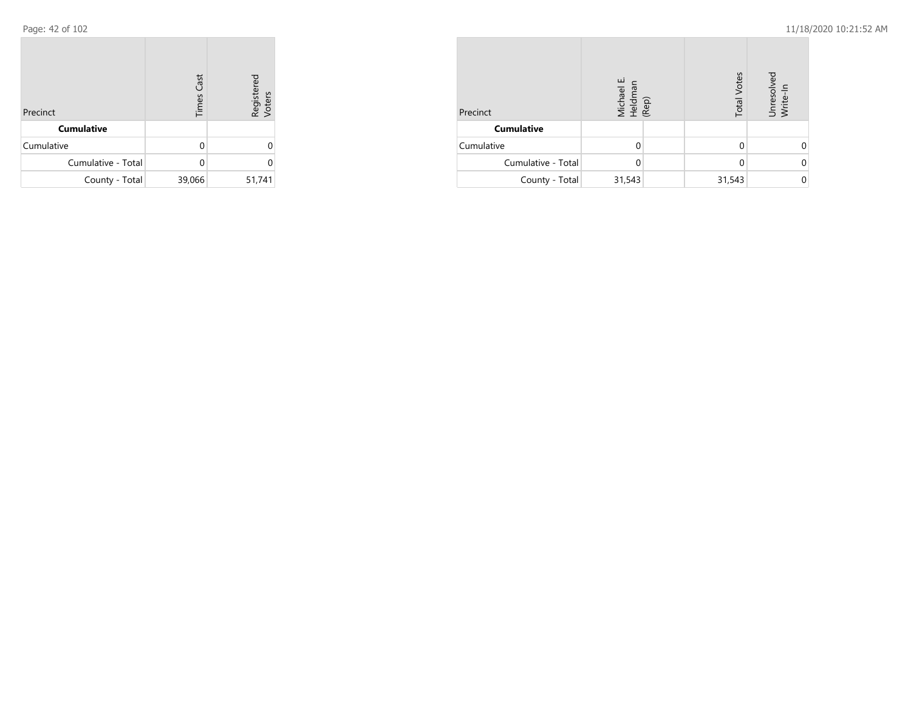| Precinct           | <b>Times Cast</b> | Registered<br>Voters |
|--------------------|-------------------|----------------------|
| <b>Cumulative</b>  |                   |                      |
| Cumulative         | U                 | U                    |
| Cumulative - Total |                   | U                    |
| County - Total     | 39,066            | 51,741               |

| Precinct           | Michael E.<br>Heldman<br>(Rep) | <b>Total Votes</b> | Unresolved<br>Write-In |
|--------------------|--------------------------------|--------------------|------------------------|
| <b>Cumulative</b>  |                                |                    |                        |
| Cumulative         | U                              |                    |                        |
| Cumulative - Total | 0                              | 0                  |                        |
| County - Total     | 31,543                         | 31,543             |                        |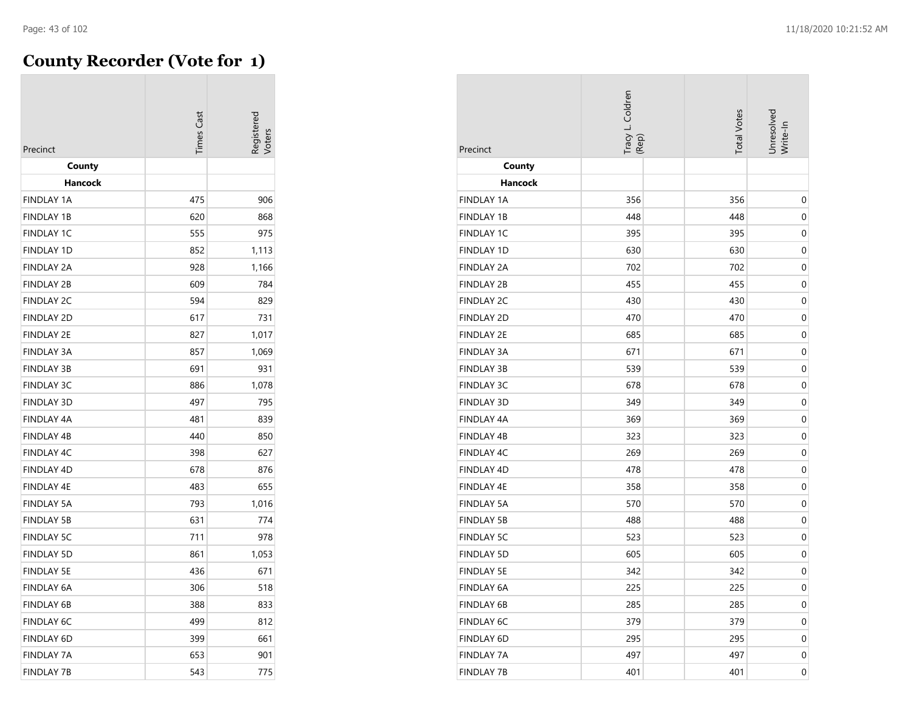$\overline{\phantom{a}}$ 

## **County Recorder (Vote for 1)**

| Precinct          | <b>Times Cast</b> | Registered<br>/oters |
|-------------------|-------------------|----------------------|
| County            |                   |                      |
| Hancock           |                   |                      |
| <b>FINDLAY 1A</b> | 475               | 906                  |
| <b>FINDLAY 1B</b> | 620               | 868                  |
| <b>FINDLAY 1C</b> | 555               | 975                  |
| <b>FINDLAY 1D</b> | 852               | 1,113                |
| <b>FINDLAY 2A</b> | 928               | 1,166                |
| <b>FINDLAY 2B</b> | 609               | 784                  |
| <b>FINDLAY 2C</b> | 594               | 829                  |
| <b>FINDLAY 2D</b> | 617               | 731                  |
| <b>FINDLAY 2E</b> | 827               | 1,017                |
| <b>FINDLAY 3A</b> | 857               | 1,069                |
| <b>FINDLAY 3B</b> | 691               | 931                  |
| <b>FINDLAY 3C</b> | 886               | 1,078                |
| <b>FINDLAY 3D</b> | 497               | 795                  |
| <b>FINDLAY 4A</b> | 481               | 839                  |
| <b>FINDLAY 4B</b> | 440               | 850                  |
| FINDLAY 4C        | 398               | 627                  |
| FINDLAY 4D        | 678               | 876                  |
| <b>FINDLAY 4E</b> | 483               | 655                  |
| <b>FINDLAY 5A</b> | 793               | 1,016                |
| <b>FINDLAY 5B</b> | 631               | 774                  |
| <b>FINDLAY 5C</b> | 711               | 978                  |
| <b>FINDLAY 5D</b> | 861               | 1,053                |
| <b>FINDLAY 5E</b> | 436               | 671                  |
| <b>FINDLAY 6A</b> | 306               | 518                  |
| <b>FINDLAY 6B</b> | 388               | 833                  |
| <b>FINDLAY 6C</b> | 499               | 812                  |
| <b>FINDLAY 6D</b> | 399               | 661                  |
| <b>FINDLAY 7A</b> | 653               | 901                  |
| FINDLAY 7B        | 543               | 775                  |

| Precinct          | Tracy L. Coldren<br>(Rep) | <b>Total Votes</b> | Unresolved<br>Write-In |
|-------------------|---------------------------|--------------------|------------------------|
| County            |                           |                    |                        |
| <b>Hancock</b>    |                           |                    |                        |
| <b>FINDLAY 1A</b> | 356                       | 356                | 0                      |
| <b>FINDLAY 1B</b> | 448                       | 448                | 0                      |
| <b>FINDLAY 1C</b> | 395                       | 395                | 0                      |
| FINDLAY 1D        | 630                       | 630                | 0                      |
| <b>FINDLAY 2A</b> | 702                       | 702                | $\mathbf 0$            |
| <b>FINDLAY 2B</b> | 455                       | 455                | 0                      |
| <b>FINDLAY 2C</b> | 430                       | 430                | 0                      |
| <b>FINDLAY 2D</b> | 470                       | 470                | $\pmb{0}$              |
| <b>FINDLAY 2E</b> | 685                       | 685                | 0                      |
| <b>FINDLAY 3A</b> | 671                       | 671                | 0                      |
| <b>FINDLAY 3B</b> | 539                       | 539                | 0                      |
| <b>FINDLAY 3C</b> | 678                       | 678                | 0                      |
| FINDLAY 3D        | 349                       | 349                | 0                      |
| <b>FINDLAY 4A</b> | 369                       | 369                | 0                      |
| <b>FINDLAY 4B</b> | 323                       | 323                | 0                      |
| FINDLAY 4C        | 269                       | 269                | 0                      |
| FINDLAY 4D        | 478                       | 478                | $\pmb{0}$              |
| FINDLAY 4E        | 358                       | 358                | 0                      |
| <b>FINDLAY 5A</b> | 570                       | 570                | 0                      |
| <b>FINDLAY 5B</b> | 488                       | 488                | 0                      |
| <b>FINDLAY 5C</b> | 523                       | 523                | 0                      |
| <b>FINDLAY 5D</b> | 605                       | 605                | $\mathbf 0$            |
| <b>FINDLAY 5E</b> | 342                       | 342                | $\pmb{0}$              |
| FINDLAY 6A        | 225                       | 225                | 0                      |
| <b>FINDLAY 6B</b> | 285                       | 285                | 0                      |
| FINDLAY 6C        | 379                       | 379                | 0                      |
| FINDLAY 6D        | 295                       | 295                | 0                      |
| <b>FINDLAY 7A</b> | 497                       | 497                | 0                      |
| <b>FINDLAY 7B</b> | 401                       | 401                | 0                      |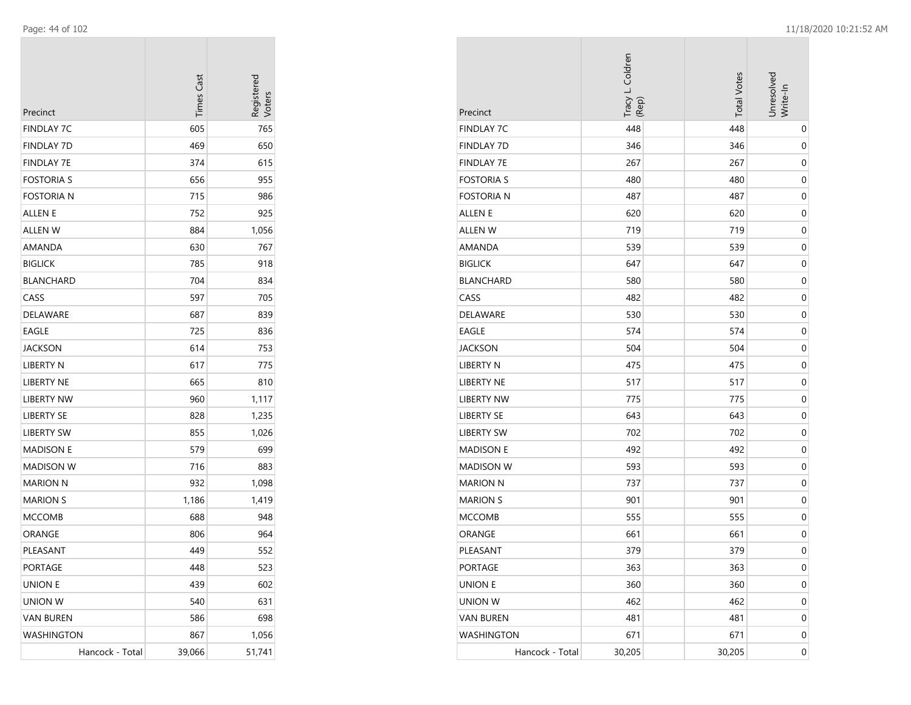| Precinct          | <b>Times Cast</b> | Registerec<br>Voters |
|-------------------|-------------------|----------------------|
| FINDLAY 7C        | 605               | 765                  |
| FINDLAY 7D        | 469               | 650                  |
| <b>FINDLAY 7E</b> | 374               | 615                  |
| FOSTORIA S        | 656               | 955                  |
| Fostoria n        | 715               | 986                  |
| ALLEN E           | 752               | 925                  |
| ALLEN W           | 884               | 1,056                |
| AMANDA            | 630               | 767                  |
| <b>BIGLICK</b>    | 785               | 918                  |
| BLANCHARD         | 704               | 834                  |
| CASS              | 597               | 705                  |
| DELAWARE          | 687               | 839                  |
| EAGLE             | 725               | 836                  |
| JACKSON           | 614               | 753                  |
| LIBERTY N         | 617               | 775                  |
| LIBERTY NE        | 665               | 810                  |
| <b>LIBERTY NW</b> | 960               | 1,117                |
| <b>LIBERTY SE</b> | 828               | 1,235                |
| LIBERTY SW        | 855               | 1,026                |
| <b>MADISON E</b>  | 579               | 699                  |
| MADISON W         | 716               | 883                  |
| MARION N          | 932               | 1,098                |
| MARION S          | 1,186             | 1,419                |
| MCCOMB            | 688               | 948                  |
| ORANGE            | 806               | 964                  |
| PLEASANT          | 449               | 552                  |
| PORTAGE           | 448               | 523                  |
| UNION E           | 439               | 602                  |
| UNION W           | 540               | 631                  |
| <b>VAN BUREN</b>  | 586               | 698                  |
| WASHINGTON        | 867               | 1,056                |
| Hancock - Total   | 39,066            | 51,741               |

| Precinct          | Tracy L. Coldren<br>(Rep) | <b>Total Votes</b> | Unresolved<br>Write-In |
|-------------------|---------------------------|--------------------|------------------------|
| <b>FINDLAY 7C</b> | 448                       | 448                | $\pmb{0}$              |
| <b>FINDLAY 7D</b> | 346                       | 346                | 0                      |
| <b>FINDLAY 7E</b> | 267                       | 267                | $\mathbf 0$            |
| <b>FOSTORIA S</b> | 480                       | 480                | $\mathbf 0$            |
| <b>FOSTORIA N</b> | 487                       | 487                | $\mathbf 0$            |
| ALLEN E           | 620                       | 620                | 0                      |
| <b>ALLEN W</b>    | 719                       | 719                | $\mathbf 0$            |
| AMANDA            | 539                       | 539                | $\boldsymbol{0}$       |
| <b>BIGLICK</b>    | 647                       | 647                | 0                      |
| <b>BLANCHARD</b>  | 580                       | 580                | $\mathbf 0$            |
| CASS              | 482                       | 482                | 0                      |
| DELAWARE          | 530                       | 530                | $\boldsymbol{0}$       |
| <b>EAGLE</b>      | 574                       | 574                | $\mathbf 0$            |
| <b>JACKSON</b>    | 504                       | 504                | $\mathbf 0$            |
| <b>LIBERTY N</b>  | 475                       | 475                | 0                      |
| LIBERTY NE        | 517                       | 517                | $\mathbf 0$            |
| <b>LIBERTY NW</b> | 775                       | 775                | $\boldsymbol{0}$       |
| LIBERTY SE        | 643                       | 643                | 0                      |
| <b>LIBERTY SW</b> | 702                       | 702                | $\mathbf 0$            |
| <b>MADISON E</b>  | 492                       | 492                | 0                      |
| <b>MADISON W</b>  | 593                       | 593                | $\boldsymbol{0}$       |
| <b>MARION N</b>   | 737                       | 737                | $\mathbf 0$            |
| <b>MARION S</b>   | 901                       | 901                | $\mathbf 0$            |
| <b>MCCOMB</b>     | 555                       | 555                | 0                      |
| ORANGE            | 661                       | 661                | $\pmb{0}$              |
| PLEASANT          | 379                       | 379                | $\mathbf 0$            |
| <b>PORTAGE</b>    | 363                       | 363                | 0                      |
| <b>UNION E</b>    | 360                       | 360                | $\boldsymbol{0}$       |
| <b>UNION W</b>    | 462                       | 462                | $\pmb{0}$              |
| <b>VAN BUREN</b>  | 481                       | 481                | $\boldsymbol{0}$       |
| <b>WASHINGTON</b> | 671                       | 671                | $\boldsymbol{0}$       |
| Hancock - Total   | 30,205                    | 30,205             | $\overline{0}$         |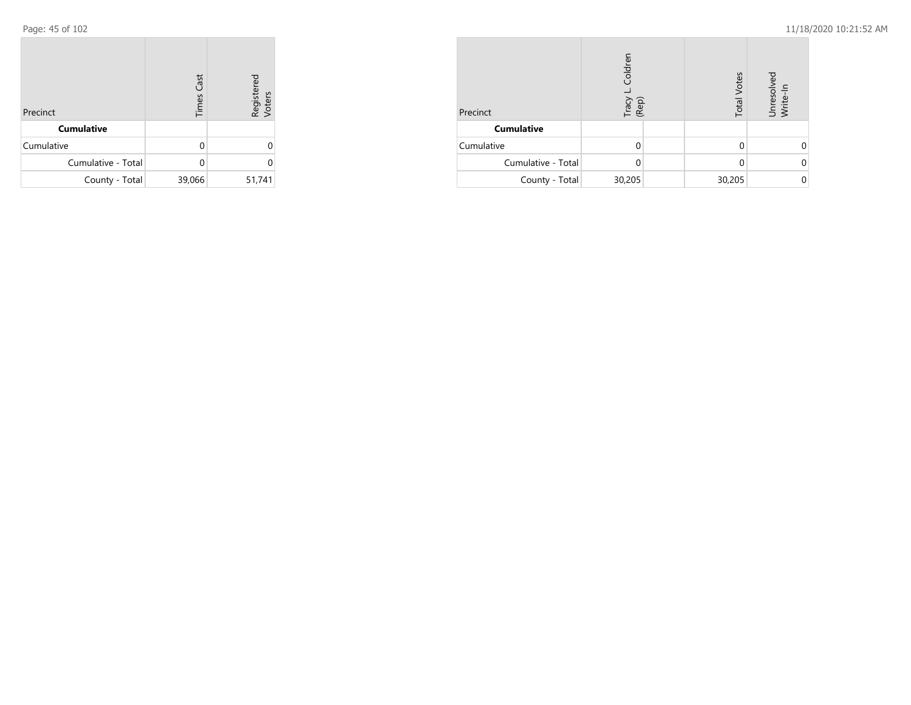| Precinct           | <b>Times Cast</b> | Registered<br>Voters |
|--------------------|-------------------|----------------------|
| <b>Cumulative</b>  |                   |                      |
| Cumulative         | U                 | ი                    |
| Cumulative - Total |                   | U                    |
| County - Total     | 39,066            | 51,741               |

| Precinct           | Coldren<br>Tracy<br>(Rep) |  | <b>Total Votes</b> | Unresolved<br>Write-In |
|--------------------|---------------------------|--|--------------------|------------------------|
| <b>Cumulative</b>  |                           |  |                    |                        |
| Cumulative         |                           |  |                    |                        |
| Cumulative - Total | 0                         |  |                    |                        |
| County - Total     | 30,205                    |  | 30,205             |                        |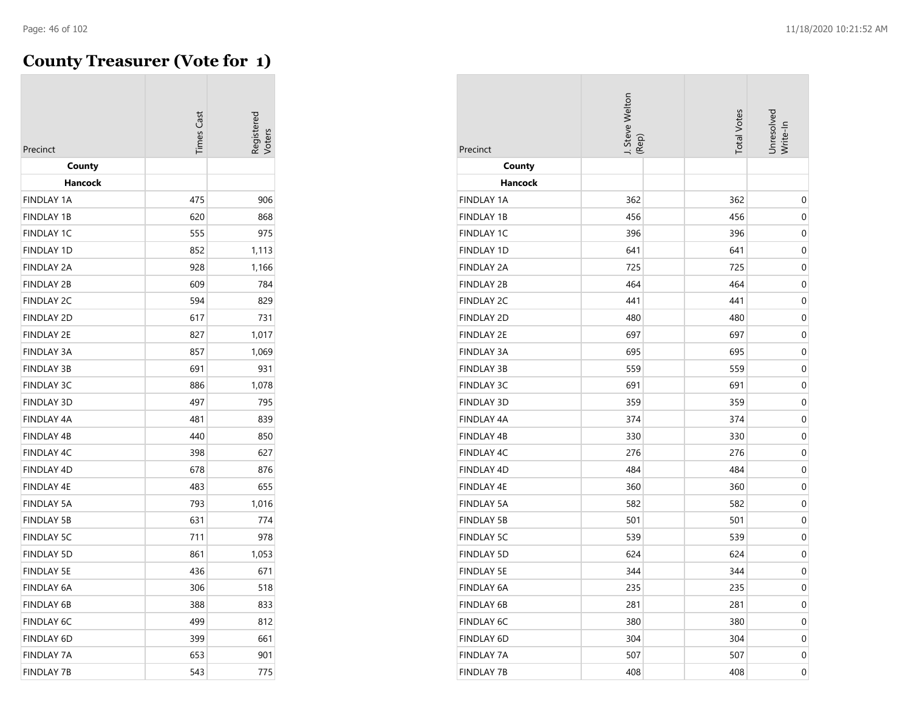## **County Treasurer (Vote for 1)**

|                   | <b>Times Cast</b> | kegistere |
|-------------------|-------------------|-----------|
| Precinct          |                   |           |
| County            |                   |           |
| Hancock           |                   |           |
| <b>FINDLAY 1A</b> | 475               | 906       |
| <b>FINDLAY 1B</b> | 620               | 868       |
| <b>FINDLAY 1C</b> | 555               | 975       |
| <b>FINDLAY 1D</b> | 852               | 1,113     |
| <b>FINDLAY 2A</b> | 928               | 1,166     |
| <b>FINDLAY 2B</b> | 609               | 784       |
| <b>FINDLAY 2C</b> | 594               | 829       |
| <b>FINDLAY 2D</b> | 617               | 731       |
| <b>FINDLAY 2E</b> | 827               | 1,017     |
| <b>FINDLAY 3A</b> | 857               | 1,069     |
| <b>FINDLAY 3B</b> | 691               | 931       |
| <b>FINDLAY 3C</b> | 886               | 1,078     |
| <b>FINDLAY 3D</b> | 497               | 795       |
| FINDLAY 4A        | 481               | 839       |
| <b>FINDLAY 4B</b> | 440               | 850       |
| FINDLAY 4C        | 398               | 627       |
| <b>FINDLAY 4D</b> | 678               | 876       |
| <b>FINDLAY 4E</b> | 483               | 655       |
| <b>FINDLAY 5A</b> | 793               | 1,016     |
| <b>FINDLAY 5B</b> | 631               | 774       |
| <b>FINDLAY 5C</b> | 711               | 978       |
| <b>FINDLAY 5D</b> | 861               | 1,053     |
| <b>FINDLAY 5E</b> | 436               | 671       |
| <b>FINDLAY 6A</b> | 306               | 518       |
| <b>FINDLAY 6B</b> | 388               | 833       |
| <b>FINDLAY 6C</b> | 499               | 812       |
| <b>FINDLAY 6D</b> | 399               | 661       |
| <b>FINDLAY 7A</b> | 653               | 901       |
| FINDLAY 7B        | 543               | 775       |

| Precinct          | I. Steve Welton<br>(Rep) | <b>Total Votes</b> | Unresolved<br>Write-In |
|-------------------|--------------------------|--------------------|------------------------|
| County            |                          |                    |                        |
| <b>Hancock</b>    |                          |                    |                        |
| <b>FINDLAY 1A</b> | 362                      | 362                | 0                      |
| <b>FINDLAY 1B</b> | 456                      | 456                | 0                      |
| <b>FINDLAY 1C</b> | 396                      | 396                | $\mathbf 0$            |
| <b>FINDLAY 1D</b> | 641                      | 641                | 0                      |
| <b>FINDLAY 2A</b> | 725                      | 725                | 0                      |
| <b>FINDLAY 2B</b> | 464                      | 464                | 0                      |
| <b>FINDLAY 2C</b> | 441                      | 441                | 0                      |
| <b>FINDLAY 2D</b> | 480                      | 480                | $\mathbf 0$            |
| <b>FINDLAY 2E</b> | 697                      | 697                | 0                      |
| <b>FINDLAY 3A</b> | 695                      | 695                | 0                      |
| <b>FINDLAY 3B</b> | 559                      | 559                | 0                      |
| <b>FINDLAY 3C</b> | 691                      | 691                | $\mathbf 0$            |
| <b>FINDLAY 3D</b> | 359                      | 359                | 0                      |
| <b>FINDLAY 4A</b> | 374                      | 374                | 0                      |
| <b>FINDLAY 4B</b> | 330                      | 330                | 0                      |
| FINDLAY 4C        | 276                      | 276                | 0                      |
| FINDLAY 4D        | 484                      | 484                | $\mathbf 0$            |
| <b>FINDLAY 4E</b> | 360                      | 360                | 0                      |
| <b>FINDLAY 5A</b> | 582                      | 582                | $\boldsymbol{0}$       |
| <b>FINDLAY 5B</b> | 501                      | 501                | 0                      |
| <b>FINDLAY 5C</b> | 539                      | 539                | 0                      |
| <b>FINDLAY 5D</b> | 624                      | 624                | 0                      |
| <b>FINDLAY 5E</b> | 344                      | 344                | 0                      |
| FINDLAY 6A        | 235                      | 235                | $\theta$               |
| <b>FINDLAY 6B</b> | 281                      | 281                | $\mathbf 0$            |
| <b>FINDLAY 6C</b> | 380                      | 380                | $\pmb{0}$              |
| FINDLAY 6D        | 304                      | 304                | $\pmb{0}$              |
| <b>FINDLAY 7A</b> | 507                      | 507                | $\pmb{0}$              |
| <b>FINDLAY 7B</b> | 408                      | 408                | $\mathbf 0$            |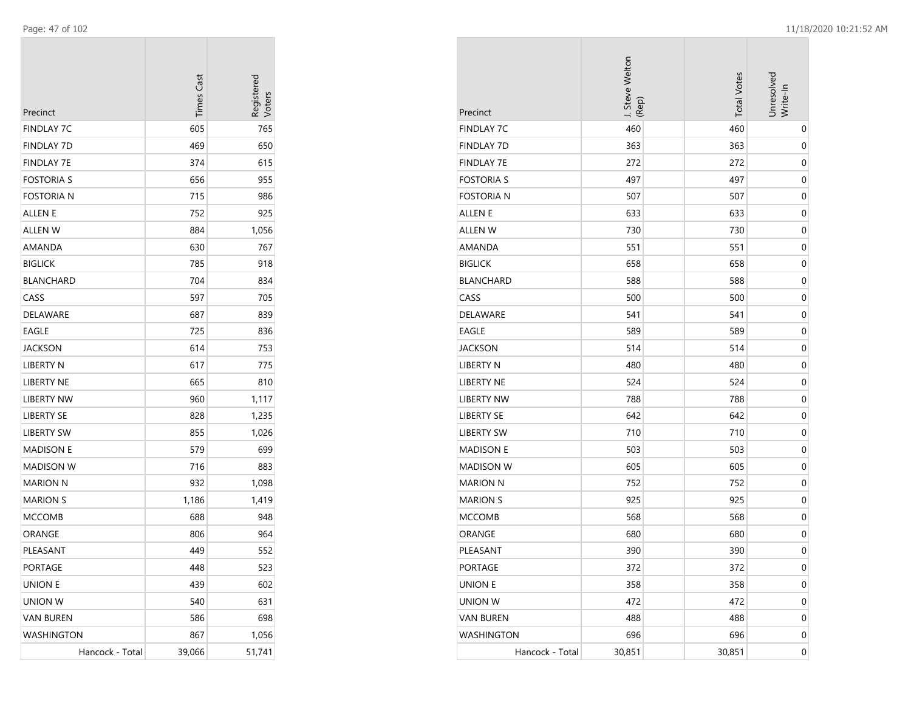| Precinct          | <b>Times Cast</b> | Registerec<br>Voters |
|-------------------|-------------------|----------------------|
| FINDLAY 7C        | 605               | 765                  |
| FINDLAY 7D        | 469               | 650                  |
| <b>FINDLAY 7E</b> | 374               | 615                  |
| FOSTORIA S        | 656               | 955                  |
| Fostoria n        | 715               | 986                  |
| ALLEN E           | 752               | 925                  |
| ALLEN W           | 884               | 1,056                |
| AMANDA            | 630               | 767                  |
| <b>BIGLICK</b>    | 785               | 918                  |
| BLANCHARD         | 704               | 834                  |
| CASS              | 597               | 705                  |
| DELAWARE          | 687               | 839                  |
| EAGLE             | 725               | 836                  |
| JACKSON           | 614               | 753                  |
| LIBERTY N         | 617               | 775                  |
| LIBERTY NE        | 665               | 810                  |
| <b>LIBERTY NW</b> | 960               | 1,117                |
| LIBERTY SE        | 828               | 1,235                |
| LIBERTY SW        | 855               | 1,026                |
| <b>MADISON E</b>  | 579               | 699                  |
| MADISON W         | 716               | 883                  |
| MARION N          | 932               | 1,098                |
| <b>MARION S</b>   | 1,186             | 1,419                |
| MCCOMB            | 688               | 948                  |
| ORANGE            | 806               | 964                  |
| PLEASANT          | 449               | 552                  |
| PORTAGE           | 448               | 523                  |
| <b>UNION E</b>    | 439               | 602                  |
| UNION W           | 540               | 631                  |
| <b>VAN BUREN</b>  | 586               | 698                  |
| WASHINGTON        | 867               | 1,056                |
| Hancock - Total   | 39,066            | 51,741               |

| Precinct          | J. Steve Welton<br>(Rep) | <b>Total Votes</b> | Unresolved<br>Write-In |
|-------------------|--------------------------|--------------------|------------------------|
| <b>FINDLAY 7C</b> | 460                      | 460                | $\mathbf 0$            |
| <b>FINDLAY 7D</b> | 363                      | 363                | 0                      |
| <b>FINDLAY 7E</b> | 272                      | 272                | 0                      |
| <b>FOSTORIA S</b> | 497                      | 497                | 0                      |
| <b>FOSTORIA N</b> | 507                      | 507                | 0                      |
| <b>ALLEN E</b>    | 633                      | 633                | $\mathbf 0$            |
| <b>ALLEN W</b>    | 730                      | 730                | 0                      |
| AMANDA            | 551                      | 551                | $\mathbf 0$            |
| <b>BIGLICK</b>    | 658                      | 658                | $\mathbf 0$            |
| <b>BLANCHARD</b>  | 588                      | 588                | $\mathbf 0$            |
| CASS              | 500                      | 500                | 0                      |
| DELAWARE          | 541                      | 541                | 0                      |
| EAGLE             | 589                      | 589                | 0                      |
| <b>JACKSON</b>    | 514                      | 514                | 0                      |
| LIBERTY N         | 480                      | 480                | $\mathbf 0$            |
| LIBERTY NE        | 524                      | 524                | 0                      |
| <b>LIBERTY NW</b> | 788                      | 788                | $\mathbf 0$            |
| <b>LIBERTY SE</b> | 642                      | 642                | $\mathbf 0$            |
| <b>LIBERTY SW</b> | 710                      | 710                | $\mathbf 0$            |
| <b>MADISON E</b>  | 503                      | 503                | 0                      |
| <b>MADISON W</b>  | 605                      | 605                | 0                      |
| <b>MARION N</b>   | 752                      | 752                | 0                      |
| <b>MARION S</b>   | 925                      | 925                | 0                      |
| <b>MCCOMB</b>     | 568                      | 568                | $\mathbf 0$            |
| ORANGE            | 680                      | 680                | $\mathbf 0$            |
| PLEASANT          | 390                      | 390                | $\mathbf 0$            |
| PORTAGE           | 372                      | 372                | $\boldsymbol{0}$       |
| <b>UNION E</b>    | 358                      | 358                | $\boldsymbol{0}$       |
| <b>UNION W</b>    | 472                      | 472                | 0                      |
| <b>VAN BUREN</b>  | 488                      | 488                | 0                      |
| <b>WASHINGTON</b> | 696                      | 696                | 0                      |
| Hancock - Total   | 30,851                   | 30,851             | $\boldsymbol{0}$       |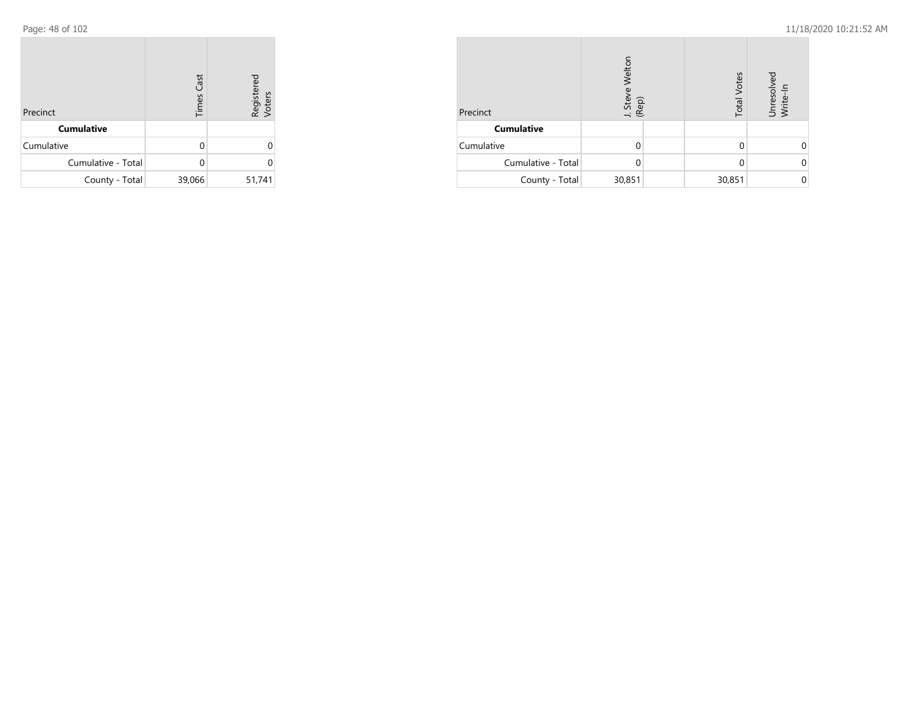| Precinct           | <b>Times Cast</b> | Registered<br>Voters |
|--------------------|-------------------|----------------------|
| <b>Cumulative</b>  |                   |                      |
| Cumulative         | U                 | ი                    |
| Cumulative - Total |                   | U                    |
| County - Total     | 39,066            | 51,741               |

| Precinct           | Welton<br>J. Steve<br>(Rep) | <b>Total Votes</b> | Unresolved<br>Write-In |
|--------------------|-----------------------------|--------------------|------------------------|
| <b>Cumulative</b>  |                             |                    |                        |
| Cumulative         |                             |                    |                        |
| Cumulative - Total |                             |                    |                        |
| County - Total     | 30,851                      | 30,851             |                        |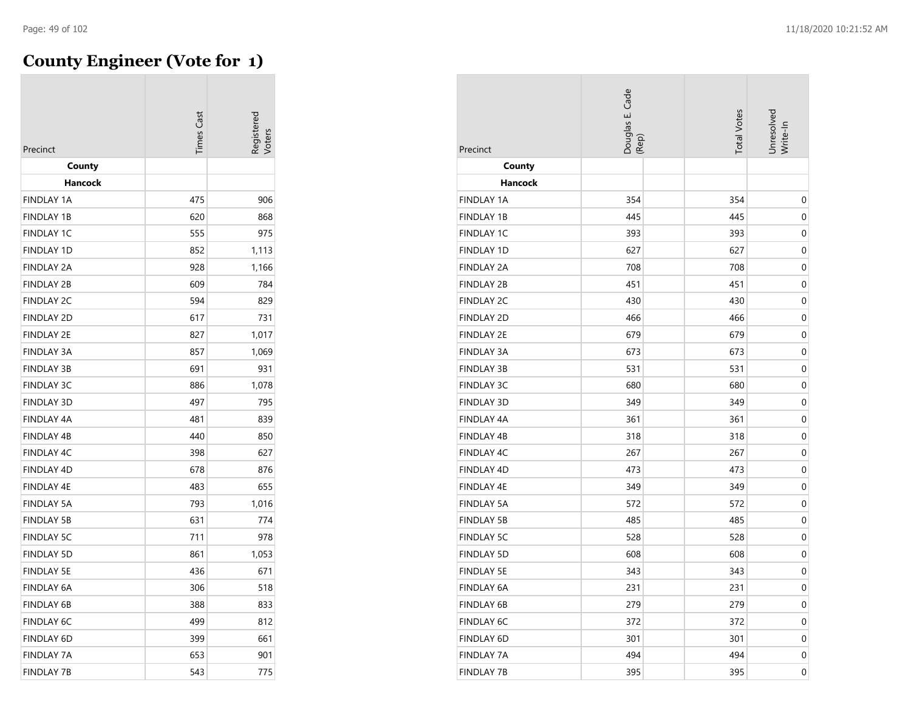$\overline{\phantom{a}}$ 

# **County Engineer (Vote for 1)**

|                   |                   | Registered |
|-------------------|-------------------|------------|
|                   | <b>Times Cast</b> | /oters     |
| Precinct          |                   |            |
| County            |                   |            |
| Hancock           |                   |            |
| <b>FINDLAY 1A</b> | 475               | 906        |
| <b>FINDLAY 1B</b> | 620               | 868        |
| <b>FINDLAY 1C</b> | 555               | 975        |
| <b>FINDLAY 1D</b> | 852               | 1,113      |
| <b>FINDLAY 2A</b> | 928               | 1,166      |
| <b>FINDLAY 2B</b> | 609               | 784        |
| <b>FINDLAY 2C</b> | 594               | 829        |
| <b>FINDLAY 2D</b> | 617               | 731        |
| <b>FINDLAY 2E</b> | 827               | 1,017      |
| <b>FINDLAY 3A</b> | 857               | 1,069      |
| <b>FINDLAY 3B</b> | 691               | 931        |
| <b>FINDLAY 3C</b> | 886               | 1,078      |
| <b>FINDLAY 3D</b> | 497               | 795        |
| <b>FINDLAY 4A</b> | 481               | 839        |
| <b>FINDLAY 4B</b> | 440               | 850        |
| FINDLAY 4C        | 398               | 627        |
| FINDLAY 4D        | 678               | 876        |
| <b>FINDLAY 4E</b> | 483               | 655        |
| <b>FINDLAY 5A</b> | 793               | 1,016      |
| <b>FINDLAY 5B</b> | 631               | 774        |
| <b>FINDLAY 5C</b> | 711               | 978        |
| <b>FINDLAY 5D</b> | 861               | 1,053      |
| <b>FINDLAY 5E</b> | 436               | 671        |
| <b>FINDLAY 6A</b> | 306               | 518        |
| <b>FINDLAY 6B</b> | 388               | 833        |
| <b>FINDLAY 6C</b> | 499               | 812        |
| <b>FINDLAY 6D</b> | 399               | 661        |
| <b>FINDLAY 7A</b> | 653               | 901        |
| FINDLAY 7B        | 543               | 775        |

| Precinct          | Douglas E. Cade<br>(Rep) | <b>Total Votes</b> | Unresolved<br>Write-In |
|-------------------|--------------------------|--------------------|------------------------|
| County            |                          |                    |                        |
| Hancock           |                          |                    |                        |
| <b>FINDLAY 1A</b> | 354                      | 354                | $\pmb{0}$              |
| <b>FINDLAY 1B</b> | 445                      | 445                | $\mathbf 0$            |
| <b>FINDLAY 1C</b> | 393                      | 393                | $\boldsymbol{0}$       |
| <b>FINDLAY 1D</b> | 627                      | 627                | 0                      |
| <b>FINDLAY 2A</b> | 708                      | 708                | 0                      |
| <b>FINDLAY 2B</b> | 451                      | 451                | 0                      |
| <b>FINDLAY 2C</b> | 430                      | 430                | $\mathbf 0$            |
| <b>FINDLAY 2D</b> | 466                      | 466                | $\mathbf 0$            |
| <b>FINDLAY 2E</b> | 679                      | 679                | $\mathbf 0$            |
| <b>FINDLAY 3A</b> | 673                      | 673                | $\mathbf 0$            |
| <b>FINDLAY 3B</b> | 531                      | 531                | $\mathbf 0$            |
| <b>FINDLAY 3C</b> | 680                      | 680                | $\boldsymbol{0}$       |
| <b>FINDLAY 3D</b> | 349                      | 349                | 0                      |
| <b>FINDLAY 4A</b> | 361                      | 361                | 0                      |
| <b>FINDLAY 4B</b> | 318                      | 318                | 0                      |
| FINDLAY 4C        | 267                      | 267                | $\mathbf 0$            |
| <b>FINDLAY 4D</b> | 473                      | 473                | $\mathbf 0$            |
| <b>FINDLAY 4E</b> | 349                      | 349                | 0                      |
| <b>FINDLAY 5A</b> | 572                      | 572                | $\mathbf 0$            |
| <b>FINDLAY 5B</b> | 485                      | 485                | $\mathbf 0$            |
| <b>FINDLAY 5C</b> | 528                      | 528                | 0                      |
| <b>FINDLAY 5D</b> | 608                      | 608                | 0                      |
| <b>FINDLAY 5E</b> | 343                      | 343                | 0                      |
| FINDLAY 6A        | 231                      | 231                | 0                      |
| <b>FINDLAY 6B</b> | 279                      | 279                | $\boldsymbol{0}$       |
| <b>FINDLAY 6C</b> | 372                      | 372                | 0                      |
| <b>FINDLAY 6D</b> | 301                      | 301                | 0                      |
| FINDLAY 7A        | 494                      | 494                | 0                      |
| <b>FINDLAY 7B</b> | 395                      | 395                | $\boldsymbol{0}$       |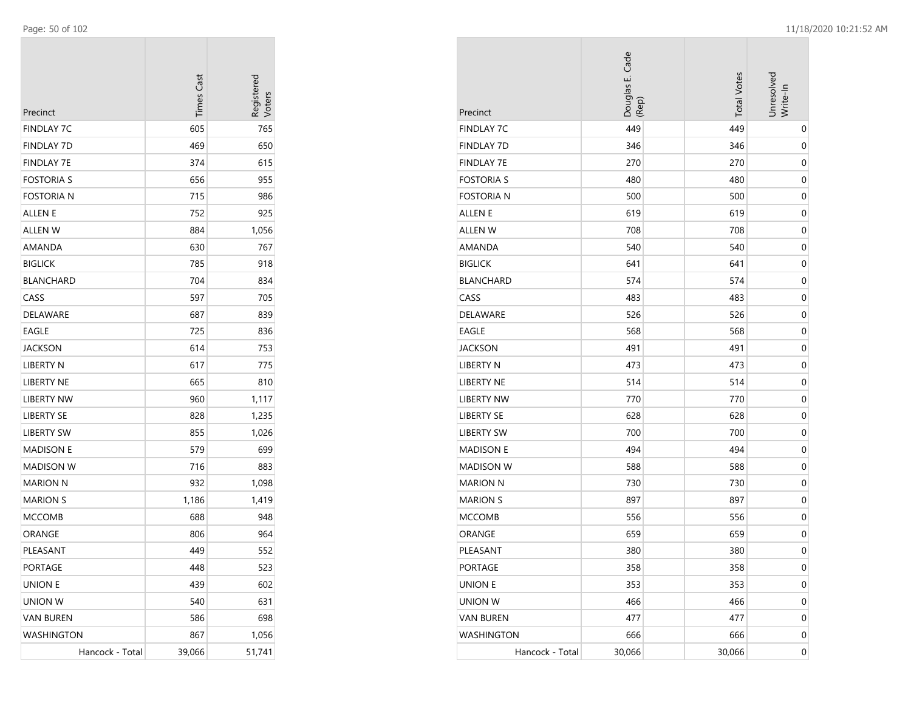| Precinct          | <b>Times Cast</b> | Registerec<br>/oters |
|-------------------|-------------------|----------------------|
| FINDLAY 7C        | 605               | 765                  |
| <b>FINDLAY 7D</b> | 469               | 650                  |
| <b>FINDLAY 7E</b> | 374               | 615                  |
| <b>FOSTORIA S</b> | 656               | 955                  |
| <b>FOSTORIA N</b> | 715               | 986                  |
| ALLEN E           | 752               | 925                  |
| <b>ALLEN W</b>    | 884               | 1,056                |
| AMANDA            | 630               | 767                  |
| <b>BIGLICK</b>    | 785               | 918                  |
| <b>BLANCHARD</b>  | 704               | 834                  |
| CASS              | 597               | 705                  |
| DELAWARE          | 687               | 839                  |
| EAGLE             | 725               | 836                  |
| <b>JACKSON</b>    | 614               | 753                  |
| LIBERTY N         | 617               | 775                  |
| <b>LIBERTY NE</b> | 665               | 810                  |
| <b>LIBERTY NW</b> | 960               | 1,117                |
| <b>LIBERTY SE</b> | 828               | 1,235                |
| LIBERTY SW        | 855               | 1,026                |
| <b>MADISON E</b>  | 579               | 699                  |
| MADISON W         | 716               | 883                  |
| <b>MARION N</b>   | 932               | 1,098                |
| <b>MARION S</b>   | 1,186             | 1,419                |
| <b>MCCOMB</b>     | 688               | 948                  |
| ORANGE            | 806               | 964                  |
| PLEASANT          | 449               | 552                  |
| PORTAGE           | 448               | 523                  |
| <b>UNION E</b>    | 439               | 602                  |
| <b>UNION W</b>    | 540               | 631                  |
| <b>VAN BUREN</b>  | 586               | 698                  |
| <b>WASHINGTON</b> | 867               | 1,056                |
| Hancock - Total   | 39,066            | 51,741               |

| Precinct          | Douglas E. Cade<br>(Rep) | <b>Total Votes</b> | Unresolved<br>Write-In |
|-------------------|--------------------------|--------------------|------------------------|
| <b>FINDLAY 7C</b> | 449                      | 449                | 0                      |
| <b>FINDLAY 7D</b> | 346                      | 346                | 0                      |
| <b>FINDLAY 7E</b> | 270                      | 270                | $\mathbf 0$            |
| <b>FOSTORIA S</b> | 480                      | 480                | 0                      |
| <b>FOSTORIA N</b> | 500                      | 500                | $\mathbf 0$            |
| ALLEN E           | 619                      | 619                | 0                      |
| <b>ALLEN W</b>    | 708                      | 708                | 0                      |
| AMANDA            | 540                      | 540                | 0                      |
| <b>BIGLICK</b>    | 641                      | 641                | 0                      |
| <b>BLANCHARD</b>  | 574                      | 574                | $\mathbf 0$            |
| CASS              | 483                      | 483                | 0                      |
| DELAWARE          | 526                      | 526                | $\mathbf 0$            |
| EAGLE             | 568                      | 568                | $\mathbf 0$            |
| <b>JACKSON</b>    | 491                      | 491                | $\mathbf 0$            |
| LIBERTY N         | 473                      | 473                | 0                      |
| LIBERTY NE        | 514                      | 514                | 0                      |
| <b>LIBERTY NW</b> | 770                      | 770                | 0                      |
| <b>LIBERTY SE</b> | 628                      | 628                | 0                      |
| <b>LIBERTY SW</b> | 700                      | 700                | $\mathbf 0$            |
| <b>MADISON E</b>  | 494                      | 494                | $\mathbf 0$            |
| <b>MADISON W</b>  | 588                      | 588                | $\mathbf 0$            |
| <b>MARION N</b>   | 730                      | 730                | $\mathbf 0$            |
| <b>MARION S</b>   | 897                      | 897                | $\mathbf 0$            |
| <b>MCCOMB</b>     | 556                      | 556                | 0                      |
| ORANGE            | 659                      | 659                | 0                      |
| PLEASANT          | 380                      | 380                | $\mathbf 0$            |
| PORTAGE           | 358                      | 358                | $\boldsymbol{0}$       |
| <b>UNION E</b>    | 353                      | 353                | $\boldsymbol{0}$       |
| <b>UNION W</b>    | 466                      | 466                | 0                      |
| <b>VAN BUREN</b>  | 477                      | 477                | $\boldsymbol{0}$       |
| <b>WASHINGTON</b> | 666                      | 666                | $\mathbf 0$            |
| Hancock - Total   | 30,066                   | 30,066             | $\mathbf 0$            |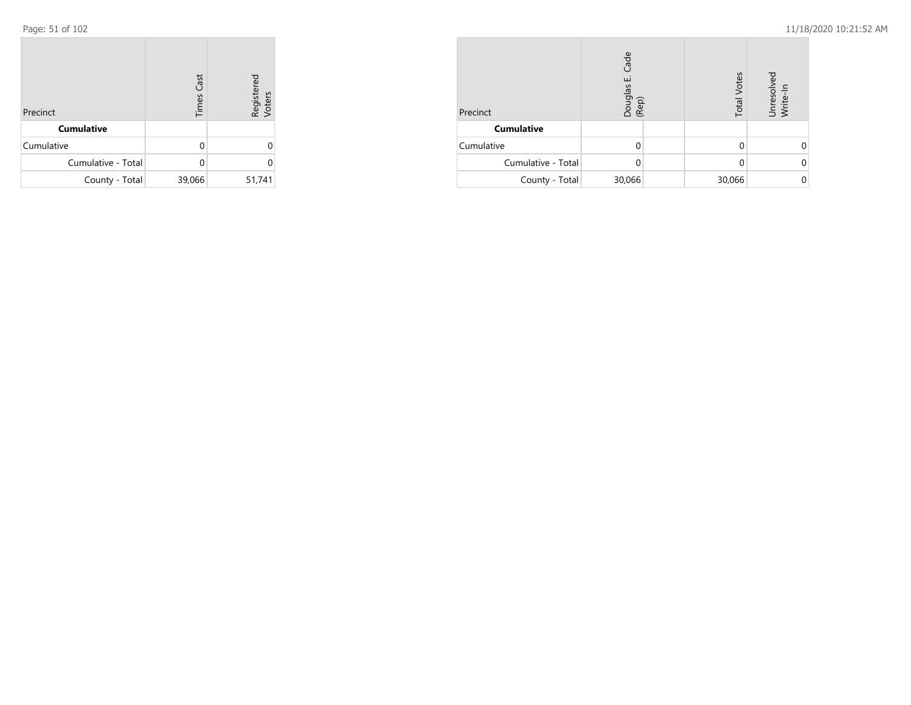| Precinct           | <b>Times Cast</b> | Registered<br>Voters |
|--------------------|-------------------|----------------------|
| <b>Cumulative</b>  |                   |                      |
| Cumulative         | U                 | 0                    |
| Cumulative - Total |                   | Ω                    |
| County - Total     | 39,066            | 51,741               |

| Precinct           | Cade<br>نى<br>Douglas<br>(Rep) | <b>Total Votes</b> | Unresolved<br>Write-In |
|--------------------|--------------------------------|--------------------|------------------------|
| <b>Cumulative</b>  |                                |                    |                        |
| Cumulative         |                                |                    |                        |
| Cumulative - Total |                                | 0                  |                        |
| County - Total     | 30,066                         | 30,066             |                        |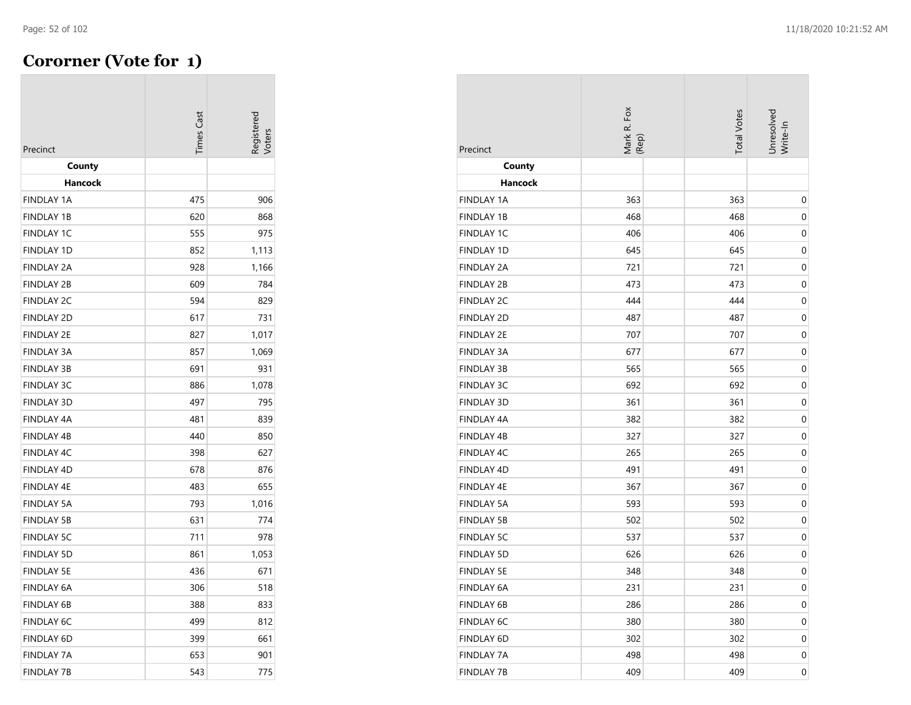÷

## **Cororner (Vote for 1)**

| Precinct          | <b>Times Cast</b> | egistered<br>/oters |
|-------------------|-------------------|---------------------|
| County            |                   |                     |
| Hancock           |                   |                     |
| <b>FINDLAY 1A</b> | 475               | 906                 |
| <b>FINDLAY 1B</b> | 620               | 868                 |
| <b>FINDLAY 1C</b> | 555               | 975                 |
| <b>FINDLAY 1D</b> | 852               | 1,113               |
| <b>FINDLAY 2A</b> | 928               | 1,166               |
| <b>FINDLAY 2B</b> | 609               | 784                 |
| <b>FINDLAY 2C</b> | 594               | 829                 |
| <b>FINDLAY 2D</b> | 617               | 731                 |
| <b>FINDLAY 2E</b> | 827               | 1,017               |
| <b>FINDLAY 3A</b> | 857               | 1,069               |
| <b>FINDLAY 3B</b> | 691               | 931                 |
| <b>FINDLAY 3C</b> | 886               | 1,078               |
| <b>FINDLAY 3D</b> | 497               | 795                 |
| <b>FINDLAY 4A</b> | 481               | 839                 |
| <b>FINDLAY 4B</b> | 440               | 850                 |
| <b>FINDLAY 4C</b> | 398               | 627                 |
| <b>FINDLAY 4D</b> | 678               | 876                 |
| <b>FINDLAY 4E</b> | 483               | 655                 |
| <b>FINDLAY 5A</b> | 793               | 1,016               |
| <b>FINDLAY 5B</b> | 631               | 774                 |
| <b>FINDLAY 5C</b> | 711               | 978                 |
| <b>FINDLAY 5D</b> | 861               | 1,053               |
| <b>FINDLAY 5E</b> | 436               | 671                 |
| <b>FINDLAY 6A</b> | 306               | 518                 |
| <b>FINDLAY 6B</b> | 388               | 833                 |
| <b>FINDLAY 6C</b> | 499               | 812                 |
| <b>FINDLAY 6D</b> | 399               | 661                 |
| <b>FINDLAY 7A</b> | 653               | 901                 |
| FINDLAY 7B        | 543               | 775                 |

| Precinct          | Mark R. Fox<br>(Rep) | <b>Total Votes</b> | Unresolved<br>Write-In |
|-------------------|----------------------|--------------------|------------------------|
| County            |                      |                    |                        |
| <b>Hancock</b>    |                      |                    |                        |
| <b>FINDLAY 1A</b> | 363                  | 363                | 0                      |
| <b>FINDLAY 1B</b> | 468                  | 468                | 0                      |
| FINDLAY 1C        | 406                  | 406                | 0                      |
| FINDLAY 1D        | 645                  | 645                | $\mathbf 0$            |
| <b>FINDLAY 2A</b> | 721                  | 721                | 0                      |
| <b>FINDLAY 2B</b> | 473                  | 473                | 0                      |
| <b>FINDLAY 2C</b> | 444                  | 444                | 0                      |
| <b>FINDLAY 2D</b> | 487                  | 487                | $\mathbf 0$            |
| <b>FINDLAY 2E</b> | 707                  | 707                | 0                      |
| <b>FINDLAY 3A</b> | 677                  | 677                | 0                      |
| <b>FINDLAY 3B</b> | 565                  | 565                | 0                      |
| <b>FINDLAY 3C</b> | 692                  | 692                | 0                      |
| FINDLAY 3D        | 361                  | 361                | 0                      |
| <b>FINDLAY 4A</b> | 382                  | 382                | 0                      |
| <b>FINDLAY 4B</b> | 327                  | 327                | 0                      |
| FINDLAY 4C        | 265                  | 265                | 0                      |
| FINDLAY 4D        | 491                  | 491                | $\mathbf 0$            |
| <b>FINDLAY 4E</b> | 367                  | 367                | 0                      |
| <b>FINDLAY 5A</b> | 593                  | 593                | 0                      |
| <b>FINDLAY 5B</b> | 502                  | 502                | 0                      |
| <b>FINDLAY 5C</b> | 537                  | 537                | 0                      |
| <b>FINDLAY 5D</b> | 626                  | 626                | 0                      |
| <b>FINDLAY 5E</b> | 348                  | 348                | $\mathbf 0$            |
| FINDLAY 6A        | 231                  | 231                | 0                      |
| FINDLAY 6B        | 286                  | 286                | $\pmb{0}$              |
| FINDLAY 6C        | 380                  | 380                | 0                      |
| FINDLAY 6D        | 302                  | 302                | 0                      |
| <b>FINDLAY 7A</b> | 498                  | 498                | $\boldsymbol{0}$       |
| <b>FINDLAY 7B</b> | 409                  | 409                | $\mathbf 0$            |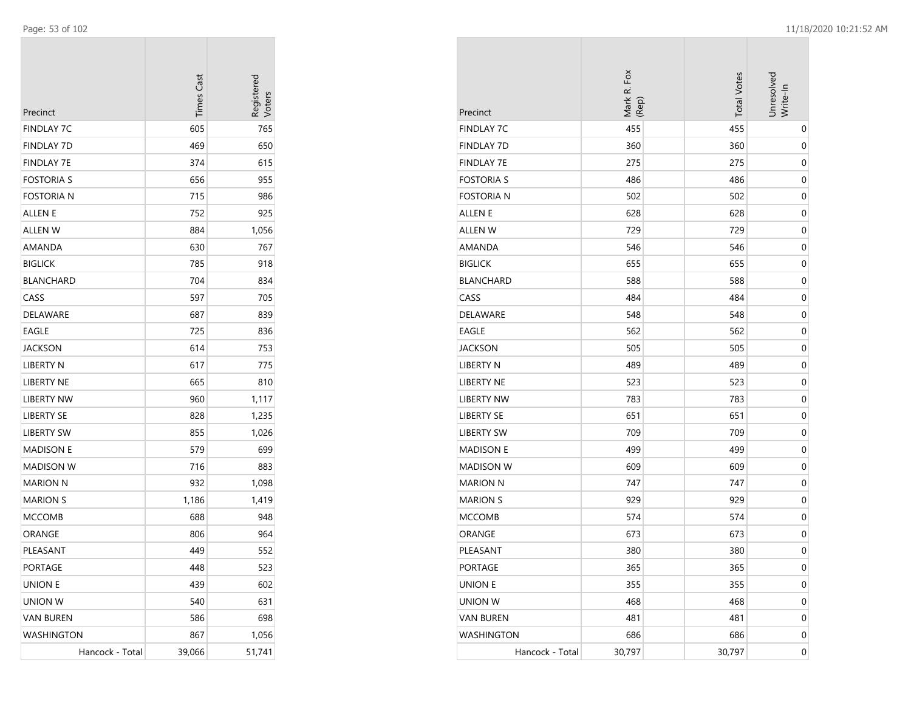| Precinct          | <b>Times Cast</b> | Registerec<br>/oters |
|-------------------|-------------------|----------------------|
| FINDLAY 7C        | 605               | 765                  |
| FINDLAY 7D        | 469               | 650                  |
| FINDLAY 7E        | 374               | 615                  |
| <b>FOSTORIA S</b> | 656               | 955                  |
| Fostoria n        | 715               | 986                  |
| ALLEN E           | 752               | 925                  |
| <b>ALLEN W</b>    | 884               | 1,056                |
| AMANDA            | 630               | 767                  |
| <b>BIGLICK</b>    | 785               | 918                  |
| <b>BLANCHARD</b>  | 704               | 834                  |
| CASS              | 597               | 705                  |
| DELAWARE          | 687               | 839                  |
| EAGLE             | 725               | 836                  |
| <b>JACKSON</b>    | 614               | 753                  |
| LIBERTY N         | 617               | 775                  |
| <b>LIBERTY NE</b> | 665               | 810                  |
| <b>LIBERTY NW</b> | 960               | 1,117                |
| <b>LIBERTY SE</b> | 828               | 1,235                |
| LIBERTY SW        | 855               | 1,026                |
| <b>MADISON E</b>  | 579               | 699                  |
| MADISON W         | 716               | 883                  |
| <b>MARION N</b>   | 932               | 1,098                |
| <b>MARION S</b>   | 1,186             | 1,419                |
| <b>MCCOMB</b>     | 688               | 948                  |
| ORANGE            | 806               | 964                  |
| PLEASANT          | 449               | 552                  |
| PORTAGE           | 448               | 523                  |
| <b>UNION E</b>    | 439               | 602                  |
| UNION W           | 540               | 631                  |
| <b>VAN BUREN</b>  | 586               | 698                  |
| WASHINGTON        | 867               | 1,056                |
| Hancock - Total   | 39,066            | 51,741               |

| Precinct          | Mark R. Fox<br>(Rep) | <b>Total Votes</b> | Unresolved<br>Write-In |
|-------------------|----------------------|--------------------|------------------------|
| <b>FINDLAY 7C</b> | 455                  | 455                | 0                      |
| <b>FINDLAY 7D</b> | 360                  | 360                | 0                      |
| <b>FINDLAY 7E</b> | 275                  | 275                | 0                      |
| <b>FOSTORIA S</b> | 486                  | 486                | 0                      |
| <b>FOSTORIA N</b> | 502                  | 502                | 0                      |
| ALLEN E           | 628                  | 628                | 0                      |
| <b>ALLEN W</b>    | 729                  | 729                | 0                      |
| AMANDA            | 546                  | 546                | 0                      |
| <b>BIGLICK</b>    | 655                  | 655                | 0                      |
| <b>BLANCHARD</b>  | 588                  | 588                | 0                      |
| CASS              | 484                  | 484                | 0                      |
| <b>DELAWARE</b>   | 548                  | 548                | 0                      |
| EAGLE             | 562                  | 562                | 0                      |
| <b>JACKSON</b>    | 505                  | 505                | 0                      |
| LIBERTY N         | 489                  | 489                | 0                      |
| LIBERTY NE        | 523                  | 523                | 0                      |
| <b>LIBERTY NW</b> | 783                  | 783                | 0                      |
| <b>LIBERTY SE</b> | 651                  | 651                | 0                      |
| <b>LIBERTY SW</b> | 709                  | 709                | 0                      |
| <b>MADISON E</b>  | 499                  | 499                | 0                      |
| <b>MADISON W</b>  | 609                  | 609                | 0                      |
| <b>MARION N</b>   | 747                  | 747                | 0                      |
| <b>MARION S</b>   | 929                  | 929                | 0                      |
| <b>MCCOMB</b>     | 574                  | 574                | 0                      |
| ORANGE            | 673                  | 673                | 0                      |
| PLEASANT          | 380                  | 380                | 0                      |
| <b>PORTAGE</b>    | 365                  | 365                | 0                      |
| <b>UNION E</b>    | 355                  | 355                | 0                      |
| <b>UNION W</b>    | 468                  | 468                | 0                      |
| <b>VAN BUREN</b>  | 481                  | 481                | 0                      |
| <b>WASHINGTON</b> | 686                  | 686                | 0                      |
| Hancock - Total   | 30,797               | 30,797             | 0                      |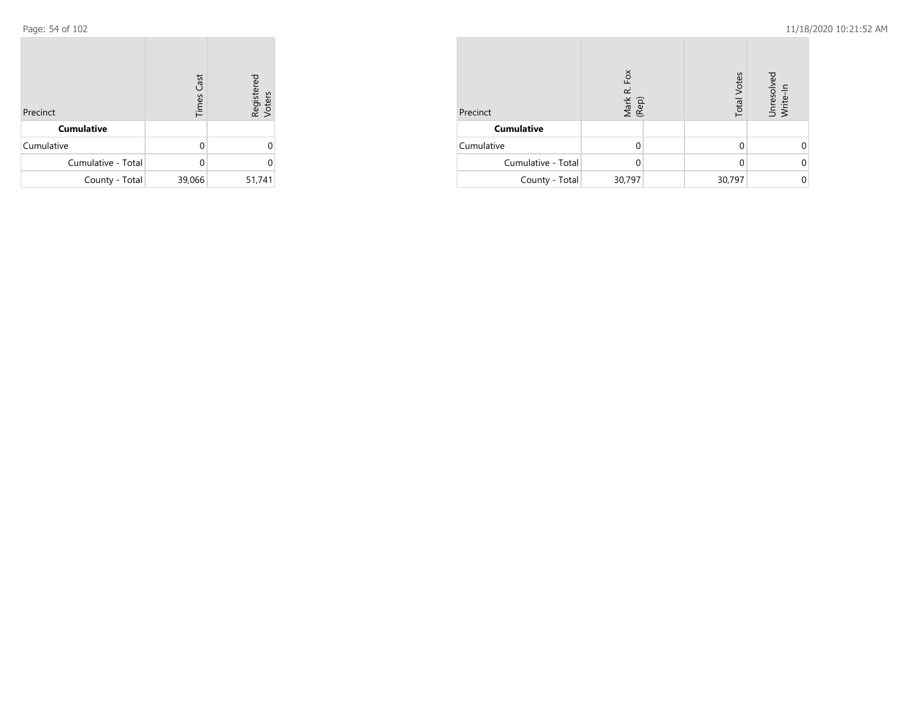| Precinct           | <b>Times Cast</b> | Registered<br>Voters |
|--------------------|-------------------|----------------------|
| <b>Cumulative</b>  |                   |                      |
| Cumulative         | U                 | ი                    |
| Cumulative - Total |                   | U                    |
| County - Total     | 39,066            | 51,741               |

| Precinct           | Fox<br>نم<br>Mark<br>(Rep) | <b>Total Votes</b> | Unresolved<br>Write-In |
|--------------------|----------------------------|--------------------|------------------------|
| <b>Cumulative</b>  |                            |                    |                        |
| Cumulative         |                            |                    |                        |
| Cumulative - Total |                            | 0                  |                        |
| County - Total     | 30,797                     | 30,797             |                        |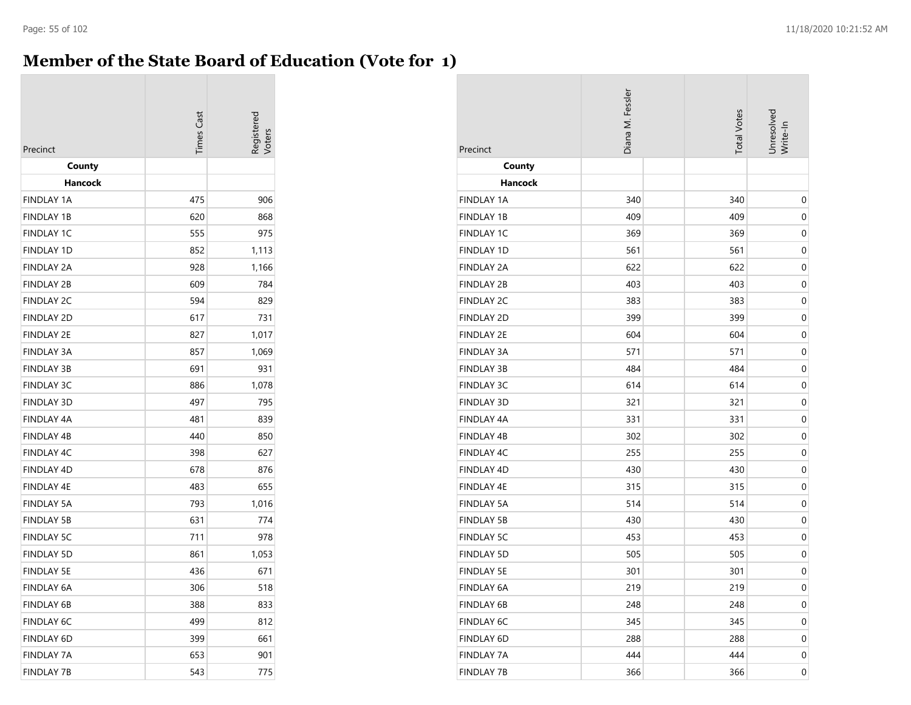## **Member of the State Board of Education (Vote for 1)**

| Precinct          | <b>Times Cas</b> | egistereo |
|-------------------|------------------|-----------|
| County            |                  |           |
| Hancock           |                  |           |
| <b>FINDLAY 1A</b> | 475              | 906       |
| <b>FINDLAY 1B</b> | 620              | 868       |
| <b>FINDLAY 1C</b> | 555              | 975       |
| <b>FINDLAY 1D</b> | 852              | 1,113     |
| <b>FINDLAY 2A</b> | 928              | 1,166     |
| <b>FINDLAY 2B</b> | 609              | 784       |
| <b>FINDLAY 2C</b> | 594              | 829       |
| <b>FINDLAY 2D</b> | 617              | 731       |
| <b>FINDLAY 2E</b> | 827              | 1,017     |
| <b>FINDLAY 3A</b> | 857              | 1,069     |
| <b>FINDLAY 3B</b> | 691              | 931       |
| <b>FINDLAY 3C</b> | 886              | 1,078     |
| <b>FINDLAY 3D</b> | 497              | 795       |
| FINDLAY 4A        | 481              | 839       |
| <b>FINDLAY 4B</b> | 440              | 850       |
| <b>FINDLAY 4C</b> | 398              | 627       |
| <b>FINDLAY 4D</b> | 678              | 876       |
| <b>FINDLAY 4E</b> | 483              | 655       |
| FINDLAY 5A        | 793              | 1,016     |
| <b>FINDLAY 5B</b> | 631              | 774       |
| <b>FINDLAY 5C</b> | 711              | 978       |
| <b>FINDLAY 5D</b> | 861              | 1,053     |
| <b>FINDLAY 5E</b> | 436              | 671       |
| <b>FINDLAY 6A</b> | 306              | 518       |
| <b>FINDLAY 6B</b> | 388              | 833       |
| <b>FINDLAY 6C</b> | 499              | 812       |
| <b>FINDLAY 6D</b> | 399              | 661       |
| <b>FINDLAY 7A</b> | 653              | 901       |
| <b>FINDLAY 7B</b> | 543              | 775       |

| Precinct          | Diana M. Fessler |  |     | Unresolved<br>Write-In |
|-------------------|------------------|--|-----|------------------------|
| County            |                  |  |     |                        |
| <b>Hancock</b>    |                  |  |     |                        |
| <b>FINDLAY 1A</b> | 340              |  | 340 | $\boldsymbol{0}$       |
| <b>FINDLAY 1B</b> | 409              |  | 409 | $\boldsymbol{0}$       |
| <b>FINDLAY 1C</b> | 369              |  | 369 | 0                      |
| FINDLAY 1D        | 561              |  | 561 | $\boldsymbol{0}$       |
| <b>FINDLAY 2A</b> | 622              |  | 622 | 0                      |
| <b>FINDLAY 2B</b> | 403              |  | 403 | 0                      |
| <b>FINDLAY 2C</b> | 383              |  | 383 | 0                      |
| <b>FINDLAY 2D</b> | 399              |  | 399 | 0                      |
| FINDLAY 2E        | 604              |  | 604 | $\mathbf 0$            |
| <b>FINDLAY 3A</b> | 571              |  | 571 | $\mathbf 0$            |
| <b>FINDLAY 3B</b> | 484              |  | 484 | $\boldsymbol{0}$       |
| <b>FINDLAY 3C</b> | 614              |  | 614 | 0                      |
| FINDLAY 3D        | 321              |  | 321 | $\boldsymbol{0}$       |
| <b>FINDLAY 4A</b> | 331              |  | 331 | 0                      |
| FINDLAY 4B        | 302              |  | 302 | 0                      |
| <b>FINDLAY 4C</b> | 255              |  | 255 | 0                      |
| FINDLAY 4D        | 430              |  | 430 | $\mathbf 0$            |
| FINDLAY 4E        | 315              |  | 315 | $\mathbf 0$            |
| <b>FINDLAY 5A</b> | 514              |  | 514 | 0                      |
| <b>FINDLAY 5B</b> | 430              |  | 430 | $\boldsymbol{0}$       |
| <b>FINDLAY 5C</b> | 453              |  | 453 | 0                      |
| <b>FINDLAY 5D</b> | 505              |  | 505 | $\boldsymbol{0}$       |
| <b>FINDLAY 5E</b> | 301              |  | 301 | $\mathbf 0$            |
| FINDLAY 6A        | 219              |  | 219 | $\mathbf 0$            |
| FINDLAY 6B        | 248              |  | 248 | 0                      |
| FINDLAY 6C        | 345              |  | 345 | 0                      |
| FINDLAY 6D        | 288              |  | 288 | 0                      |
| <b>FINDLAY 7A</b> | 444              |  | 444 | 0                      |
| <b>FINDLAY 7B</b> | 366              |  | 366 | 0                      |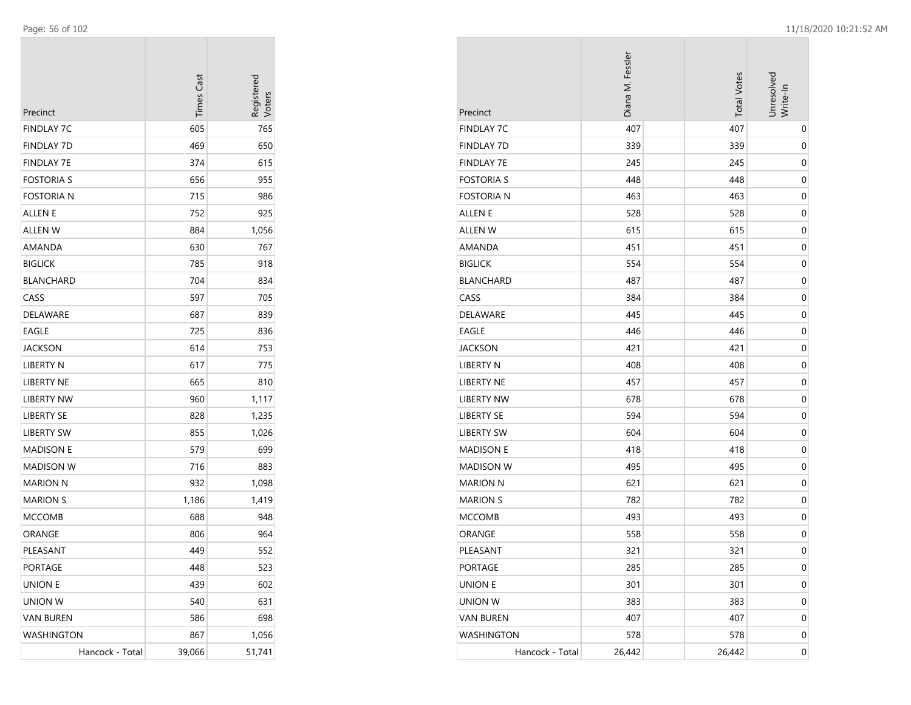| Precinct          | <b>Times Cast</b> | Registerec<br>Voters |
|-------------------|-------------------|----------------------|
| FINDLAY 7C        | 605               | 765                  |
| FINDLAY 7D        | 469               | 650                  |
| <b>FINDLAY 7E</b> | 374               | 615                  |
| FOSTORIA S        | 656               | 955                  |
| Fostoria n        | 715               | 986                  |
| ALLEN E           | 752               | 925                  |
| ALLEN W           | 884               | 1,056                |
| AMANDA            | 630               | 767                  |
| <b>BIGLICK</b>    | 785               | 918                  |
| BLANCHARD         | 704               | 834                  |
| CASS              | 597               | 705                  |
| DELAWARE          | 687               | 839                  |
| EAGLE             | 725               | 836                  |
| JACKSON           | 614               | 753                  |
| LIBERTY N         | 617               | 775                  |
| LIBERTY NE        | 665               | 810                  |
| <b>LIBERTY NW</b> | 960               | 1,117                |
| LIBERTY SE        | 828               | 1,235                |
| LIBERTY SW        | 855               | 1,026                |
| <b>MADISON E</b>  | 579               | 699                  |
| MADISON W         | 716               | 883                  |
| MARION N          | 932               | 1,098                |
| <b>MARION S</b>   | 1,186             | 1,419                |
| MCCOMB            | 688               | 948                  |
| ORANGE            | 806               | 964                  |
| PLEASANT          | 449               | 552                  |
| PORTAGE           | 448               | 523                  |
| UNION E           | 439               | 602                  |
| UNION W           | 540               | 631                  |
| <b>VAN BUREN</b>  | 586               | 698                  |
| WASHINGTON        | 867               | 1,056                |
| Hancock - Total   | 39,066            | 51,741               |

| Precinct          | Diana M. Fessler | <b>Total Votes</b> | Unresolved<br>Write-In |
|-------------------|------------------|--------------------|------------------------|
| <b>FINDLAY 7C</b> | 407              | 407                | 0                      |
| <b>FINDLAY 7D</b> | 339              | 339                | 0                      |
| <b>FINDLAY 7E</b> | 245              | 245                | $\boldsymbol{0}$       |
| <b>FOSTORIA S</b> | 448              | 448                | 0                      |
| <b>FOSTORIA N</b> | 463              | 463                | 0                      |
| <b>ALLEN E</b>    | 528              | 528                | 0                      |
| <b>ALLEN W</b>    | 615              | 615                | 0                      |
| AMANDA            | 451              | 451                | $\boldsymbol{0}$       |
| <b>BIGLICK</b>    | 554              | 554                | 0                      |
| <b>BLANCHARD</b>  | 487              | 487                | 0                      |
| CASS              | 384              | 384                | 0                      |
| DELAWARE          | 445              | 445                | $\boldsymbol{0}$       |
| <b>EAGLE</b>      | 446              | 446                | 0                      |
| JACKSON           | 421              | 421                | 0                      |
| <b>LIBERTY N</b>  | 408              | 408                | 0                      |
| LIBERTY NE        | 457              | 457                | 0                      |
| <b>LIBERTY NW</b> | 678              | 678                | $\boldsymbol{0}$       |
| <b>LIBERTY SE</b> | 594              | 594                | 0                      |
| <b>LIBERTY SW</b> | 604              | 604                | $\boldsymbol{0}$       |
| <b>MADISON E</b>  | 418              | 418                | 0                      |
| <b>MADISON W</b>  | 495              | 495                | 0                      |
| <b>MARION N</b>   | 621              | 621                | 0                      |
| <b>MARION S</b>   | 782              | 782                | 0                      |
| <b>MCCOMB</b>     | 493              | 493                | 0                      |
| ORANGE            | 558              | 558                | 0                      |
| PLEASANT          | 321              | 321                | 0                      |
| PORTAGE           | 285              | 285                | $\boldsymbol{0}$       |
| <b>UNION E</b>    | 301              | 301                | $\boldsymbol{0}$       |
| <b>UNION W</b>    | 383              | 383                | 0                      |
| <b>VAN BUREN</b>  | 407              | 407                | 0                      |
| WASHINGTON        | 578              | 578                | 0                      |
| Hancock - Total   | 26,442           | 26,442             | 0                      |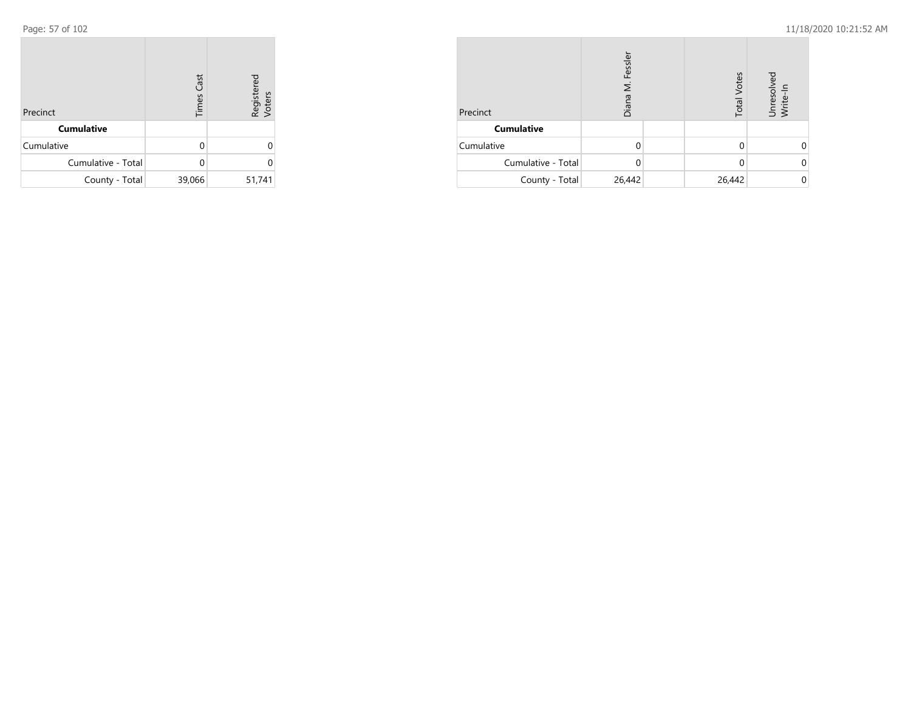| Precinct           | <b>Times Cast</b> | Registered<br>Voters |
|--------------------|-------------------|----------------------|
| <b>Cumulative</b>  |                   |                      |
| Cumulative         | U                 | Ω                    |
| Cumulative - Total |                   | U                    |
| County - Total     | 39,066            | 51,741               |

| Precinct           | Fessler<br>Σ<br>Diana |  | <b>Total Votes</b> | Unresolved<br>Write-In |
|--------------------|-----------------------|--|--------------------|------------------------|
| <b>Cumulative</b>  |                       |  |                    |                        |
| Cumulative         |                       |  |                    |                        |
| Cumulative - Total |                       |  | 0                  |                        |
| County - Total     | 26,442                |  | 26,442             |                        |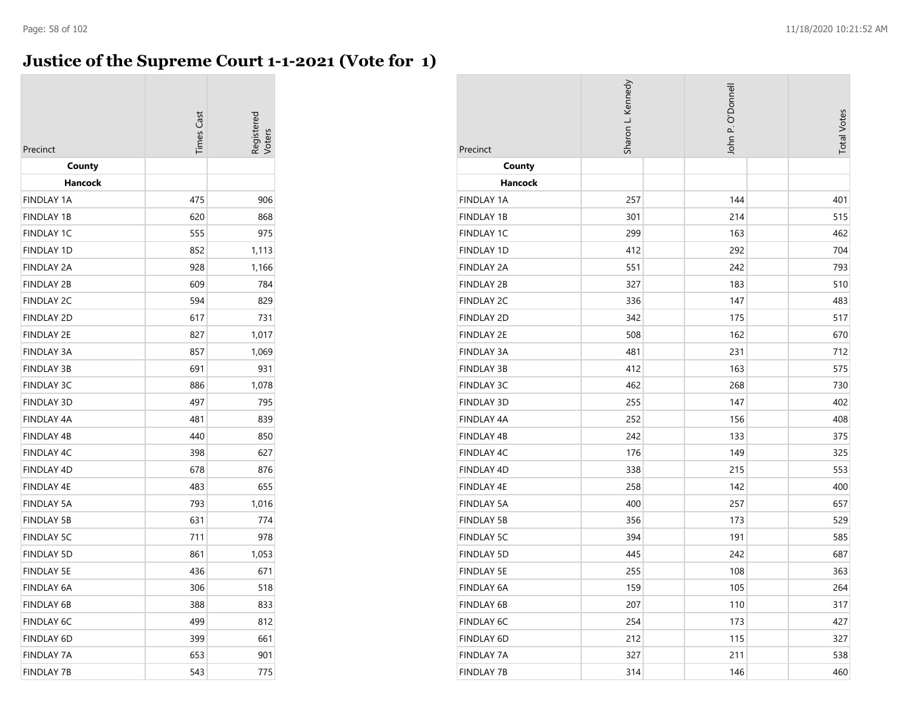## **Justice of the Supreme Court 1-1-2021 (Vote for 1)**

| Precinct          | <b>Times Cast</b> | egistered<br>/oter |
|-------------------|-------------------|--------------------|
| County            |                   |                    |
| Hancock           |                   |                    |
| <b>FINDLAY 1A</b> | 475               | 906                |
| <b>FINDLAY 1B</b> | 620               | 868                |
| <b>FINDLAY 1C</b> | 555               | 975                |
| <b>FINDLAY 1D</b> | 852               | 1,113              |
| <b>FINDLAY 2A</b> | 928               | 1,166              |
| <b>FINDLAY 2B</b> | 609               | 784                |
| <b>FINDLAY 2C</b> | 594               | 829                |
| <b>FINDLAY 2D</b> | 617               | 731                |
| <b>FINDLAY 2E</b> | 827               | 1,017              |
| <b>FINDLAY 3A</b> | 857               | 1,069              |
| <b>FINDLAY 3B</b> | 691               | 931                |
| <b>FINDLAY 3C</b> | 886               | 1,078              |
| <b>FINDLAY 3D</b> | 497               | 795                |
| <b>FINDLAY 4A</b> | 481               | 839                |
| <b>FINDLAY 4B</b> | 440               | 850                |
| <b>FINDLAY 4C</b> | 398               | 627                |
| <b>FINDLAY 4D</b> | 678               | 876                |
| <b>FINDLAY 4E</b> | 483               | 655                |
| <b>FINDLAY 5A</b> | 793               | 1,016              |
| <b>FINDLAY 5B</b> | 631               | 774                |
| <b>FINDLAY 5C</b> | 711               | 978                |
| <b>FINDLAY 5D</b> | 861               | 1,053              |
| <b>FINDLAY 5E</b> | 436               | 671                |
| FINDLAY 6A        | 306               | 518                |
| <b>FINDLAY 6B</b> | 388               | 833                |
| <b>FINDLAY 6C</b> | 499               | 812                |
| <b>FINDLAY 6D</b> | 399               | 661                |
| <b>FINDLAY 7A</b> | 653               | 901                |
| <b>FINDLAY 7B</b> | 543               | 775                |

| Precinct          | Sharon L. Kennedy | John P. O'Donnell | <b>Total Votes</b> |
|-------------------|-------------------|-------------------|--------------------|
| County            |                   |                   |                    |
| <b>Hancock</b>    |                   |                   |                    |
| <b>FINDLAY 1A</b> | 257               | 144               | 401                |
| <b>FINDLAY 1B</b> | 301               | 214               | 515                |
| <b>FINDLAY 1C</b> | 299               | 163               | 462                |
| <b>FINDLAY 1D</b> | 412               | 292               | 704                |
| <b>FINDLAY 2A</b> | 551               | 242               | 793                |
| <b>FINDLAY 2B</b> | 327               | 183               | 510                |
| <b>FINDLAY 2C</b> | 336               | 147               | 483                |
| <b>FINDLAY 2D</b> | 342               | 175               | 517                |
| <b>FINDLAY 2E</b> | 508               | 162               | 670                |
| <b>FINDLAY 3A</b> | 481               | 231               | 712                |
| <b>FINDLAY 3B</b> | 412               | 163               | 575                |
| <b>FINDLAY 3C</b> | 462               | 268               | 730                |
| <b>FINDLAY 3D</b> | 255               | 147               | 402                |
| <b>FINDLAY 4A</b> | 252               | 156               | 408                |
| FINDLAY 4B        | 242               | 133               | 375                |
| <b>FINDLAY 4C</b> | 176               | 149               | 325                |
| <b>FINDLAY 4D</b> | 338               | 215               | 553                |
| FINDLAY 4E        | 258               | 142               | 400                |
| <b>FINDLAY 5A</b> | 400               | 257               | 657                |
| <b>FINDLAY 5B</b> | 356               | 173               | 529                |
| <b>FINDLAY 5C</b> | 394               | 191               | 585                |
| <b>FINDLAY 5D</b> | 445               | 242               | 687                |
| <b>FINDLAY 5E</b> | 255               | 108               | 363                |
| FINDLAY 6A        | 159               | 105               | 264                |
| FINDLAY 6B        | 207               | 110               | 317                |
| FINDLAY 6C        | 254               | 173               | 427                |
| FINDLAY 6D        | 212               | 115               | 327                |
| <b>FINDLAY 7A</b> | 327               | 211               | 538                |
| <b>FINDLAY 7B</b> | 314               | 146               | 460                |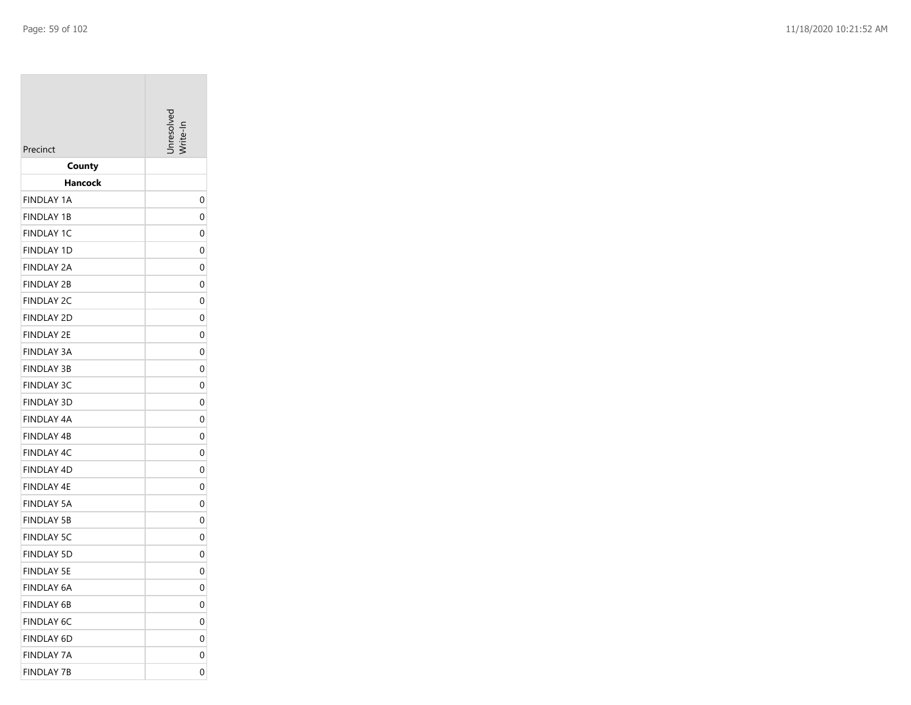| Precinct                               | Inresolver |
|----------------------------------------|------------|
| County                                 |            |
| Hancock                                |            |
| <b>FINDLAY 1A</b>                      | 0          |
| <b>FINDLAY 1B</b>                      | 0          |
| <b>FINDLAY 1C</b>                      | 0          |
| <b>FINDLAY 1D</b>                      | 0          |
| FINDLAY 2A                             | 0          |
| <b>FINDLAY 2B</b>                      | 0          |
| <b>FINDLAY 2C</b>                      | 0          |
| <b>FINDLAY 2D</b>                      | 0          |
| <b>FINDLAY 2E</b>                      | 0          |
| <b>FINDLAY 3A</b>                      | 0          |
| <b>FINDLAY 3B</b>                      | 0          |
| <b>FINDLAY 3C</b>                      | 0          |
| <b>FINDLAY 3D</b>                      | 0          |
| FINDLAY 4A                             | 0          |
| <b>FINDLAY 4B</b><br><b>FINDLAY 4C</b> | 0<br>0     |
| <b>FINDLAY 4D</b>                      | 0          |
| FINDLAY 4E                             | 0          |
| <b>FINDLAY 5A</b>                      | 0          |
| <b>FINDLAY 5B</b>                      | 0          |
| <b>FINDLAY 5C</b>                      | 0          |
| <b>FINDLAY 5D</b>                      | 0          |
| <b>FINDLAY 5E</b>                      | 0          |
| <b>FINDLAY 6A</b>                      | 0          |
| FINDLAY 6B                             | 0          |
| <b>FINDLAY 6C</b>                      | 0          |
| FINDLAY 6D                             | 0          |
| <b>FINDLAY 7A</b>                      | 0          |
| <b>FINDLAY 7B</b>                      | 0          |
|                                        |            |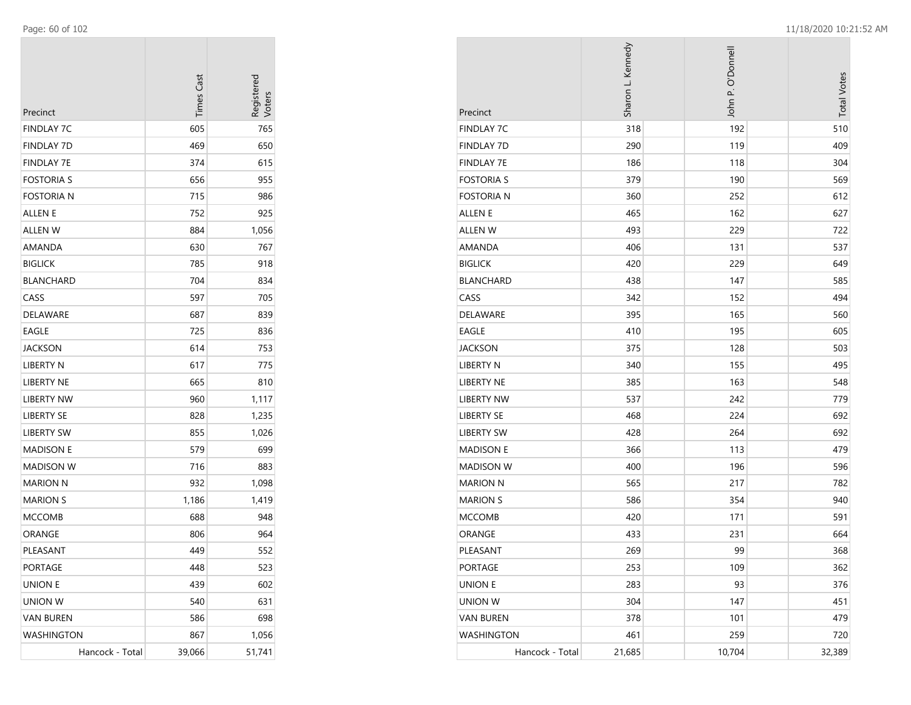| Precinct          | <b>Times Cast</b> | Registered<br>Voters |
|-------------------|-------------------|----------------------|
| <b>FINDLAY 7C</b> | 605               | 765                  |
| <b>FINDLAY 7D</b> | 469               | 650                  |
| <b>FINDLAY 7E</b> | 374               | 615                  |
| <b>FOSTORIA S</b> | 656               | 955                  |
| <b>FOSTORIA N</b> | 715               | 986                  |
| ALLEN E           | 752               | 925                  |
| ALLEN W           | 884               | 1,056                |
| AMANDA            | 630               | 767                  |
| <b>BIGLICK</b>    | 785               | 918                  |
| <b>BLANCHARD</b>  | 704               | 834                  |
| CASS              | 597               | 705                  |
| <b>DELAWARE</b>   | 687               | 839                  |
| <b>EAGLE</b>      | 725               | 836                  |
| <b>JACKSON</b>    | 614               | 753                  |
| <b>LIBERTY N</b>  | 617               | 775                  |
| <b>LIBERTY NE</b> | 665               | 810                  |
| LIBERTY NW        | 960               | 1,117                |
| LIBERTY SE        | 828               | 1,235                |
| LIBERTY SW        | 855               | 1,026                |
| <b>MADISON E</b>  | 579               | 699                  |
| <b>MADISON W</b>  | 716               | 883                  |
| <b>MARION N</b>   | 932               | 1,098                |
| <b>MARION S</b>   | 1,186             | 1,419                |
| <b>MCCOMB</b>     | 688               | 948                  |
| ORANGE            | 806               | 964                  |
| PLEASANT          | 449               | 552                  |
| <b>PORTAGE</b>    | 448               | 523                  |
| <b>UNION E</b>    | 439               | 602                  |
| <b>UNION W</b>    | 540               | 631                  |
| <b>VAN BUREN</b>  | 586               | 698                  |
| <b>WASHINGTON</b> | 867               | 1,056                |
| Hancock - Total   | 39,066            | 51,741               |

| Precinct          | Sharon L. Kennedy | John P. O'Donnell | <b>Total Votes</b> |
|-------------------|-------------------|-------------------|--------------------|
| <b>FINDLAY 7C</b> | 318               | 192               | 510                |
| <b>FINDLAY 7D</b> | 290               | 119               | 409                |
| <b>FINDLAY 7E</b> | 186               | 118               | 304                |
| <b>FOSTORIA S</b> | 379               | 190               | 569                |
| <b>FOSTORIA N</b> | 360               | 252               | 612                |
| <b>ALLEN E</b>    | 465               | 162               | 627                |
| ALLEN W           | 493               | 229               | 722                |
| AMANDA            | 406               | 131               | 537                |
| <b>BIGLICK</b>    | 420               | 229               | 649                |
| <b>BLANCHARD</b>  | 438               | 147               | 585                |
| CASS              | 342               | 152               | 494                |
| DELAWARE          | 395               | 165               | 560                |
| EAGLE             | 410               | 195               | 605                |
| JACKSON           | 375               | 128               | 503                |
| <b>LIBERTY N</b>  | 340               | 155               | 495                |
| LIBERTY NE        | 385               | 163               | 548                |
| <b>LIBERTY NW</b> | 537               | 242               | 779                |
| LIBERTY SE        | 468               | 224               | 692                |
| <b>LIBERTY SW</b> | 428               | 264               | 692                |
| <b>MADISON E</b>  | 366               | 113               | 479                |
| <b>MADISON W</b>  | 400               | 196               | 596                |
| <b>MARION N</b>   | 565               | 217               | 782                |
| <b>MARION S</b>   | 586               | 354               | 940                |
| <b>MCCOMB</b>     | 420               | 171               | 591                |
| ORANGE            | 433               | 231               | 664                |
| PLEASANT          | 269               | 99                | 368                |
| <b>PORTAGE</b>    | 253               | 109               | 362                |
| <b>UNION E</b>    | 283               | 93                | 376                |
| UNION W           | 304               | 147               | 451                |
| <b>VAN BUREN</b>  | 378               | 101               | 479                |
| <b>WASHINGTON</b> | 461               | 259               | 720                |
| Hancock - Total   | 21,685            | 10,704            | 32,389             |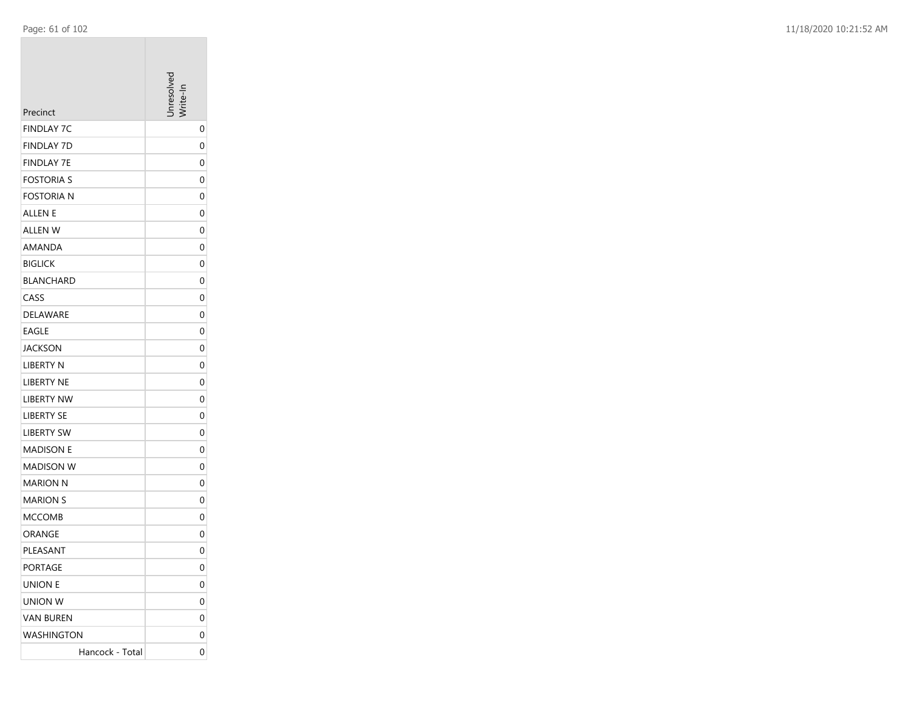|                               | nresolver    |
|-------------------------------|--------------|
| Precinct<br><b>FINDLAY 7C</b> |              |
| <b>FINDLAY 7D</b>             | 0            |
| <b>FINDLAY 7E</b>             | 0<br>0       |
| <b>FOSTORIA S</b>             | 0            |
| <b>FOSTORIA N</b>             | 0            |
| <b>ALLEN E</b>                | 0            |
| ALLEN W                       | 0            |
| AMANDA                        | 0            |
| <b>BIGLICK</b>                | 0            |
| <b>BLANCHARD</b>              | 0            |
| CASS                          | 0            |
| DELAWARE                      | 0            |
| <b>EAGLE</b>                  | 0            |
| <b>JACKSON</b>                | 0            |
| <b>LIBERTY N</b>              | 0            |
| LIBERTY NE                    | 0            |
| <b>LIBERTY NW</b>             | 0            |
| <b>LIBERTY SE</b>             | 0            |
| <b>LIBERTY SW</b>             | 0            |
| <b>MADISON E</b>              | 0            |
| <b>MADISON W</b>              | 0            |
| MARION N                      | 0            |
| <b>MARION S</b>               | 0            |
| <b>MCCOMB</b>                 | 0            |
| ORANGE                        | 0            |
| PLEASANT                      | 0            |
| <b>PORTAGE</b>                | $\mathbf{0}$ |
| <b>UNION E</b>                | 0            |
| UNION W                       | 0            |
| <b>VAN BUREN</b>              | 0            |
| <b>WASHINGTON</b>             | 0            |
| Hancock - Total               | 0            |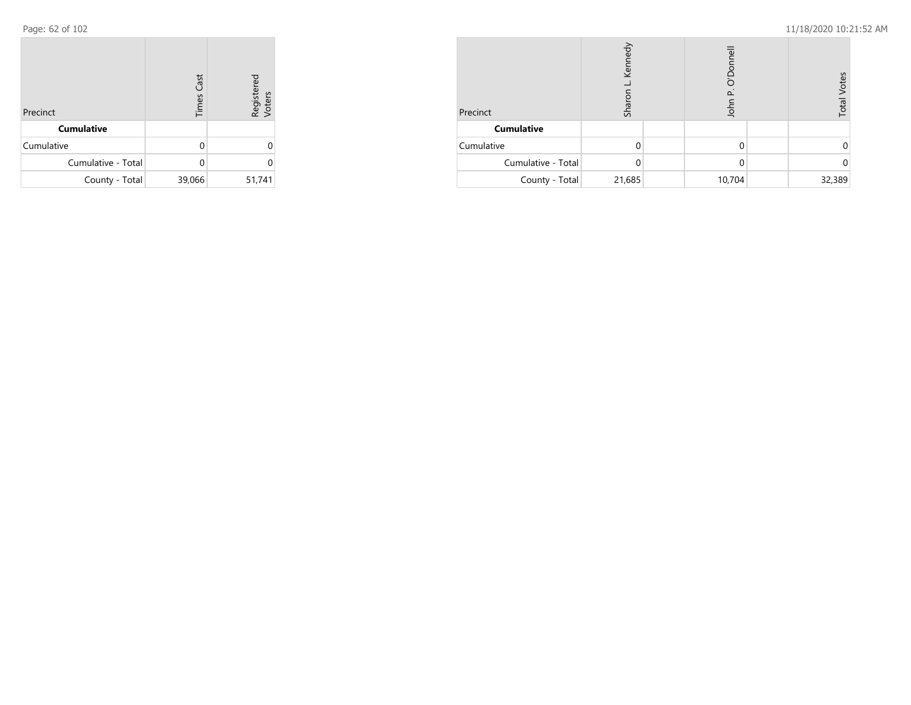Page: 62 of 102 11/18/2020 10:21:52 AM

| Precinct           | <b>Times Cast</b> | Registered<br>Voters |
|--------------------|-------------------|----------------------|
| <b>Cumulative</b>  |                   |                      |
| Cumulative         | U                 |                      |
| Cumulative - Total | ∩                 | U                    |
| County - Total     | 39,066            | 51,741               |

| Precinct           | Kenned<br>Sharor |  | O'Donne<br>$\Omega$<br>John |  | Votes<br>Total |
|--------------------|------------------|--|-----------------------------|--|----------------|
| <b>Cumulative</b>  |                  |  |                             |  |                |
| Cumulative         |                  |  | 0                           |  |                |
| Cumulative - Total |                  |  | 0                           |  |                |
| County - Total     | 21,685           |  | 10,704                      |  | 32,389         |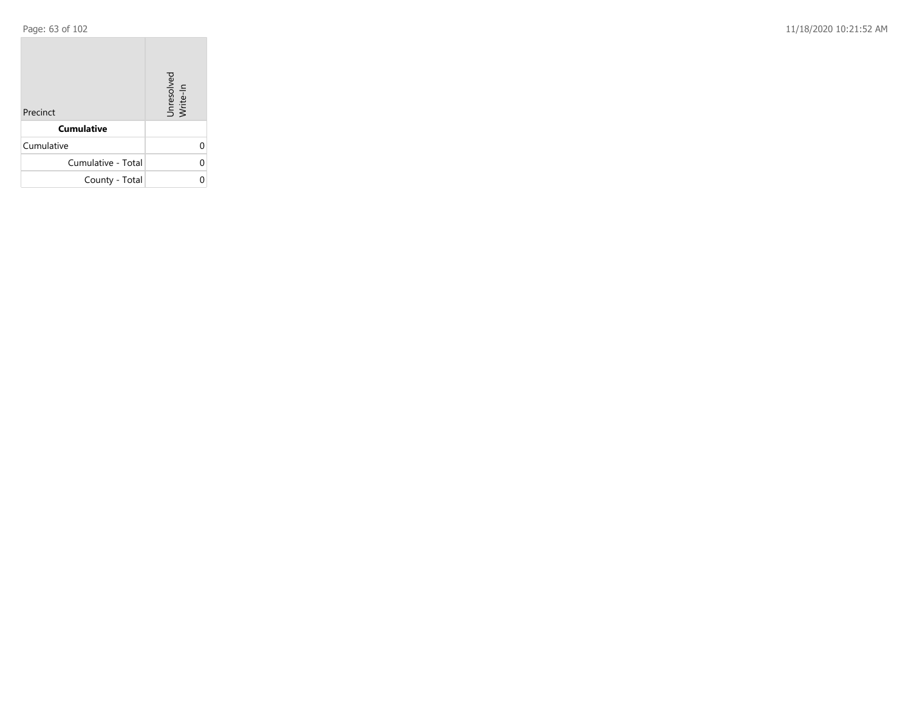**COL** 

Page: 63 of 102 11/18/2020 10:21:52 AM

| Precinct           | Unresolved<br>Write-In |
|--------------------|------------------------|
| <b>Cumulative</b>  |                        |
| Cumulative         |                        |
| Cumulative - Total | U                      |
| County - Total     |                        |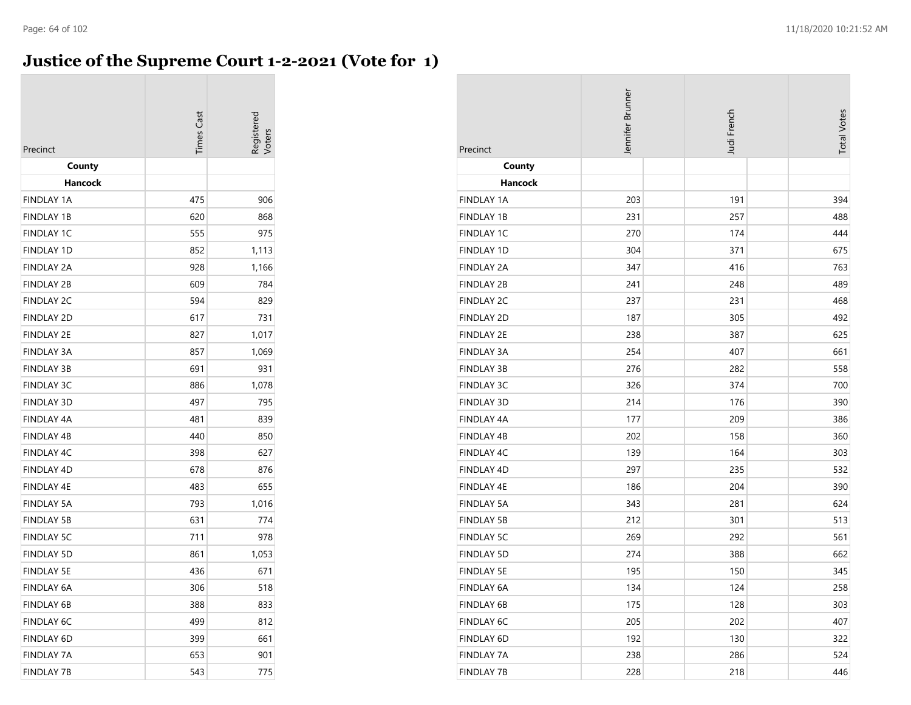## **Justice of the Supreme Court 1-2-2021 (Vote for 1)**

| Precinct                               | <b>Times</b> Cast |                |
|----------------------------------------|-------------------|----------------|
| County                                 |                   |                |
| Hancock                                |                   |                |
| <b>FINDLAY 1A</b>                      | 475               | 906            |
| <b>FINDLAY 1B</b>                      | 620               | 868            |
| <b>FINDLAY 1C</b>                      | 555               | 975            |
| <b>FINDLAY 1D</b><br><b>FINDLAY 2A</b> | 852               | 1,113          |
| <b>FINDLAY 2B</b>                      | 928<br>609        | 1,166<br>784   |
| <b>FINDLAY 2C</b>                      | 594               | 829            |
| <b>FINDLAY 2D</b>                      | 617               | 731            |
| <b>FINDLAY 2E</b>                      | 827               |                |
| <b>FINDLAY 3A</b>                      | 857               | 1,017<br>1,069 |
| <b>FINDLAY 3B</b>                      | 691               | 931            |
| <b>FINDLAY 3C</b>                      | 886               | 1,078          |
| <b>FINDLAY 3D</b>                      | 497               | 795            |
| <b>FINDLAY 4A</b>                      | 481               | 839            |
| <b>FINDLAY 4B</b>                      | 440               | 850            |
| <b>FINDLAY 4C</b>                      | 398               | 627            |
| <b>FINDLAY 4D</b>                      | 678               | 876            |
| <b>FINDLAY 4E</b>                      | 483               | 655            |
| <b>FINDLAY 5A</b>                      | 793               | 1,016          |
| <b>FINDLAY 5B</b>                      | 631               | 774            |
| <b>FINDLAY 5C</b>                      | 711               | 978            |
| <b>FINDLAY 5D</b>                      | 861               | 1,053          |
| <b>FINDLAY 5E</b>                      | 436               | 671            |
| <b>FINDLAY 6A</b>                      | 306               | 518            |
| FINDLAY 6B                             | 388               | 833            |
| <b>FINDLAY 6C</b>                      | 499               | 812            |
| FINDLAY 6D                             | 399               | 661            |
| <b>FINDLAY 7A</b>                      | 653               | 901            |
| <b>FINDLAY 7B</b>                      | 543               | 775            |

| Precinct          | Jennifer Brunner | Judi French | <b>Total Votes</b> |
|-------------------|------------------|-------------|--------------------|
| County            |                  |             |                    |
| Hancock           |                  |             |                    |
| <b>FINDLAY 1A</b> | 203              | 191         | 394                |
| <b>FINDLAY 1B</b> | 231              | 257         | 488                |
| <b>FINDLAY 1C</b> | 270              | 174         | 444                |
| <b>FINDLAY 1D</b> | 304              | 371         | 675                |
| <b>FINDLAY 2A</b> | 347              | 416         | 763                |
| <b>FINDLAY 2B</b> | 241              | 248         | 489                |
| <b>FINDLAY 2C</b> | 237              | 231         | 468                |
| <b>FINDLAY 2D</b> | 187              | 305         | 492                |
| <b>FINDLAY 2E</b> | 238              | 387         | 625                |
| <b>FINDLAY 3A</b> | 254              | 407         | 661                |
| <b>FINDLAY 3B</b> | 276              | 282         | 558                |
| FINDLAY 3C        | 326              | 374         | 700                |
| <b>FINDLAY 3D</b> | 214              | 176         | 390                |
| <b>FINDLAY 4A</b> | 177              | 209         | 386                |
| <b>FINDLAY 4B</b> | 202              | 158         | 360                |
| <b>FINDLAY 4C</b> | 139              | 164         | 303                |
| <b>FINDLAY 4D</b> | 297              | 235         | 532                |
| <b>FINDLAY 4E</b> | 186              | 204         | 390                |
| <b>FINDLAY 5A</b> | 343              | 281         | 624                |
| <b>FINDLAY 5B</b> | 212              | 301         | 513                |
| <b>FINDLAY 5C</b> | 269              | 292         | 561                |
| <b>FINDLAY 5D</b> | 274              | 388         | 662                |
| <b>FINDLAY 5E</b> | 195              | 150         | 345                |
| FINDLAY 6A        | 134              | 124         | 258                |
| FINDLAY 6B        | 175              | 128         | 303                |
| FINDLAY 6C        | 205              | 202         | 407                |
| FINDLAY 6D        | 192              | 130         | 322                |
| <b>FINDLAY 7A</b> | 238              | 286         | 524                |
| <b>FINDLAY 7B</b> | 228              | 218         | 446                |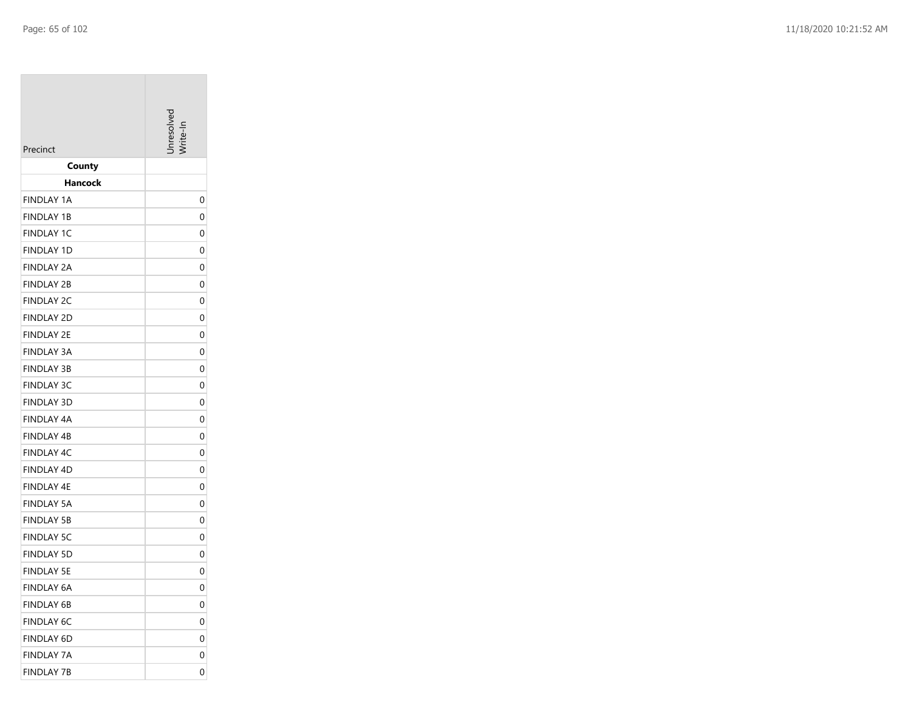| Precinct          | nresolver |
|-------------------|-----------|
| County            |           |
| Hancock           |           |
| <b>FINDLAY 1A</b> | 0         |
| <b>FINDLAY 1B</b> | 0         |
| <b>FINDLAY 1C</b> | 0         |
| <b>FINDLAY 1D</b> | 0         |
| FINDLAY 2A        | 0         |
| <b>FINDLAY 2B</b> | 0         |
| <b>FINDLAY 2C</b> | 0         |
| <b>FINDLAY 2D</b> | 0         |
| FINDLAY 2E        | 0         |
| <b>FINDLAY 3A</b> | 0         |
| <b>FINDLAY 3B</b> | 0         |
| <b>FINDLAY 3C</b> | 0         |
| <b>FINDLAY 3D</b> | 0         |
| FINDLAY 4A        | 0         |
| <b>FINDLAY 4B</b> | 0         |
| <b>FINDLAY 4C</b> | 0         |
| <b>FINDLAY 4D</b> | 0         |
| FINDLAY 4E        | 0         |
| <b>FINDLAY 5A</b> | 0         |
| <b>FINDLAY 5B</b> | 0         |
| <b>FINDLAY 5C</b> | 0         |
| <b>FINDLAY 5D</b> | 0         |
| <b>FINDLAY 5E</b> | 0         |
| <b>FINDLAY 6A</b> | 0         |
| FINDLAY 6B        | 0         |
| <b>FINDLAY 6C</b> | 0         |
| <b>FINDLAY 6D</b> | 0         |
| <b>FINDLAY 7A</b> | 0         |
| <b>FINDLAY 7B</b> | 0         |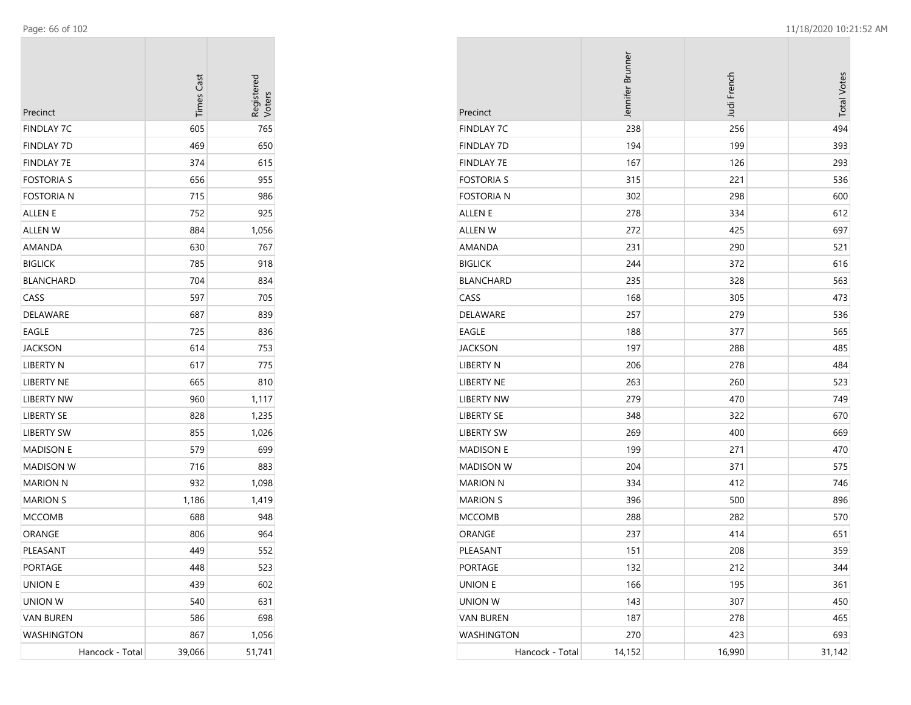| Precinct          | <b>Times Cast</b> | Registerec<br>Voters |
|-------------------|-------------------|----------------------|
| <b>FINDLAY 7C</b> | 605               | 765                  |
| <b>FINDLAY 7D</b> | 469               | 650                  |
| <b>FINDLAY 7E</b> | 374               | 615                  |
| <b>FOSTORIA S</b> | 656               | 955                  |
| <b>FOSTORIA N</b> | 715               | 986                  |
| ALLEN E           | 752               | 925                  |
| ALLEN W           | 884               | 1,056                |
| AMANDA            | 630               | 767                  |
| <b>BIGLICK</b>    | 785               | 918                  |
| <b>BLANCHARD</b>  | 704               | 834                  |
| CASS              | 597               | 705                  |
| DELAWARE          | 687               | 839                  |
| EAGLE             | 725               | 836                  |
| JACKSON           | 614               | 753                  |
| LIBERTY N         | 617               | 775                  |
| <b>LIBERTY NE</b> | 665               | 810                  |
| LIBERTY NW        | 960               | 1,117                |
| <b>LIBERTY SE</b> | 828               | 1,235                |
| <b>LIBERTY SW</b> | 855               | 1,026                |
| <b>MADISON E</b>  | 579               | 699                  |
| <b>MADISON W</b>  | 716               | 883                  |
| <b>MARION N</b>   | 932               | 1,098                |
| <b>MARION S</b>   | 1,186             | 1,419                |
| <b>MCCOMB</b>     | 688               | 948                  |
| ORANGE            | 806               | 964                  |
| PLEASANT          | 449               | 552                  |
| PORTAGE           | 448               | 523                  |
| <b>UNION E</b>    | 439               | 602                  |
| <b>UNION W</b>    | 540               | 631                  |
| <b>VAN BUREN</b>  | 586               | 698                  |
| WASHINGTON        | 867               | 1,056                |
| Hancock - Total   | 39,066            | 51,741               |

|                   | Jennifer Brunner | Judi French | <b>Total Votes</b> |
|-------------------|------------------|-------------|--------------------|
| Precinct          |                  |             |                    |
| <b>FINDLAY 7C</b> | 238              | 256         | 494                |
| <b>FINDLAY 7D</b> | 194              | 199         | 393                |
| <b>FINDLAY 7E</b> | 167              | 126         | 293                |
| <b>FOSTORIA S</b> | 315              | 221         | 536                |
| <b>FOSTORIA N</b> | 302              | 298         | 600                |
| ALLEN E           | 278              | 334         | 612                |
| <b>ALLEN W</b>    | 272              | 425         | 697                |
| AMANDA            | 231              | 290         | 521                |
| <b>BIGLICK</b>    | 244              | 372         | 616                |
| <b>BLANCHARD</b>  | 235              | 328         | 563                |
| CASS              | 168              | 305         | 473                |
| DELAWARE          | 257              | 279         | 536                |
| EAGLE             | 188              | 377         | 565                |
| <b>JACKSON</b>    | 197              | 288         | 485                |
| LIBERTY N         | 206              | 278         | 484                |
| <b>LIBERTY NE</b> | 263              | 260         | 523                |
| <b>LIBERTY NW</b> | 279              | 470         | 749                |
| <b>LIBERTY SE</b> | 348              | 322         | 670                |
| <b>LIBERTY SW</b> | 269              | 400         | 669                |
| <b>MADISON E</b>  | 199              | 271         | 470                |
| <b>MADISON W</b>  | 204              | 371         | 575                |
| <b>MARION N</b>   | 334              | 412         | 746                |
| <b>MARION S</b>   | 396              | 500         | 896                |
| <b>MCCOMB</b>     | 288              | 282         | 570                |
| ORANGE            | 237              | 414         | 651                |
| PLEASANT          | 151              | 208         | 359                |
| <b>PORTAGE</b>    | 132              | 212         | 344                |
| <b>UNION E</b>    | 166              | 195         | 361                |
| <b>UNION W</b>    | 143              | 307         | 450                |
| <b>VAN BUREN</b>  | 187              | 278         | 465                |
| <b>WASHINGTON</b> | 270              | 423         | 693                |
| Hancock - Total   | 14,152           | 16,990      | 31,142             |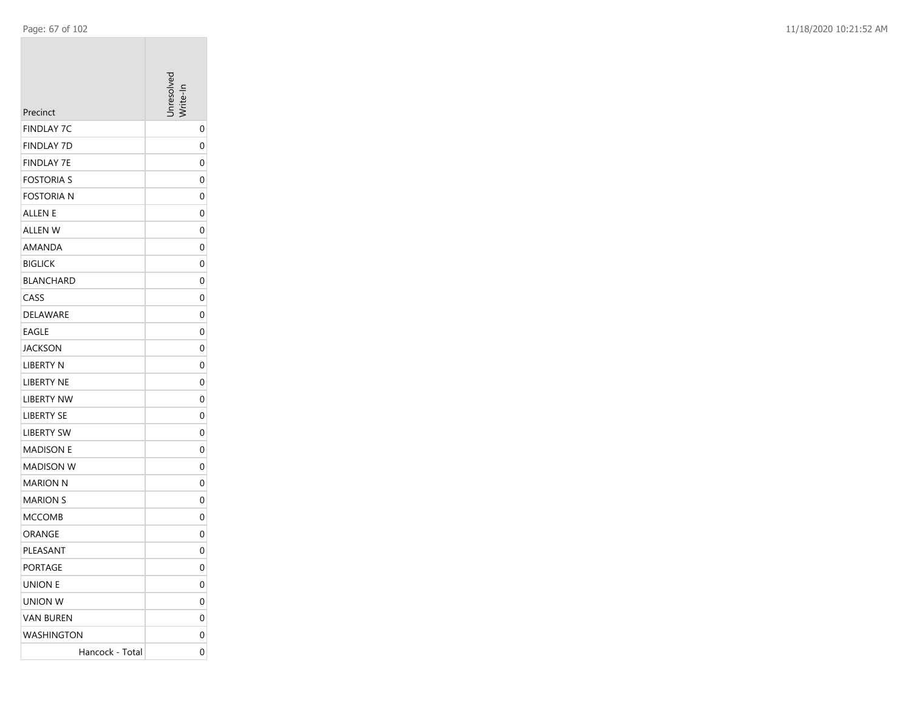|                                        | nresolver    |
|----------------------------------------|--------------|
| Precinct                               |              |
| <b>FINDLAY 7C</b><br><b>FINDLAY 7D</b> | 0            |
| <b>FINDLAY 7E</b>                      | 0<br>0       |
| <b>FOSTORIA S</b>                      | 0            |
| <b>FOSTORIA N</b>                      |              |
| <b>ALLEN E</b>                         | 0            |
| ALLEN W                                | 0<br>0       |
| AMANDA                                 |              |
| <b>BIGLICK</b>                         | 0<br>0       |
|                                        |              |
| <b>BLANCHARD</b><br>CASS               | 0            |
| DELAWARE                               | 0            |
| <b>EAGLE</b>                           | 0            |
| <b>JACKSON</b>                         | 0<br>0       |
| <b>LIBERTY N</b>                       | 0            |
| LIBERTY NE                             | 0            |
| <b>LIBERTY NW</b>                      | 0            |
| <b>LIBERTY SE</b>                      | 0            |
| <b>LIBERTY SW</b>                      | 0            |
|                                        | 0            |
| <b>MADISON E</b><br><b>MADISON W</b>   | 0            |
| MARION N                               |              |
| <b>MARION S</b>                        | 0            |
| <b>MCCOMB</b>                          | 0<br>0       |
|                                        | 0            |
| ORANGE<br>PLEASANT                     | 0            |
| <b>PORTAGE</b>                         | $\mathbf{0}$ |
| <b>UNION E</b>                         | 0            |
| UNION W                                | 0            |
|                                        |              |
| <b>VAN BUREN</b><br><b>WASHINGTON</b>  | 0            |
|                                        | 0            |
| Hancock - Total                        | 0            |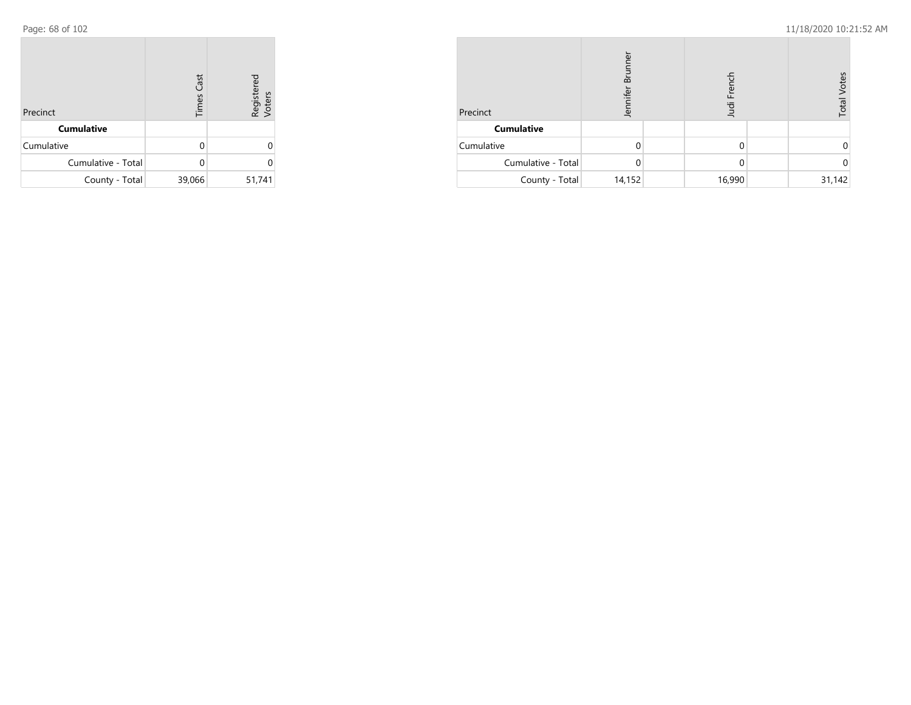| Precinct           | <b>Times Cast</b> | Registered<br>Voters |
|--------------------|-------------------|----------------------|
| <b>Cumulative</b>  |                   |                      |
| Cumulative         | U                 |                      |
| Cumulative - Total |                   |                      |
| County - Total     | 39,066            | 51,741               |

| Precinct           | ⋾<br>൶<br>Jennifer |  | udi Frenc |  | <b>Total Votes</b> |
|--------------------|--------------------|--|-----------|--|--------------------|
| <b>Cumulative</b>  |                    |  |           |  |                    |
| Cumulative         |                    |  | 0         |  |                    |
| Cumulative - Total |                    |  | 0         |  |                    |
| County - Total     | 14,152             |  | 16,990    |  | 31,142             |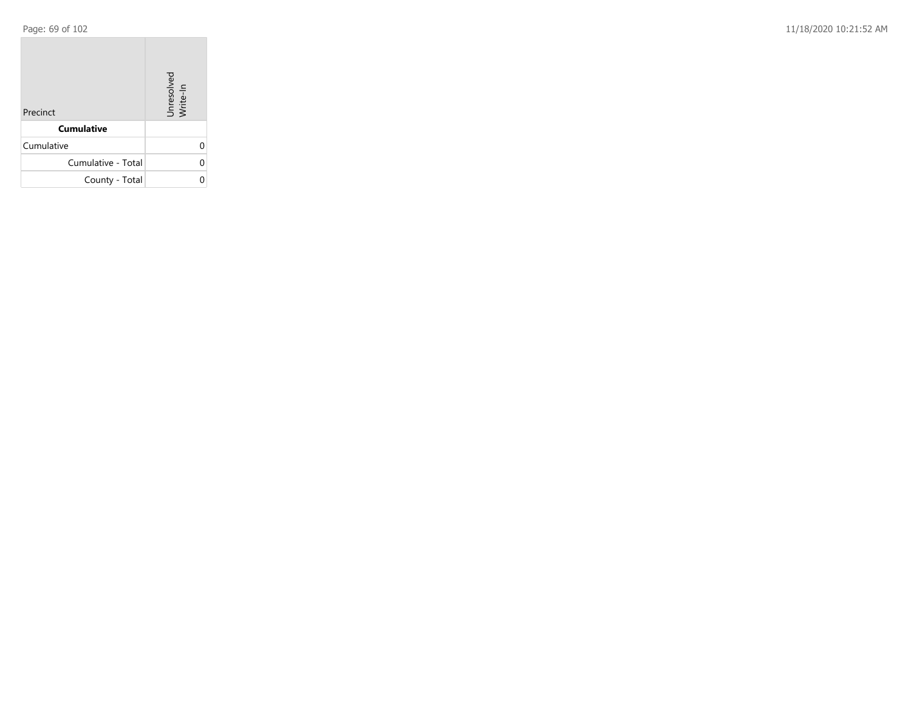**COL** 

Page: 69 of 102 11/18/2020 10:21:52 AM

| Precinct           | Unresolved<br>Write-In |
|--------------------|------------------------|
| <b>Cumulative</b>  |                        |
| Cumulative         |                        |
| Cumulative - Total | U                      |
| County - Total     |                        |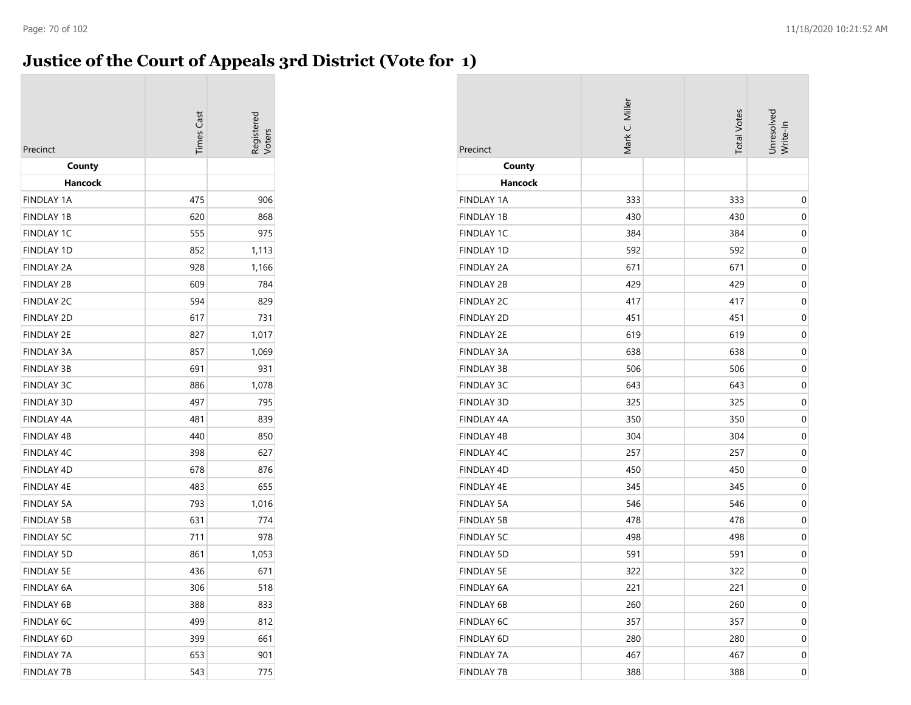## **Justice of the Court of Appeals 3rd District (Vote for 1)**

| Precinct                     | <b>Times Cas</b> | Registerec |
|------------------------------|------------------|------------|
| County                       |                  |            |
| Hancock<br><b>FINDLAY 1A</b> | 475              | 906        |
| <b>FINDLAY 1B</b>            | 620              | 868        |
| <b>FINDLAY 1C</b>            | 555              | 975        |
| <b>FINDLAY 1D</b>            | 852              | 1,113      |
| <b>FINDLAY 2A</b>            | 928              | 1,166      |
| <b>FINDLAY 2B</b>            | 609              | 784        |
| <b>FINDLAY 2C</b>            | 594              | 829        |
| <b>FINDLAY 2D</b>            | 617              | 731        |
| <b>FINDLAY 2E</b>            | 827              | 1,017      |
| <b>FINDLAY 3A</b>            | 857              | 1,069      |
| <b>FINDLAY 3B</b>            | 691              | 931        |
| <b>FINDLAY 3C</b>            | 886              | 1,078      |
| <b>FINDLAY 3D</b>            | 497              | 795        |
| <b>FINDLAY 4A</b>            | 481              | 839        |
| <b>FINDLAY 4B</b>            | 440              | 850        |
| FINDLAY 4C                   | 398              | 627        |
| FINDLAY 4D                   | 678              | 876        |
| <b>FINDLAY 4E</b>            | 483              | 655        |
| <b>FINDLAY 5A</b>            | 793              | 1,016      |
| <b>FINDLAY 5B</b>            | 631              | 774        |
| <b>FINDLAY 5C</b>            | 711              | 978        |
| <b>FINDLAY 5D</b>            | 861              | 1,053      |
| <b>FINDLAY 5E</b>            | 436              | 671        |
| <b>FINDLAY 6A</b>            | 306              | 518        |
| <b>FINDLAY 6B</b>            | 388              | 833        |
| <b>FINDLAY 6C</b>            | 499              | 812        |
| <b>FINDLAY 6D</b>            | 399              | 661        |
| <b>FINDLAY 7A</b>            | 653              | 901        |
| <b>FINDLAY 7B</b>            | 543              | 775        |

| Precinct          | Mark C. Miller |  |     | Unresolved<br>Write-In |
|-------------------|----------------|--|-----|------------------------|
| County            |                |  |     |                        |
| <b>Hancock</b>    |                |  |     |                        |
| <b>FINDLAY 1A</b> | 333            |  | 333 | $\boldsymbol{0}$       |
| <b>FINDLAY 1B</b> | 430            |  | 430 | $\boldsymbol{0}$       |
| <b>FINDLAY 1C</b> | 384            |  | 384 | 0                      |
| <b>FINDLAY 1D</b> | 592            |  | 592 | 0                      |
| <b>FINDLAY 2A</b> | 671            |  | 671 | $\mathbf 0$            |
| <b>FINDLAY 2B</b> | 429            |  | 429 | $\mathbf 0$            |
| <b>FINDLAY 2C</b> | 417            |  | 417 | $\boldsymbol{0}$       |
| <b>FINDLAY 2D</b> | 451            |  | 451 | 0                      |
| <b>FINDLAY 2E</b> | 619            |  | 619 | $\boldsymbol{0}$       |
| <b>FINDLAY 3A</b> | 638            |  | 638 | 0                      |
| <b>FINDLAY 3B</b> | 506            |  | 506 | $\boldsymbol{0}$       |
| <b>FINDLAY 3C</b> | 643            |  | 643 | 0                      |
| <b>FINDLAY 3D</b> | 325            |  | 325 | $\boldsymbol{0}$       |
| FINDLAY 4A        | 350            |  | 350 | $\mathbf 0$            |
| FINDLAY 4B        | 304            |  | 304 | $\mathbf 0$            |
| <b>FINDLAY 4C</b> | 257            |  | 257 | $\boldsymbol{0}$       |
| FINDLAY 4D        | 450            |  | 450 | 0                      |
| FINDLAY 4E        | 345            |  | 345 | $\boldsymbol{0}$       |
| <b>FINDLAY 5A</b> | 546            |  | 546 | 0                      |
| <b>FINDLAY 5B</b> | 478            |  | 478 | $\boldsymbol{0}$       |
| <b>FINDLAY 5C</b> | 498            |  | 498 | 0                      |
| <b>FINDLAY 5D</b> | 591            |  | 591 | $\pmb{0}$              |
| <b>FINDLAY 5E</b> | 322            |  | 322 | $\mathbf 0$            |
| FINDLAY 6A        | 221            |  | 221 | $\boldsymbol{0}$       |
| FINDLAY 6B        | 260            |  | 260 | 0                      |
| FINDLAY 6C        | 357            |  | 357 | 0                      |
| FINDLAY 6D        | 280            |  | 280 | 0                      |
| <b>FINDLAY 7A</b> | 467            |  | 467 | 0                      |
| <b>FINDLAY 7B</b> | 388            |  | 388 | $\boldsymbol{0}$       |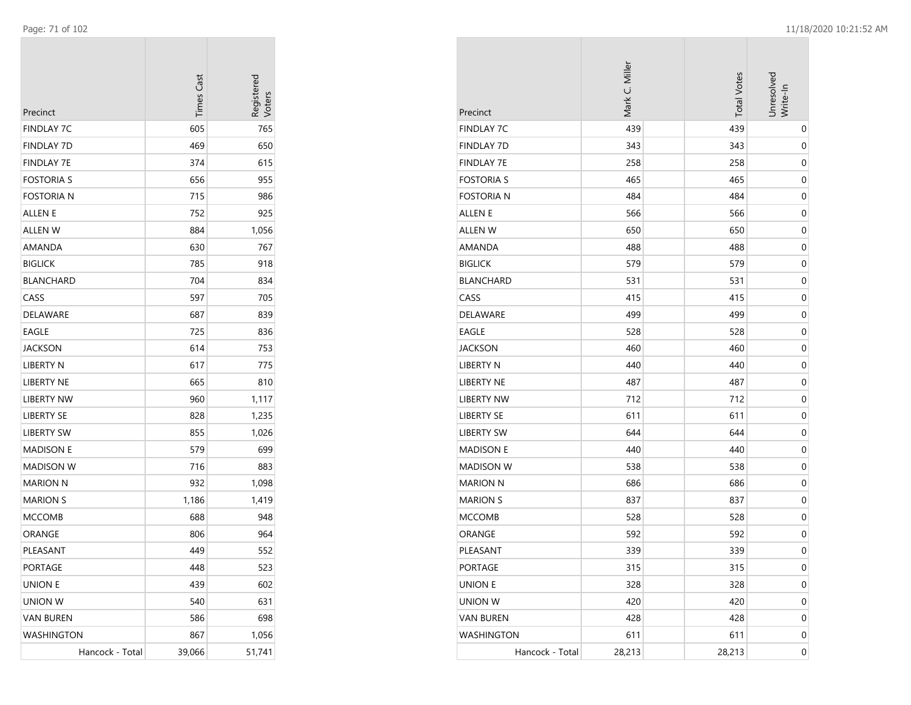| Precinct          | <b>Times Cast</b> | Registerec<br>Voters |
|-------------------|-------------------|----------------------|
| <b>FINDLAY 7C</b> | 605               | 765                  |
| FINDLAY 7D        | 469               | 650                  |
| FINDLAY 7E        | 374               | 615                  |
| <b>FOSTORIA S</b> | 656               | 955                  |
| Fostoria n        | 715               | 986                  |
| ALLEN E           | 752               | 925                  |
| ALLEN W           | 884               | 1,056                |
| AMANDA            | 630               | 767                  |
| <b>BIGLICK</b>    | 785               | 918                  |
| <b>BLANCHARD</b>  | 704               | 834                  |
| CASS              | 597               | 705                  |
| DELAWARE          | 687               | 839                  |
| EAGLE             | 725               | 836                  |
| JACKSON           | 614               | 753                  |
| LIBERTY N         | 617               | 775                  |
| LIBERTY NE        | 665               | 810                  |
| <b>LIBERTY NW</b> | 960               | 1,117                |
| <b>LIBERTY SE</b> | 828               | 1,235                |
| <b>LIBERTY SW</b> | 855               | 1,026                |
| <b>MADISON E</b>  | 579               | 699                  |
| MADISON W         | 716               | 883                  |
| <b>MARION N</b>   | 932               | 1,098                |
| <b>MARION S</b>   | 1,186             | 1,419                |
| <b>MCCOMB</b>     | 688               | 948                  |
| ORANGE            | 806               | 964                  |
| PLEASANT          | 449               | 552                  |
| PORTAGE           | 448               | 523                  |
| UNION E           | 439               | 602                  |
| UNION W           | 540               | 631                  |
| <b>VAN BUREN</b>  | 586               | 698                  |
| WASHINGTON        | 867               | 1,056                |
| Hancock - Total   | 39,066            | 51,741               |

| Precinct          | Mark C. Miller | <b>Total Votes</b> | Unresolved<br>Write-In |
|-------------------|----------------|--------------------|------------------------|
| <b>FINDLAY 7C</b> | 439            | 439                | 0                      |
| <b>FINDLAY 7D</b> | 343            | 343                | 0                      |
| <b>FINDLAY 7E</b> | 258            | 258                | 0                      |
| <b>FOSTORIA S</b> | 465            | 465                | $\pmb{0}$              |
| <b>FOSTORIA N</b> | 484            | 484                | 0                      |
| <b>ALLEN E</b>    | 566            | 566                | $\pmb{0}$              |
| <b>ALLEN W</b>    | 650            | 650                | 0                      |
| AMANDA            | 488            | 488                | 0                      |
| <b>BIGLICK</b>    | 579            | 579                | 0                      |
| <b>BLANCHARD</b>  | 531            | 531                | 0                      |
| CASS              | 415            | 415                | 0                      |
| <b>DELAWARE</b>   | 499            | 499                | 0                      |
| EAGLE             | 528            | 528                | $\pmb{0}$              |
| <b>JACKSON</b>    | 460            | 460                | 0                      |
| <b>LIBERTY N</b>  | 440            | 440                | $\pmb{0}$              |
| LIBERTY NE        | 487            | 487                | 0                      |
| <b>LIBERTY NW</b> | 712            | 712                | 0                      |
| <b>LIBERTY SE</b> | 611            | 611                | 0                      |
| <b>LIBERTY SW</b> | 644            | 644                | 0                      |
| <b>MADISON E</b>  | 440            | 440                | 0                      |
| <b>MADISON W</b>  | 538            | 538                | 0                      |
| <b>MARION N</b>   | 686            | 686                | $\pmb{0}$              |
| <b>MARION S</b>   | 837            | 837                | 0                      |
| <b>MCCOMB</b>     | 528            | 528                | $\pmb{0}$              |
| ORANGE            | 592            | 592                | 0                      |
| PLEASANT          | 339            | 339                | 0                      |
| PORTAGE           | 315            | 315                | 0                      |
| UNION E           | 328            | 328                | $\boldsymbol{0}$       |
| UNION W           | 420            | 420                | 0                      |
| <b>VAN BUREN</b>  | 428            | 428                | 0                      |
| WASHINGTON        | 611            | 611                | 0                      |
| Hancock - Total   | 28,213         | 28,213             | 0                      |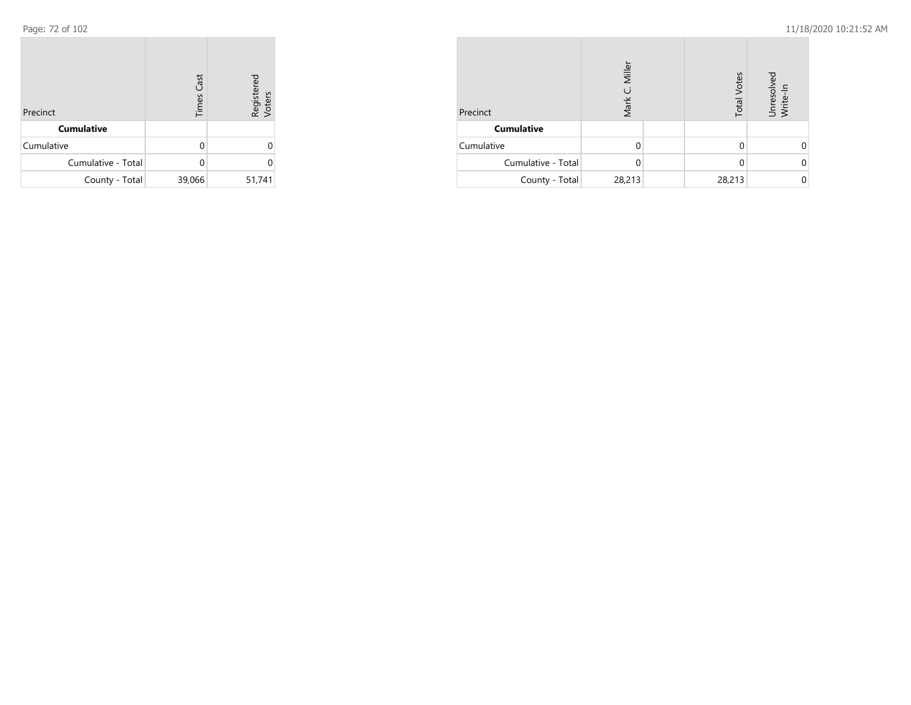| Precinct           | <b>Times Cast</b> | Registered<br>Voters |
|--------------------|-------------------|----------------------|
| <b>Cumulative</b>  |                   |                      |
| Cumulative         | U                 | Ω                    |
| Cumulative - Total |                   | U                    |
| County - Total     | 39,066            | 51,741               |

| Precinct           | Miller<br>$\mathfrak{g}$<br>Mark | <b>Total Votes</b> | Unresolved<br>Write-In |
|--------------------|----------------------------------|--------------------|------------------------|
| <b>Cumulative</b>  |                                  |                    |                        |
| Cumulative         |                                  |                    |                        |
| Cumulative - Total | 0                                |                    |                        |
| County - Total     | 28,213                           | 28,213             |                        |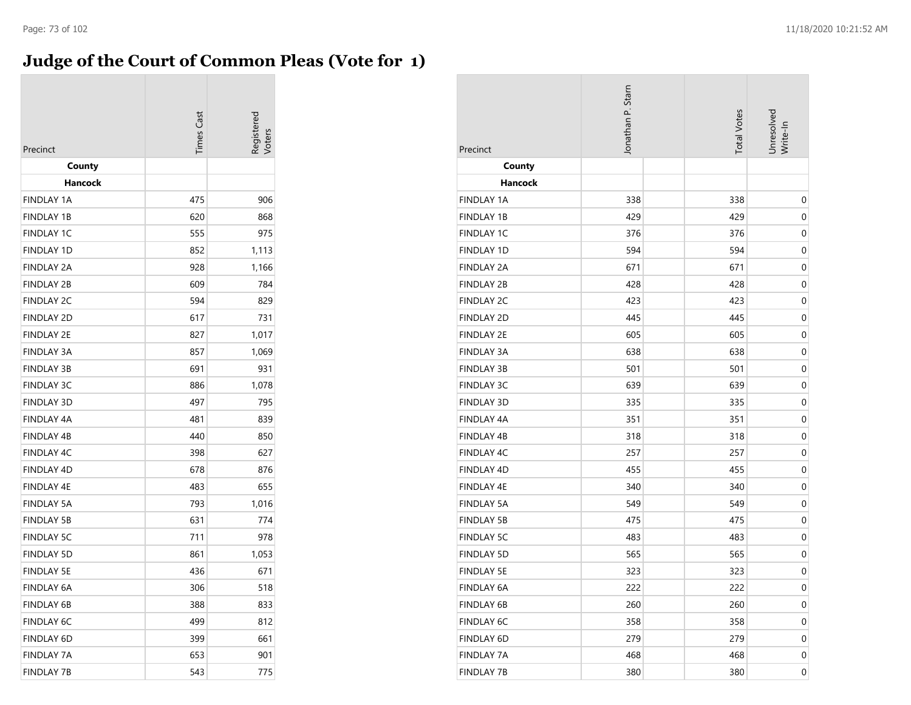## **Judge of the Court of Common Pleas (Vote for 1)**

| Precinct          | <b>Times Cast</b> | legistered<br>/oter: |
|-------------------|-------------------|----------------------|
| County            |                   |                      |
| Hancock           |                   |                      |
| <b>FINDLAY 1A</b> | 475               | 906                  |
| <b>FINDLAY 1B</b> | 620               | 868                  |
| <b>FINDLAY 1C</b> | 555               | 975                  |
| <b>FINDLAY 1D</b> | 852               | 1,113                |
| <b>FINDLAY 2A</b> | 928               | 1,166                |
| <b>FINDLAY 2B</b> | 609               | 784                  |
| <b>FINDLAY 2C</b> | 594               | 829                  |
| <b>FINDLAY 2D</b> | 617               | 731                  |
| <b>FINDLAY 2E</b> | 827               | 1,017                |
| <b>FINDLAY 3A</b> | 857               | 1,069                |
| <b>FINDLAY 3B</b> | 691               | 931                  |
| <b>FINDLAY 3C</b> | 886               | 1,078                |
| <b>FINDLAY 3D</b> | 497               | 795                  |
| <b>FINDLAY 4A</b> | 481               | 839                  |
| <b>FINDLAY 4B</b> | 440               | 850                  |
| <b>FINDLAY 4C</b> | 398               | 627                  |
| <b>FINDLAY 4D</b> | 678               | 876                  |
| <b>FINDLAY 4E</b> | 483               | 655                  |
| <b>FINDLAY 5A</b> | 793               | 1,016                |
| <b>FINDLAY 5B</b> | 631               | 774                  |
| <b>FINDLAY 5C</b> | 711               | 978                  |
| <b>FINDLAY 5D</b> | 861               | 1,053                |
| <b>FINDLAY 5E</b> | 436               | 671                  |
| <b>FINDLAY 6A</b> | 306               | 518                  |
| <b>FINDLAY 6B</b> | 388               | 833                  |
| <b>FINDLAY 6C</b> | 499               | 812                  |
| <b>FINDLAY 6D</b> | 399               | 661                  |
| <b>FINDLAY 7A</b> | 653               | 901                  |
| <b>FINDLAY 7B</b> | 543               | 775                  |

| Precinct          | Jonathan P. Stam | <b>Total Votes</b> | Unresolved<br>Write-In |
|-------------------|------------------|--------------------|------------------------|
| County            |                  |                    |                        |
| <b>Hancock</b>    |                  |                    |                        |
| <b>FINDLAY 1A</b> | 338              | 338                | 0                      |
| <b>FINDLAY 1B</b> | 429              | 429                | 0                      |
| <b>FINDLAY 1C</b> | 376              | 376                | 0                      |
| FINDLAY 1D        | 594              | 594                | $\boldsymbol{0}$       |
| <b>FINDLAY 2A</b> | 671              | 671                | 0                      |
| <b>FINDLAY 2B</b> | 428              | 428                | 0                      |
| <b>FINDLAY 2C</b> | 423              | 423                | 0                      |
| <b>FINDLAY 2D</b> | 445              | 445                | 0                      |
| <b>FINDLAY 2E</b> | 605              | 605                | $\mathbf 0$            |
| <b>FINDLAY 3A</b> | 638              | 638                | $\mathbf 0$            |
| <b>FINDLAY 3B</b> | 501              | 501                | 0                      |
| <b>FINDLAY 3C</b> | 639              | 639                | 0                      |
| FINDLAY 3D        | 335              | 335                | $\boldsymbol{0}$       |
| FINDLAY 4A        | 351              | 351                | 0                      |
| <b>FINDLAY 4B</b> | 318              | 318                | 0                      |
| <b>FINDLAY 4C</b> | 257              | 257                | 0                      |
| FINDLAY 4D        | 455              | 455                | $\pmb{0}$              |
| FINDLAY 4E        | 340              | 340                | $\boldsymbol{0}$       |
| <b>FINDLAY 5A</b> | 549              | 549                | 0                      |
| <b>FINDLAY 5B</b> | 475              | 475                | 0                      |
| <b>FINDLAY 5C</b> | 483              | 483                | 0                      |
| <b>FINDLAY 5D</b> | 565              | 565                | $\boldsymbol{0}$       |
| <b>FINDLAY 5E</b> | 323              | 323                | $\mathbf 0$            |
| FINDLAY 6A        | 222              | 222                | $\mathbf 0$            |
| FINDLAY 6B        | 260              | 260                | 0                      |
| FINDLAY 6C        | 358              | 358                | 0                      |
| FINDLAY 6D        | 279              | 279                | 0                      |
| <b>FINDLAY 7A</b> | 468              | 468                | 0                      |
| <b>FINDLAY 7B</b> | 380              | 380                | $\boldsymbol{0}$       |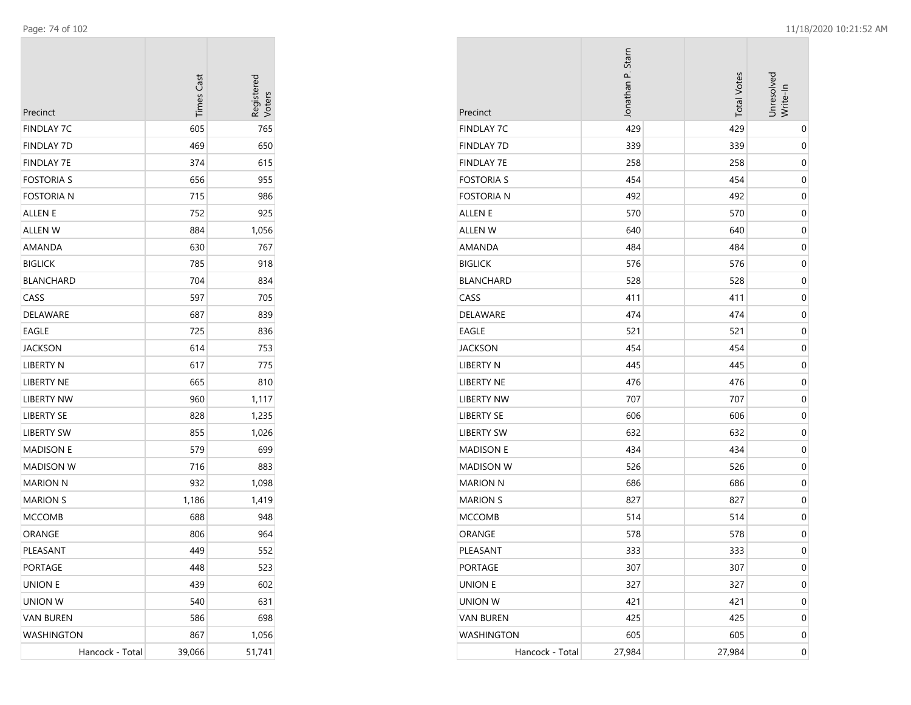| Precinct          | <b>Times Cast</b> | Registered<br>Voters |
|-------------------|-------------------|----------------------|
| FINDLAY 7C        | 605               | 765                  |
| FINDLAY 7D        | 469               | 650                  |
| FINDLAY 7E        | 374               | 615                  |
| FOSTORIA S        | 656               | 955                  |
| <b>FOSTORIA N</b> | 715               | 986                  |
| ALLEN E           | 752               | 925                  |
| ALLEN W           | 884               | 1,056                |
| AMANDA            | 630               | 767                  |
| <b>BIGLICK</b>    | 785               | 918                  |
| BLANCHARD         | 704               | 834                  |
| CASS              | 597               | 705                  |
| DELAWARE          | 687               | 839                  |
| EAGLE             | 725               | 836                  |
| JACKSON           | 614               | 753                  |
| LIBERTY N         | 617               | 775                  |
| LIBERTY NE        | 665               | 810                  |
| <b>LIBERTY NW</b> | 960               | 1,117                |
| LIBERTY SE        | 828               | 1,235                |
| LIBERTY SW        | 855               | 1,026                |
| <b>MADISON E</b>  | 579               | 699                  |
| MADISON W         | 716               | 883                  |
| MARION N          | 932               | 1,098                |
| <b>MARION S</b>   | 1,186             | 1,419                |
| MCCOMB            | 688               | 948                  |
| ORANGE            | 806               | 964                  |
| PLEASANT          | 449               | 552                  |
| PORTAGE           | 448               | 523                  |
| <b>UNION E</b>    | 439               | 602                  |
| UNION W           | 540               | 631                  |
| <b>VAN BUREN</b>  | 586               | 698                  |
| WASHINGTON        | 867               | 1,056                |
| Hancock - Total   | 39,066            | 51,741               |

| Precinct          | Jonathan P. Stam | <b>Total Votes</b> | Jnresolved<br>Write-In |
|-------------------|------------------|--------------------|------------------------|
| <b>FINDLAY 7C</b> | 429              | 429                | 0                      |
| <b>FINDLAY 7D</b> | 339              | 339                | 0                      |
| <b>FINDLAY 7E</b> | 258              | 258                | $\pmb{0}$              |
| <b>FOSTORIA S</b> | 454              | 454                | 0                      |
| <b>FOSTORIA N</b> | 492              | 492                | 0                      |
| <b>ALLEN E</b>    | 570              | 570                | $\mathbf 0$            |
| <b>ALLEN W</b>    | 640              | 640                | 0                      |
| AMANDA            | 484              | 484                | $\pmb{0}$              |
| <b>BIGLICK</b>    | 576              | 576                | 0                      |
| <b>BLANCHARD</b>  | 528              | 528                | 0                      |
| CASS              | 411              | 411                | 0                      |
| DELAWARE          | 474              | 474                | $\pmb{0}$              |
| EAGLE             | 521              | 521                | 0                      |
| <b>JACKSON</b>    | 454              | 454                | 0                      |
| LIBERTY N         | 445              | 445                | $\mathbf 0$            |
| LIBERTY NE        | 476              | 476                | 0                      |
| <b>LIBERTY NW</b> | 707              | 707                | $\pmb{0}$              |
| <b>LIBERTY SE</b> | 606              | 606                | 0                      |
| <b>LIBERTY SW</b> | 632              | 632                | $\boldsymbol{0}$       |
| <b>MADISON E</b>  | 434              | 434                | 0                      |
| <b>MADISON W</b>  | 526              | 526                | 0                      |
| <b>MARION N</b>   | 686              | 686                | 0                      |
| <b>MARION S</b>   | 827              | 827                | 0                      |
| <b>MCCOMB</b>     | 514              | 514                | 0                      |
| ORANGE            | 578              | 578                | $\pmb{0}$              |
| PLEASANT          | 333              | 333                | 0                      |
| PORTAGE           | 307              | 307                | $\boldsymbol{0}$       |
| <b>UNION E</b>    | 327              | 327                | $\boldsymbol{0}$       |
| UNION W           | 421              | 421                | $\mathbf 0$            |
| <b>VAN BUREN</b>  | 425              | 425                | $\boldsymbol{0}$       |
| <b>WASHINGTON</b> | 605              | 605                | $\pmb{0}$              |
| Hancock - Total   | 27,984           | 27,984             | $\boldsymbol{0}$       |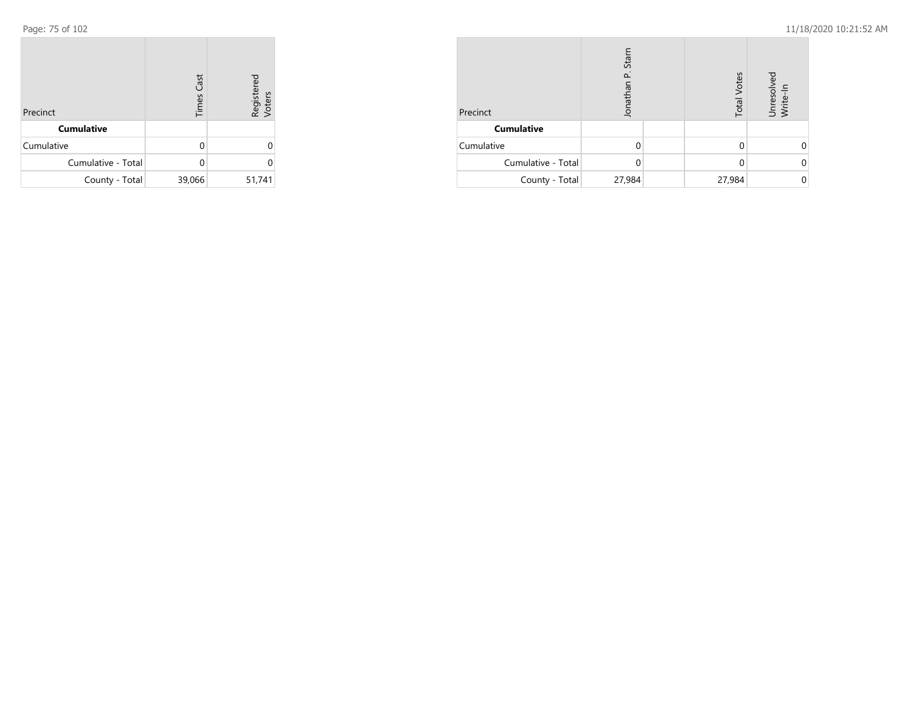| Precinct           | <b>Times Cast</b> | Registered<br>Voters |
|--------------------|-------------------|----------------------|
| <b>Cumulative</b>  |                   |                      |
| Cumulative         | O                 | 0                    |
| Cumulative - Total | U                 | U                    |
| County - Total     | 39,066            | 51,741               |

| Precinct           | Stan<br>Jonathan |  | <b>Total Votes</b> | Unresolvec<br>Write-In |  |
|--------------------|------------------|--|--------------------|------------------------|--|
| <b>Cumulative</b>  |                  |  |                    |                        |  |
| Cumulative         |                  |  |                    |                        |  |
| Cumulative - Total |                  |  |                    |                        |  |
| County - Total     | 27,984           |  | 27,984             |                        |  |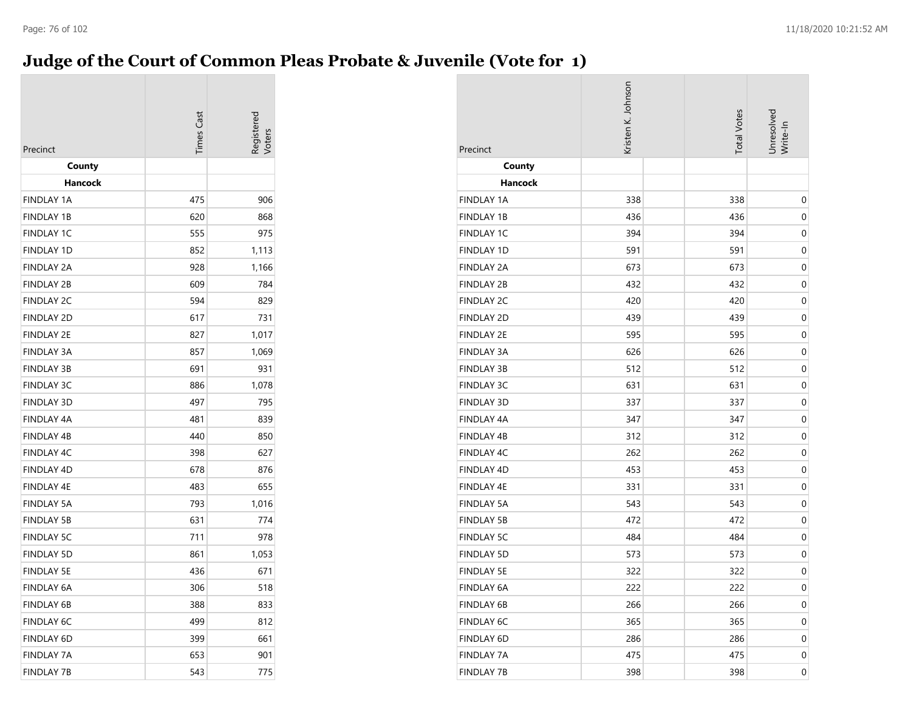# **Judge of the Court of Common Pleas Probate & Juvenile (Vote for 1)**

| Precinct          | <b>Times</b> Cast | <b>Registereo</b> |
|-------------------|-------------------|-------------------|
| County            |                   |                   |
| Hancock           |                   |                   |
| <b>FINDLAY 1A</b> | 475               | 906               |
| <b>FINDLAY 1B</b> | 620               | 868               |
| <b>FINDLAY 1C</b> | 555               | 975               |
| <b>FINDLAY 1D</b> | 852               | 1,113             |
| <b>FINDLAY 2A</b> | 928               | 1,166             |
| <b>FINDLAY 2B</b> | 609               | 784               |
| <b>FINDLAY 2C</b> | 594               | 829               |
| <b>FINDLAY 2D</b> | 617               | 731               |
| <b>FINDLAY 2E</b> | 827               | 1,017             |
| <b>FINDLAY 3A</b> | 857               | 1,069             |
| <b>FINDLAY 3B</b> | 691               | 931               |
| <b>FINDLAY 3C</b> | 886               | 1,078             |
| <b>FINDLAY 3D</b> | 497               | 795               |
| <b>FINDLAY 4A</b> | 481               | 839               |
| <b>FINDLAY 4B</b> | 440               | 850               |
| FINDLAY 4C        | 398               | 627               |
| <b>FINDLAY 4D</b> | 678               | 876               |
| <b>FINDLAY 4E</b> | 483               | 655               |
| <b>FINDLAY 5A</b> | 793               | 1,016             |
| <b>FINDLAY 5B</b> | 631               | 774               |
| <b>FINDLAY 5C</b> | 711               | 978               |
| <b>FINDLAY 5D</b> | 861               | 1,053             |
| <b>FINDLAY 5E</b> | 436               | 671               |
| <b>FINDLAY 6A</b> | 306               | 518               |
| <b>FINDLAY 6B</b> | 388               | 833               |
| <b>FINDLAY 6C</b> | 499               | 812               |
| <b>FINDLAY 6D</b> | 399               | 661               |
| <b>FINDLAY 7A</b> | 653               | 901               |
| <b>FINDLAY 7B</b> | 543               | 775               |

| Precinct          | Kristen K. Johnson | <b>Total Votes</b> | Unresolved<br>Write-In |
|-------------------|--------------------|--------------------|------------------------|
| County            |                    |                    |                        |
| <b>Hancock</b>    |                    |                    |                        |
| <b>FINDLAY 1A</b> | 338                | 338                | 0                      |
| <b>FINDLAY 1B</b> | 436                | 436                | 0                      |
| FINDLAY 1C        | 394                | 394                | 0                      |
| FINDLAY 1D        | 591                | 591                | $\mathbf 0$            |
| <b>FINDLAY 2A</b> | 673                | 673                | 0                      |
| <b>FINDLAY 2B</b> | 432                | 432                | $\mathbf 0$            |
| FINDLAY 2C        | 420                | 420                | 0                      |
| <b>FINDLAY 2D</b> | 439                | 439                | $\mathbf 0$            |
| <b>FINDLAY 2E</b> | 595                | 595                | 0                      |
| <b>FINDLAY 3A</b> | 626                | 626                | 0                      |
| <b>FINDLAY 3B</b> | 512                | 512                | 0                      |
| <b>FINDLAY 3C</b> | 631                | 631                | 0                      |
| FINDLAY 3D        | 337                | 337                | $\mathbf 0$            |
| <b>FINDLAY 4A</b> | 347                | 347                | 0                      |
| <b>FINDLAY 4B</b> | 312                | 312                | $\mathbf 0$            |
| FINDLAY 4C        | 262                | 262                | 0                      |
| FINDLAY 4D        | 453                | 453                | $\mathbf 0$            |
| FINDLAY 4E        | 331                | 331                | 0                      |
| <b>FINDLAY 5A</b> | 543                | 543                | 0                      |
| <b>FINDLAY 5B</b> | 472                | 472                | 0                      |
| <b>FINDLAY 5C</b> | 484                | 484                | 0                      |
| <b>FINDLAY 5D</b> | 573                | 573                | $\mathbf 0$            |
| <b>FINDLAY 5E</b> | 322                | 322                | $\mathbf 0$            |
| FINDLAY 6A        | 222                | 222                | $\boldsymbol{0}$       |
| FINDLAY 6B        | 266                | 266                | 0                      |
| FINDLAY 6C        | 365                | 365                | 0                      |
| FINDLAY 6D        | 286                | 286                | 0                      |
| <b>FINDLAY 7A</b> | 475                | 475                | 0                      |
| <b>FINDLAY 7B</b> | 398                | 398                | $\pmb{0}$              |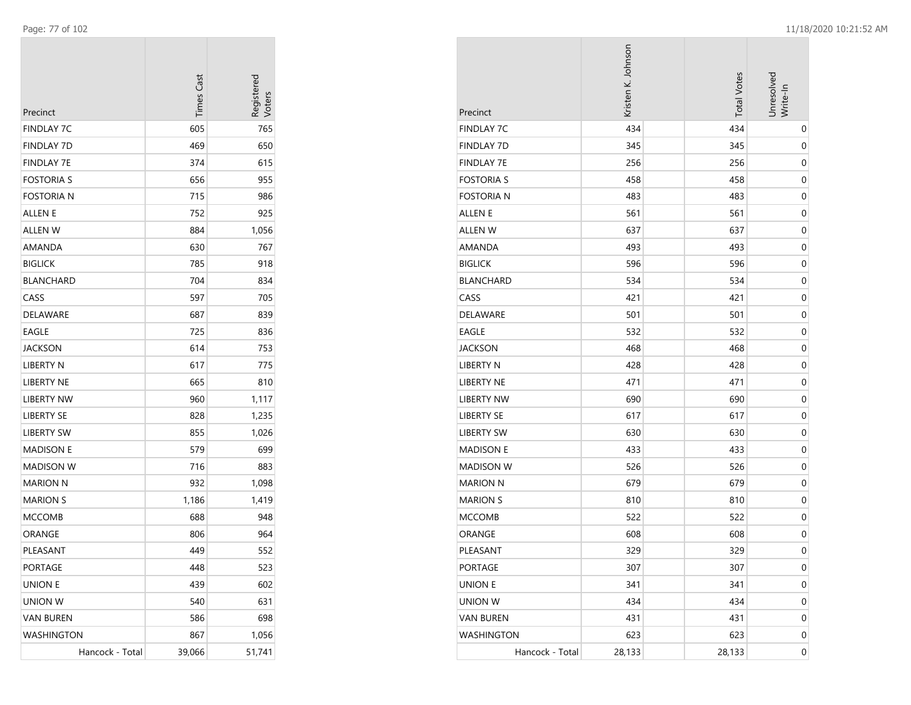| Precinct          | <b>Times Cast</b> | Registered<br>Voters |
|-------------------|-------------------|----------------------|
| <b>FINDLAY 7C</b> | 605               | 765                  |
| <b>FINDLAY 7D</b> | 469               | 650                  |
| FINDLAY 7E        | 374               | 615                  |
| <b>FOSTORIA S</b> | 656               | 955                  |
| Fostoria n        | 715               | 986                  |
| ALLEN E           | 752               | 925                  |
| ALLEN W           | 884               | 1,056                |
| AMANDA            | 630               | 767                  |
| <b>BIGLICK</b>    | 785               | 918                  |
| <b>BLANCHARD</b>  | 704               | 834                  |
| CASS              | 597               | 705                  |
| DELAWARE          | 687               | 839                  |
| <b>EAGLE</b>      | 725               | 836                  |
| JACKSON           | 614               | 753                  |
| LIBERTY N         | 617               | 775                  |
| LIBERTY NE        | 665               | 810                  |
| <b>LIBERTY NW</b> | 960               | 1,117                |
| <b>LIBERTY SE</b> | 828               | 1,235                |
| <b>LIBERTY SW</b> | 855               | 1,026                |
| <b>MADISON E</b>  | 579               | 699                  |
| MADISON W         | 716               | 883                  |
| <b>MARION N</b>   | 932               | 1,098                |
| <b>MARION S</b>   | 1,186             | 1,419                |
| <b>MCCOMB</b>     | 688               | 948                  |
| ORANGE            | 806               | 964                  |
| PLEASANT          | 449               | 552                  |
| PORTAGE           | 448               | 523                  |
| <b>UNION E</b>    | 439               | 602                  |
| <b>UNION W</b>    | 540               | 631                  |
| <b>VAN BUREN</b>  | 586               | 698                  |
| <b>WASHINGTON</b> | 867               | 1,056                |
| Hancock - Total   | 39,066            | 51,741               |

| Precinct          | Kristen K. Johnson | <b>Total Votes</b> | Unresolved<br>Write-In |
|-------------------|--------------------|--------------------|------------------------|
| <b>FINDLAY 7C</b> | 434                | 434                | $\pmb{0}$              |
| <b>FINDLAY 7D</b> | 345                | 345                | 0                      |
| <b>FINDLAY 7E</b> | 256                | 256                | $\pmb{0}$              |
| <b>FOSTORIA S</b> | 458                | 458                | 0                      |
| <b>FOSTORIA N</b> | 483                | 483                | $\pmb{0}$              |
| ALLEN E           | 561                | 561                | 0                      |
| <b>ALLEN W</b>    | 637                | 637                | 0                      |
| AMANDA            | 493                | 493                | $\mathbf 0$            |
| <b>BIGLICK</b>    | 596                | 596                | $\mathbf 0$            |
| <b>BLANCHARD</b>  | 534                | 534                | $\pmb{0}$              |
| CASS              | 421                | 421                | 0                      |
| DELAWARE          | 501                | 501                | $\pmb{0}$              |
| EAGLE             | 532                | 532                | 0                      |
| <b>JACKSON</b>    | 468                | 468                | $\pmb{0}$              |
| <b>LIBERTY N</b>  | 428                | 428                | 0                      |
| <b>LIBERTY NE</b> | 471                | 471                | 0                      |
| <b>LIBERTY NW</b> | 690                | 690                | $\mathbf 0$            |
| <b>LIBERTY SE</b> | 617                | 617                | $\mathbf 0$            |
| <b>LIBERTY SW</b> | 630                | 630                | $\pmb{0}$              |
| <b>MADISON E</b>  | 433                | 433                | 0                      |
| <b>MADISON W</b>  | 526                | 526                | $\pmb{0}$              |
| <b>MARION N</b>   | 679                | 679                | 0                      |
| <b>MARION S</b>   | 810                | 810                | $\pmb{0}$              |
| <b>MCCOMB</b>     | 522                | 522                | 0                      |
| ORANGE            | 608                | 608                | $\pmb{0}$              |
| PLEASANT          | 329                | 329                | $\mathbf 0$            |
| PORTAGE           | 307                | 307                | $\boldsymbol{0}$       |
| <b>UNION E</b>    | 341                | 341                | $\boldsymbol{0}$       |
| <b>UNION W</b>    | 434                | 434                | $\mathbf 0$            |
| <b>VAN BUREN</b>  | 431                | 431                | $\boldsymbol{0}$       |
| <b>WASHINGTON</b> | 623                | 623                | 0                      |
| Hancock - Total   | 28,133             | 28,133             | $\boldsymbol{0}$       |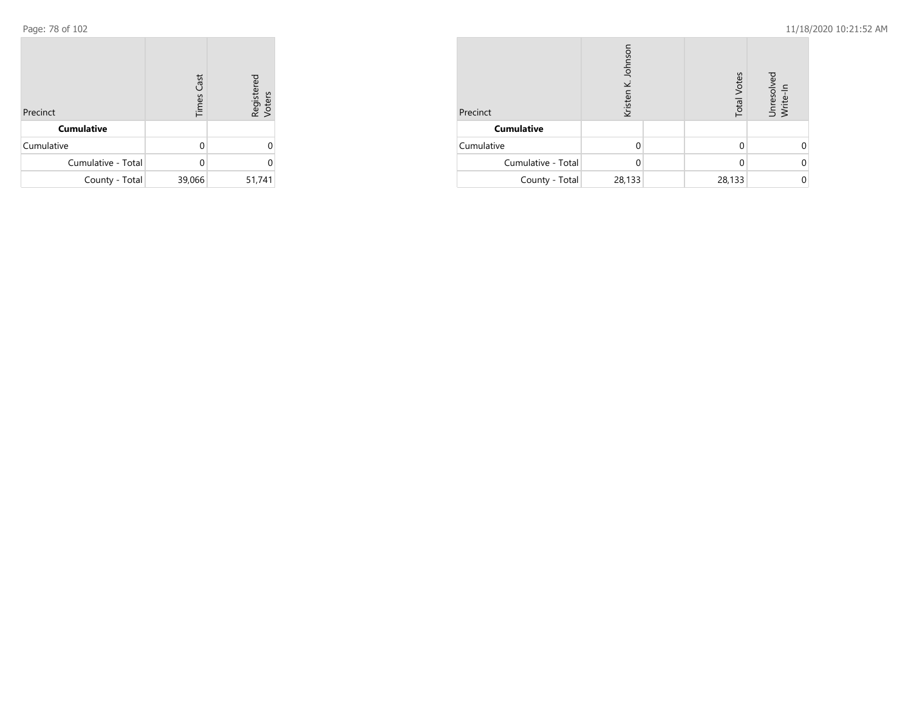| Precinct           | <b>Times Cast</b> | Registered<br>Voters |
|--------------------|-------------------|----------------------|
| <b>Cumulative</b>  |                   |                      |
| Cumulative         | U                 | Ω                    |
| Cumulative - Total |                   | U                    |
| County - Total     | 39,066            | 51,741               |

| Precinct           | K. Johnso<br>Kristen |  | <b>Total Votes</b> | Unresolved<br>Write-In |
|--------------------|----------------------|--|--------------------|------------------------|
| <b>Cumulative</b>  |                      |  |                    |                        |
| Cumulative         |                      |  |                    |                        |
| Cumulative - Total | 0                    |  | 0                  |                        |
| County - Total     | 28,133               |  | 28,133             |                        |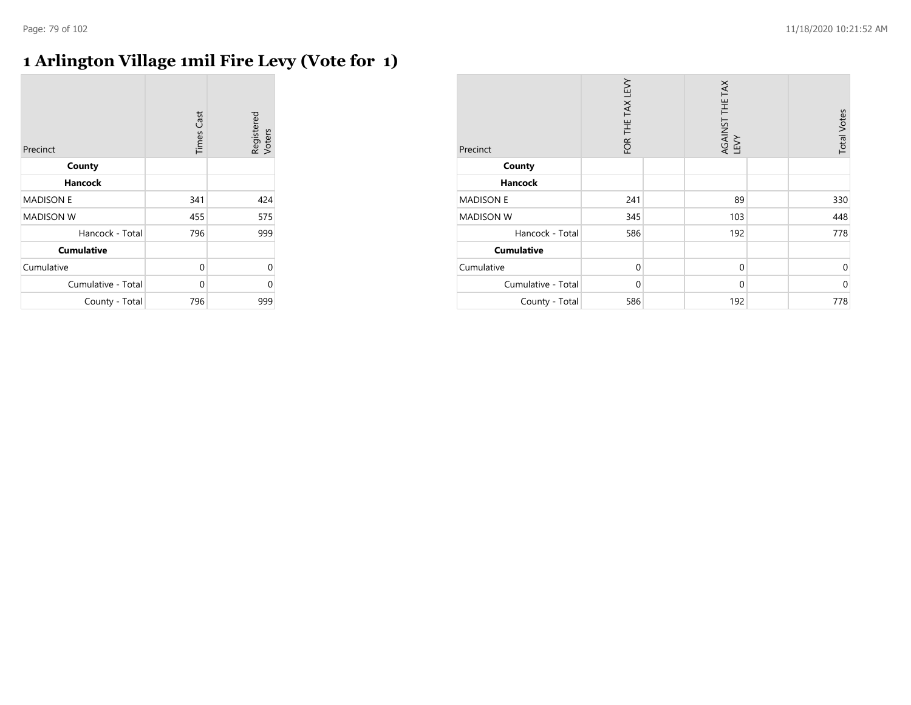## **1 Arlington Village 1mil Fire Levy (Vote for 1)**

| Precinct           | <b>Times Cast</b> | Registered<br>Voters |
|--------------------|-------------------|----------------------|
| County             |                   |                      |
| <b>Hancock</b>     |                   |                      |
| <b>MADISON E</b>   | 341               | 424                  |
| <b>MADISON W</b>   | 455               | 575                  |
| Hancock - Total    | 796               | 999                  |
| <b>Cumulative</b>  |                   |                      |
| Cumulative         | 0                 | $\Omega$             |
| Cumulative - Total | $\Omega$          | 0                    |
| County - Total     | 796               | 999                  |

| Precinct           | FOR THE TAX LEVY | AGAINST THE TAX<br>LEVY | <b>Total Votes</b> |
|--------------------|------------------|-------------------------|--------------------|
| County             |                  |                         |                    |
| <b>Hancock</b>     |                  |                         |                    |
| <b>MADISON E</b>   | 241              | 89                      | 330                |
| <b>MADISON W</b>   | 345              | 103                     | 448                |
| Hancock - Total    | 586              | 192                     | 778                |
| <b>Cumulative</b>  |                  |                         |                    |
| Cumulative         | $\mathbf 0$      | $\mathbf{0}$            | 0                  |
| Cumulative - Total | $\mathbf 0$      | $\mathbf 0$             | $\mathbf 0$        |
| County - Total     | 586              | 192                     | 778                |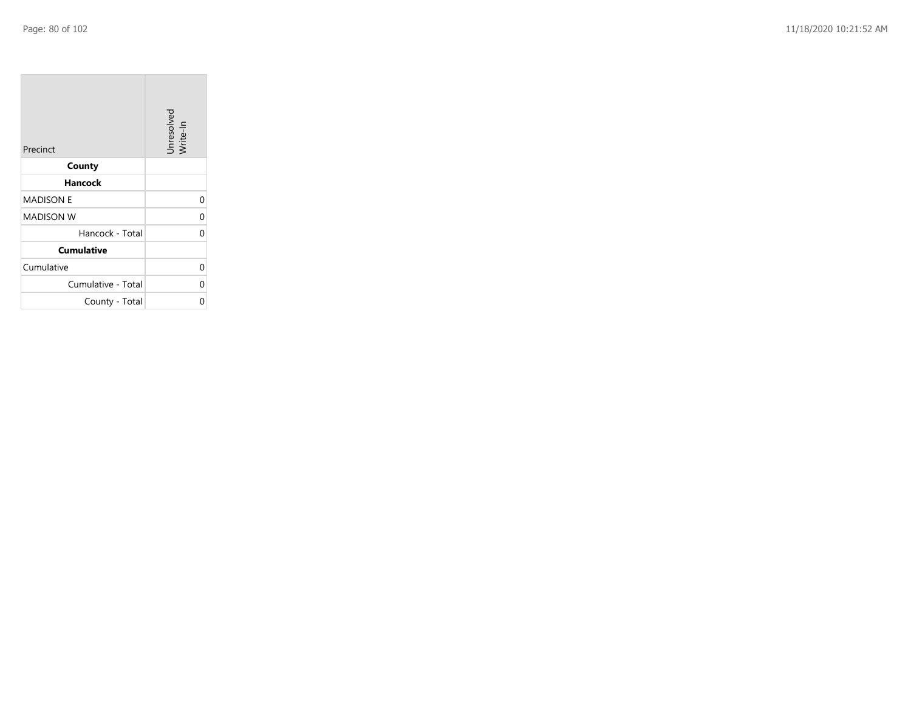$\sim$ 

| Precinct           | Unresolved<br>Write-In |
|--------------------|------------------------|
| County             |                        |
| Hancock            |                        |
| <b>MADISON E</b>   | 0                      |
| <b>MADISON W</b>   | 0                      |
| Hancock - Total    | ſ                      |
| <b>Cumulative</b>  |                        |
| Cumulative         | Ω                      |
| Cumulative - Total | 0                      |
| County - Total     |                        |

the property of the con-

 $\overline{\phantom{a}}$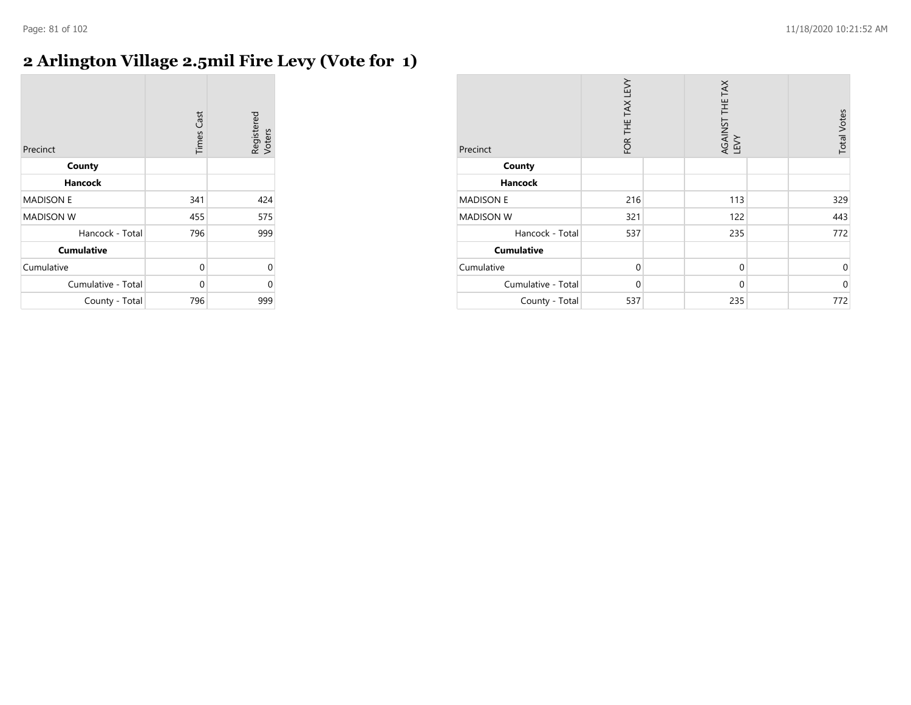## **2 Arlington Village 2.5mil Fire Levy (Vote for 1)**

| Precinct           | <b>Times Cast</b> | Registered<br>Voters |
|--------------------|-------------------|----------------------|
| County             |                   |                      |
| Hancock            |                   |                      |
| <b>MADISON E</b>   | 341               | 424                  |
| <b>MADISON W</b>   | 455               | 575                  |
| Hancock - Total    | 796               | 999                  |
| <b>Cumulative</b>  |                   |                      |
| Cumulative         | 0                 | 0                    |
| Cumulative - Total | 0                 | 0                    |
| County - Total     | 796               | 999                  |

| Precinct           | FOR THE TAX LEVY | AGAINST THE TAX<br>LEVY | <b>Total Votes</b> |
|--------------------|------------------|-------------------------|--------------------|
| County             |                  |                         |                    |
| <b>Hancock</b>     |                  |                         |                    |
| <b>MADISON E</b>   | 216              | 113                     | 329                |
| <b>MADISON W</b>   | 321              | 122                     | 443                |
| Hancock - Total    | 537              | 235                     | 772                |
| <b>Cumulative</b>  |                  |                         |                    |
| Cumulative         | $\mathbf 0$      | $\mathbf 0$             | $\mathbf 0$        |
| Cumulative - Total | $\mathbf 0$      | $\mathbf 0$             | $\mathbf 0$        |
| County - Total     | 537              | 235                     | 772                |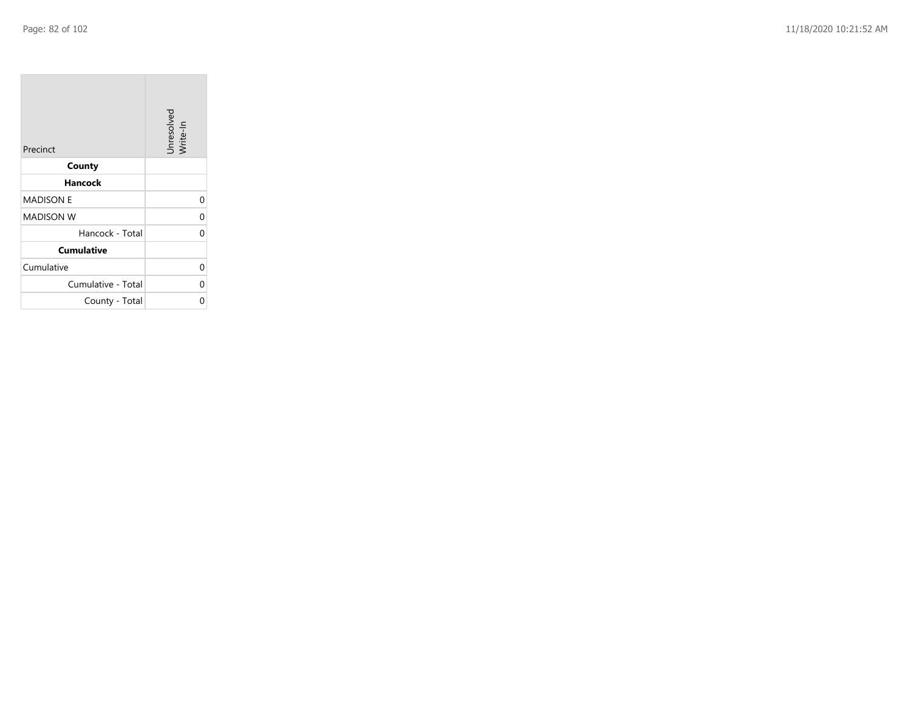**COL** 

| Precinct           | Unresolved<br>Write-In |
|--------------------|------------------------|
| County             |                        |
| Hancock            |                        |
| <b>MADISON E</b>   | $\Omega$               |
| <b>MADISON W</b>   | 0                      |
| Hancock - Total    | O                      |
| <b>Cumulative</b>  |                        |
| Cumulative         | 0                      |
| Cumulative - Total | 0                      |
| County - Total     | 0                      |

the control of the control of

 $\mathcal{L}_{\mathcal{A}}$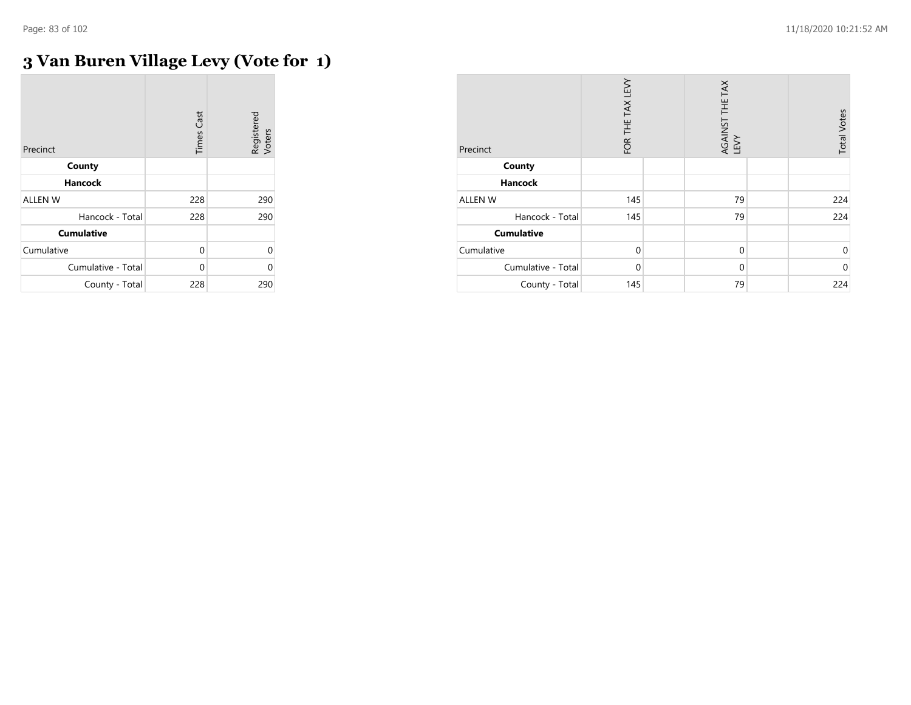# **3 Van Buren Village Levy (Vote for 1)**

| Precinct           | <b>Times Cast</b> | Registered<br>Voters |
|--------------------|-------------------|----------------------|
| County             |                   |                      |
| <b>Hancock</b>     |                   |                      |
| <b>ALLEN W</b>     | 228               | 290                  |
| Hancock - Total    | 228               | 290                  |
| <b>Cumulative</b>  |                   |                      |
| Cumulative         | $\Omega$          | 0                    |
| Cumulative - Total | U                 | C                    |
| County - Total     | 228               | 290                  |

| Precinct           | FOR THE TAX LEVY | AGAINST THE TAX<br>LEVY | <b>Total Votes</b> |
|--------------------|------------------|-------------------------|--------------------|
| County             |                  |                         |                    |
| <b>Hancock</b>     |                  |                         |                    |
| ALLEN W            | 145              | 79                      | 224                |
| Hancock - Total    | 145              | 79                      | 224                |
| <b>Cumulative</b>  |                  |                         |                    |
| Cumulative         | $\mathbf 0$      | $\mathbf{0}$            | $\mathbf 0$        |
| Cumulative - Total | $\Omega$         | $\Omega$                | $\mathbf{0}$       |
| County - Total     | 145              | 79                      | 224                |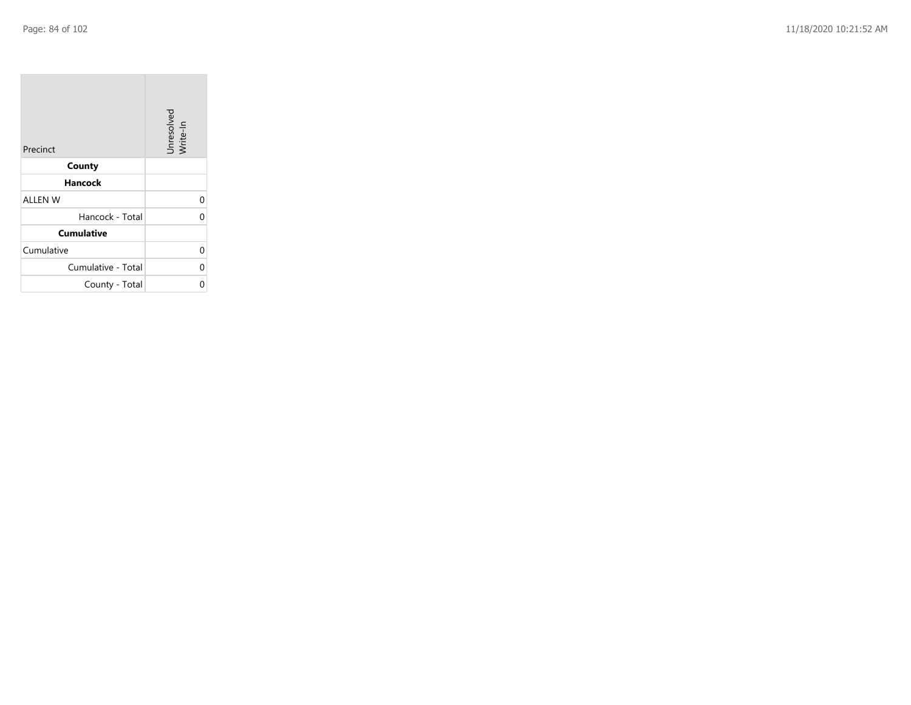$\sim$ 

| Precinct           | Unresolved<br>Write-In |
|--------------------|------------------------|
| County             |                        |
| Hancock            |                        |
| <b>ALLEN W</b>     | 0                      |
| Hancock - Total    | O                      |
| <b>Cumulative</b>  |                        |
| Cumulative         | 0                      |
| Cumulative - Total | 0                      |
| County - Total     |                        |

the control of the con-

 $\overline{\phantom{a}}$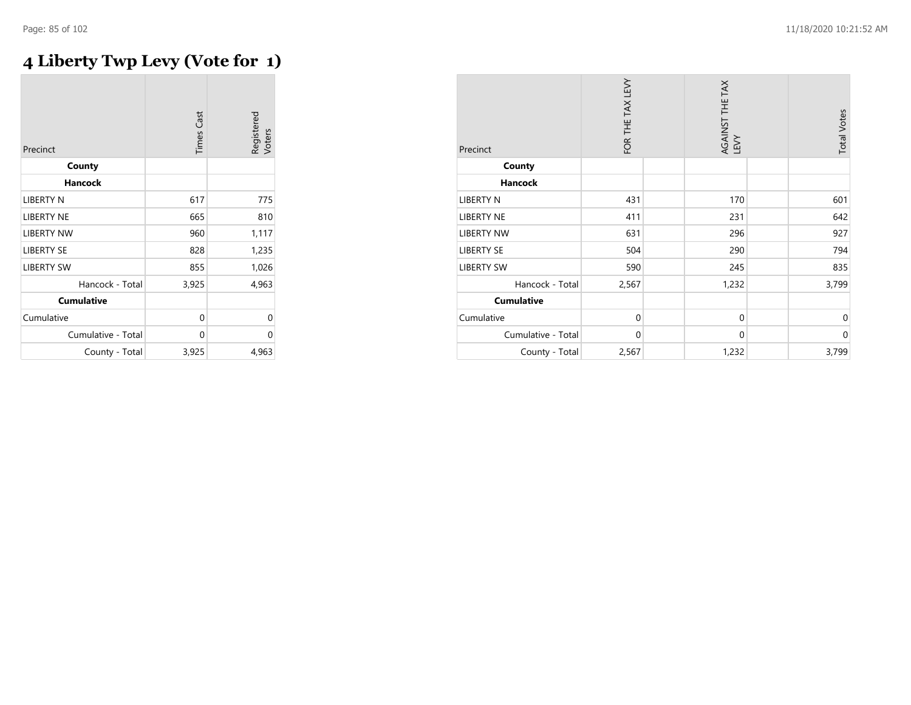# **4 Liberty Twp Levy (Vote for 1)**

| Precinct           | <b>Times Cast</b> | Registered<br>Voters |
|--------------------|-------------------|----------------------|
| County             |                   |                      |
| <b>Hancock</b>     |                   |                      |
| LIBERTY N          | 617               | 775                  |
| <b>LIBERTY NE</b>  | 665               | 810                  |
| <b>LIBERTY NW</b>  | 960               | 1,117                |
| <b>LIBERTY SE</b>  | 828               | 1,235                |
| <b>LIBERTY SW</b>  | 855               | 1,026                |
| Hancock - Total    | 3,925             | 4,963                |
| <b>Cumulative</b>  |                   |                      |
| Cumulative         | 0                 | 0                    |
| Cumulative - Total | 0                 | 0                    |
| County - Total     | 3,925             | 4,963                |

| Precinct           | FOR THE TAX LEVY | AGAINST THE TAX<br>LEVY | <b>Total Votes</b> |
|--------------------|------------------|-------------------------|--------------------|
| County             |                  |                         |                    |
| <b>Hancock</b>     |                  |                         |                    |
| <b>LIBERTY N</b>   | 431              | 170                     | 601                |
| <b>LIBERTY NE</b>  | 411              | 231                     | 642                |
| <b>LIBERTY NW</b>  | 631              | 296                     | 927                |
| <b>LIBERTY SE</b>  | 504              | 290                     | 794                |
| <b>LIBERTY SW</b>  | 590              | 245                     | 835                |
| Hancock - Total    | 2,567            | 1,232                   | 3,799              |
| <b>Cumulative</b>  |                  |                         |                    |
| Cumulative         | $\mathbf{0}$     | $\mathbf 0$             | $\mathbf{0}$       |
| Cumulative - Total | $\mathbf 0$      | 0                       | $\mathbf{0}$       |
| County - Total     | 2,567            | 1,232                   | 3,799              |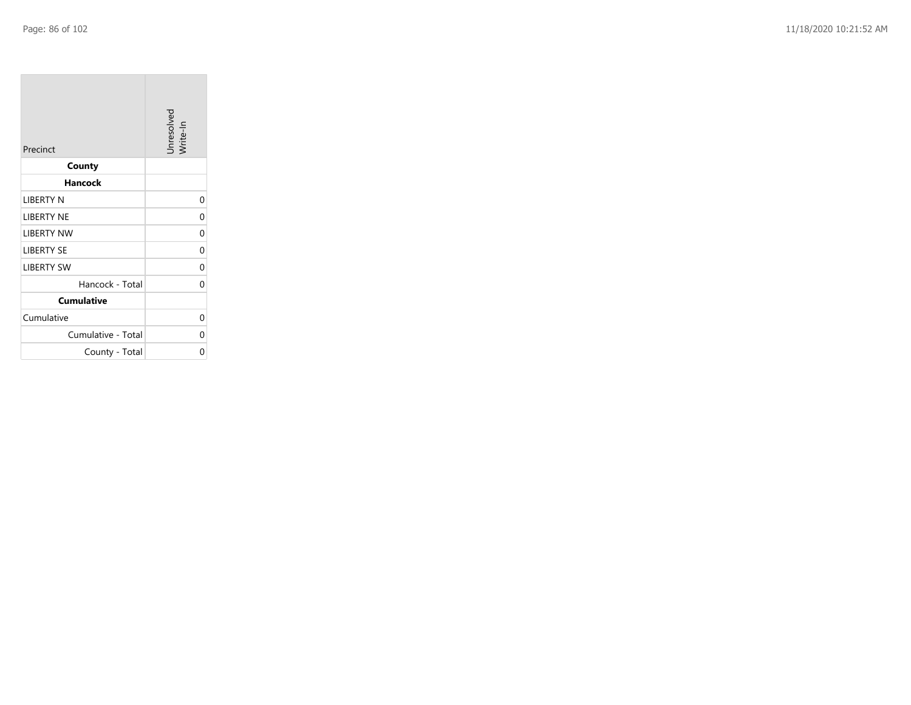**College** 

| Precinct           | Unresolved<br>Write-In |
|--------------------|------------------------|
| County             |                        |
| Hancock            |                        |
| LIBERTY N          | 0                      |
| <b>LIBERTY NE</b>  | 0                      |
| <b>LIBERTY NW</b>  | 0                      |
| <b>LIBERTY SE</b>  | 0                      |
| <b>LIBERTY SW</b>  | 0                      |
| Hancock - Total    | 0                      |
| <b>Cumulative</b>  |                        |
| Cumulative         | 0                      |
| Cumulative - Total | 0                      |
| County - Total     | ი                      |

the control of the control of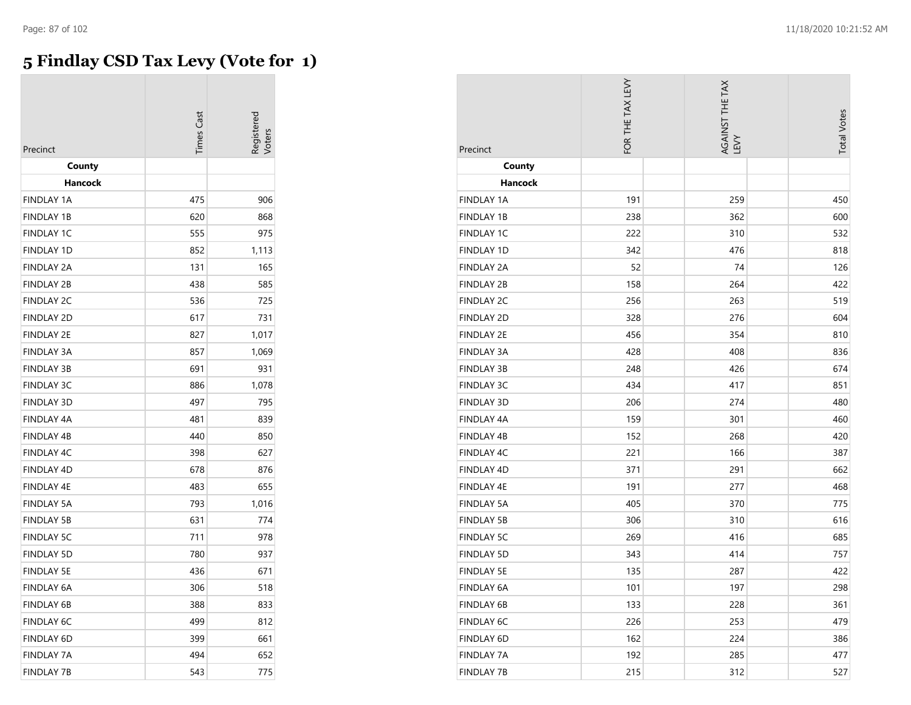## **5 Findlay CSD Tax Levy (Vote for 1)**

| Precinct          | <b>Times</b> Cast | kegisterec |
|-------------------|-------------------|------------|
| County            |                   |            |
| Hancock           |                   |            |
| <b>FINDLAY 1A</b> | 475               | 906        |
| <b>FINDLAY 1B</b> | 620               | 868        |
| <b>FINDLAY 1C</b> | 555               | 975        |
| <b>FINDLAY 1D</b> | 852               | 1,113      |
| <b>FINDLAY 2A</b> | 131               | 165        |
| <b>FINDLAY 2B</b> | 438               | 585        |
| <b>FINDLAY 2C</b> | 536               | 725        |
| <b>FINDLAY 2D</b> | 617               | 731        |
| <b>FINDLAY 2E</b> | 827               | 1,017      |
| <b>FINDLAY 3A</b> | 857               | 1,069      |
| <b>FINDLAY 3B</b> | 691               | 931        |
| <b>FINDLAY 3C</b> | 886               | 1,078      |
| <b>FINDLAY 3D</b> | 497               | 795        |
| <b>FINDLAY 4A</b> | 481               | 839        |
| <b>FINDLAY 4B</b> | 440               | 850        |
| FINDLAY 4C        | 398               | 627        |
| <b>FINDLAY 4D</b> | 678               | 876        |
| <b>FINDLAY 4E</b> | 483               | 655        |
| <b>FINDLAY 5A</b> | 793               | 1,016      |
| <b>FINDLAY 5B</b> | 631               | 774        |
| <b>FINDLAY 5C</b> | 711               | 978        |
| <b>FINDLAY 5D</b> | 780               | 937        |
| <b>FINDLAY 5E</b> | 436               | 671        |
| <b>FINDLAY 6A</b> | 306               | 518        |
| <b>FINDLAY 6B</b> | 388               | 833        |
| <b>FINDLAY 6C</b> | 499               | 812        |
| <b>FINDLAY 6D</b> | 399               | 661        |
| <b>FINDLAY 7A</b> | 494               | 652        |
| <b>FINDLAY 7B</b> | 543               | 775        |

| Precinct          | FOR THE TAX LEVY | AGAINST THE TAX<br>LEVY | <b>Total Votes</b> |
|-------------------|------------------|-------------------------|--------------------|
| County            |                  |                         |                    |
| Hancock           |                  |                         |                    |
| <b>FINDLAY 1A</b> | 191              | 259                     | 450                |
| <b>FINDLAY 1B</b> | 238              | 362                     | 600                |
| <b>FINDLAY 1C</b> | 222              | 310                     | 532                |
| <b>FINDLAY 1D</b> | 342              | 476                     | 818                |
| <b>FINDLAY 2A</b> | 52               | 74                      | 126                |
| <b>FINDLAY 2B</b> | 158              | 264                     | 422                |
| <b>FINDLAY 2C</b> | 256              | 263                     | 519                |
| <b>FINDLAY 2D</b> | 328              | 276                     | 604                |
| <b>FINDLAY 2E</b> | 456              | 354                     | 810                |
| <b>FINDLAY 3A</b> | 428              | 408                     | 836                |
| <b>FINDLAY 3B</b> | 248              | 426                     | 674                |
| <b>FINDLAY 3C</b> | 434              | 417                     | 851                |
| <b>FINDLAY 3D</b> | 206              | 274                     | 480                |
| <b>FINDLAY 4A</b> | 159              | 301                     | 460                |
| <b>FINDLAY 4B</b> | 152              | 268                     | 420                |
| FINDLAY 4C        | 221              | 166                     | 387                |
| <b>FINDLAY 4D</b> | 371              | 291                     | 662                |
| <b>FINDLAY 4E</b> | 191              | 277                     | 468                |
| <b>FINDLAY 5A</b> | 405              | 370                     | 775                |
| <b>FINDLAY 5B</b> | 306              | 310                     | 616                |
| <b>FINDLAY 5C</b> | 269              | 416                     | 685                |
| <b>FINDLAY 5D</b> | 343              | 414                     | 757                |
| <b>FINDLAY 5E</b> | 135              | 287                     | 422                |
| FINDLAY 6A        | 101              | 197                     | 298                |
| <b>FINDLAY 6B</b> | 133              | 228                     | 361                |
| FINDLAY 6C        | 226              | 253                     | 479                |
| <b>FINDLAY 6D</b> | 162              | 224                     | 386                |
| FINDLAY 7A        | 192              | 285                     | 477                |
| <b>FINDLAY 7B</b> | 215              | 312                     | 527                |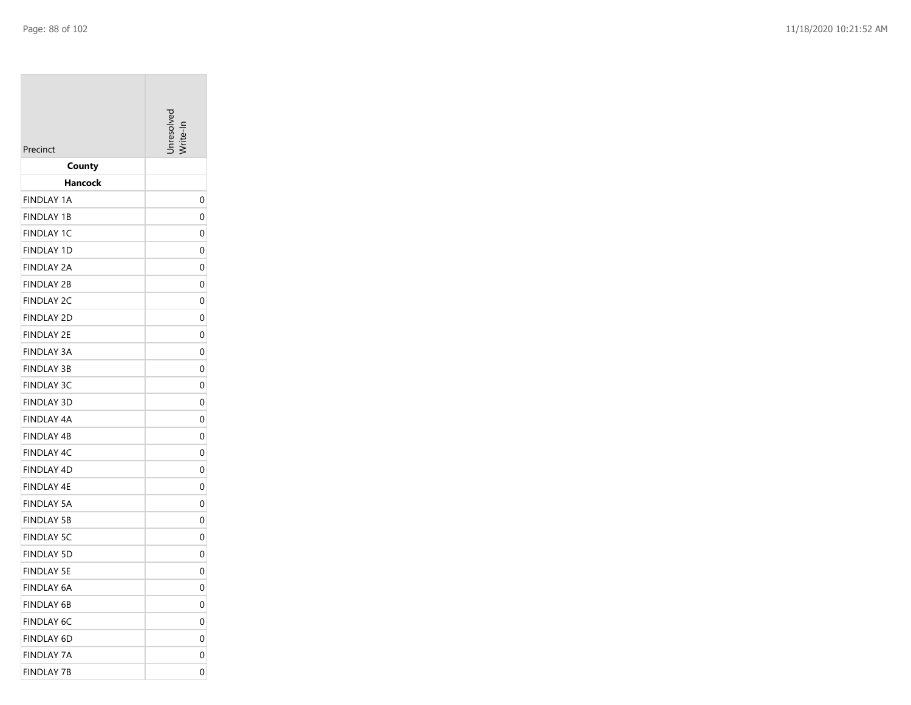| Precinct          | nresolver |
|-------------------|-----------|
| County            |           |
| Hancock           |           |
| <b>FINDLAY 1A</b> | 0         |
| <b>FINDLAY 1B</b> | 0         |
| <b>FINDLAY 1C</b> | 0         |
| <b>FINDLAY 1D</b> | 0         |
| FINDLAY 2A        | 0         |
| <b>FINDLAY 2B</b> | 0         |
| <b>FINDLAY 2C</b> | 0         |
| <b>FINDLAY 2D</b> | 0         |
| FINDLAY 2E        | 0         |
| <b>FINDLAY 3A</b> | 0         |
| <b>FINDLAY 3B</b> | 0         |
| <b>FINDLAY 3C</b> | 0         |
| <b>FINDLAY 3D</b> | 0         |
| FINDLAY 4A        | 0         |
| <b>FINDLAY 4B</b> | 0         |
| <b>FINDLAY 4C</b> | 0         |
| <b>FINDLAY 4D</b> | 0         |
| FINDLAY 4E        | 0         |
| <b>FINDLAY 5A</b> | 0         |
| <b>FINDLAY 5B</b> | 0         |
| <b>FINDLAY 5C</b> | 0         |
| <b>FINDLAY 5D</b> | 0         |
| <b>FINDLAY 5E</b> | 0         |
| <b>FINDLAY 6A</b> | 0         |
| FINDLAY 6B        | 0         |
| <b>FINDLAY 6C</b> | 0         |
| FINDLAY 6D        | 0         |
| <b>FINDLAY 7A</b> | 0         |
| <b>FINDLAY 7B</b> | 0         |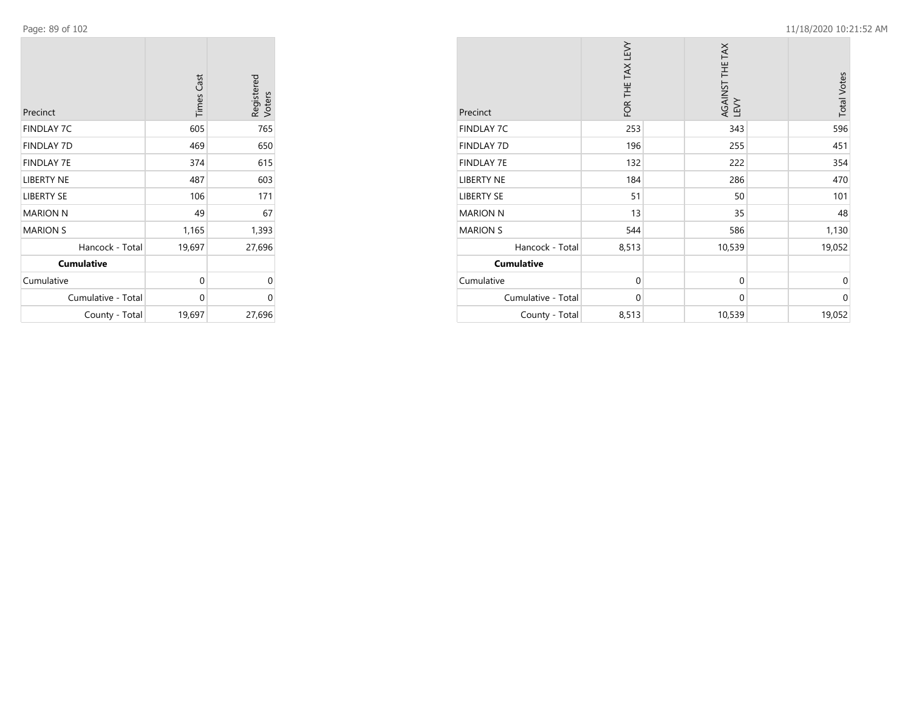**COL** 

| Precinct           | <b>Times Cast</b> | Registered<br>Voters |
|--------------------|-------------------|----------------------|
| <b>FINDLAY 7C</b>  | 605               | 765                  |
| <b>FINDLAY 7D</b>  | 469               | 650                  |
| <b>FINDLAY 7E</b>  | 374               | 615                  |
| <b>LIBERTY NE</b>  | 487               | 603                  |
| <b>LIBERTY SE</b>  | 106               | 171                  |
| <b>MARION N</b>    | 49                | 67                   |
| <b>MARION S</b>    | 1,165             | 1,393                |
| Hancock - Total    | 19,697            | 27,696               |
| <b>Cumulative</b>  |                   |                      |
| Cumulative         | 0                 | 0                    |
| Cumulative - Total | 0                 | 0                    |
| County - Total     | 19,697            | 27,696               |

| Precinct           | FOR THE TAX LEVY | AGAINST THE TAX<br>LEVY | <b>Total Votes</b> |
|--------------------|------------------|-------------------------|--------------------|
| <b>FINDLAY 7C</b>  | 253              | 343                     | 596                |
| <b>FINDLAY 7D</b>  | 196              | 255                     | 451                |
| <b>FINDLAY 7E</b>  | 132              | 222                     | 354                |
| <b>LIBERTY NE</b>  | 184              | 286                     | 470                |
| <b>LIBERTY SE</b>  | 51               | 50                      | 101                |
| <b>MARION N</b>    | 13               | 35                      | 48                 |
| <b>MARION S</b>    | 544              | 586                     | 1,130              |
| Hancock - Total    | 8,513            | 10,539                  | 19,052             |
| <b>Cumulative</b>  |                  |                         |                    |
| Cumulative         | $\mathbf{0}$     | $\mathbf{0}$            | $\Omega$           |
| Cumulative - Total | $\mathbf{0}$     | $\mathbf{0}$            | $\mathbf 0$        |
| County - Total     | 8,513            | 10,539                  | 19,052             |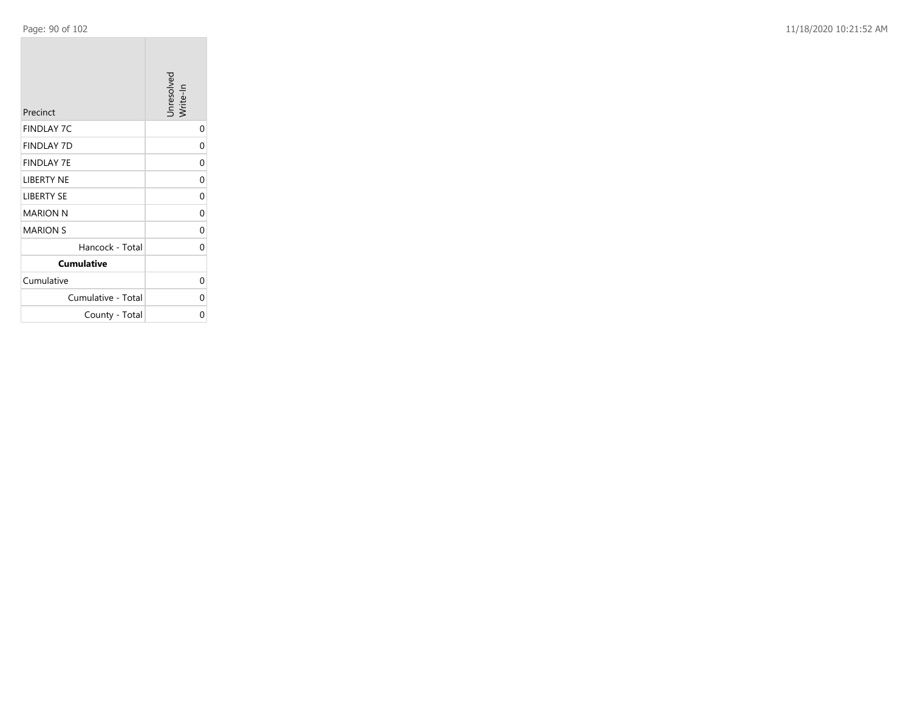Page: 90 of 102 11/18/2020 10:21:52 AM

| Precinct           | Unresolved<br>Write-In |
|--------------------|------------------------|
| <b>FINDLAY 7C</b>  | 0                      |
| <b>FINDLAY 7D</b>  | 0                      |
| <b>FINDLAY 7E</b>  | 0                      |
| <b>LIBERTY NE</b>  | 0                      |
| <b>LIBERTY SE</b>  | 0                      |
| <b>MARION N</b>    | 0                      |
| <b>MARION S</b>    | 0                      |
| Hancock - Total    | 0                      |
| <b>Cumulative</b>  |                        |
| Cumulative         | 0                      |
| Cumulative - Total | ი                      |
| County - Total     | ი                      |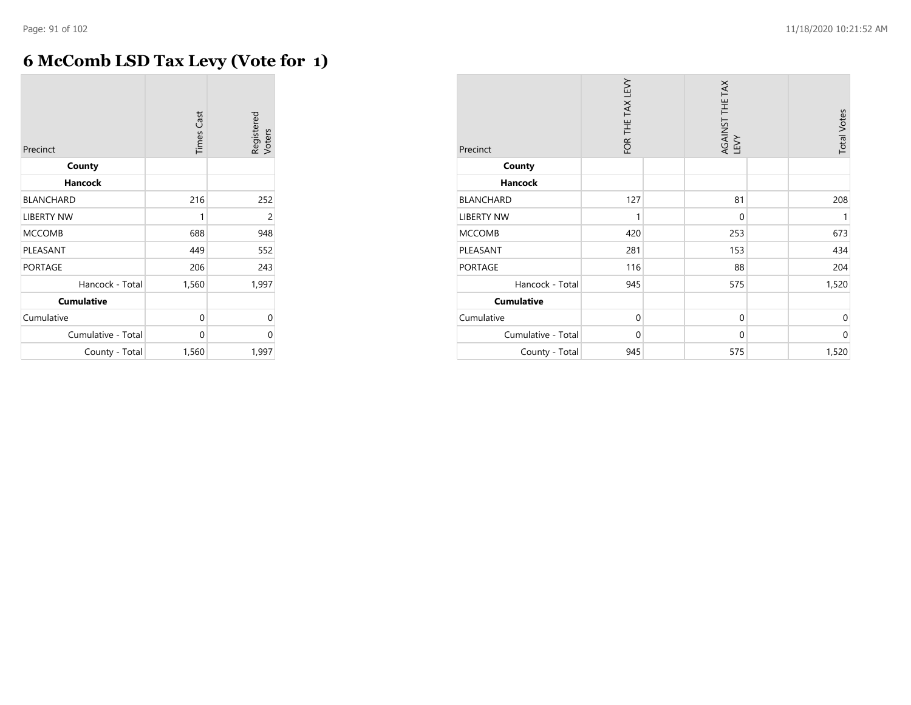# **6 McComb LSD Tax Levy (Vote for 1)**

| Precinct           | <b>Times Cast</b> | Registered<br>Voters |
|--------------------|-------------------|----------------------|
| County             |                   |                      |
| <b>Hancock</b>     |                   |                      |
| <b>BLANCHARD</b>   | 216               | 252                  |
| <b>LIBERTY NW</b>  | 1                 | 2                    |
| <b>MCCOMB</b>      | 688               | 948                  |
| PLEASANT           | 449               | 552                  |
| <b>PORTAGE</b>     | 206               | 243                  |
| Hancock - Total    | 1,560             | 1,997                |
| <b>Cumulative</b>  |                   |                      |
| Cumulative         | 0                 | 0                    |
| Cumulative - Total | 0                 | 0                    |
| County - Total     | 1,560             | 1,997                |

| Precinct           | FOR THE TAX LEVY | AGAINST THE TAX<br>LEVY | <b>Total Votes</b> |
|--------------------|------------------|-------------------------|--------------------|
| County             |                  |                         |                    |
| <b>Hancock</b>     |                  |                         |                    |
| <b>BLANCHARD</b>   | 127              | 81                      | 208                |
| <b>LIBERTY NW</b>  | 1                | $\mathbf 0$             | 1                  |
| <b>MCCOMB</b>      | 420              | 253                     | 673                |
| PLEASANT           | 281              | 153                     | 434                |
| <b>PORTAGE</b>     | 116              | 88                      | 204                |
| Hancock - Total    | 945              | 575                     | 1,520              |
| <b>Cumulative</b>  |                  |                         |                    |
| Cumulative         | $\mathbf 0$      | $\mathbf 0$             | $\mathbf 0$        |
| Cumulative - Total | $\mathbf 0$      | $\mathbf{0}$            | 0                  |
| County - Total     | 945              | 575                     | 1,520              |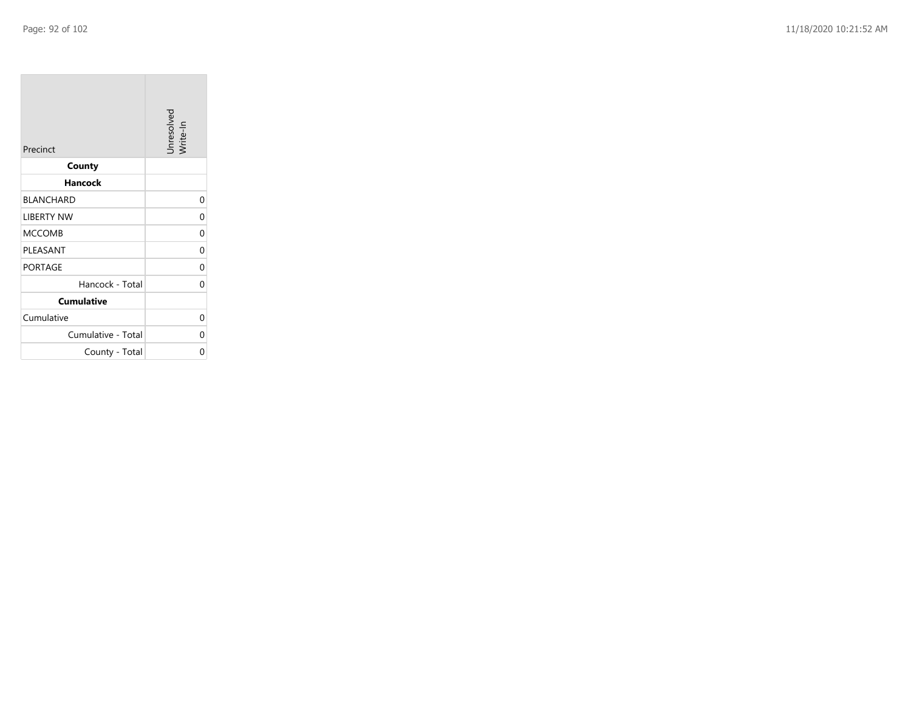**COL** 

| Precinct           | Unresolved<br>Write-In |
|--------------------|------------------------|
| County             |                        |
| Hancock            |                        |
| <b>BLANCHARD</b>   | 0                      |
| <b>LIBERTY NW</b>  | 0                      |
| <b>MCCOMB</b>      | 0                      |
| PLEASANT           | 0                      |
| <b>PORTAGE</b>     | 0                      |
| Hancock - Total    | 0                      |
| <b>Cumulative</b>  |                        |
| Cumulative         | 0                      |
| Cumulative - Total | 0                      |
| County - Total     | ი                      |

the control of the control of the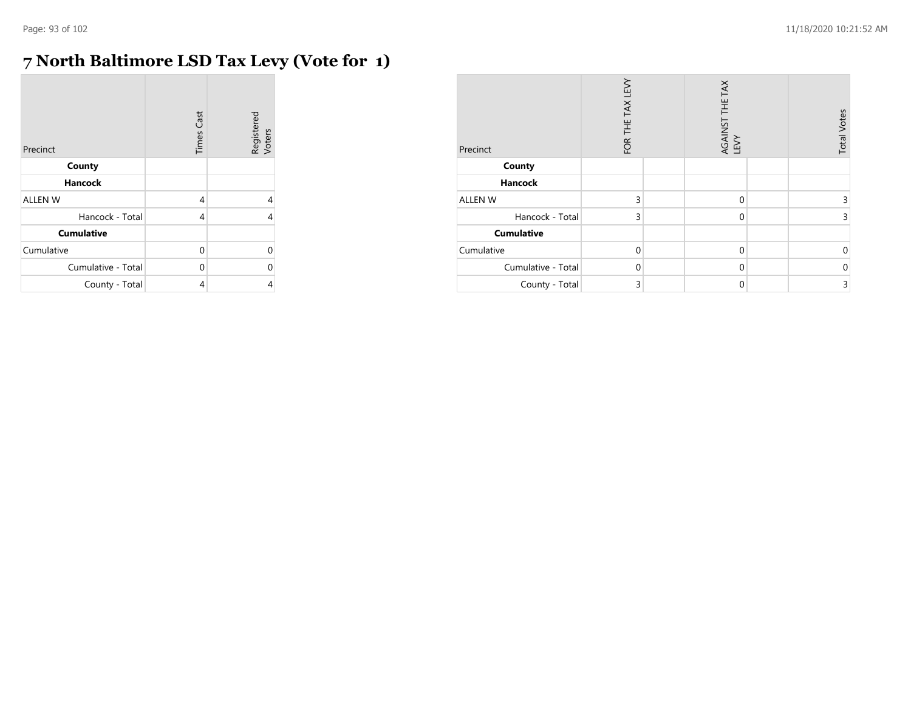# **7 North Baltimore LSD Tax Levy (Vote for 1)**

| Precinct           | <b>Times Cast</b> | Registered<br>Voters |
|--------------------|-------------------|----------------------|
| County             |                   |                      |
| <b>Hancock</b>     |                   |                      |
| <b>ALLEN W</b>     | 4                 | 4                    |
| Hancock - Total    | 4                 | 4                    |
| <b>Cumulative</b>  |                   |                      |
| Cumulative         | $\Omega$          | 0                    |
| Cumulative - Total | 0                 | 0                    |
| County - Total     | 4                 | 4                    |

| Precinct           | FOR THE TAX LEVY | AGAINST THE TAX<br>LEVY | <b>Total Votes</b> |
|--------------------|------------------|-------------------------|--------------------|
| County             |                  |                         |                    |
| <b>Hancock</b>     |                  |                         |                    |
| ALLEN W            | 3                | $\Omega$                | 3                  |
| Hancock - Total    | 3                | $\Omega$                | 3                  |
| <b>Cumulative</b>  |                  |                         |                    |
| Cumulative         | $\mathbf{0}$     | $\Omega$                | $\mathbf 0$        |
| Cumulative - Total | $\Omega$         | $\Omega$                | $\mathbf 0$        |
| County - Total     | 3                | $\mathbf 0$             | 3                  |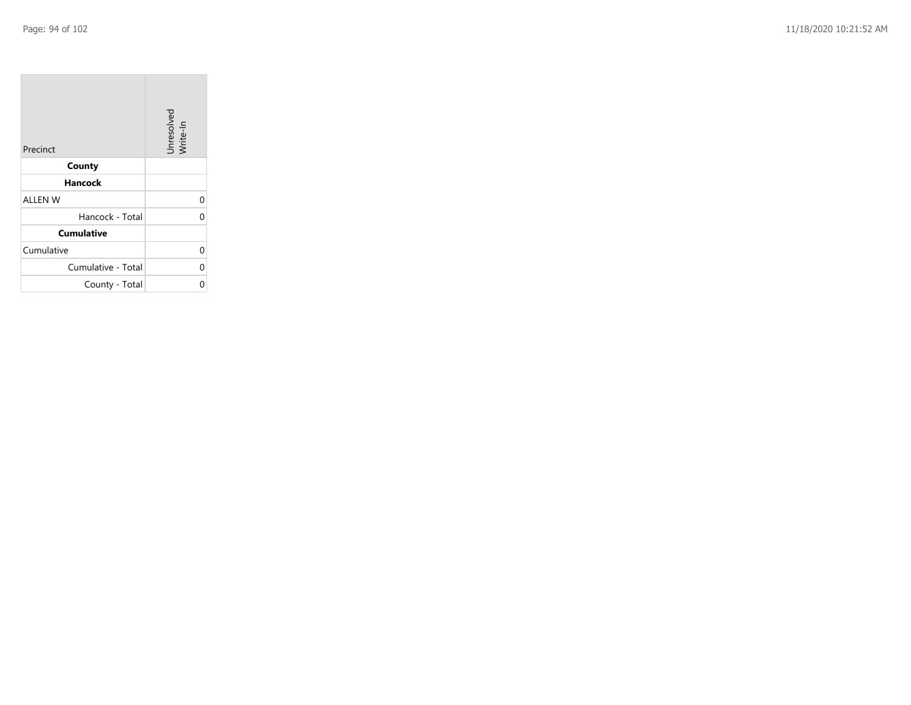$\sim$ 

| Precinct           | Unresolved<br>Write-In |
|--------------------|------------------------|
| County             |                        |
| Hancock            |                        |
| <b>ALLEN W</b>     | 0                      |
| Hancock - Total    | 0                      |
| <b>Cumulative</b>  |                        |
| Cumulative         | 0                      |
| Cumulative - Total | 0                      |
| County - Total     | በ                      |

the property of the con-

 $\overline{\phantom{a}}$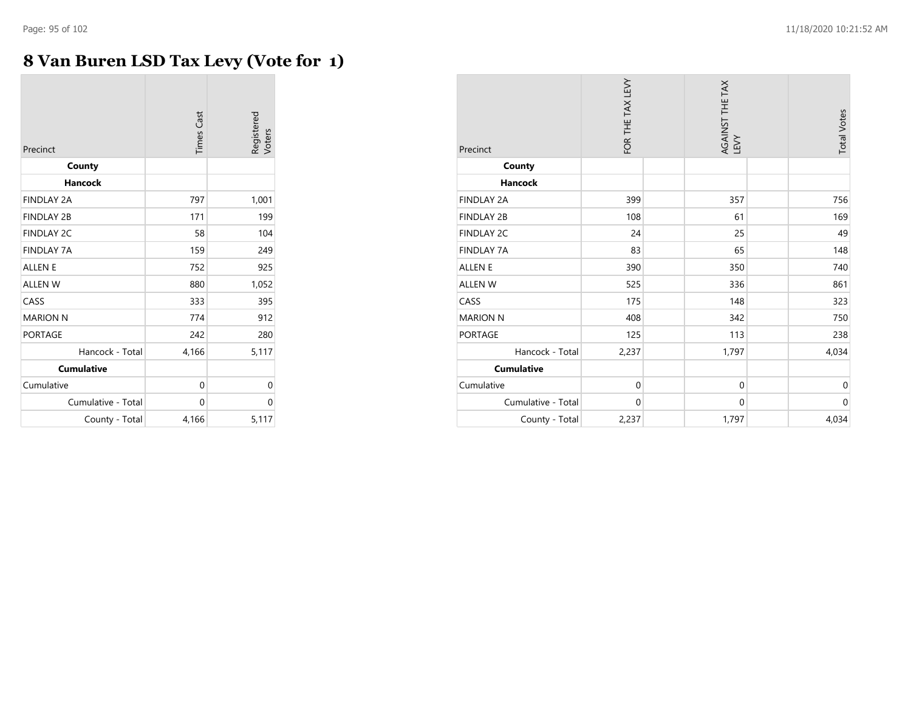**CO** 

# **8 Van Buren LSD Tax Levy (Vote for 1)**

| Precinct           | <b>Times Cast</b> | Registered<br>Voters |
|--------------------|-------------------|----------------------|
| County             |                   |                      |
| <b>Hancock</b>     |                   |                      |
| <b>FINDLAY 2A</b>  | 797               | 1,001                |
| <b>FINDLAY 2B</b>  | 171               | 199                  |
| <b>FINDLAY 2C</b>  | 58                | 104                  |
| <b>FINDLAY 7A</b>  | 159               | 249                  |
| <b>ALLEN E</b>     | 752               | 925                  |
| <b>ALLEN W</b>     | 880               | 1,052                |
| CASS               | 333               | 395                  |
| <b>MARION N</b>    | 774               | 912                  |
| <b>PORTAGE</b>     | 242               | 280                  |
| Hancock - Total    | 4,166             | 5,117                |
| <b>Cumulative</b>  |                   |                      |
| Cumulative         | 0                 | 0                    |
| Cumulative - Total | 0                 | 0                    |
| County - Total     | 4,166             | 5,117                |

| Precinct           | FOR THE TAX LEVY | AGAINST THE TAX<br>LEVY | <b>Total Votes</b> |
|--------------------|------------------|-------------------------|--------------------|
| County             |                  |                         |                    |
| <b>Hancock</b>     |                  |                         |                    |
| <b>FINDLAY 2A</b>  | 399              | 357                     | 756                |
| <b>FINDLAY 2B</b>  | 108              | 61                      | 169                |
| <b>FINDLAY 2C</b>  | 24               | 25                      | 49                 |
| <b>FINDLAY 7A</b>  | 83               | 65                      | 148                |
| <b>ALLEN E</b>     | 390              | 350                     | 740                |
| <b>ALLEN W</b>     | 525              | 336                     | 861                |
| CASS               | 175              | 148                     | 323                |
| <b>MARION N</b>    | 408              | 342                     | 750                |
| <b>PORTAGE</b>     | 125              | 113                     | 238                |
| Hancock - Total    | 2,237            | 1,797                   | 4,034              |
| <b>Cumulative</b>  |                  |                         |                    |
| Cumulative         | $\mathbf 0$      | $\mathbf 0$             | $\mathbf 0$        |
| Cumulative - Total | $\mathbf 0$      | $\mathbf{0}$            | $\mathbf 0$        |
| County - Total     | 2,237            | 1,797                   | 4,034              |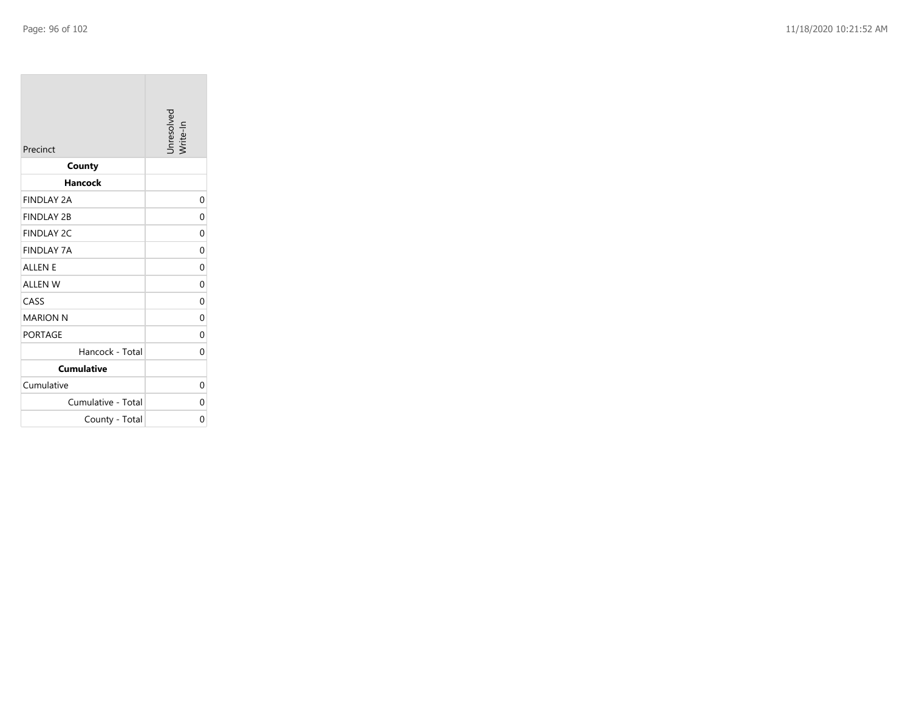**College** 

| Precinct           | Unresolved<br>Write-In |
|--------------------|------------------------|
| County             |                        |
| <b>Hancock</b>     |                        |
| <b>FINDLAY 2A</b>  | 0                      |
| <b>FINDLAY 2B</b>  | 0                      |
| <b>FINDLAY 2C</b>  | $\Omega$               |
| <b>FINDLAY 7A</b>  | 0                      |
| <b>ALLEN E</b>     | $\Omega$               |
| <b>ALLEN W</b>     | 0                      |
| CASS               | 0                      |
| <b>MARION N</b>    | 0                      |
| <b>PORTAGE</b>     | 0                      |
| Hancock - Total    | 0                      |
| <b>Cumulative</b>  |                        |
| Cumulative         | $\Omega$               |
| Cumulative - Total | 0                      |
| County - Total     | 0                      |

the control of the control of the control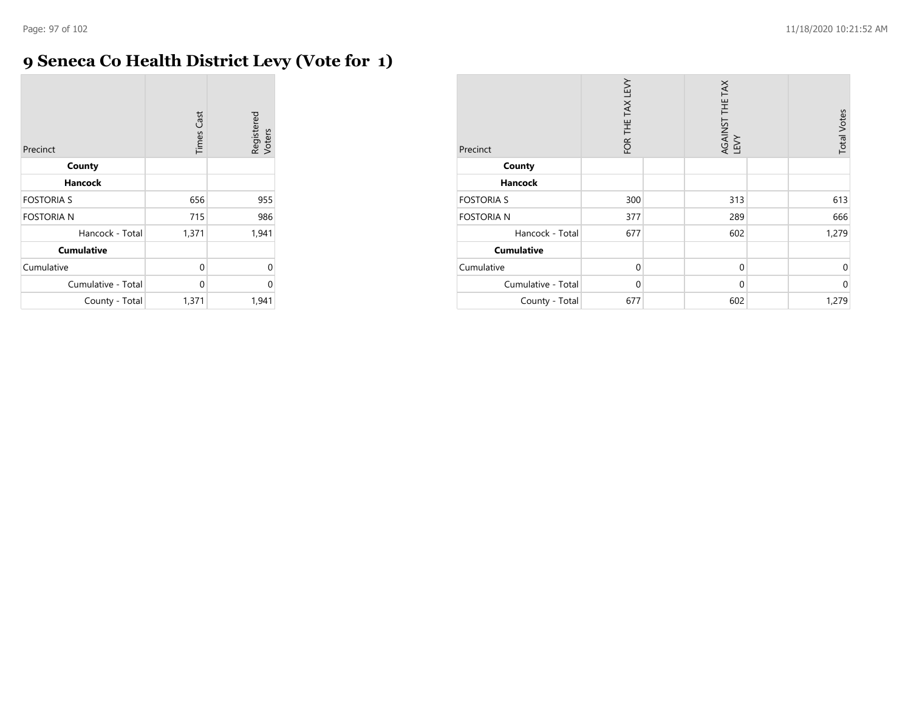## **9 Seneca Co Health District Levy (Vote for 1)**

| Precinct           | <b>Times Cast</b> | Registered<br>Voters |
|--------------------|-------------------|----------------------|
| County             |                   |                      |
| Hancock            |                   |                      |
| <b>FOSTORIA S</b>  | 656               | 955                  |
| <b>FOSTORIA N</b>  | 715               | 986                  |
| Hancock - Total    | 1,371             | 1,941                |
| <b>Cumulative</b>  |                   |                      |
| Cumulative         | 0                 | 0                    |
| Cumulative - Total | 0                 | 0                    |
| County - Total     | 1,371             | 1,941                |

| Precinct           | FOR THE TAX LEVY | AGAINST THE TAX<br>LEVY | <b>Total Votes</b> |
|--------------------|------------------|-------------------------|--------------------|
| County             |                  |                         |                    |
| Hancock            |                  |                         |                    |
| <b>FOSTORIA S</b>  | 300              | 313                     | 613                |
| <b>FOSTORIA N</b>  | 377              | 289                     | 666                |
| Hancock - Total    | 677              | 602                     | 1,279              |
| <b>Cumulative</b>  |                  |                         |                    |
| Cumulative         | $\mathbf 0$      | $\mathbf 0$             | $\Omega$           |
| Cumulative - Total | $\mathbf 0$      | $\mathbf 0$             | $\mathbf{0}$       |
| County - Total     | 677              | 602                     | 1,279              |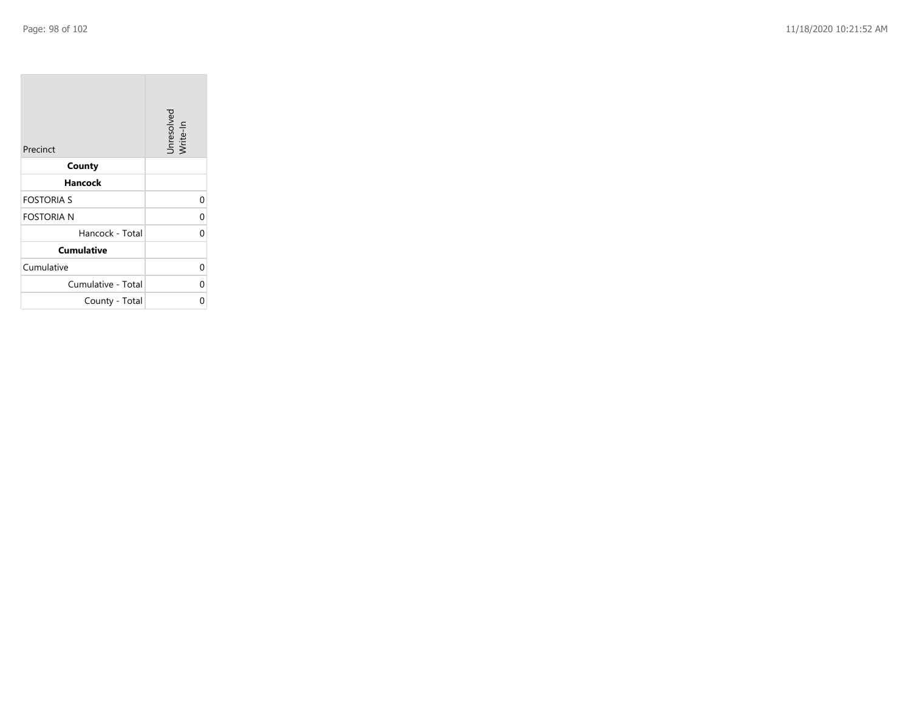**COL** 

| Precinct           | Unresolved<br>Write-In |
|--------------------|------------------------|
| County             |                        |
| Hancock            |                        |
| <b>FOSTORIA S</b>  | $\Omega$               |
| <b>FOSTORIA N</b>  | 0                      |
| Hancock - Total    | 0                      |
| <b>Cumulative</b>  |                        |
| Cumulative         | 0                      |
| Cumulative - Total | 0                      |
| County - Total     | 0                      |

the company of the company

man.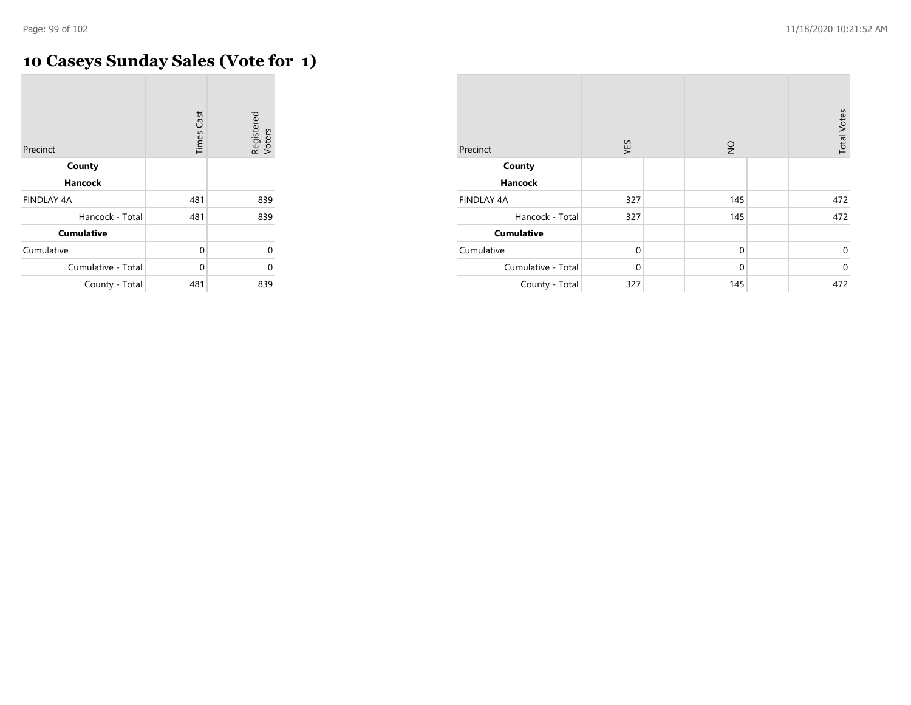$\overline{a}$ 

# **10 Caseys Sunday Sales (Vote for 1)**

| Precinct           | <b>Times Cast</b> | Registered<br>Voters |
|--------------------|-------------------|----------------------|
| County             |                   |                      |
| Hancock            |                   |                      |
| <b>FINDLAY 4A</b>  | 481               | 839                  |
| Hancock - Total    | 481               | 839                  |
| <b>Cumulative</b>  |                   |                      |
| Cumulative         | 0                 | 0                    |
| Cumulative - Total | $\Omega$          | U                    |
| County - Total     | 481               | 839                  |

| Precinct           | YES         | $\frac{1}{2}$ | <b>Total Votes</b> |
|--------------------|-------------|---------------|--------------------|
| County             |             |               |                    |
| <b>Hancock</b>     |             |               |                    |
| <b>FINDLAY 4A</b>  | 327         | 145           | 472                |
| Hancock - Total    | 327         | 145           | 472                |
| <b>Cumulative</b>  |             |               |                    |
| Cumulative         | $\mathbf 0$ | $\mathbf 0$   | $\mathbf 0$        |
| Cumulative - Total | $\mathbf 0$ | $\mathbf 0$   | $\mathbf 0$        |
| County - Total     | 327         | 145           | 472                |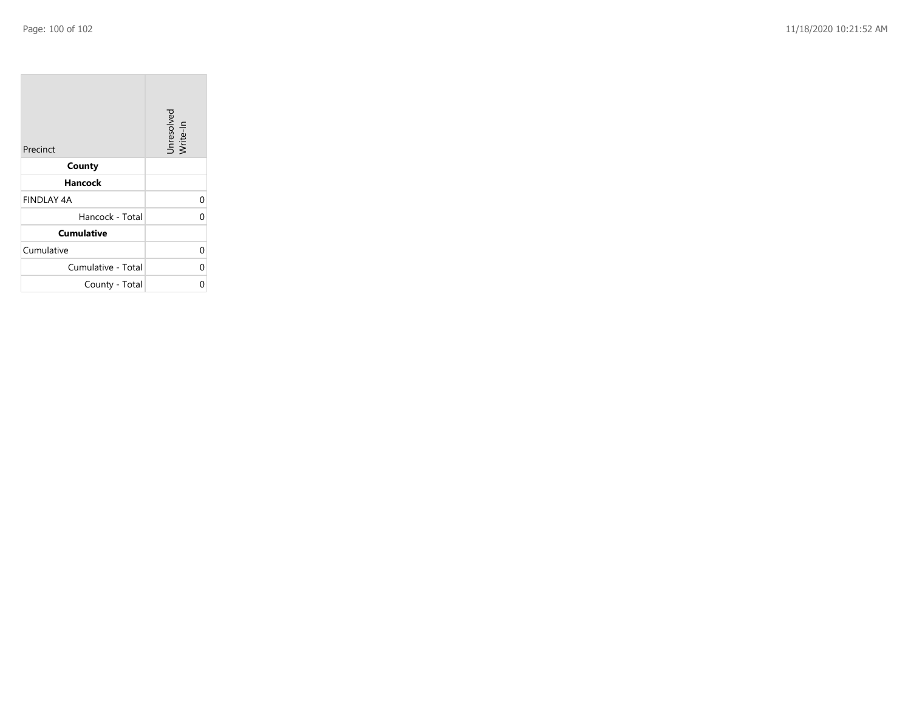| Precinct           | Unresolved<br>Write-In |
|--------------------|------------------------|
| County             |                        |
| Hancock            |                        |
| <b>FINDLAY 4A</b>  | 0                      |
| Hancock - Total    | C                      |
| <b>Cumulative</b>  |                        |
| Cumulative         | 0                      |
| Cumulative - Total | 0                      |
| County - Total     |                        |

the property of the control of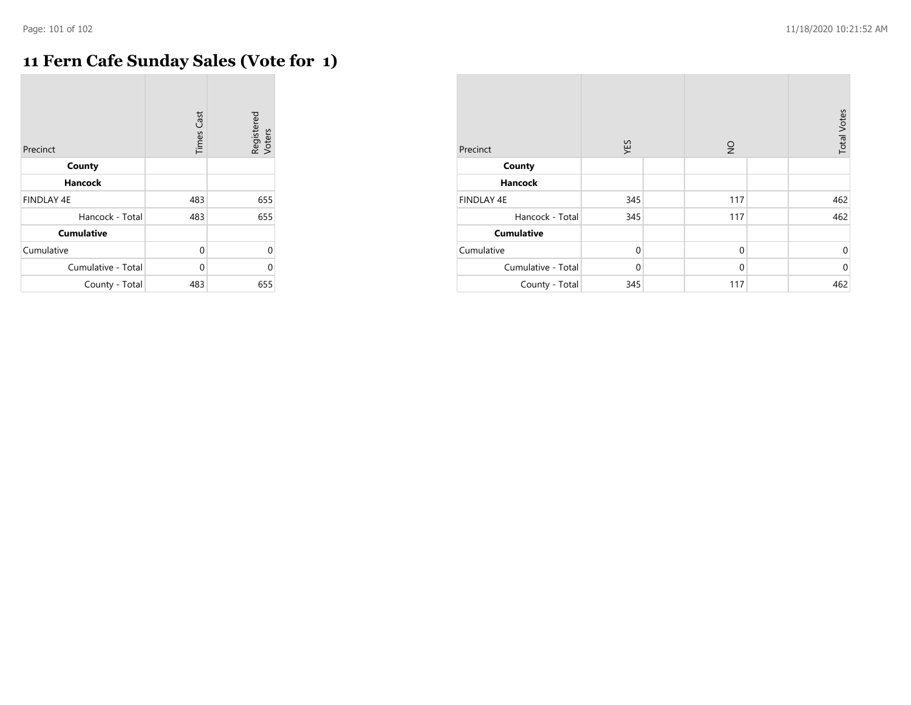$\mathcal{L}$ 

# **11 Fern Cafe Sunday Sales (Vote for 1)**

| Precinct           | <b>Times Cast</b> | Registered<br>Voters |
|--------------------|-------------------|----------------------|
| County             |                   |                      |
| <b>Hancock</b>     |                   |                      |
| <b>FINDLAY 4E</b>  | 483               | 655                  |
| Hancock - Total    | 483               | 655                  |
| <b>Cumulative</b>  |                   |                      |
| Cumulative         | 0                 | $\Omega$             |
| Cumulative - Total | $\Omega$          | 0                    |
| County - Total     | 483               | 655                  |

| Precinct           | YES         | $\frac{1}{2}$ | <b>Total Votes</b> |
|--------------------|-------------|---------------|--------------------|
| County             |             |               |                    |
| <b>Hancock</b>     |             |               |                    |
| <b>FINDLAY 4E</b>  | 345         | 117           | 462                |
| Hancock - Total    | 345         | 117           | 462                |
| <b>Cumulative</b>  |             |               |                    |
| Cumulative         | $\mathbf 0$ | $\mathbf 0$   | 0                  |
| Cumulative - Total | $\mathbf 0$ | $\mathbf 0$   | $\mathbf 0$        |
| County - Total     | 345         | 117           | 462                |